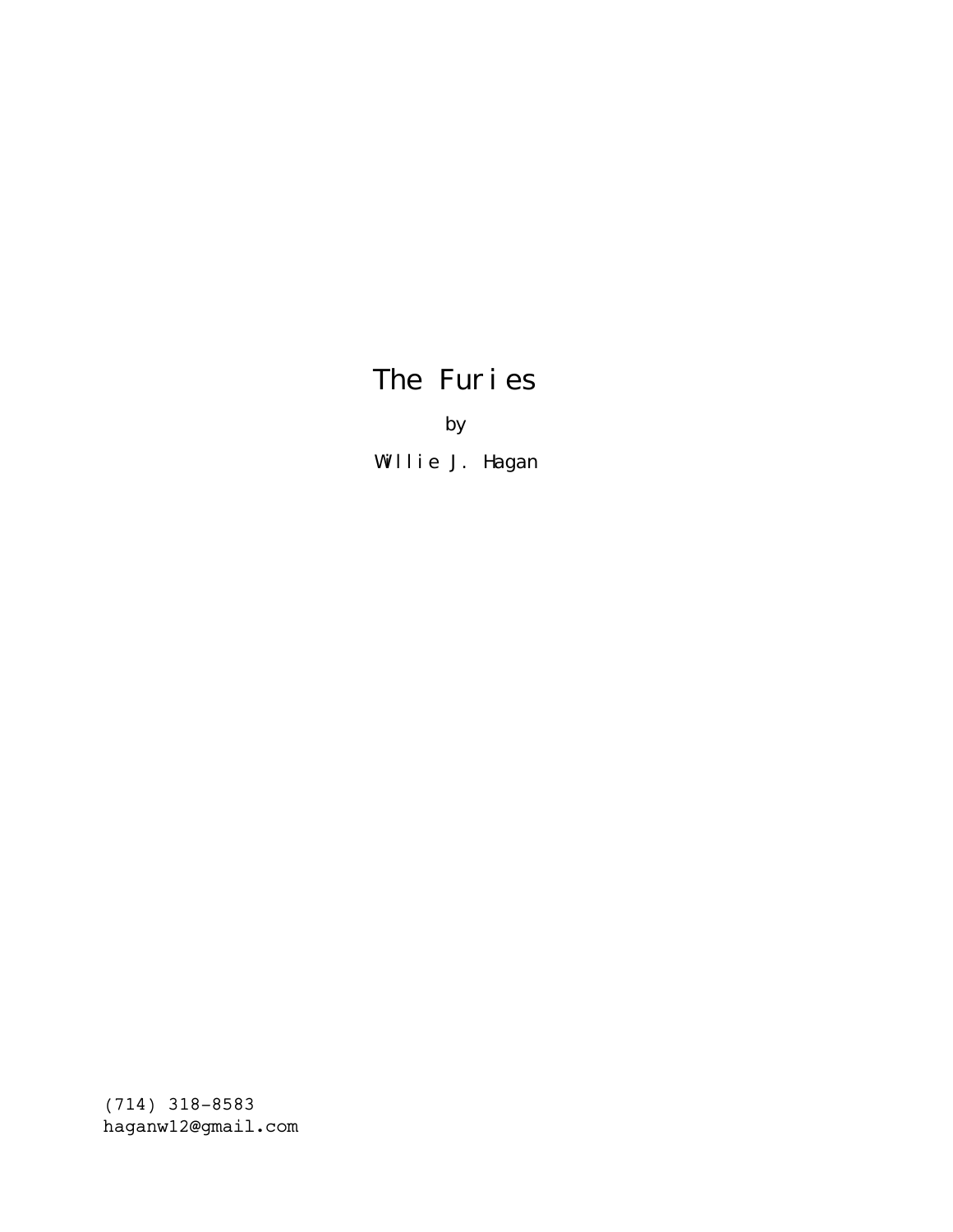# The Furies

by

Willie J. Hagan

(714) 318-8583 haganw12@gmail.com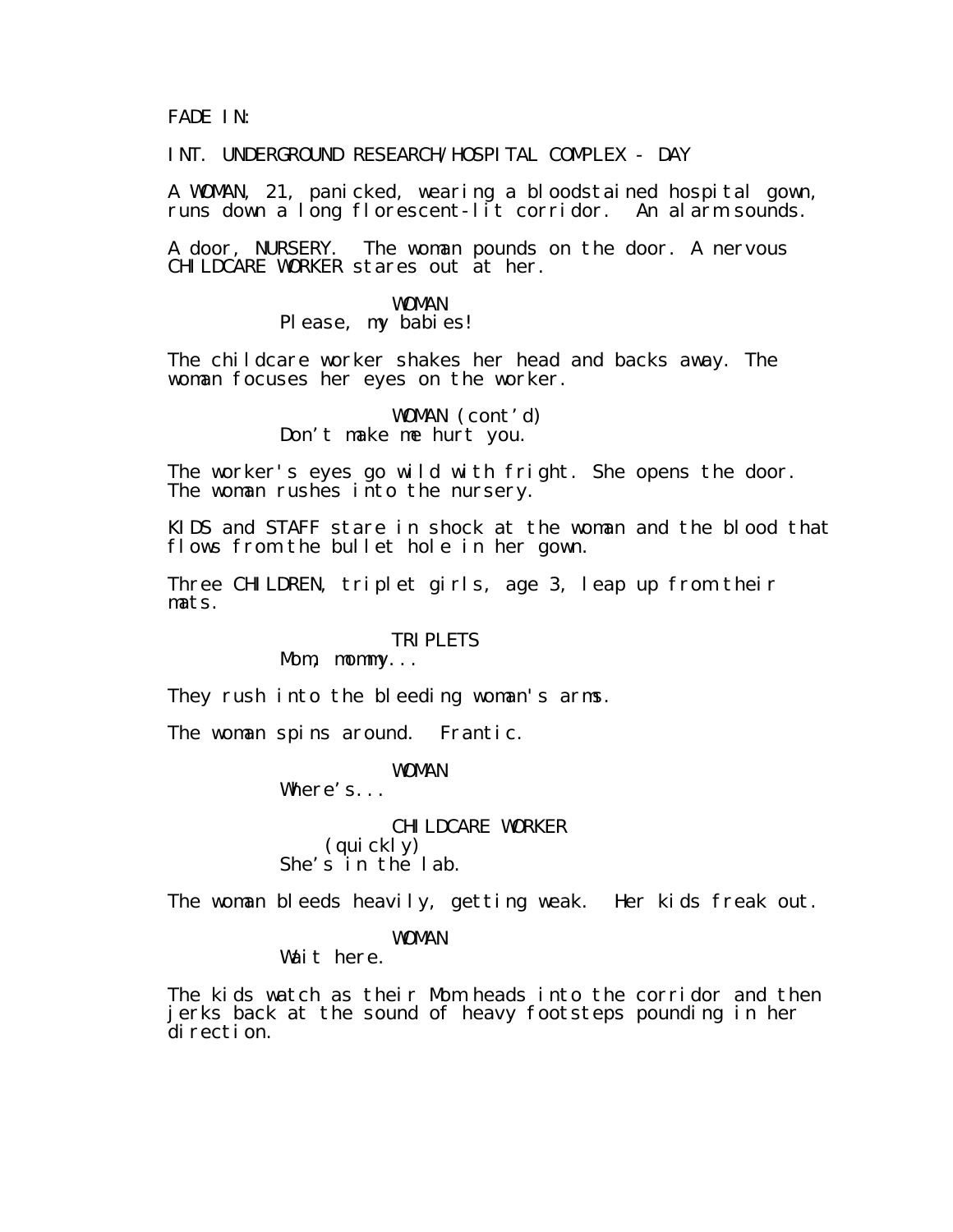FADE IN:

INT. UNDERGROUND RESEARCH/HOSPITAL COMPLEX - DAY

A WOMAN, 21, panicked, wearing a bloodstained hospital gown, runs down a long florescent-lit corridor. An alarm sounds.

A door, NURSERY. The woman pounds on the door. A nervous CHILDCARE WORKER stares out at her.

# WOMAN

Please, my babies!

The childcare worker shakes her head and backs away. The woman focuses her eyes on the worker.

> WOMAN (cont'd) Don't make me hurt you.

The worker's eyes go wild with fright. She opens the door. The woman rushes into the nursery.

KIDS and STAFF stare in shock at the woman and the blood that flows from the bullet hole in her gown.

Three CHILDREN, triplet girls, age 3, leap up from their mats.

#### **TRIPLETS**

Mom, mommy...

They rush into the bleeding woman's arms.

The woman spins around. Frantic.

WOMAN

Where's...

CHILDCARE WORKER (quickly) She's in the lab.

The woman bleeds heavily, getting weak. Her kids freak out.

#### WOMAN

Wait here.

The kids watch as their Mom heads into the corridor and then jerks back at the sound of heavy footsteps pounding in her direction.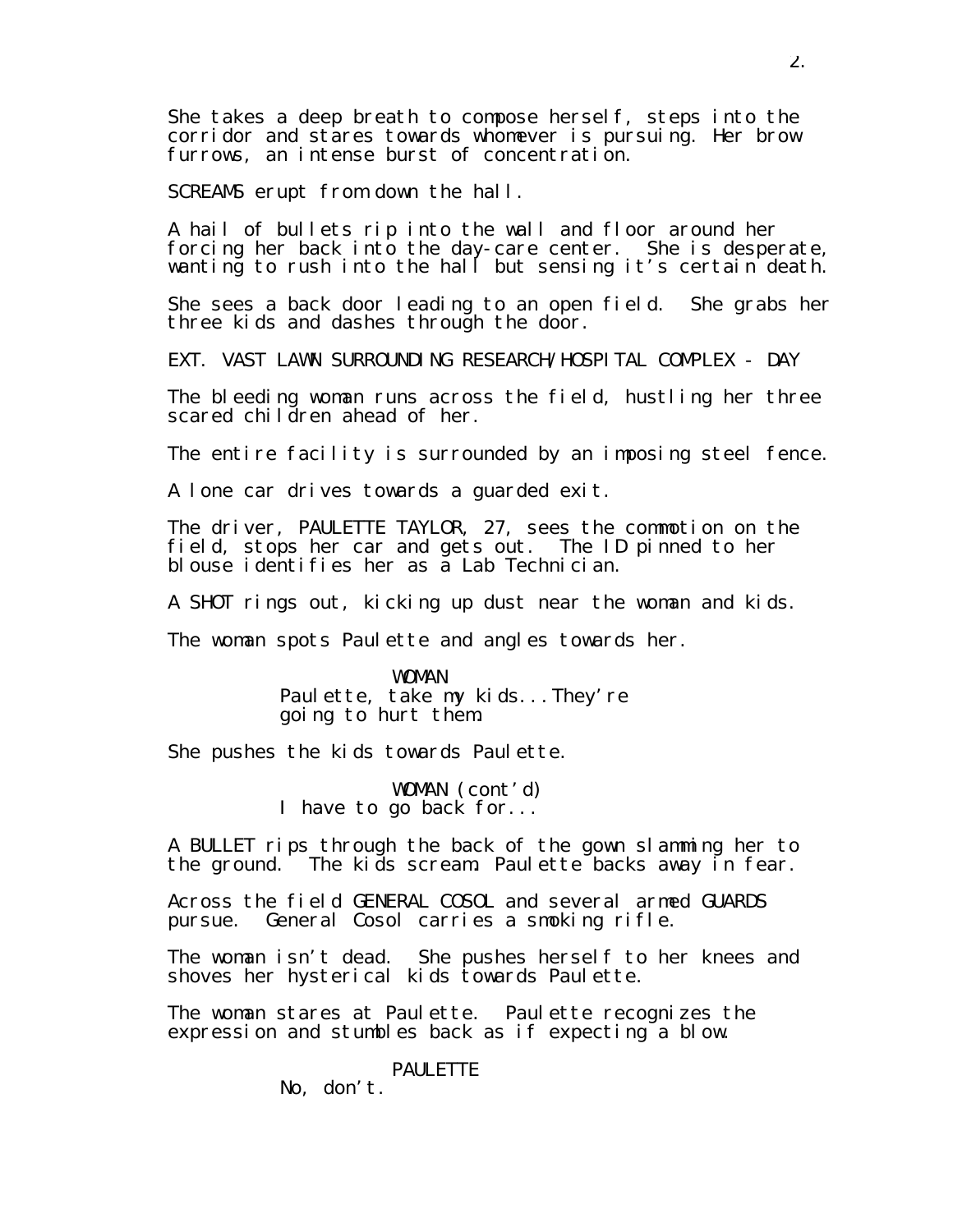She takes a deep breath to compose herself, steps into the corridor and stares towards whomever is pursuing. Her brow furrows, an intense burst of concentration.

SCREAMS erupt from down the hall.

A hail of bullets rip into the wall and floor around her forcing her back into the day-care center. She is desperate, wanting to rush into the hall but sensing it's certain death.

She sees a back door leading to an open field. She grabs her three kids and dashes through the door.

EXT. VAST LAWN SURROUNDING RESEARCH/HOSPITAL COMPLEX - DAY

The bleeding woman runs across the field, hustling her three scared children ahead of her.

The entire facility is surrounded by an imposing steel fence.

A lone car drives towards a guarded exit.

The driver, PAULETTE TAYLOR, 27, sees the commotion on the field, stops her car and gets out. The ID pinned to her blouse identifies her as a Lab Technician.

A SHOT rings out, kicking up dust near the woman and kids.

The woman spots Paulette and angles towards her.

WOMAN Paulette, take my kids...They're going to hurt them.

She pushes the kids towards Paulette.

WOMAN (cont'd) I have to go back for...

A BULLET rips through the back of the gown slamming her to the ground. The kids scream. Paulette backs away in fear.

Across the field GENERAL COSOL and several armed GUARDS pursue. General Cosol carries a smoking rifle.

The woman isn't dead. She pushes herself to her knees and shoves her hysterical kids towards Paulette.

The woman stares at Paulette. Paulette recognizes the expression and stumbles back as if expecting a blow.

**PAULETTE** 

No, don't.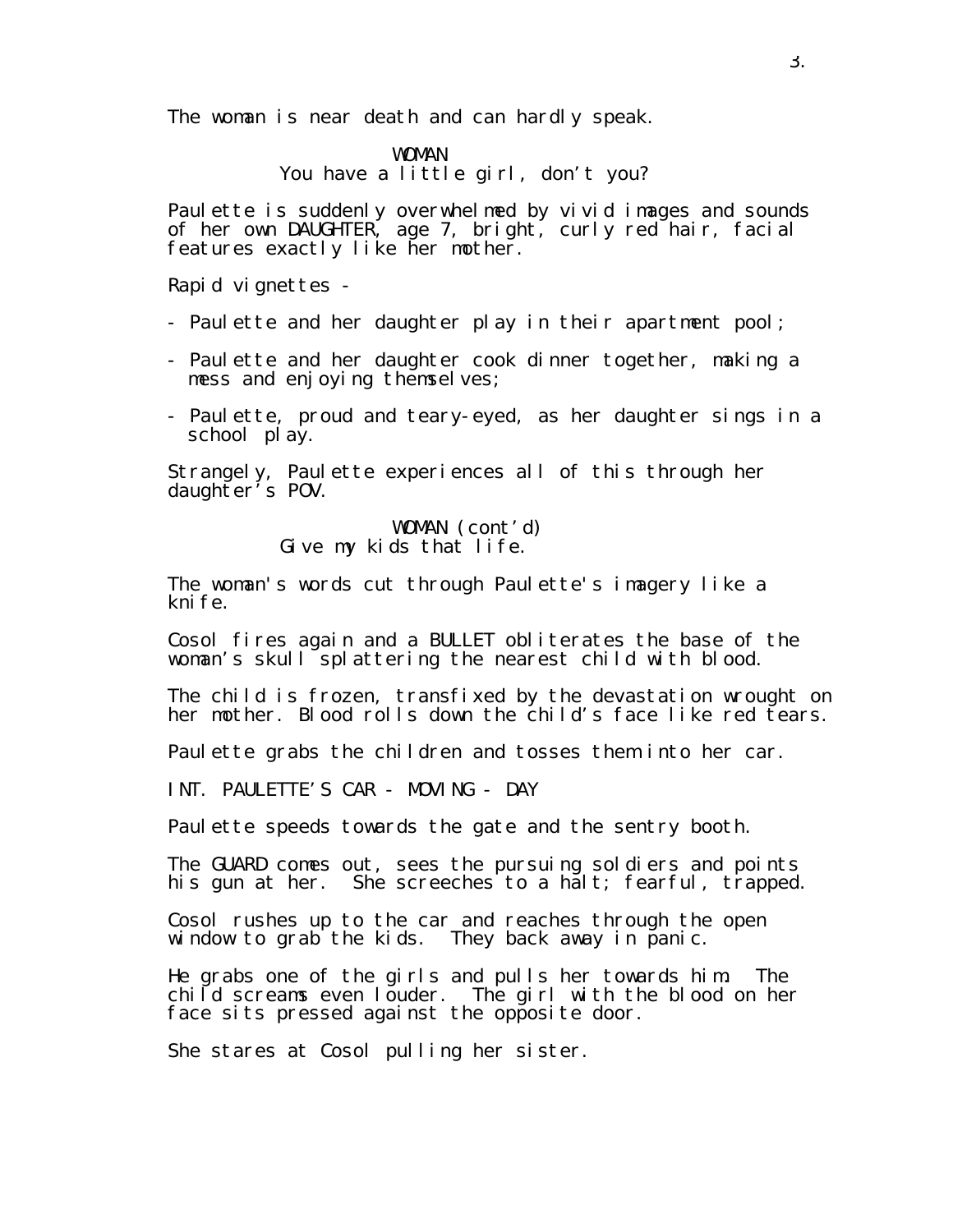The woman is near death and can hardly speak.

WOMAN You have a little girl, don't you?

Paulette is suddenly overwhelmed by vivid images and sounds of her own DAUGHTER, age 7, bright, curly red hair, facial features exactly like her mother.

Rapid vignettes -

- Paulette and her daughter play in their apartment pool;
- Paulette and her daughter cook dinner together, making a mess and enjoying themselves;
- Paulette, proud and teary-eyed, as her daughter sings in a school play.

Strangely, Paulette experiences all of this through her daughter's POV.

#### WOMAN (cont'd) Give my kids that life.

The woman's words cut through Paulette's imagery like a kni fe.

Cosol fires again and a BULLET obliterates the base of the woman's skull splattering the nearest child with blood.

The child is frozen, transfixed by the devastation wrought on her mother. Blood rolls down the child's face like red tears.

Paulette grabs the children and tosses them into her car.

INT. PAULETTE'S CAR - MOVING - DAY

Paulette speeds towards the gate and the sentry booth.

The GUARD comes out, sees the pursuing soldiers and points his gun at her. She screeches to a halt; fearful, trapped.

Cosol rushes up to the car and reaches through the open window to grab the kids. They back away in panic.

He grabs one of the girls and pulls her towards him. The child screams even louder. The girl with the blood on her face sits pressed against the opposite door.

She stares at Cosol pulling her sister.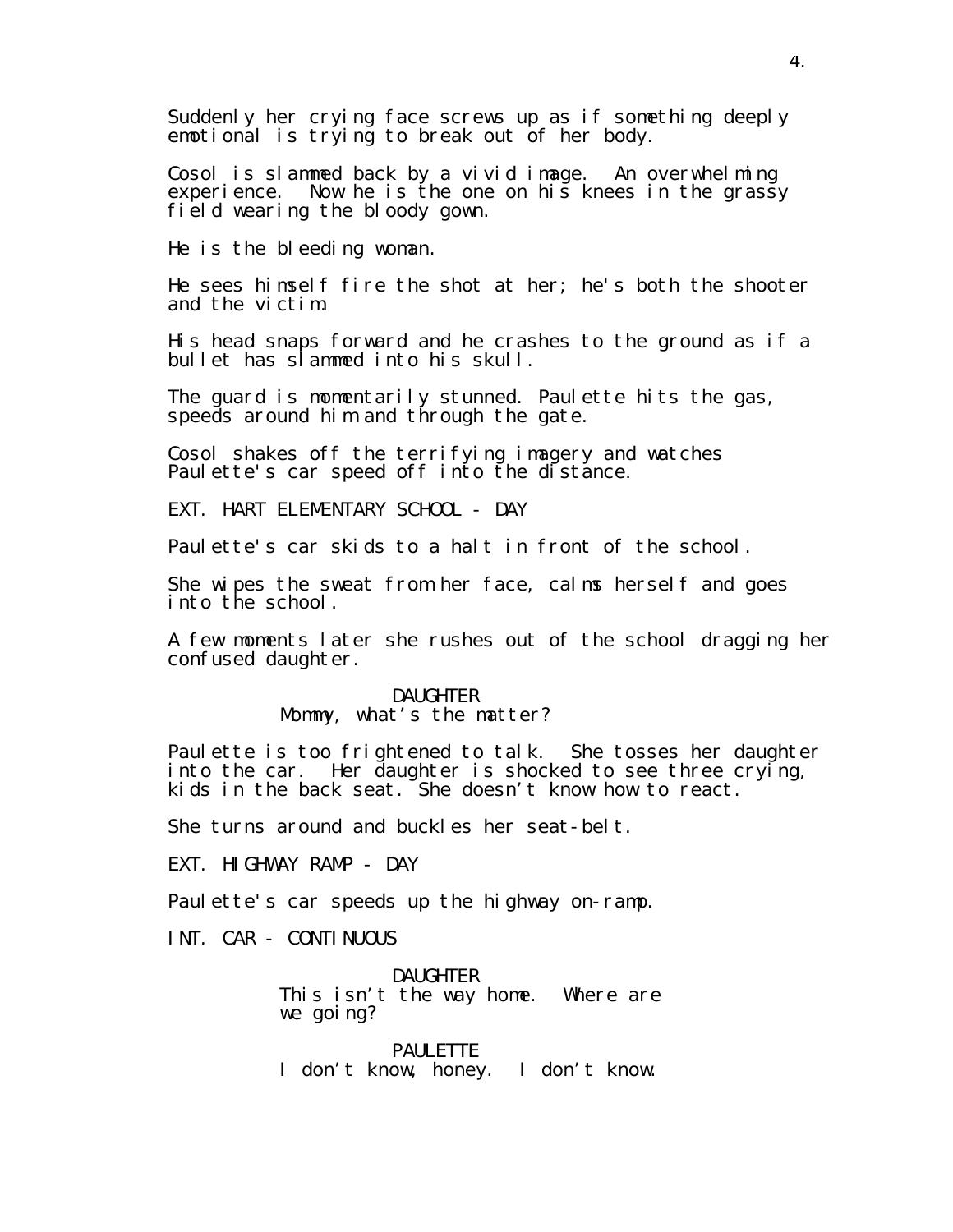Suddenly her crying face screws up as if something deeply emotional is trying to break out of her body.

Cosol is slammed back by a vivid image. An overwhelming experience. Now he is the one on his knees in the grassy field wearing the bloody gown.

He is the bleeding woman.

He sees himself fire the shot at her; he's both the shooter and the victim.

His head snaps forward and he crashes to the ground as if a bullet has slammed into his skull.

The guard is momentarily stunned. Paulette hits the gas, speeds around him and through the gate.

Cosol shakes off the terrifying imagery and watches Paulette's car speed off into the distance.

EXT. HART ELEMENTARY SCHOOL - DAY

Paulette's car skids to a halt in front of the school.

She wipes the sweat from her face, calms herself and goes into the school.

A few moments later she rushes out of the school dragging her confused daughter.

> DAUGHTER Mommy, what's the matter?

Paulette is too frightened to talk. She tosses her daughter into the car. Her daughter is shocked to see three crying, kids in the back seat. She doesn't know how to react.

She turns around and buckles her seat-belt.

EXT. HIGHWAY RAMP - DAY

Paulette's car speeds up the highway on-ramp.

INT. CAR - CONTINUOUS

DAUGHTER This isn't the way home. Where are we going?

**PAULETTE** I don't know, honey. I don't know.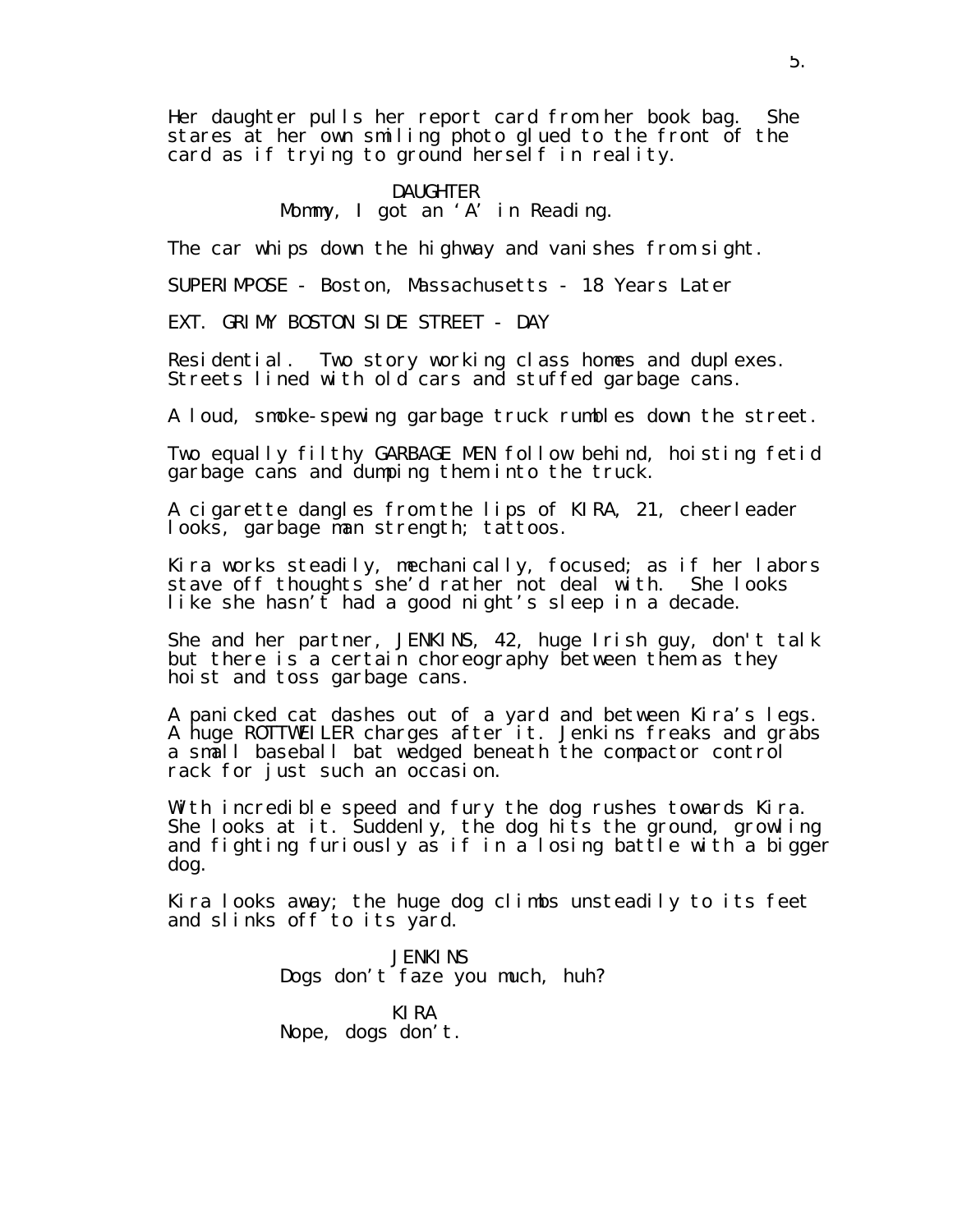Her daughter pulls her report card from her book bag. She stares at her own smiling photo glued to the front of the card as if trying to ground herself in reality.

#### DAUGHTER Mommy, I got an 'A' in Reading.

The car whips down the highway and vanishes from sight.

SUPERIMPOSE - Boston, Massachusetts - 18 Years Later

EXT. GRIMY BOSTON SIDE STREET - DAY

Residential. Two story working class homes and duplexes. Streets lined with old cars and stuffed garbage cans.

A loud, smoke-spewing garbage truck rumbles down the street.

Two equally filthy GARBAGE MEN follow behind, hoisting fetid garbage cans and dumping them into the truck.

A cigarette dangles from the lips of KIRA, 21, cheerleader looks, garbage man strength; tattoos.

Kira works steadily, mechanically, focused; as if her labors stave off thoughts she'd rather not deal with. She looks like she hasn't had a good night's sleep in a decade.

She and her partner, JENKINS, 42, huge Irish guy, don't talk but there is a certain choreography between them as they hoist and toss garbage cans.

A panicked cat dashes out of a yard and between Kira's legs. A huge ROTTWEILER charges after it. Jenkins freaks and grabs a small baseball bat wedged beneath the compactor control rack for just such an occasion.

With incredible speed and fury the dog rushes towards Kira. She looks at it. Suddenly, the dog hits the ground, growling and fighting furiously as if in a losing battle with a bigger dog.

Kira looks away; the huge dog climbs unsteadily to its feet and slinks off to its yard.

> **JENKINS** Dogs don't faze you much, huh?

KIRA Nope, dogs don't.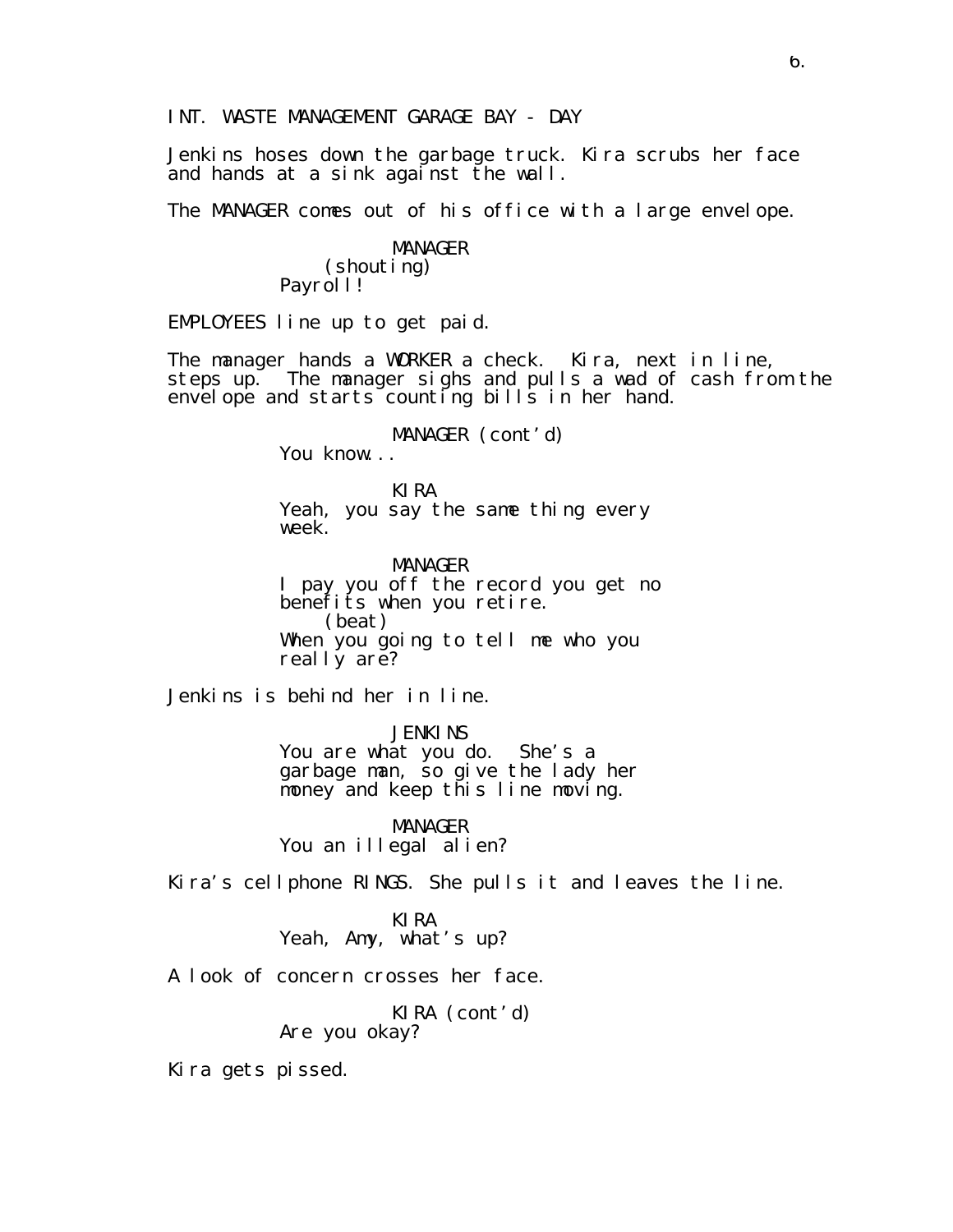INT. WASTE MANAGEMENT GARAGE BAY - DAY

Jenkins hoses down the garbage truck. Kira scrubs her face and hands at a sink against the wall.

The MANAGER comes out of his office with a large envelope.

MANAGER (shouting) Payrol I!

EMPLOYEES line up to get paid.

The manager hands a WORKER a check. Kira, next in line, steps up. The manager sighs and pulls a wad of cash from the envelope and starts counting bills in her hand.

MANAGER (cont'd)

You know...

KIRA Yeah, you say the same thing every week.

MANAGER I pay you off the record you get no benefits when you retire. (beat) When you going to tell me who you real I y are?

Jenkins is behind her in line.

**JENKINS** You are what you do. She's a garbage man, so give the lady her money and keep this line moving.

MANAGER You an illegal alien?

Kira's cellphone RINGS. She pulls it and leaves the line.

KIRA Yeah, Amy, what's up?

A look of concern crosses her face.

KIRA (cont'd) Are you okay?

Kira gets pissed.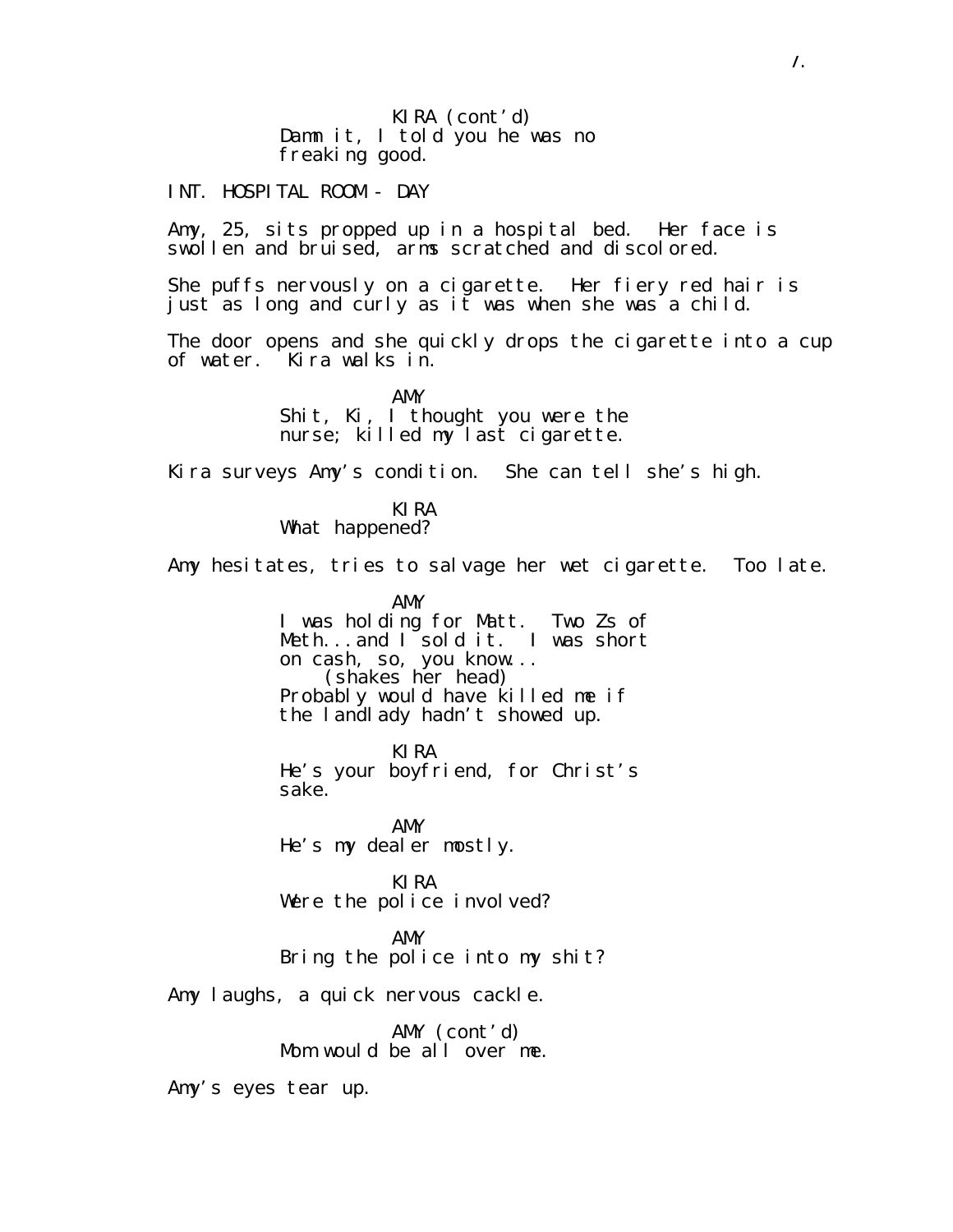KIRA (cont'd) Damn it, I told you he was no freaking good.

INT. HOSPITAL ROOM - DAY

Amy, 25, sits propped up in a hospital bed. Her face is swollen and bruised, arms scratched and discolored.

She puffs nervously on a cigarette. Her fiery red hair is just as long and curly as it was when she was a child.

The door opens and she quickly drops the cigarette into a cup of water. Kira walks in.

> AMY Shit, Ki, I thought you were the nurse; killed my last cigarette.

Kira surveys Amy's condition. She can tell she's high.

KIRA What happened?

Amy hesitates, tries to salvage her wet cigarette. Too late.

AMY I was holding for Matt. Two Zs of Meth...and I sold it. I was short on cash, so, you know... (shakes her head) Probably would have killed me if the landlady hadn't showed up.

KIRA He's your boyfriend, for Christ's sake.

AMY He's my dealer mostly.

KIRA Were the police involved?

AMY

Bring the police into my shit?

Amy laughs, a quick nervous cackle.

AMY (cont'd) Mom would be all over me.

Amy's eyes tear up.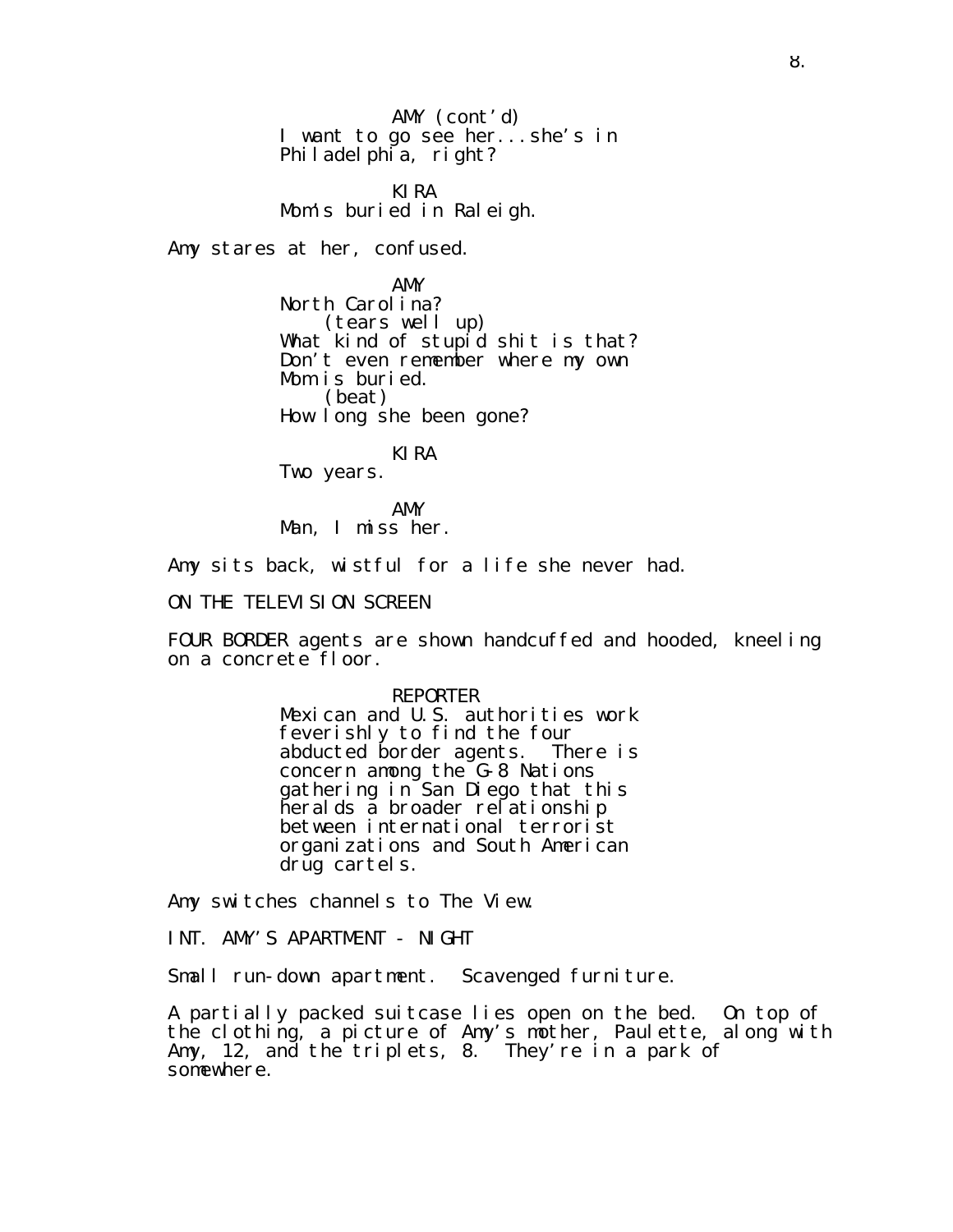AMY (cont'd) I want to go see her...she's in Philadelphia, right?

KIRA Mom's buried in Raleigh.

Amy stares at her, confused.

AMY North Carolina? (tears well up) What kind of stupid shit is that? Don't even remember where my own Mom is buried. (beat) How long she been gone?

KIRA

Two years.

AMY Man, I miss her.

Amy sits back, wistful for a life she never had.

ON THE TELEVISION SCREEN

FOUR BORDER agents are shown handcuffed and hooded, kneeling on a concrete floor.

> REPORTER Mexican and U.S. authorities work feverishly to find the four abducted border agents. There is concern among the G-8 Nations gathering in San Diego that this heralds a broader relationship between international terrorist organizations and South American drug cartels.

Amy switches channels to The View.

INT. AMY'S APARTMENT - NIGHT

Small run-down apartment. Scavenged furniture.

A partially packed suitcase lies open on the bed. On top of the clothing, a picture of Amy's mother, Paulette, along with Amy, 12, and the triplets, 8. They're in a park of somewhere.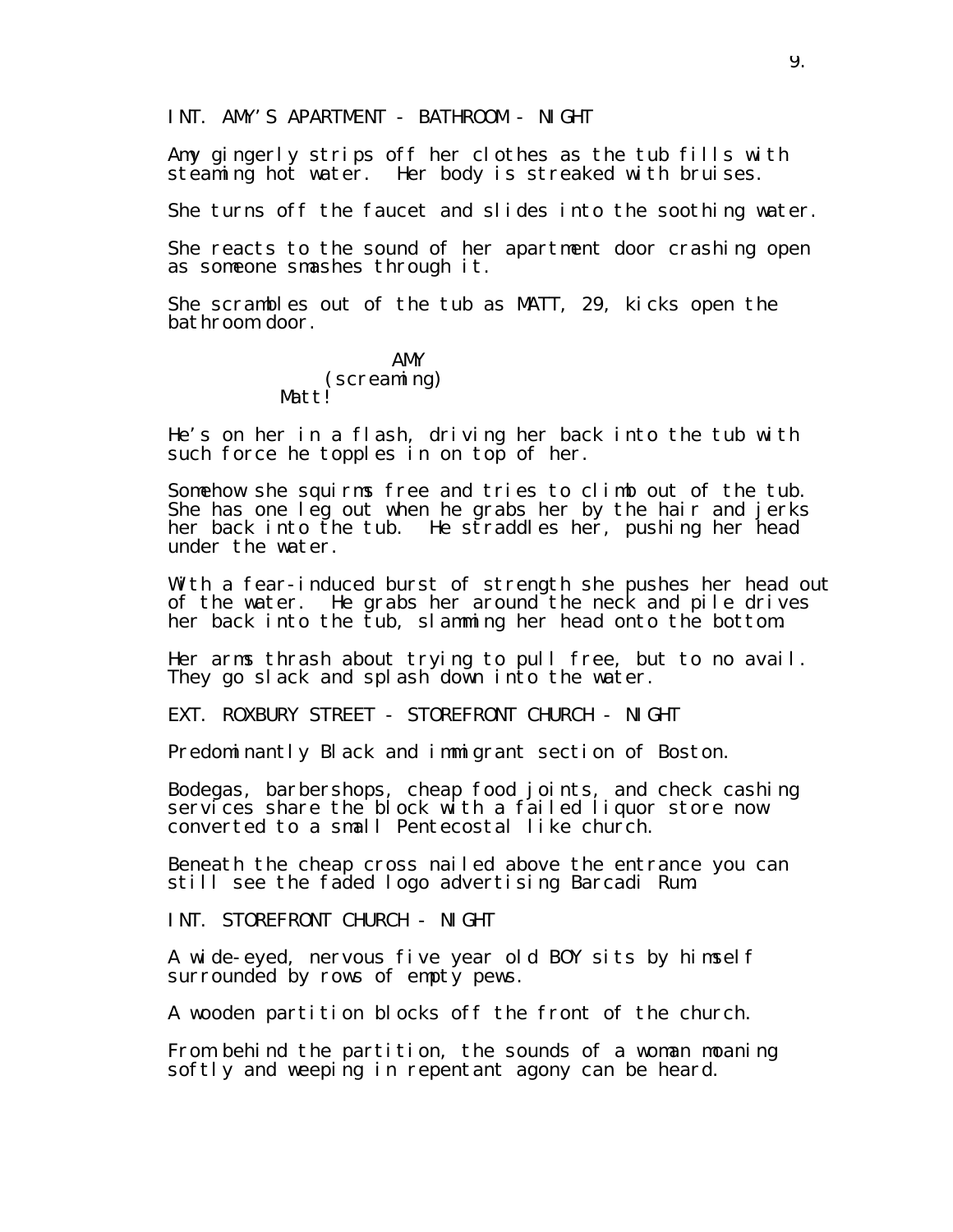INT. AMY'S APARTMENT - BATHROOM - NIGHT

Amy gingerly strips off her clothes as the tub fills with steaming hot water. Her body is streaked with bruises.

She turns off the faucet and slides into the soothing water.

She reacts to the sound of her apartment door crashing open as someone smashes through it.

She scrambles out of the tub as MATT, 29, kicks open the bathroom door.

#### AMY (screaming) Mattl

He's on her in a flash, driving her back into the tub with such force he topples in on top of her.

Somehow she squirms free and tries to climb out of the tub. She has one leg out when he grabs her by the hair and jerks her back into the tub. He straddles her, pushing her head under the water.

With a fear-induced burst of strength she pushes her head out of the water. He grabs her around the neck and pile drives her back into the tub, slamming her head onto the bottom.

Her arms thrash about trying to pull free, but to no avail. They go slack and splash down into the water.

EXT. ROXBURY STREET - STOREFRONT CHURCH - NIGHT

Predominantly Black and immigrant section of Boston.

Bodegas, barbershops, cheap food joints, and check cashing services share the block with a failed liquor store now converted to a small Pentecostal like church.

Beneath the cheap cross nailed above the entrance you can still see the faded logo advertising Barcadi Rum.

INT. STOREFRONT CHURCH - NIGHT

A wide-eyed, nervous five year old BOY sits by himself surrounded by rows of empty pews.

A wooden partition blocks off the front of the church.

From behind the partition, the sounds of a woman moaning softly and weeping in repentant agony can be heard.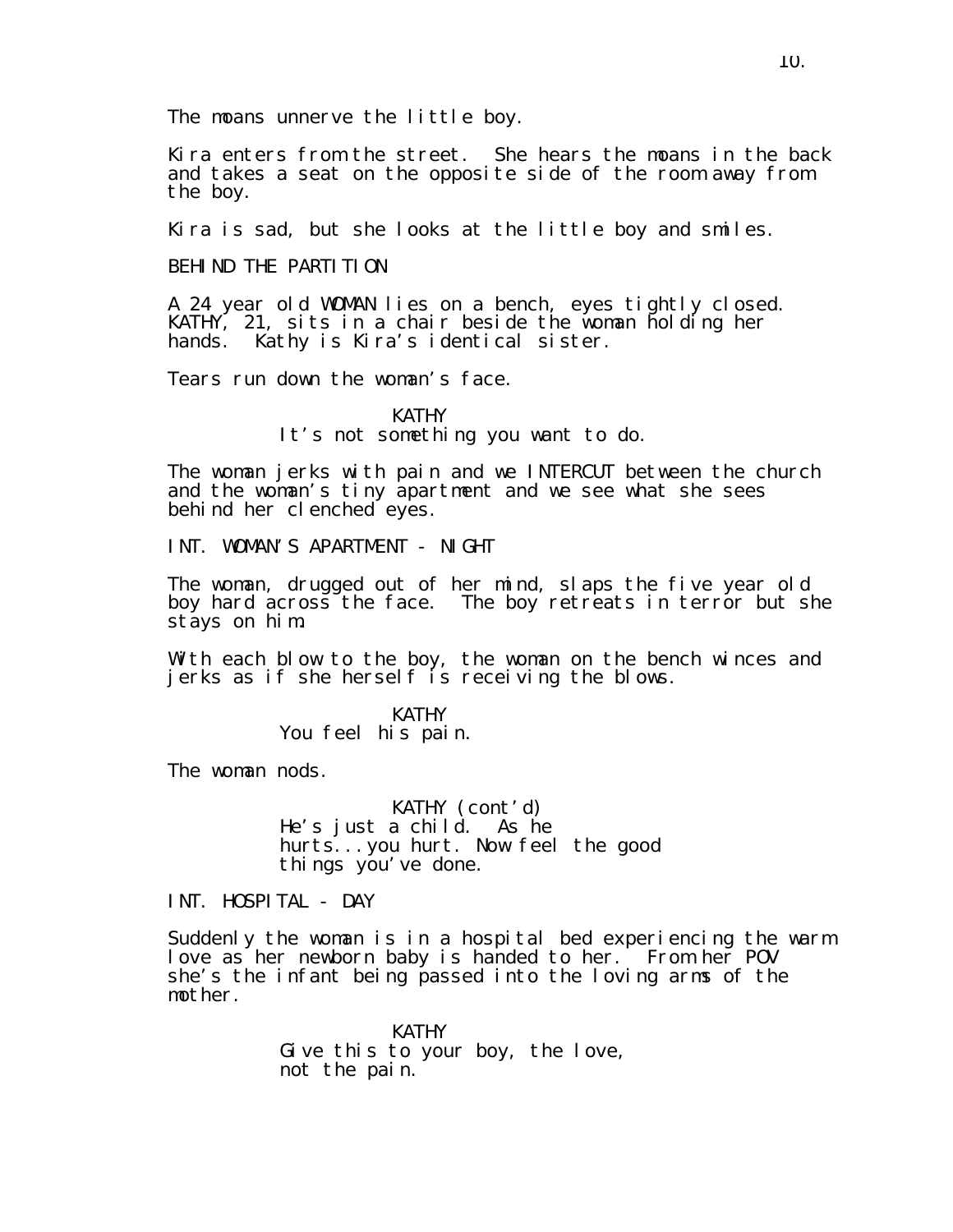Kira enters from the street. She hears the moans in the back and takes a seat on the opposite side of the room away from the boy.

Kira is sad, but she looks at the little boy and smiles.

BEHIND THE PARTITION

A 24 year old WOMAN lies on a bench, eyes tightly closed. KATHY, 21, sits in a chair beside the woman holding her hands. Kathy is Kira's identical sister.

Tears run down the woman's face.

KATHY It's not something you want to do.

The woman jerks with pain and we INTERCUT between the church and the woman's tiny apartment and we see what she sees behind her clenched eyes.

INT. WOMAN'S APARTMENT - NIGHT

The woman, drugged out of her mind, slaps the five year old boy hard across the face. The boy retreats in terror but she stays on him.

With each blow to the boy, the woman on the bench winces and jerks as if she herself is receiving the blows.

> KATHY You feel his pain.

The woman nods.

KATHY (cont'd) He's just a child. As he hurts...you hurt. Now feel the good things you've done.

INT. HOSPITAL - DAY

Suddenly the woman is in a hospital bed experiencing the warm love as her newborn baby is handed to her. From her POV she's the infant being passed into the loving arms of the mother.

> **KATHY** Give this to your boy, the love, not the pain.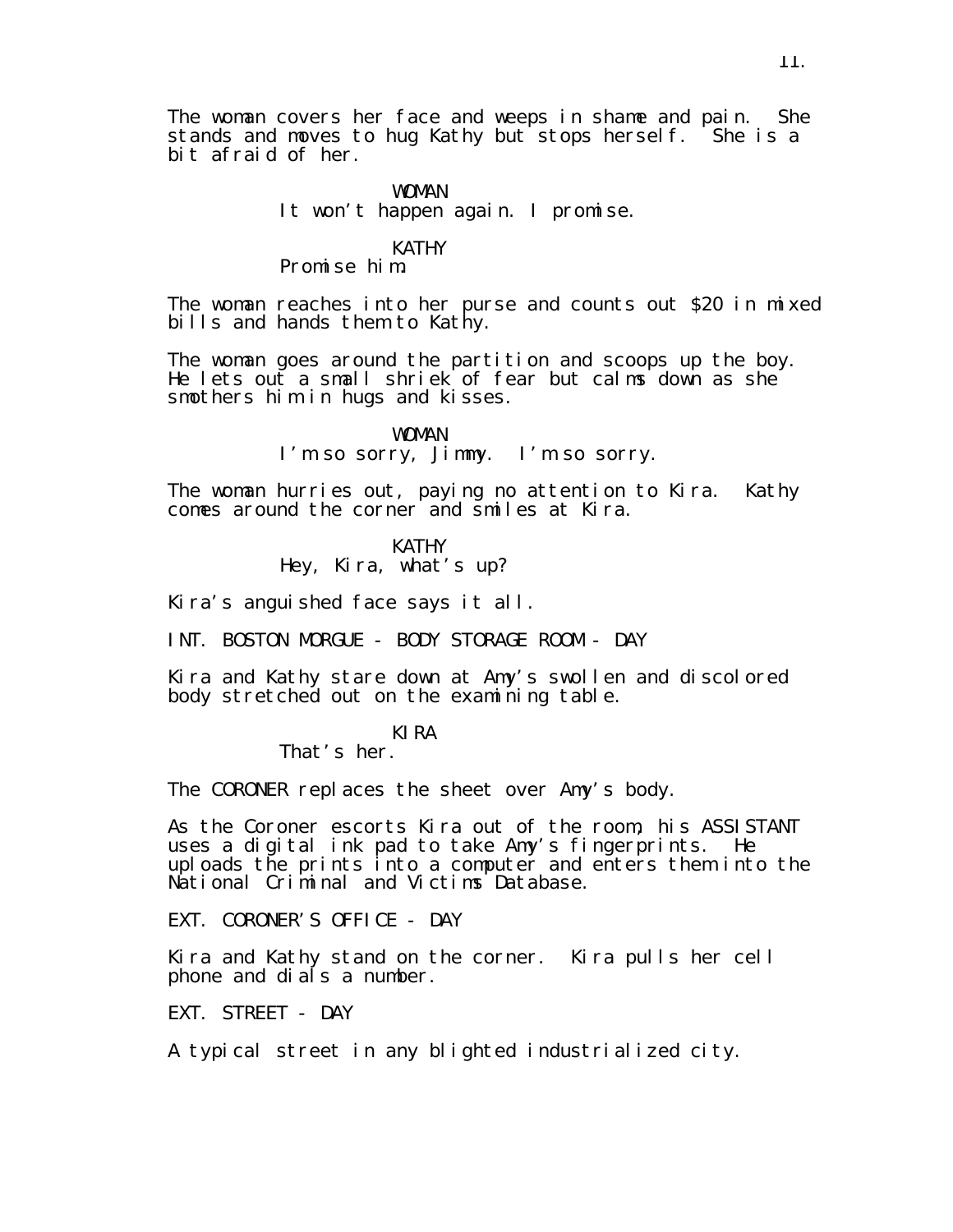The woman covers her face and weeps in shame and pain. She stands and moves to hug Kathy but stops herself. She is a bit afraid of her.

#### WOMAN It won't happen again. I promise.

#### KATHY

## Promise him.

The woman reaches into her purse and counts out \$20 in mixed bills and hands them to Kathy.

The woman goes around the partition and scoops up the boy. He lets out a small shriek of fear but calms down as she smothers him in hugs and kisses.

> WOMAN I'm so sorry, Jimmy. I'm so sorry.

The woman hurries out, paying no attention to Kira. Kathy comes around the corner and smiles at Kira.

> KATHY Hey, Kira, what's up?

Kira's anguished face says it all.

INT. BOSTON MORGUE - BODY STORAGE ROOM - DAY

Kira and Kathy stare down at Amy's swollen and discolored body stretched out on the examining table.

#### KIRA

That's her.

The CORONER replaces the sheet over Amy's body.

As the Coroner escorts Kira out of the room, his ASSISTANT uses a digital ink pad to take Amy's fingerprints. He uploads the prints into a computer and enters them into the National Criminal and Victims Database.

EXT. CORONER'S OFFICE - DAY

Kira and Kathy stand on the corner. Kira pulls her cell phone and dials a number.

EXT. STREET - DAY

A typical street in any blighted industrialized city.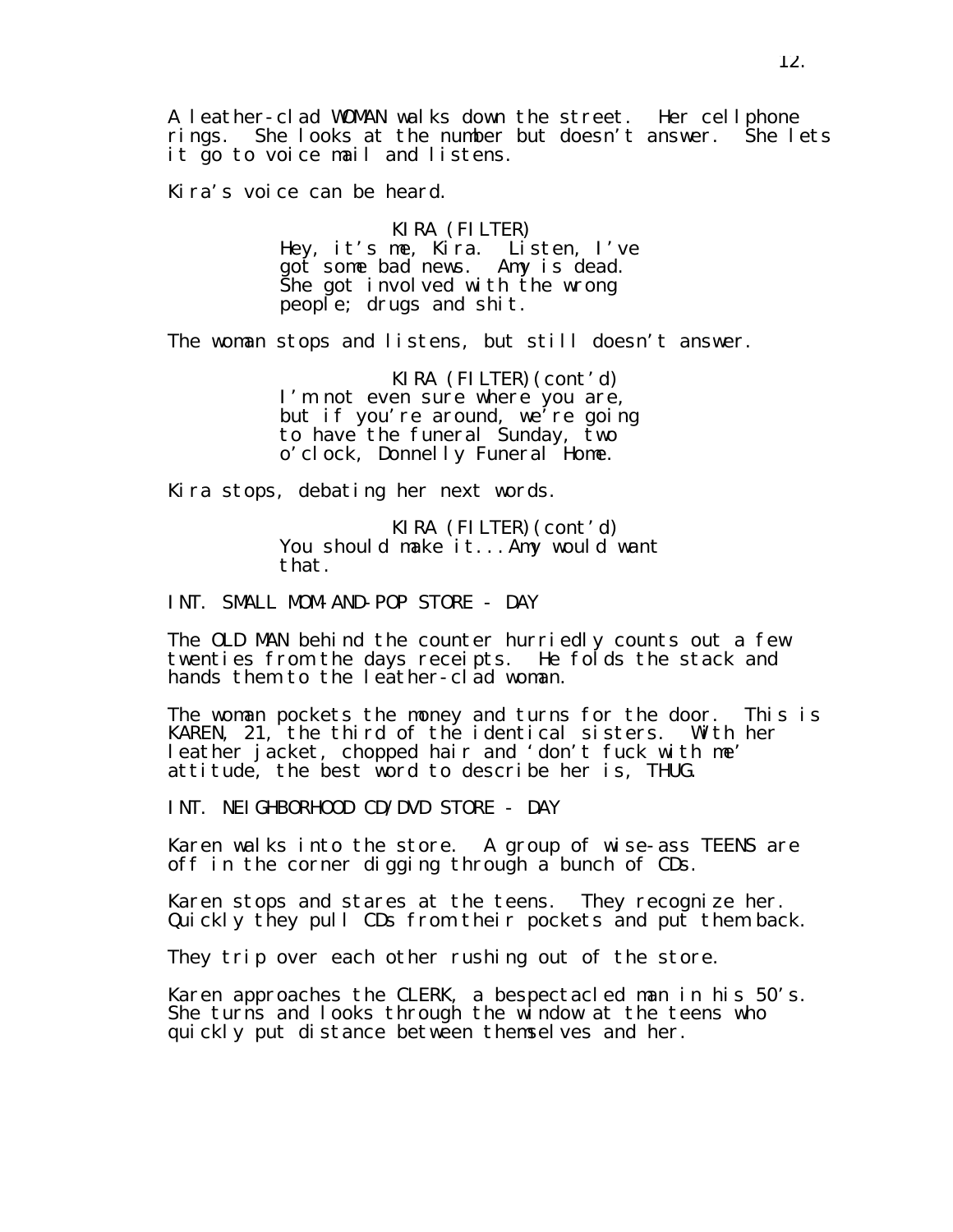A leather-clad WOMAN walks down the street. Her cellphone rings. She looks at the number but doesn't answer. She lets it go to voice mail and listens.

Kira's voice can be heard.

#### KIRA (FILTER) Hey, it's me, Kira. Listen, I've got some bad news. Amy is dead. She got involved with the wrong people; drugs and shit.

The woman stops and listens, but still doesn't answer.

KIRA (FILTER)(cont'd) I'm not even sure where you are, but if you're around, we're going to have the funeral Sunday, two o'clock, Donnelly Funeral Home.

Kira stops, debating her next words.

KIRA (FILTER)(cont'd) You should make it...Amy would want that.

INT. SMALL MOM-AND-POP STORE - DAY

The OLD MAN behind the counter hurriedly counts out a few twenties from the days receipts. He folds the stack and hands them to the leather-clad woman.

The woman pockets the money and turns for the door. This is KAREN, 21, the third of the identical sisters. With her leather jacket, chopped hair and 'don't fuck with me' attitude, the best word to describe her is, THUG.

INT. NEIGHBORHOOD CD/DVD STORE - DAY

Karen walks into the store. A group of wise-ass TEENS are off in the corner digging through a bunch of CDs.

Karen stops and stares at the teens. They recognize her. Quickly they pull CDs from their pockets and put them back.

They trip over each other rushing out of the store.

Karen approaches the CLERK, a bespectacled man in his 50's. She turns and looks through the window at the teens who quickly put distance between themselves and her.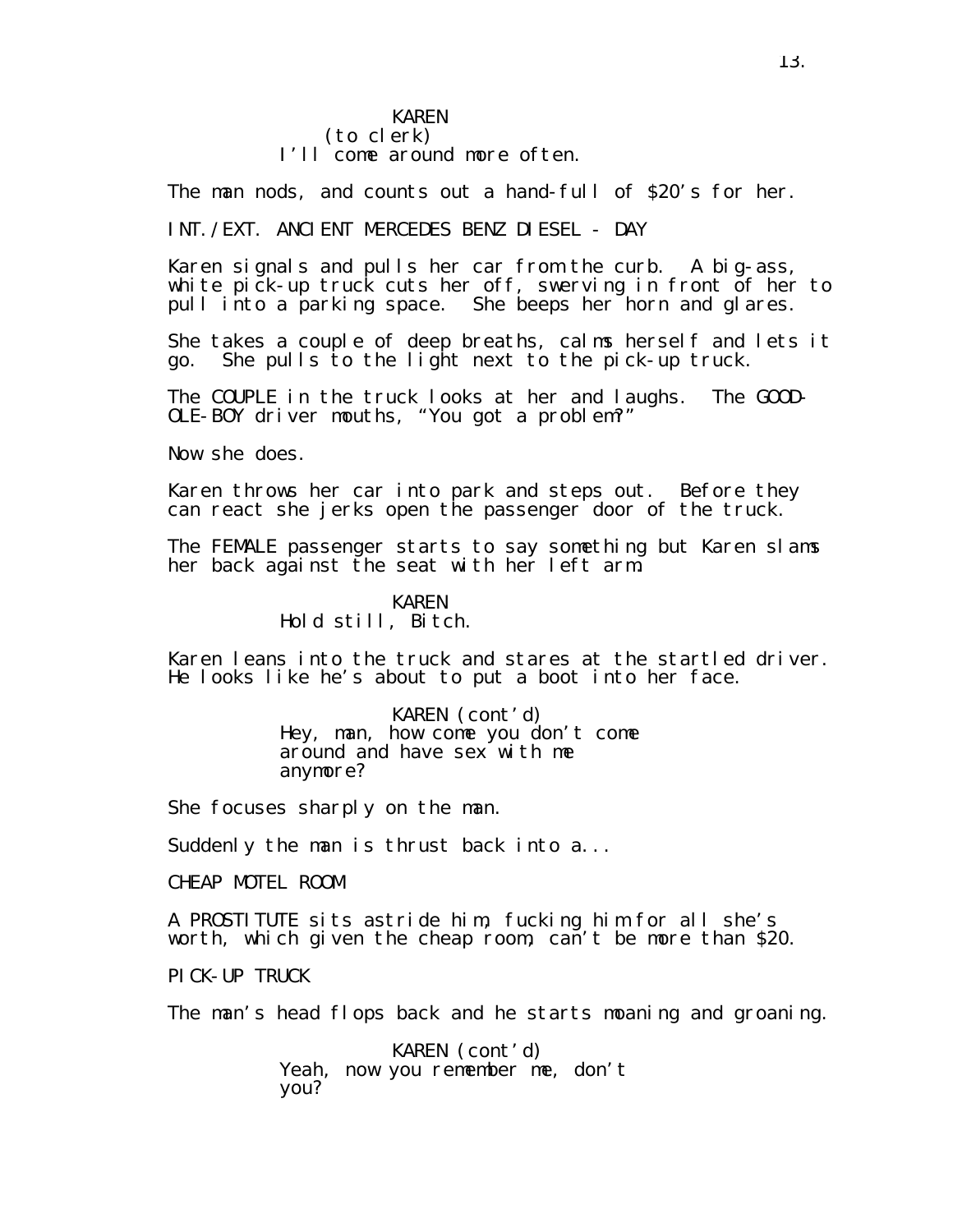#### KAREN (to clerk) I'll come around more often.

The man nods, and counts out a hand-full of \$20's for her.

INT./EXT. ANCIENT MERCEDES BENZ DIESEL - DAY

Karen signals and pulls her car from the curb. A big-ass, white pick-up truck cuts her off, swerving in front of her to pull into a parking space. She beeps her horn and glares.

She takes a couple of deep breaths, calms herself and lets it go. She pulls to the light next to the pick-up truck.

The COUPLE in the truck looks at her and laughs. The GOOD-OLE-BOY driver mouths, "You got a problem?"

Now she does.

Karen throws her car into park and steps out. Before they can react she jerks open the passenger door of the truck.

The FEMALE passenger starts to say something but Karen slams her back against the seat with her left arm.

## KAREN Hold still, Bitch.

Karen leans into the truck and stares at the startled driver. He looks like he's about to put a boot into her face.

#### KAREN (cont'd)

Hey, man, how come you don't come around and have sex with me anymore?

She focuses sharply on the man.

Suddenly the man is thrust back into a...

CHEAP MOTEL ROOM

A PROSTITUTE sits astride him, fucking him for all she's worth, which given the cheap room, can't be more than \$20.

PICK-UP TRUCK

The man's head flops back and he starts moaning and groaning.

KAREN (cont'd) Yeah, now you remember me, don't you?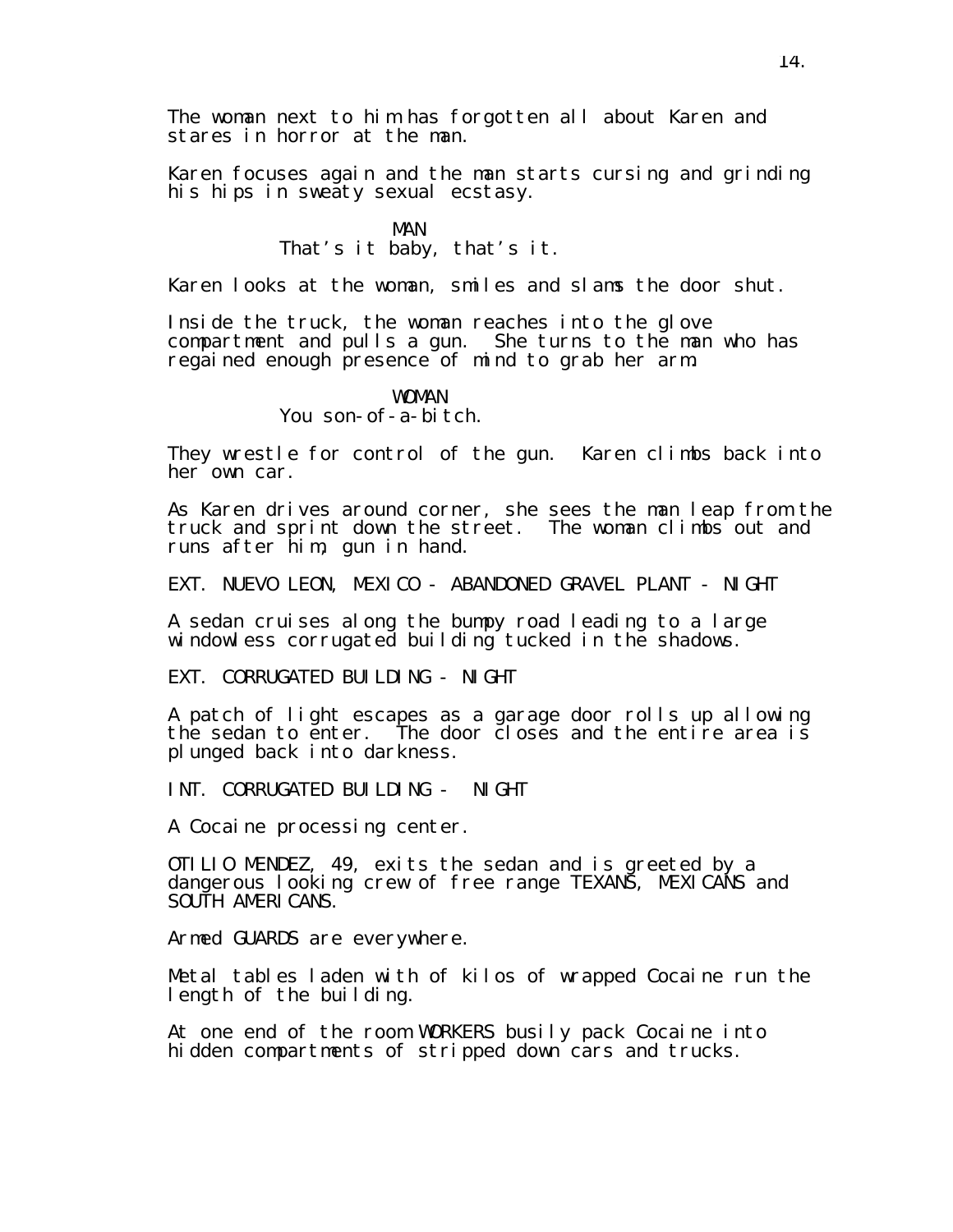The woman next to him has forgotten all about Karen and stares in horror at the man.

Karen focuses again and the man starts cursing and grinding his hips in sweaty sexual ecstasy.

> MAN That's it baby, that's it.

Karen looks at the woman, smiles and slams the door shut.

Inside the truck, the woman reaches into the glove compartment and pulls a gun. She turns to the man who has regained enough presence of mind to grab her arm.

#### WOMAN You son-of-a-bitch.

They wrestle for control of the gun. Karen climbs back into her own car.

As Karen drives around corner, she sees the man leap from the truck and sprint down the street. The woman climbs out and runs after him, gun in hand.

EXT. NUEVO LEON, MEXICO - ABANDONED GRAVEL PLANT - NIGHT

A sedan cruises along the bumpy road leading to a large windowless corrugated building tucked in the shadows.

EXT. CORRUGATED BUILDING - NIGHT

A patch of light escapes as a garage door rolls up allowing the sedan to enter. The door closes and the entire area is plunged back into darkness.

INT. CORRUGATED BUILDING - NIGHT

A Cocaine processing center.

OTILIO MENDEZ, 49, exits the sedan and is greeted by a dangerous looking crew of free range TEXANS, MEXICANS and SOUTH AMERICANS.

Armed GUARDS are everywhere.

Metal tables laden with of kilos of wrapped Cocaine run the length of the building.

At one end of the room WORKERS busily pack Cocaine into hidden compartments of stripped down cars and trucks.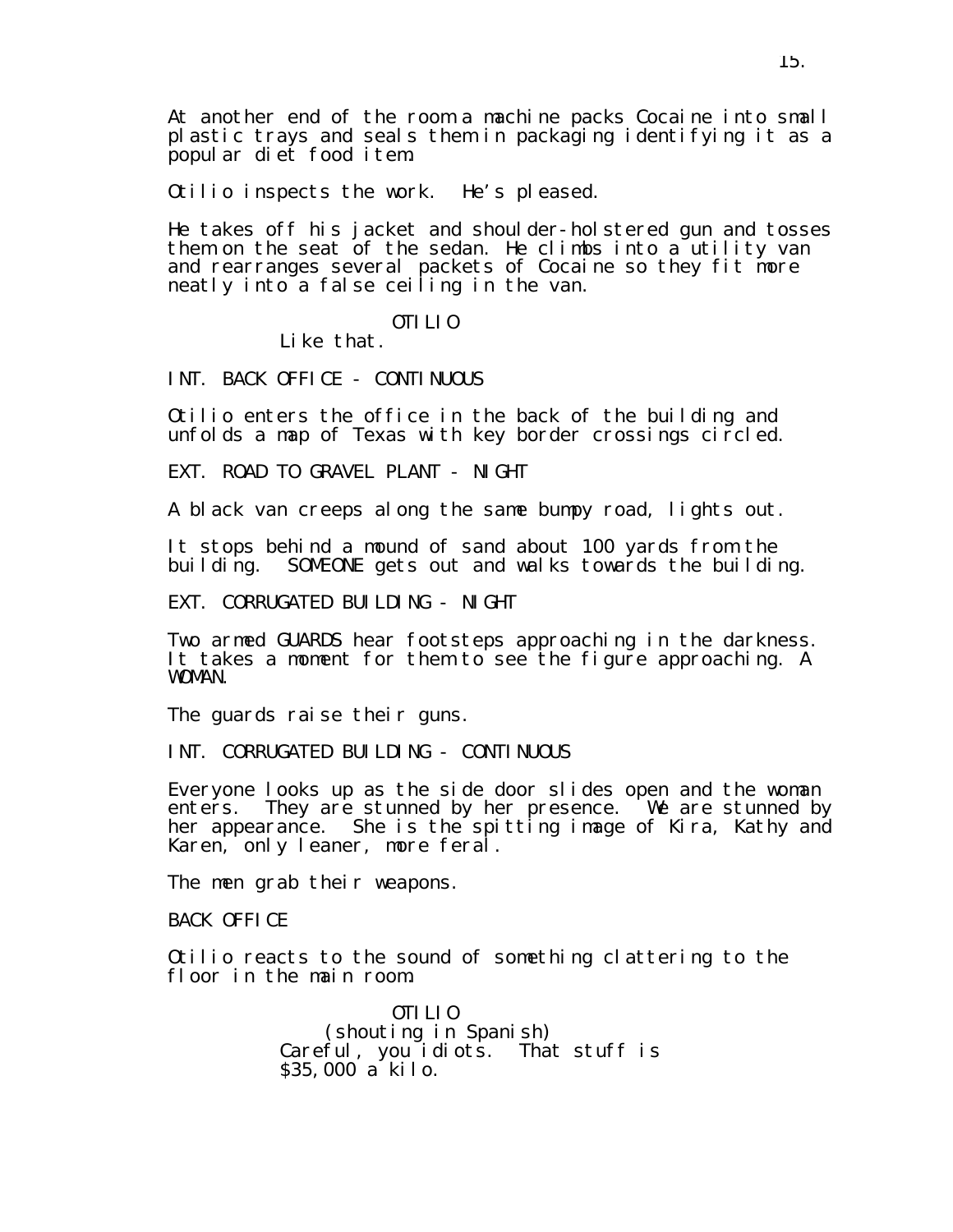At another end of the room a machine packs Cocaine into small plastic trays and seals them in packaging identifying it as a popular diet food item.

Otilio inspects the work. He's pleased.

He takes off his jacket and shoulder-holstered gun and tosses them on the seat of the sedan. He climbs into a utility van and rearranges several packets of Cocaine so they fit more neatly into a false ceiling in the van.

#### OTILIO

Like that.

INT. BACK OFFICE - CONTINUOUS

Otilio enters the office in the back of the building and unfolds a map of Texas with key border crossings circled.

EXT. ROAD TO GRAVEL PLANT - NIGHT

A black van creeps along the same bumpy road, lights out.

It stops behind a mound of sand about 100 yards from the building. SOMEONE gets out and walks towards the building.

EXT. CORRUGATED BUILDING - NIGHT

Two armed GUARDS hear footsteps approaching in the darkness. It takes a moment for them to see the figure approaching. A WOMAN.

The guards raise their guns.

INT. CORRUGATED BUILDING - CONTINUOUS

Everyone looks up as the side door slides open and the woman enters. They are stunned by her presence. We are stunned by her appearance. She is the spitting image of Kira, Kathy and Karen, only leaner, more feral.

The men grab their weapons.

BACK OFFICE

Otilio reacts to the sound of something clattering to the floor in the main room.

> OTILIO (shouting in Spanish) Careful, you idiots. That stuff is \$35,000 a kilo.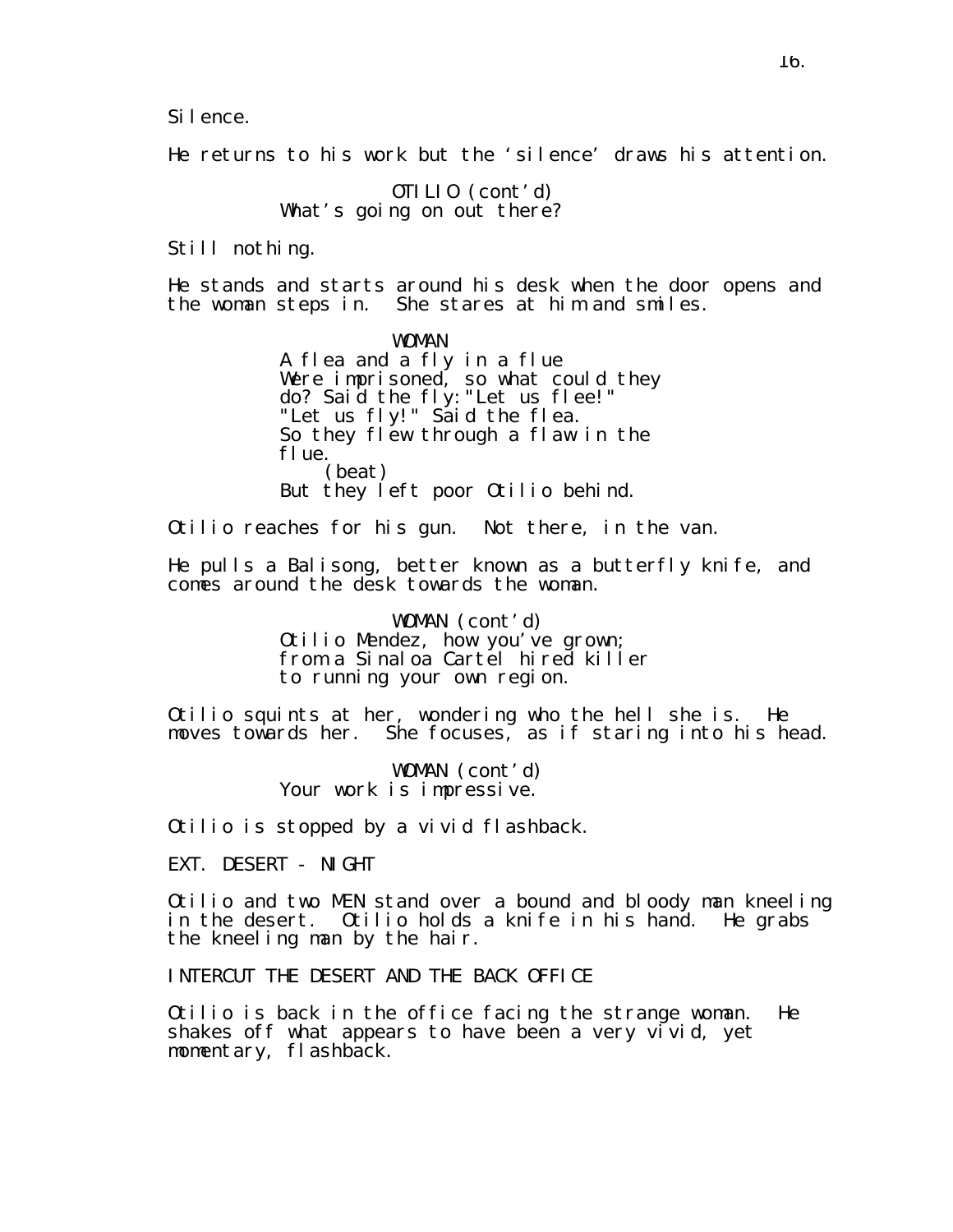Silence.

He returns to his work but the 'silence' draws his attention.

OTILIO (cont'd) What's going on out there?

Still nothing.

He stands and starts around his desk when the door opens and the woman steps in. She stares at him and smiles.

> WOMAN A flea and a fly in a flue Were imprisoned, so what could they do? Said the fly:"Let us flee!" "Let us fly!" Said the flea. So they flew through a flaw in the flue. (beat) But they left poor Otilio behind.

Otilio reaches for his gun. Not there, in the van.

He pulls a Balisong, better known as a butterfly knife, and comes around the desk towards the woman.

> WOMAN (cont'd) Otilio Mendez, how you've grown; from a Sinaloa Cartel hired killer to running your own region.

Otilio squints at her, wondering who the hell she is. He moves towards her. She focuses, as if staring into his head.

> WOMAN (cont'd) Your work is impressive.

Otilio is stopped by a vivid flashback.

EXT. DESERT - NIGHT

Otilio and two MEN stand over a bound and bloody man kneeling in the desert. Otilio holds a knife in his hand. He grabs the kneeling man by the hair.

INTERCUT THE DESERT AND THE BACK OFFICE

Otilio is back in the office facing the strange woman. He shakes off what appears to have been a very vivid, yet momentary, flashback.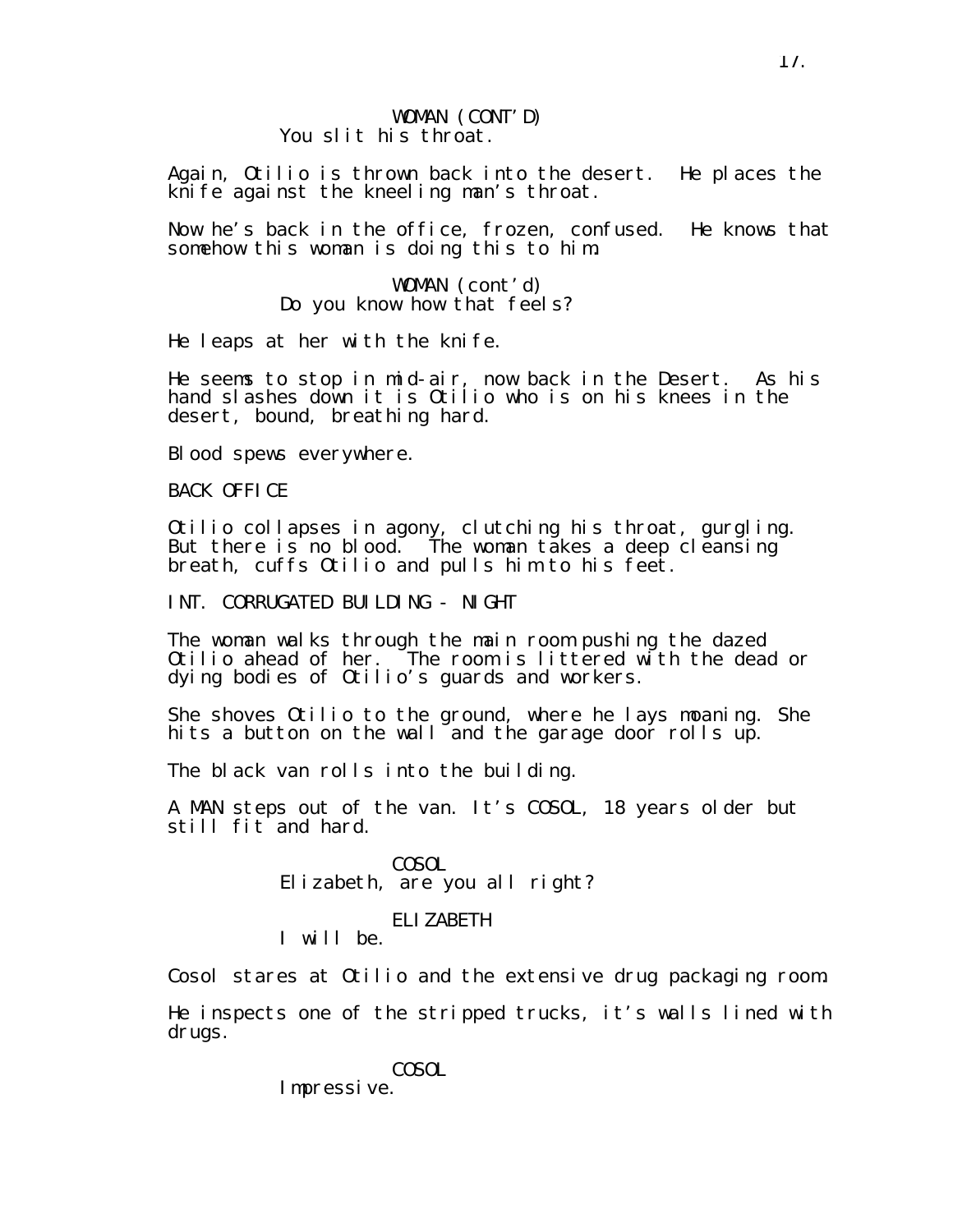#### WOMAN (CONT'D) You slit his throat.

Again, Otilio is thrown back into the desert. He places the knife against the kneeling man's throat.

Now he's back in the office, frozen, confused. He knows that somehow this woman is doing this to him.

> WOMAN (cont'd) Do you know how that feels?

He leaps at her with the knife.

He seems to stop in mid-air, now back in the Desert. As his hand slashes down it is Otilio who is on his knees in the desert, bound, breathing hard.

Blood spews everywhere.

BACK OFFICE

Otilio collapses in agony, clutching his throat, gurgling. But there is no blood. The woman takes a deep cleansing breath, cuffs Otilio and pulls him to his feet.

INT. CORRUGATED BUILDING - NIGHT

The woman walks through the main room pushing the dazed Otilio ahead of her. The room is littered with the dead or dying bodies of Otilio's guards and workers.

She shoves Otilio to the ground, where he lays moaning. She hits a button on the wall and the garage door rolls up.

The black van rolls into the building.

A MAN steps out of the van. It's COSOL, 18 years older but still fit and hard.

> **COSOL** Elizabeth, are you all right?

#### ELIZABETH

I will be.

Cosol stares at Otilio and the extensive drug packaging room.

He inspects one of the stripped trucks, it's walls lined with drugs.

**COSOL** 

Impressive.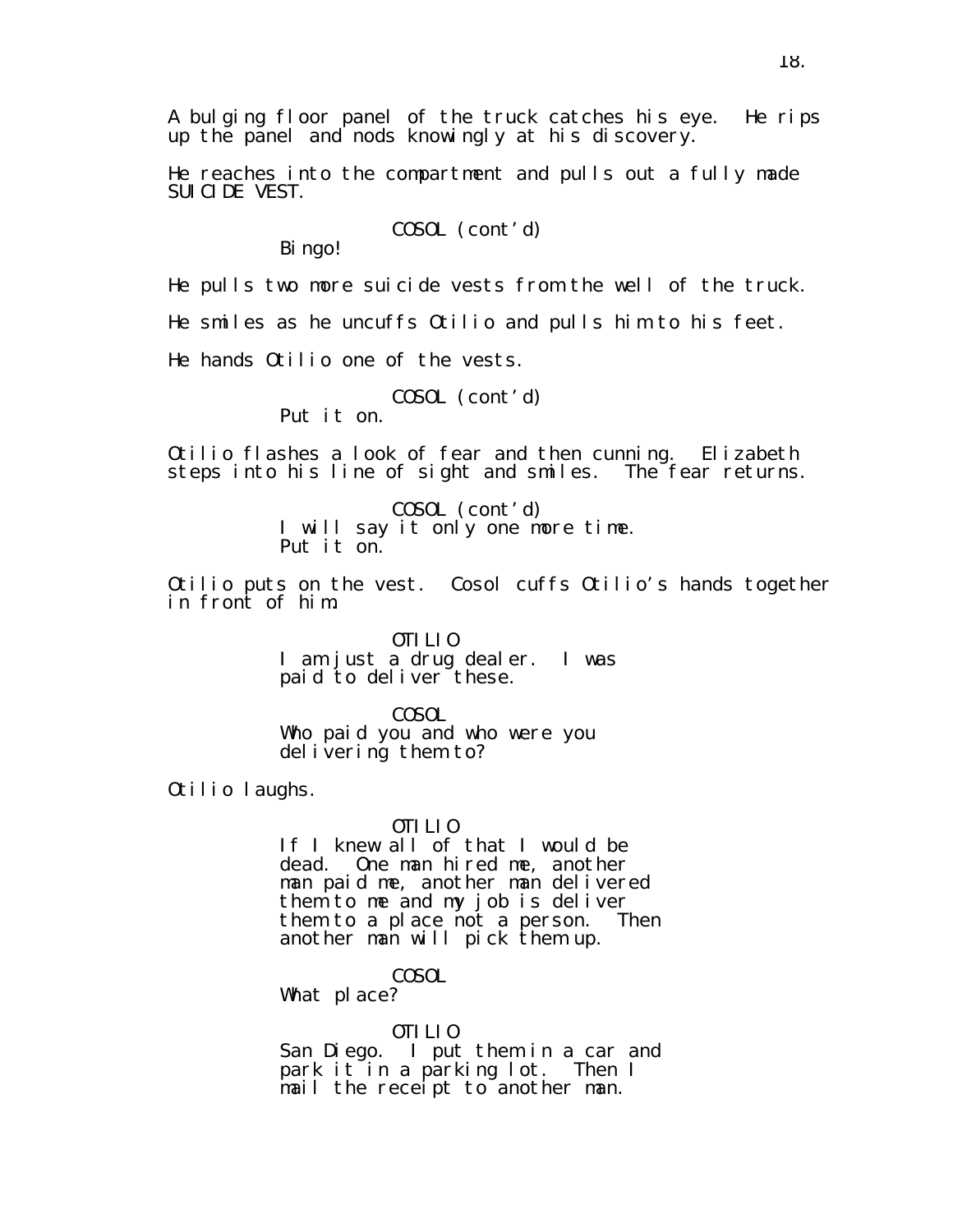A bulging floor panel of the truck catches his eye. He rips up the panel and nods knowingly at his discovery.

He reaches into the compartment and pulls out a fully made SUICIDE VEST.

COSOL (cont'd)

Bi ngo!

He pulls two more suicide vests from the well of the truck.

He smiles as he uncuffs Otilio and pulls him to his feet.

He hands Otilio one of the vests.

COSOL (cont'd)

Put it on.

Otilio flashes a look of fear and then cunning. Elizabeth steps into his line of sight and smiles. The fear returns.

> COSOL (cont'd) I will say it only one more time. Put it on.

Otilio puts on the vest. Cosol cuffs Otilio's hands together in front of him.

> OTILIO I am just a drug dealer. I was paid to deliver these.

COSOL Who paid you and who were you delivering them to?

Otilio laughs.

#### OTILIO

If I knew all of that I would be dead. One man hired me, another man paid me, another man delivered them to me and my job is deliver them to a place not a person. Then another man will pick them up.

COSOL

What place?

OTILIO

San Diego. I put them in a car and park it in a parking lot. Then I mail the receipt to another man.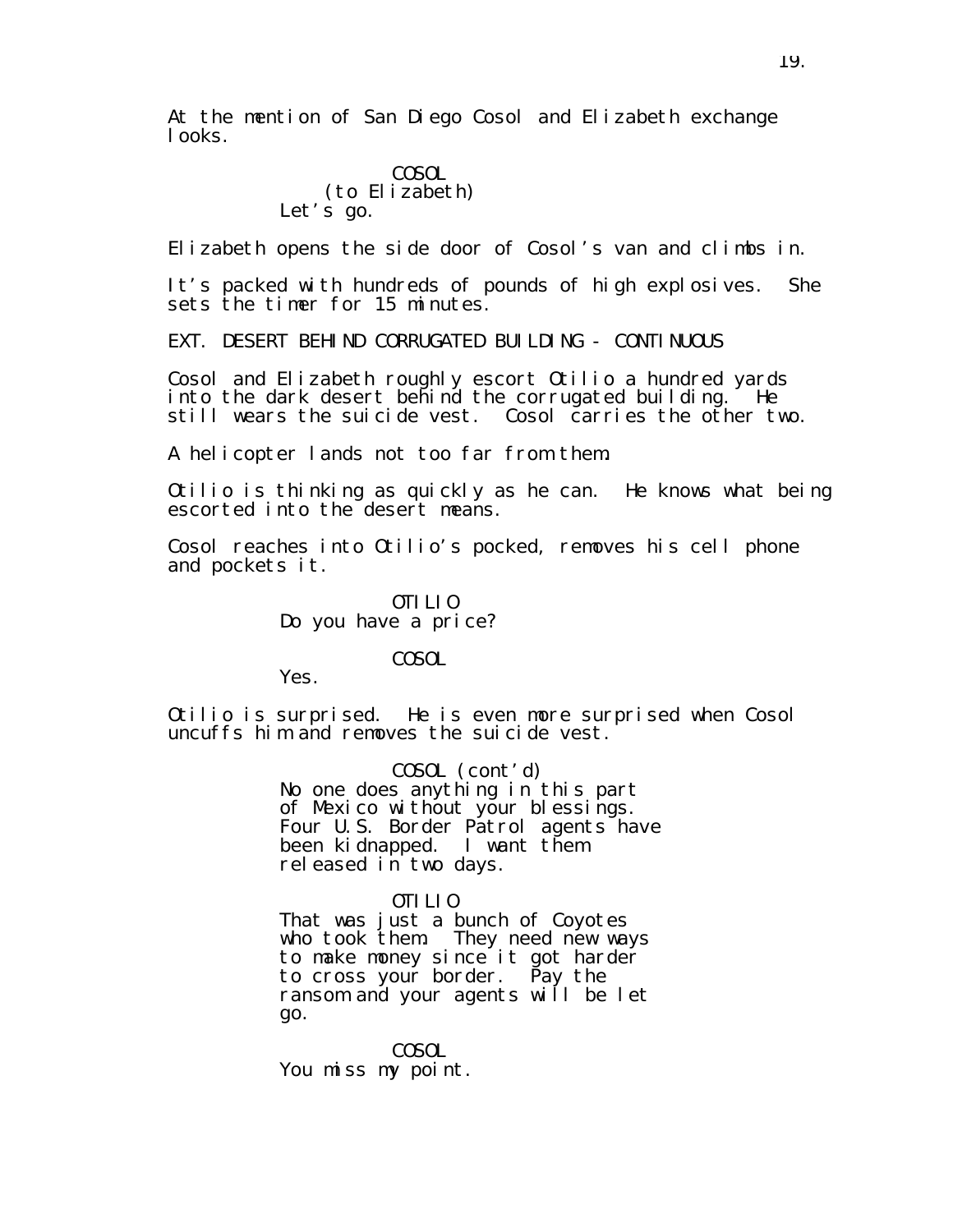At the mention of San Diego Cosol and Elizabeth exchange looks.

## **COSOL** (to Elizabeth) Let's go.

Elizabeth opens the side door of Cosol's van and climbs in.

It's packed with hundreds of pounds of high explosives. She sets the timer for 15 minutes.

EXT. DESERT BEHIND CORRUGATED BUILDING - CONTINUOUS

Cosol and Elizabeth roughly escort Otilio a hundred yards into the dark desert behind the corrugated building. He still wears the suicide vest. Cosol carries the other two.

A helicopter lands not too far from them.

Otilio is thinking as quickly as he can. He knows what being escorted into the desert means.

Cosol reaches into Otilio's pocked, removes his cell phone and pockets it.

## OTILIO Do you have a price?

#### COSOL

Yes.

Otilio is surprised. He is even more surprised when Cosol uncuffs him and removes the suicide vest.

> COSOL (cont'd) No one does anything in this part of Mexico without your blessings. Four U.S. Border Patrol agents have been kidnapped. I want them released in two days.

## OTILIO

That was just a bunch of Coyotes who took them. They need new ways to make money since it got harder to cross your border. Pay the ransom and your agents will be let go.

COSOL You miss my point.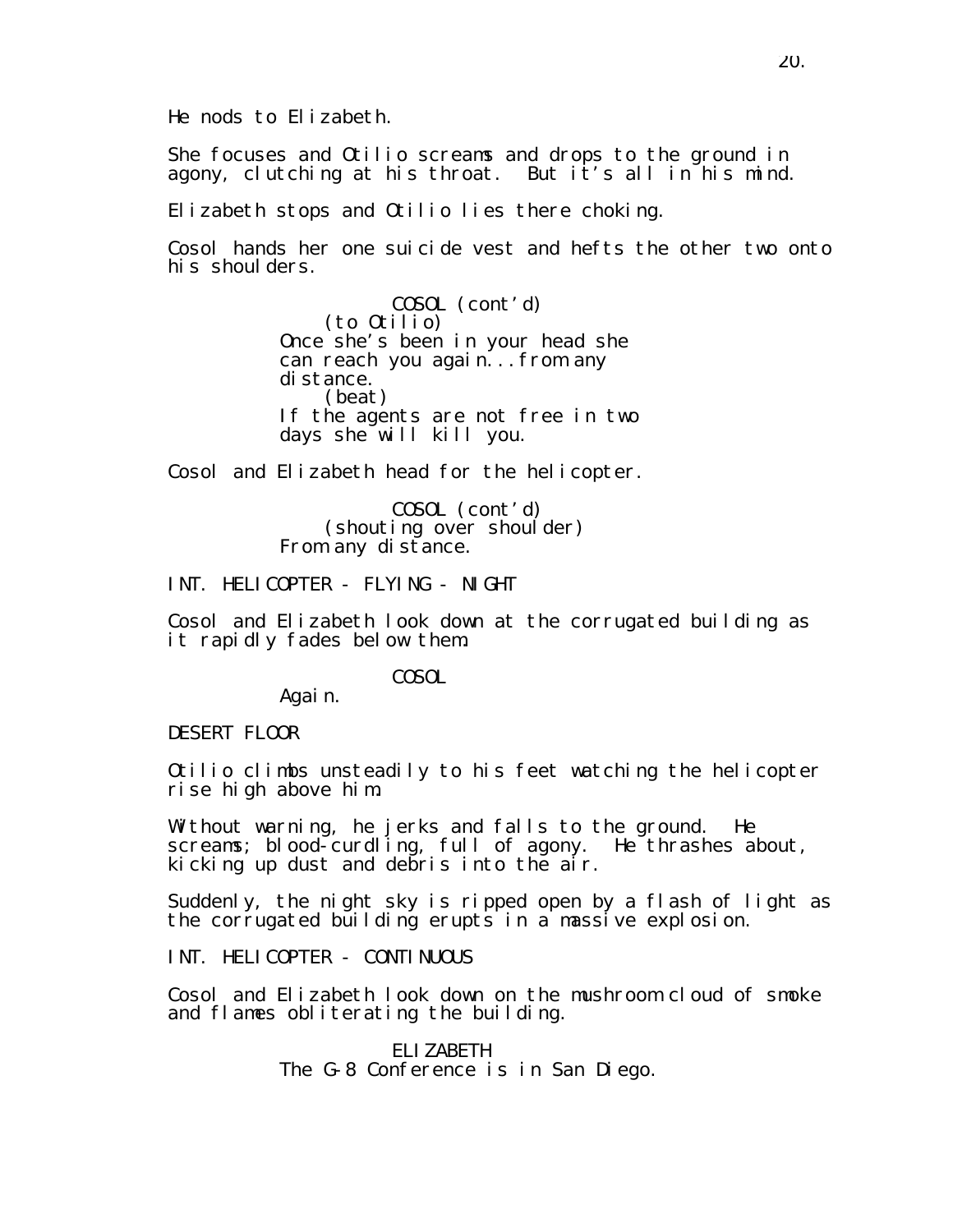He nods to Elizabeth.

She focuses and Otilio screams and drops to the ground in agony, clutching at his throat. But it's all in his mind.

Elizabeth stops and Otilio lies there choking.

Cosol hands her one suicide vest and hefts the other two onto his shoulders.

> COSOL (cont'd) (to Otilio) Once she's been in your head she can reach you again...from any distance. (beat) If the agents are not free in two days she will kill you.

Cosol and Elizabeth head for the helicopter.

COSOL (cont'd) (shouting over shoulder) From any distance.

INT. HELICOPTER - FLYING - NIGHT

Cosol and Elizabeth look down at the corrugated building as it rapidly fades below them.

COSOL

Again.

DESERT FLOOR

Otilio climbs unsteadily to his feet watching the helicopter rise high above him.

Without warning, he jerks and falls to the ground. He screams; blood-curdling, full of agony. He thrashes about, kicking up dust and debris into the air.

Suddenly, the night sky is ripped open by a flash of light as the corrugated building erupts in a massive explosion.

INT. HELICOPTER - CONTINUOUS

Cosol and Elizabeth look down on the mushroom cloud of smoke and flames obliterating the building.

> ELIZABETH The G-8 Conference is in San Diego.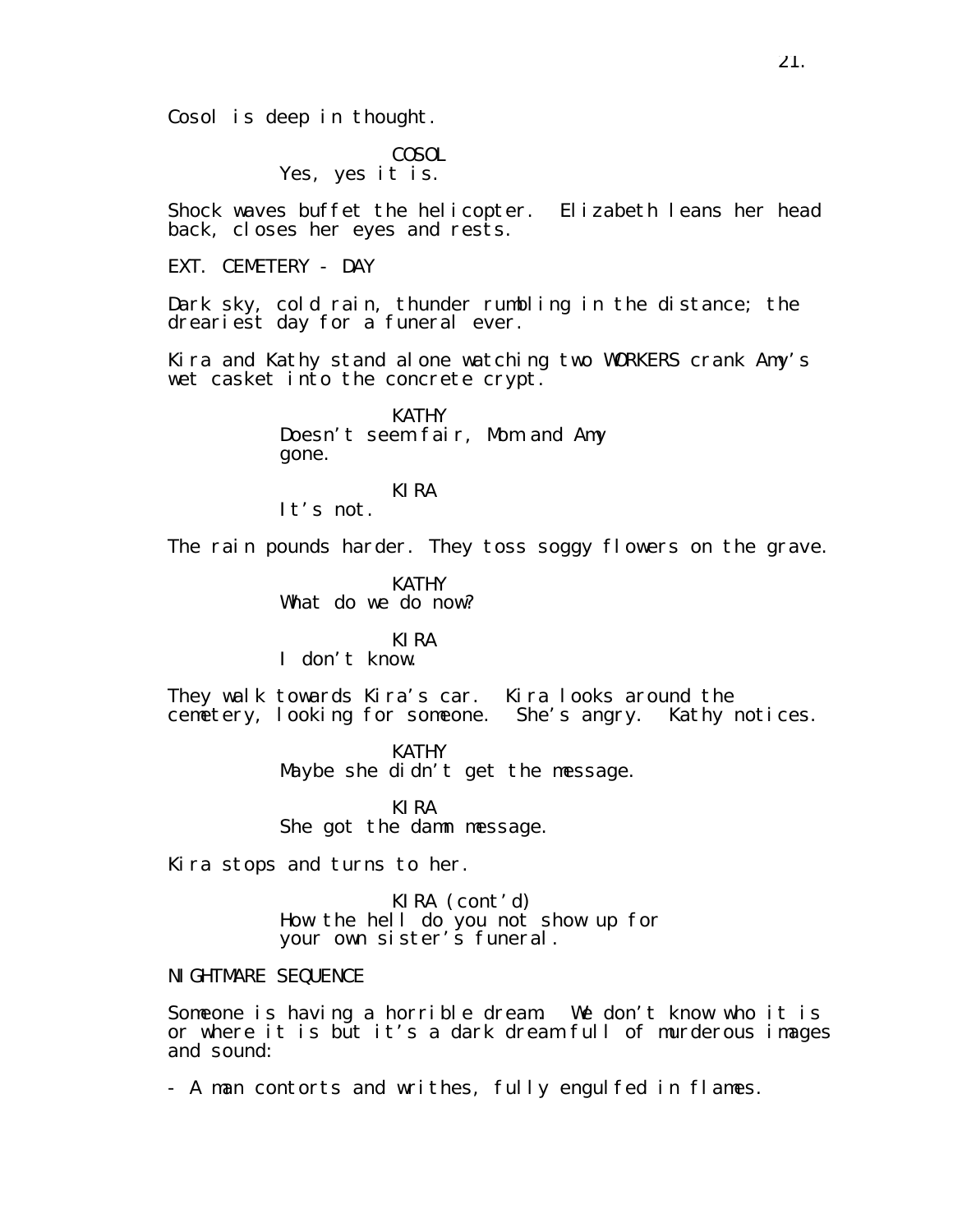Cosol is deep in thought.

COSOL Yes, yes it is.

Shock waves buffet the helicopter. Elizabeth leans her head back, closes her eyes and rests.

EXT. CEMETERY - DAY

Dark sky, cold rain, thunder rumbling in the distance; the dreariest day for a funeral ever.

Kira and Kathy stand alone watching two WORKERS crank Amy's wet casket into the concrete crypt.

> **KATHY** Doesn't seem fair, Mom and Amy gone.

KIRA It's not.

The rain pounds harder. They toss soggy flowers on the grave.

**KATHY** What do we do now?

KIRA I don't know.

They walk towards Kira's car. Kira looks around the cemetery, looking for someone. She's angry. Kathy notices.

> KATHY Maybe she didn't get the message.

KIRA She got the damn message.

Kira stops and turns to her.

KIRA (cont'd) How the hell do you not show up for your own sister's funeral.

NIGHTMARE SEQUENCE

Someone is having a horrible dream. We don't know who it is or where it is but it's a dark dream full of murderous images and sound:

- A man contorts and writhes, fully engulfed in flames.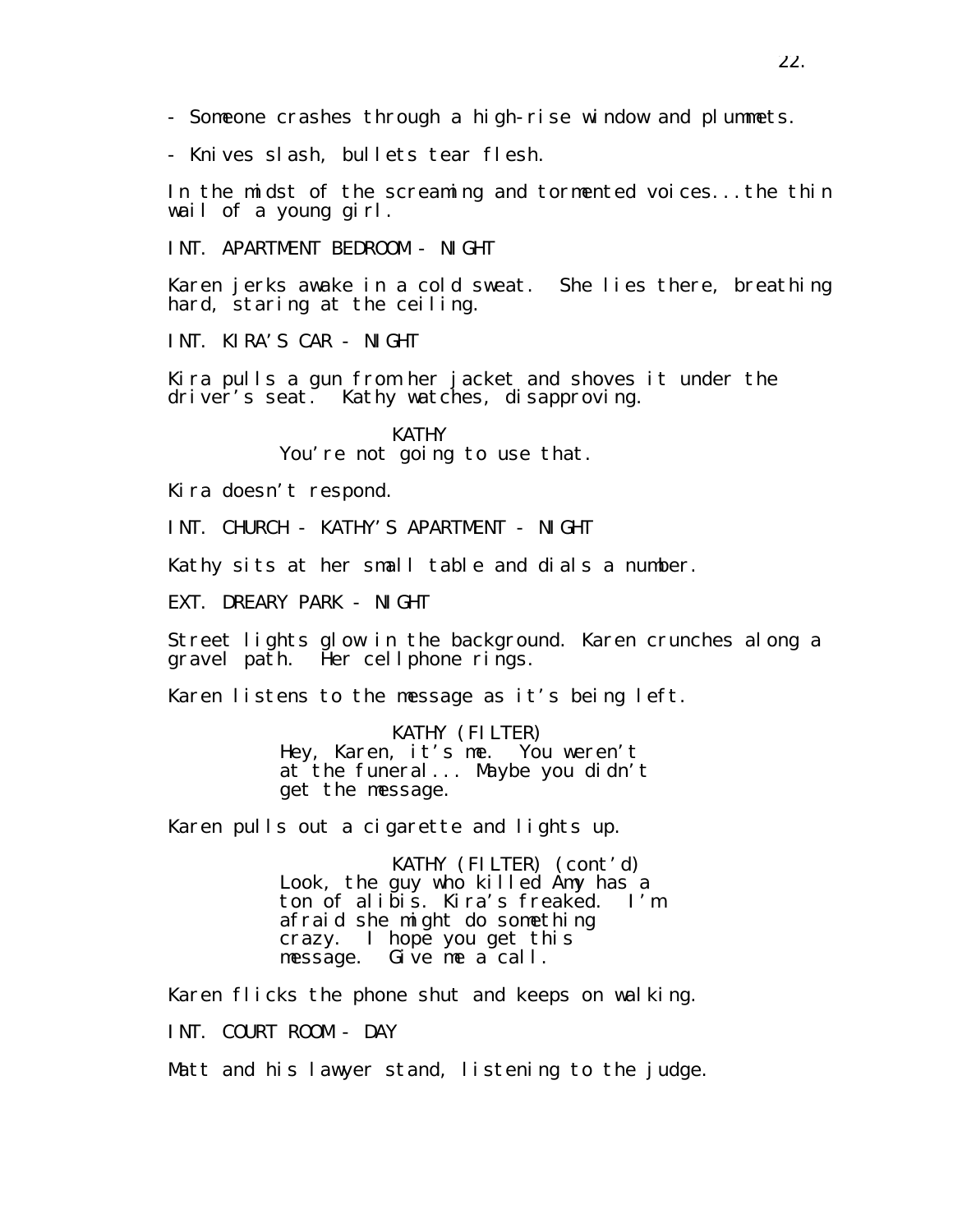- Someone crashes through a high-rise window and plummets.

- Knives slash, bullets tear flesh.

In the midst of the screaming and tormented voices...the thin wail of a young girl.

INT. APARTMENT BEDROOM - NIGHT

Karen jerks awake in a cold sweat. She lies there, breathing hard, staring at the ceiling.

INT. KIRA'S CAR - NIGHT

Kira pulls a gun from her jacket and shoves it under the driver's seat. Kathy watches, disapproving.

> **KATHY** You're not going to use that.

Kira doesn't respond.

INT. CHURCH - KATHY'S APARTMENT - NIGHT

Kathy sits at her small table and dials a number.

EXT. DREARY PARK - NIGHT

Street lights glow in the background. Karen crunches along a gravel path. Her cellphone rings.

Karen listens to the message as it's being left.

KATHY (FILTER) Hey, Karen, it's me. You weren't at the funeral... Maybe you didn't get the message.

Karen pulls out a cigarette and lights up.

KATHY (FILTER) (cont'd) Look, the guy who killed Amy has a ton of alibis. Kira's freaked. I'm afraid she might do something crazy. I hope you get this message. Give me a call.

Karen flicks the phone shut and keeps on walking.

INT. COURT ROOM - DAY

Matt and his lawyer stand, listening to the judge.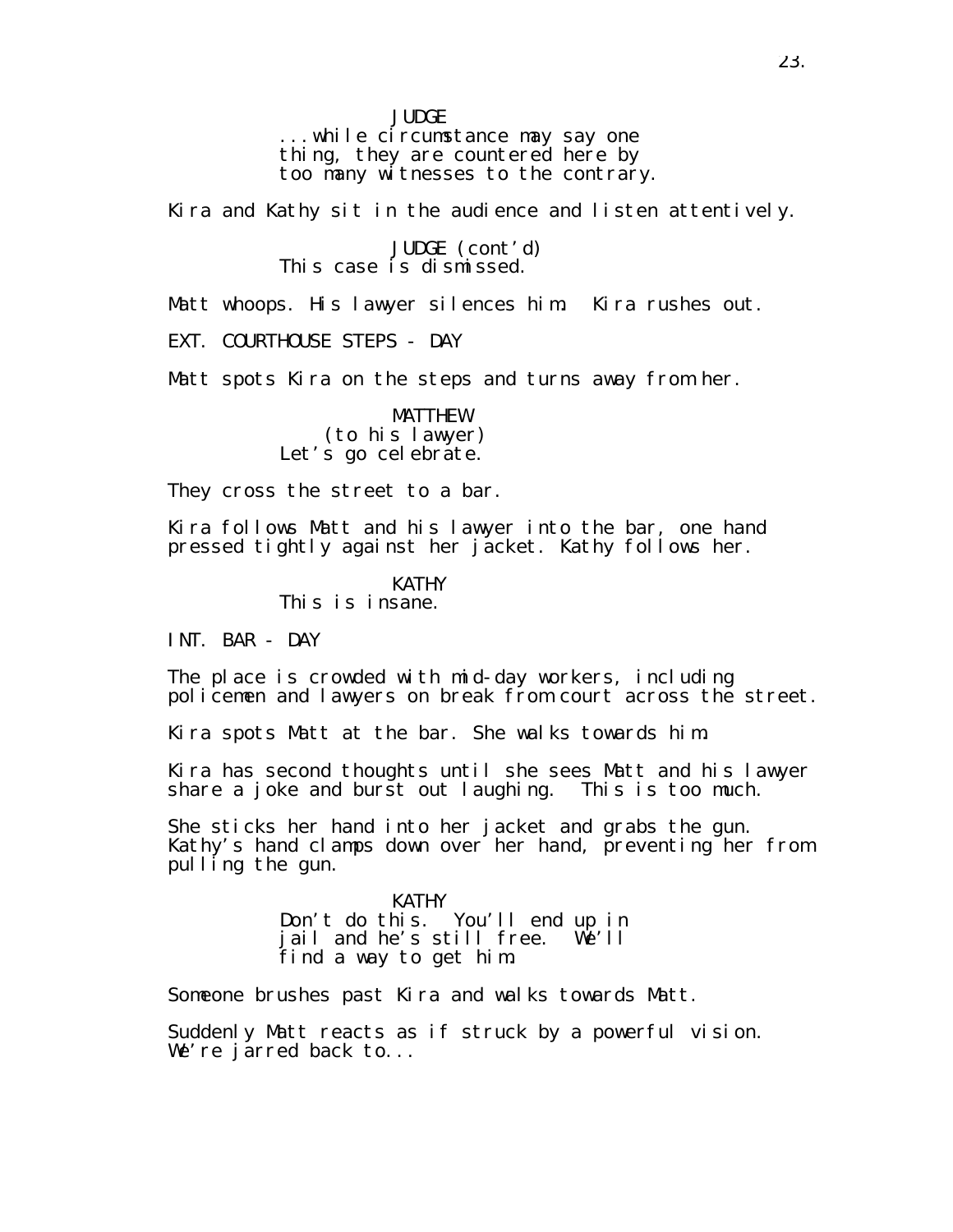**JUDGE** 

...while circumstance may say one thing, they are countered here by too many witnesses to the contrary.

Kira and Kathy sit in the audience and listen attentively.

JUDGE (cont'd) This case is dismissed.

Matt whoops. His lawyer silences him. Kira rushes out.

EXT. COURTHOUSE STEPS - DAY

Matt spots Kira on the steps and turns away from her.

MATTHEW (to his lawyer) Let's go celebrate.

They cross the street to a bar.

Kira follows Matt and his lawyer into the bar, one hand pressed tightly against her jacket. Kathy follows her.

KATHY

This is insane.

INT. BAR - DAY

The place is crowded with mid-day workers, including policemen and lawyers on break from court across the street.

Kira spots Matt at the bar. She walks towards him.

Kira has second thoughts until she sees Matt and his lawyer share a joke and burst out laughing. This is too much.

She sticks her hand into her jacket and grabs the gun. Kathy's hand clamps down over her hand, preventing her from pulling the gun.

> KATHY Don't do this. You'll end up in jail and he's still free. We'll find a way to get him.

Someone brushes past Kira and walks towards Matt.

Suddenly Matt reacts as if struck by a powerful vision. We're jarred back to...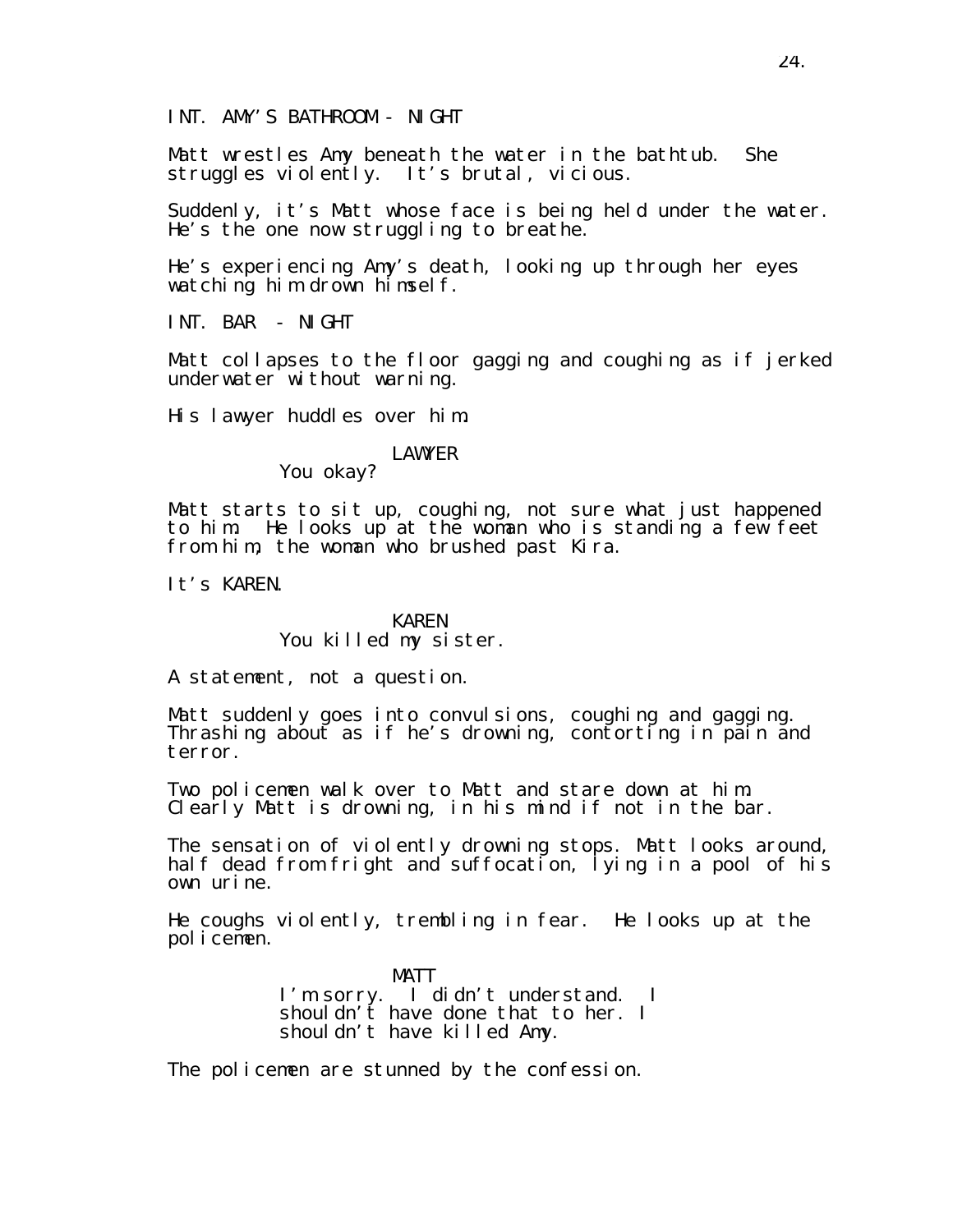INT. AMY'S BATHROOM - NIGHT

Matt wrestles Amy beneath the water in the bathtub. She struggles violently. It's brutal, vicious.

Suddenly, it's Matt whose face is being held under the water. He's the one now struggling to breathe.

He's experiencing Amy's death, looking up through her eyes watching him drown himself.

INT. BAR - NIGHT

Matt collapses to the floor gagging and coughing as if jerked underwater without warning.

His lawyer huddles over him.

#### LAWYER

You okay?

Matt starts to sit up, coughing, not sure what just happened to him. He looks up at the woman who is standing a few feet from him, the woman who brushed past Kira.

It's KAREN.

#### KAREN You killed my sister.

A statement, not a question.

Matt suddenly goes into convulsions, coughing and gagging. Thrashing about as if he's drowning, contorting in pain and terror.

Two policemen walk over to Matt and stare down at him. Clearly Matt is drowning, in his mind if not in the bar.

The sensation of violently drowning stops. Matt looks around, half dead from fright and suffocation, lying in a pool of his own urine.

He coughs violently, trembling in fear. He looks up at the policemen.

> MATT I'm sorry. I didn't understand. I shouldn't have done that to her. I shouldn't have killed Amy.

The policemen are stunned by the confession.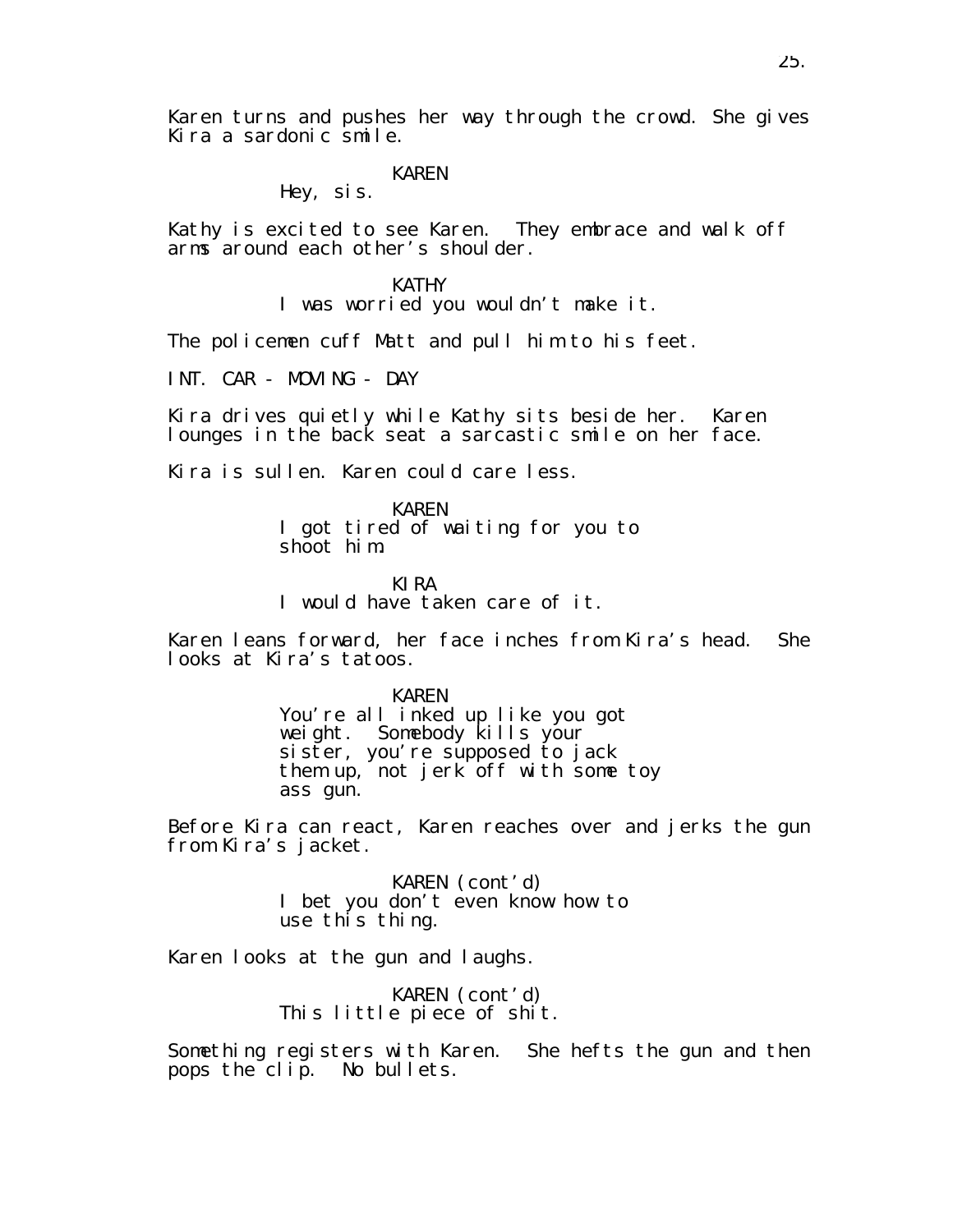Karen turns and pushes her way through the crowd. She gives Kira a sardonic smile.

#### KAREN

Hey, sis.

Kathy is excited to see Karen. They embrace and walk off arms around each other's shoulder.

> KATHY I was worried you wouldn't make it.

The policemen cuff Matt and pull him to his feet.

INT. CAR - MOVING - DAY

Kira drives quietly while Kathy sits beside her. Karen lounges in the back seat a sarcastic smile on her face.

Kira is sullen. Karen could care less.

KAREN I got tired of waiting for you to shoot him.

KIRA I would have taken care of it.

Karen leans forward, her face inches from Kira's head. She looks at Kira's tatoos.

> KAREN You're all inked up like you got weight. Somebody kills your sister, you're supposed to jack them up, not jerk off with some toy ass gun.

Before Kira can react, Karen reaches over and jerks the gun from Kira's jacket.

> KAREN (cont'd) I bet you don't even know how to use this thing.

Karen looks at the gun and laughs.

KAREN (cont'd) This little piece of shit.

Something registers with Karen. She hefts the gun and then pops the clip. No bullets.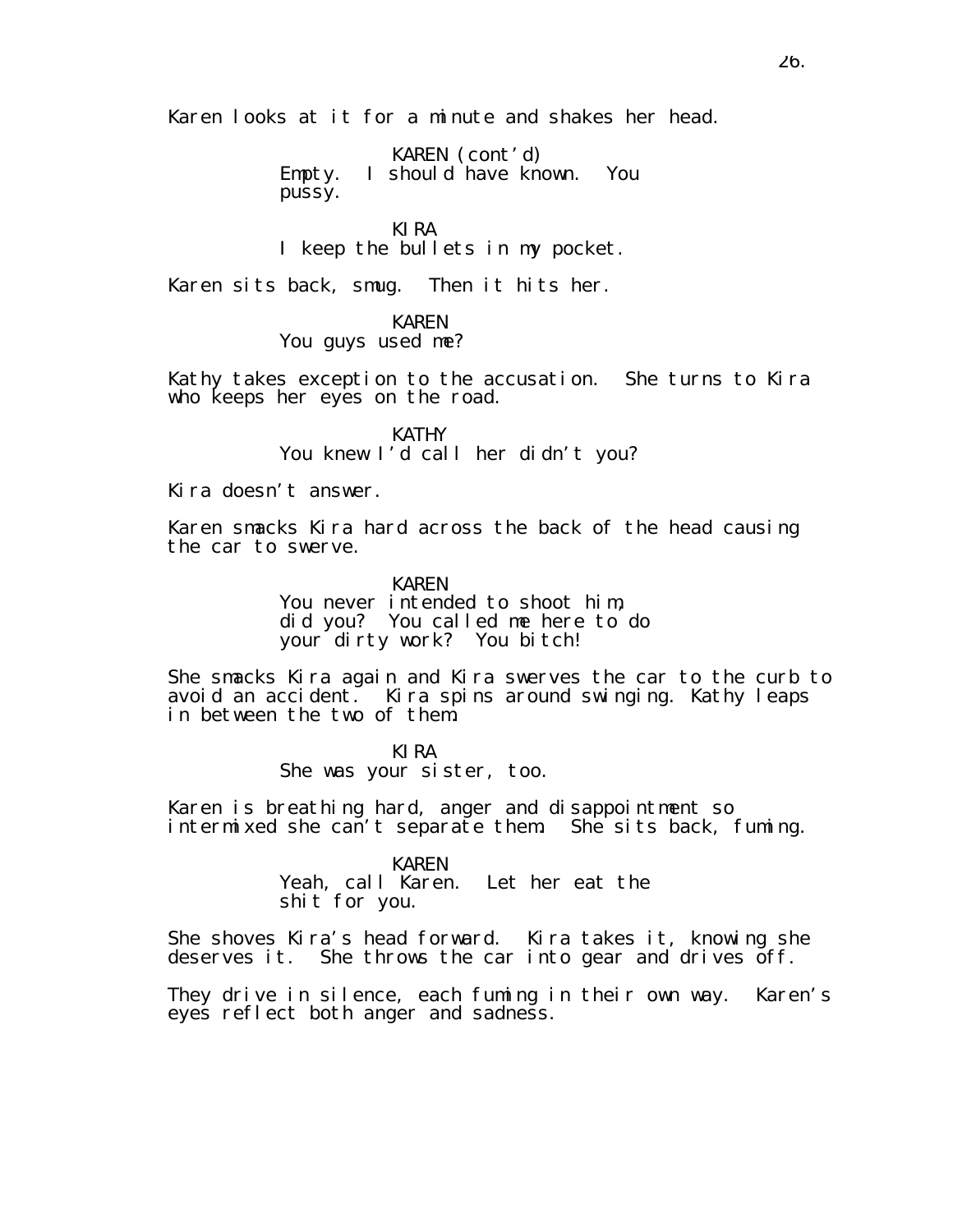Karen looks at it for a minute and shakes her head.

KAREN (cont'd) Empty. I should have known. You pussy.

KIRA I keep the bullets in my pocket.

Karen sits back, smug. Then it hits her.

#### KAREN

#### You guys used me?

Kathy takes exception to the accusation. She turns to Kira who keeps her eyes on the road.

> **KATHY** You knew I'd call her didn't you?

Kira doesn't answer.

Karen smacks Kira hard across the back of the head causing the car to swerve.

> KAREN You never intended to shoot him, did you? You called me here to do your dirty work? You bitch!

She smacks Kira again and Kira swerves the car to the curb to avoid an accident. Kira spins around swinging. Kathy leaps in between the two of them.

> KIRA She was your sister, too.

Karen is breathing hard, anger and disappointment so intermixed she can't separate them. She sits back, fuming.

#### KAREN

Yeah, call Karen. Let her eat the shit for you.

She shoves Kira's head forward. Kira takes it, knowing she deserves it. She throws the car into gear and drives off.

They drive in silence, each fuming in their own way. Karen's eyes reflect both anger and sadness.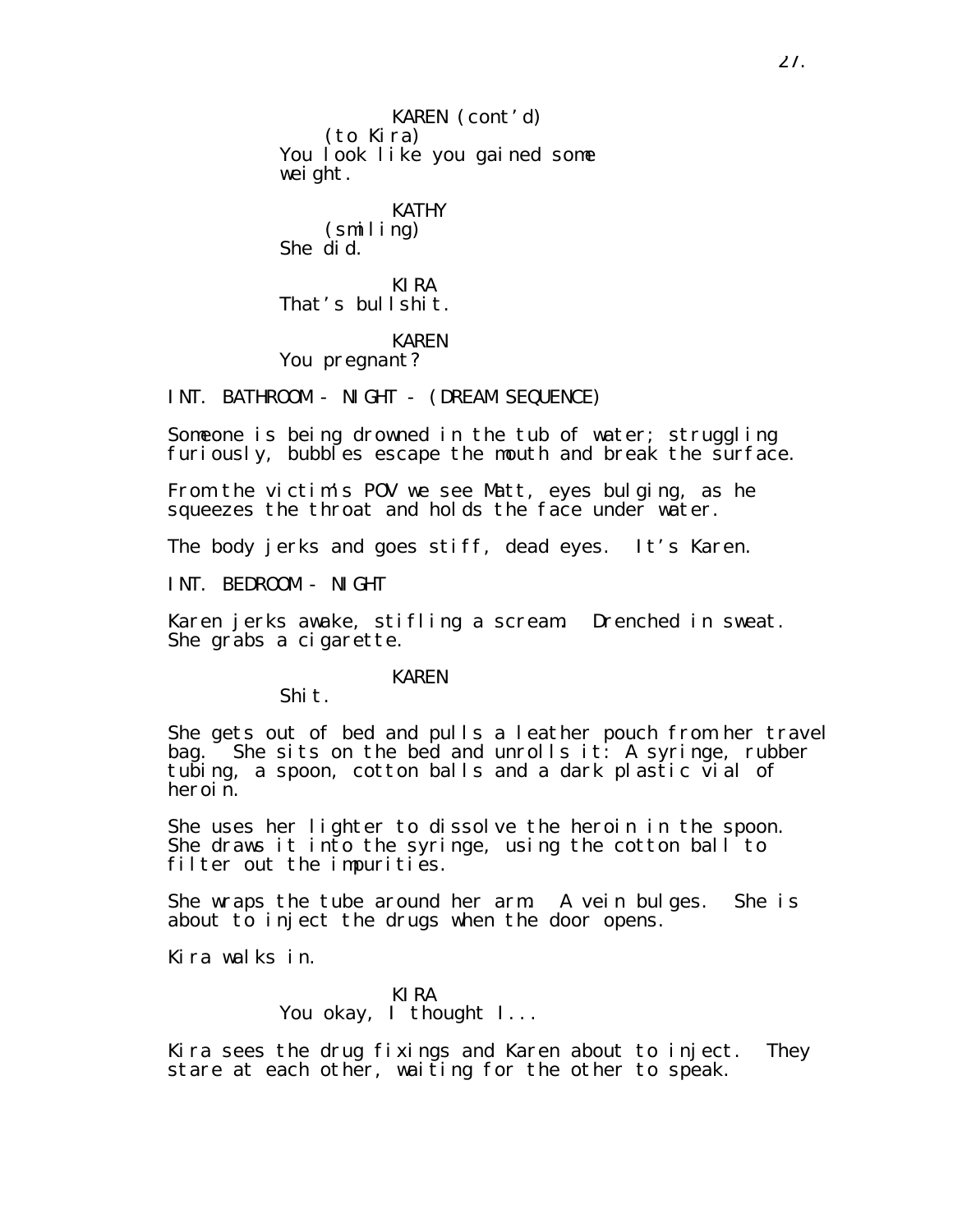KAREN (cont'd) (to Kira) You look like you gained some weight. KATHY (smiling) She did. KIRA That's bullshit. KAREN

You pregnant?

INT. BATHROOM - NIGHT - (DREAM SEQUENCE)

Someone is being drowned in the tub of water; struggling furiously, bubbles escape the mouth and break the surface.

From the victim's POV we see Matt, eyes bulging, as he squeezes the throat and holds the face under water.

The body jerks and goes stiff, dead eyes. It's Karen.

INT. BEDROOM - NIGHT

Karen jerks awake, stifling a scream. Drenched in sweat. She grabs a cigarette.

#### KAREN

Shit.

She gets out of bed and pulls a leather pouch from her travel bag. She sits on the bed and unrolls it: A syringe, rubber tubing, a spoon, cotton balls and a dark plastic vial of heroin.

She uses her lighter to dissolve the heroin in the spoon. She draws it into the syringe, using the cotton ball to filter out the impurities.

She wraps the tube around her arm. A vein bulges. She is about to inject the drugs when the door opens.

Kira walks in.

KIRA You okay, I thought I...

Kira sees the drug fixings and Karen about to inject. They stare at each other, waiting for the other to speak.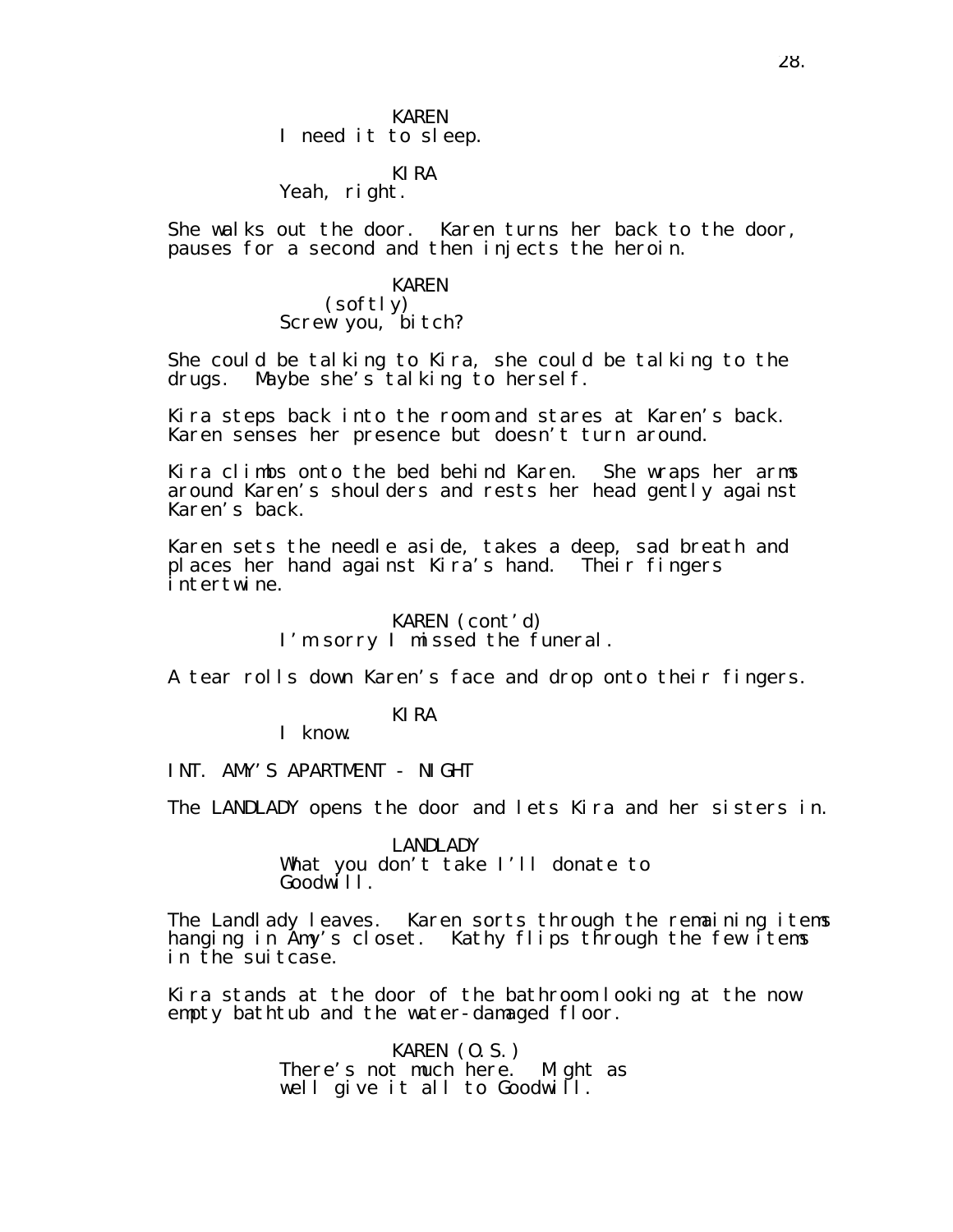# KIRA

# Yeah, right.

She walks out the door. Karen turns her back to the door, pauses for a second and then injects the heroin.

#### KAREN

(softly) Screw you, bitch?

She could be talking to Kira, she could be talking to the drugs. Maybe she's talking to herself.

Kira steps back into the room and stares at Karen's back. Karen senses her presence but doesn't turn around.

Kira climbs onto the bed behind Karen. She wraps her arms around Karen's shoulders and rests her head gently against Karen's back.

Karen sets the needle aside, takes a deep, sad breath and places her hand against Kira's hand. Their fingers intertwine.

> KAREN (cont'd) I'm sorry I missed the funeral.

A tear rolls down Karen's face and drop onto their fingers.

KIRA

I know.

INT. AMY'S APARTMENT - NIGHT

The LANDLADY opens the door and lets Kira and her sisters in.

LANDLADY What you don't take I'll donate to Goodwi<sup>ll</sup>.

The Landlady leaves. Karen sorts through the remaining items hanging in Amy's closet. Kathy flips through the few items in the suitcase.

Kira stands at the door of the bathroom looking at the now empty bathtub and the water-damaged floor.

> KAREN (O.S.) There's not much here. Might as well give it all to Goodwill.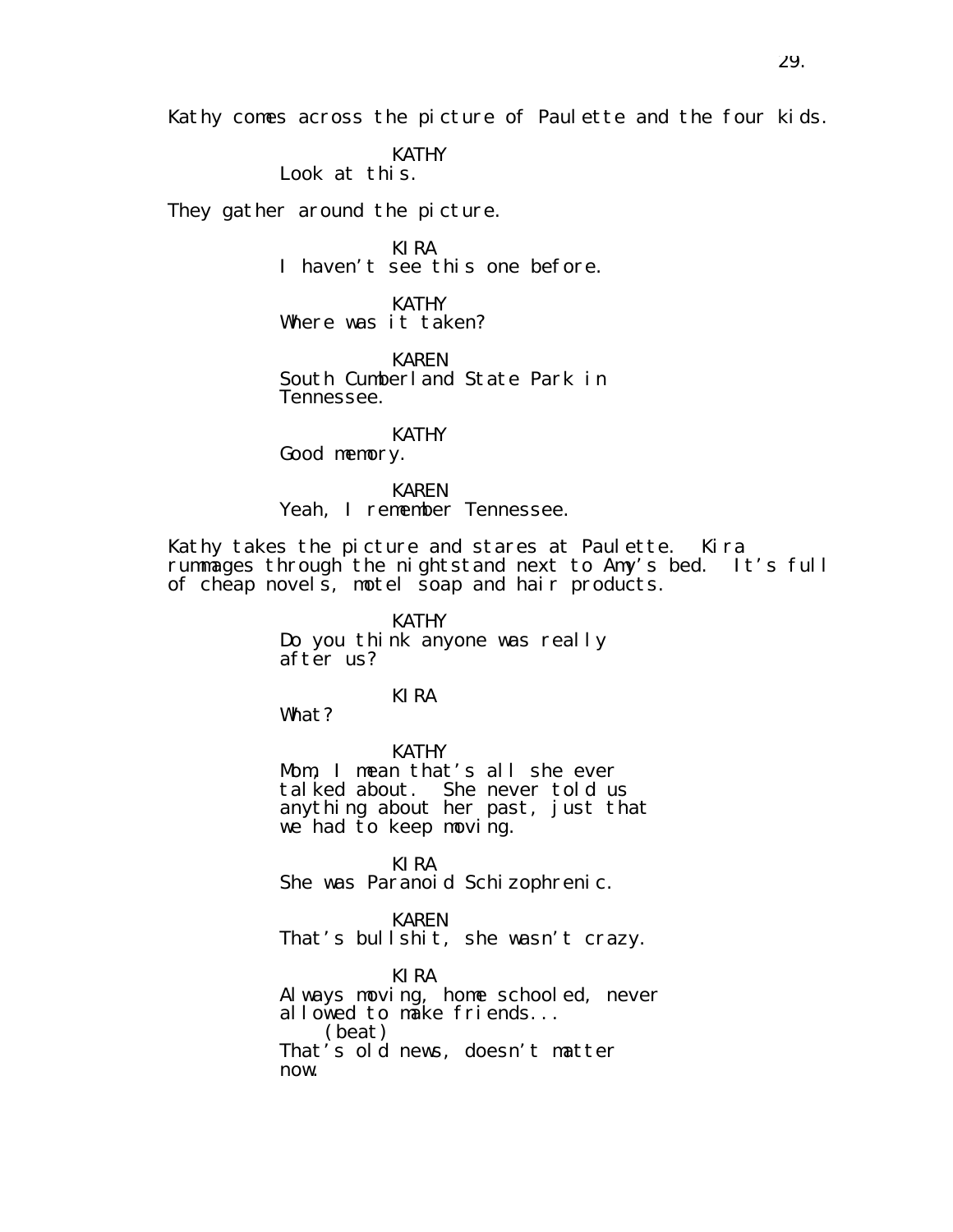Kathy comes across the picture of Paulette and the four kids.

KATHY

Look at this.

They gather around the picture.

KIRA I haven't see this one before.

KATHY Where was it taken?

KAREN South Cumberland State Park in Tennessee.

KATHY Good memory.

KAREN Yeah, I remember Tennessee.

Kathy takes the picture and stares at Paulette. Kira rummages through the nightstand next to Amy's bed. It's full of cheap novels, motel soap and hair products.

> KATHY Do you think anyone was really after us?

> > KIRA

What?

KATHY Mom, I mean that's all she ever talked about. She never told us anything about her past, just that we had to keep moving.

KIRA She was Paranoid Schizophrenic.

KAREN That's bullshit, she wasn't crazy.

KIRA Always moving, home schooled, never allowed to make friends... (beat) That's old news, doesn't matter now.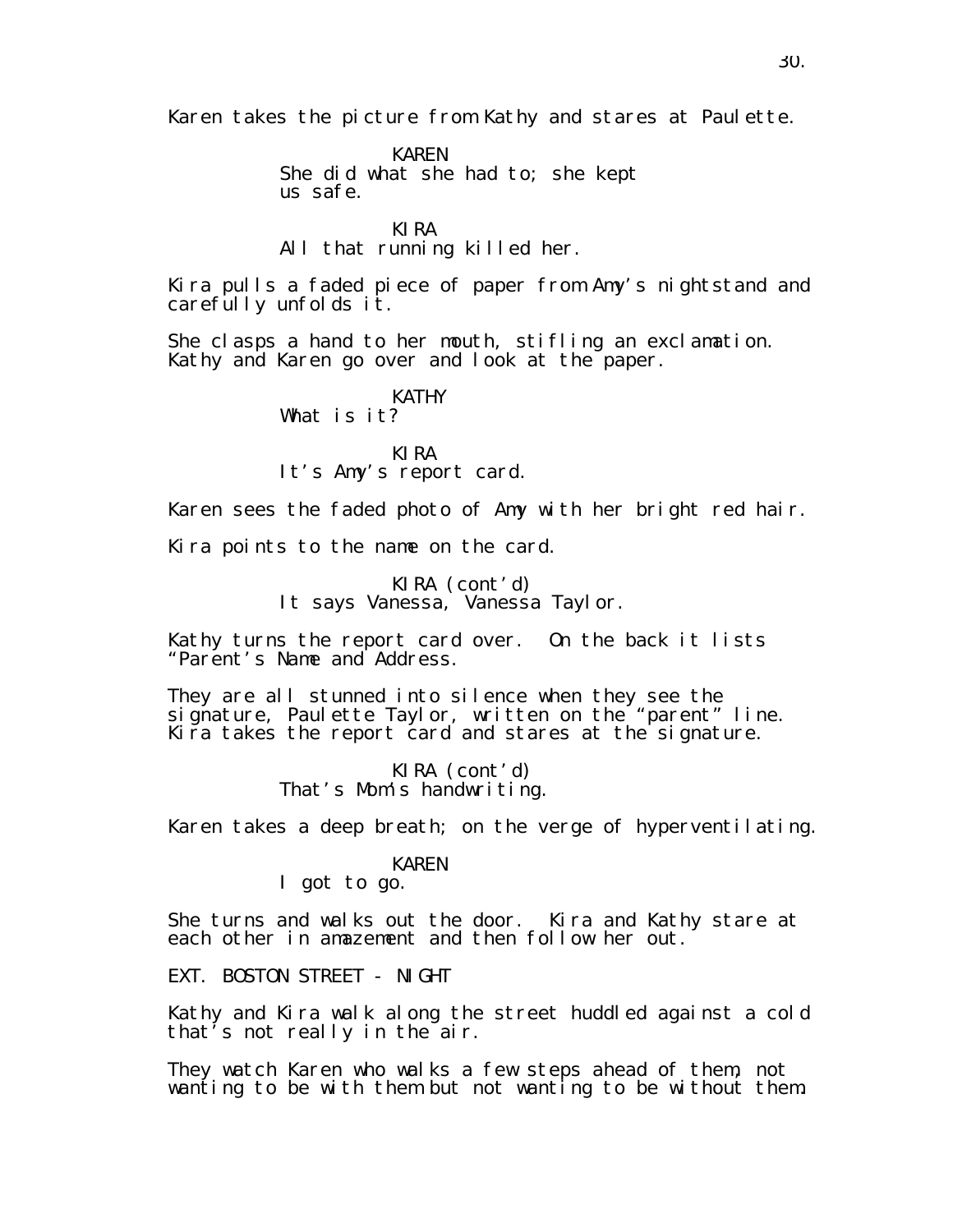Karen takes the picture from Kathy and stares at Paulette.

KAREN She did what she had to; she kept us safe.

KIRA All that running killed her.

Kira pulls a faded piece of paper from Amy's nightstand and carefully unfolds it.

She clasps a hand to her mouth, stifling an exclamation. Kathy and Karen go over and look at the paper.

> KATHY What is it?

KIRA It's Amy's report card.

Karen sees the faded photo of Amy with her bright red hair.

Kira points to the name on the card.

KIRA (cont'd) It says Vanessa, Vanessa Taylor.

Kathy turns the report card over. On the back it lists "Parent's Name and Address.

They are all stunned into silence when they see the signature, Paulette Taylor, written on the "parent" line. Kira takes the report card and stares at the signature.

> KIRA (cont'd) That's Mom's handwriting.

Karen takes a deep breath; on the verge of hyperventilating.

#### KAREN

I got to go.

She turns and walks out the door. Kira and Kathy stare at each other in amazement and then follow her out.

EXT. BOSTON STREET - NIGHT

Kathy and Kira walk along the street huddled against a cold that's not really in the air.

They watch Karen who walks a few steps ahead of them, not wanting to be with them but not wanting to be without them.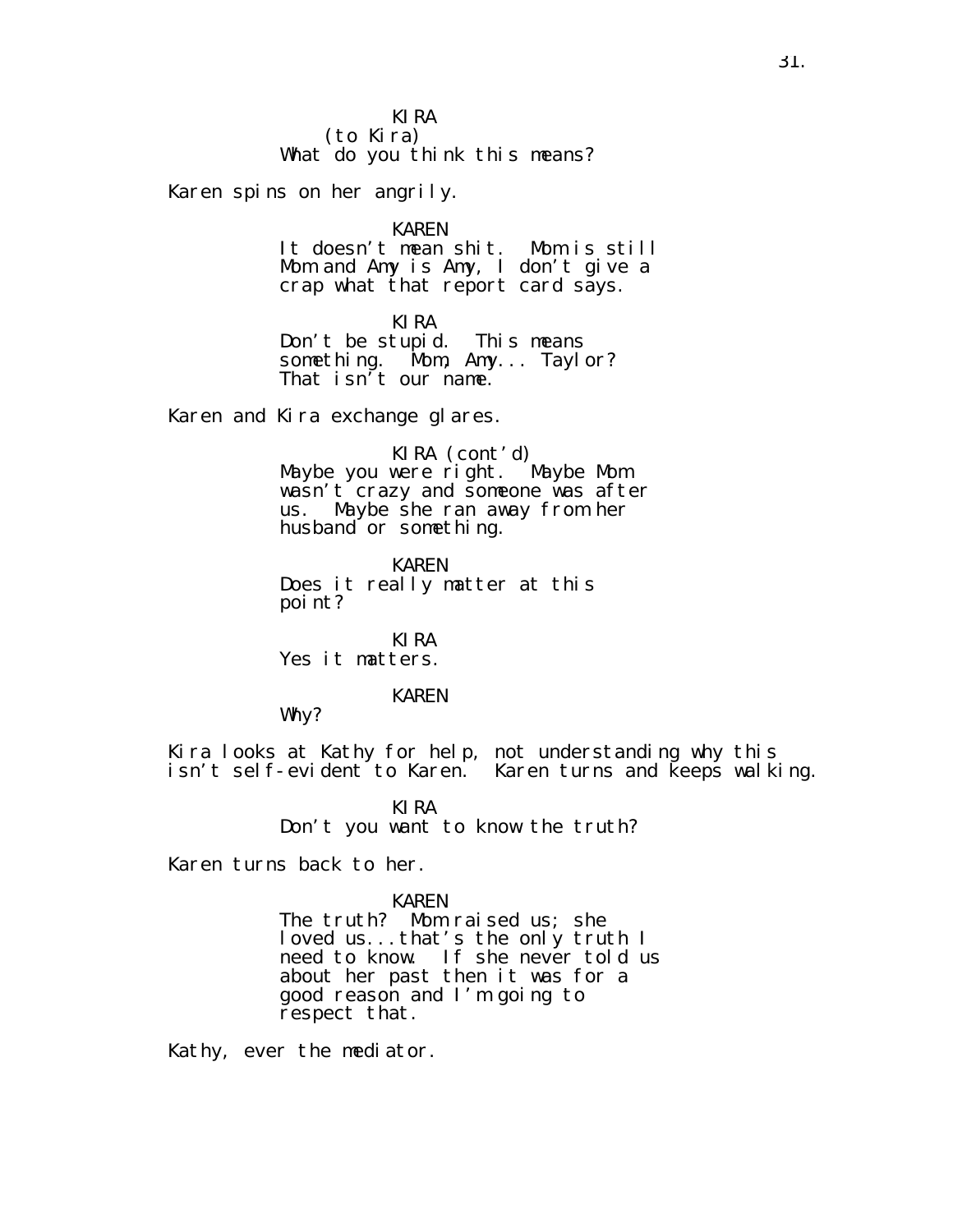#### KIRA (to Kira) What do you think this means?

Karen spins on her angrily.

KAREN

It doesn't mean shit. Mom is still Mom and Amy is Amy, I don't give a crap what that report card says.

KIRA

Don't be stupid. This means something. Mom, Amy... Taylor? That isn't our name.

Karen and Kira exchange glares.

KIRA (cont′d)<br>were right. Maybe Mom Maybe you were right. wasn't crazy and someone was after us. Maybe she ran away from her husband or something.

KAREN Does it really matter at this point?

KIRA Yes it matters.

## KAREN

Why?

Kira looks at Kathy for help, not understanding why this isn't self-evident to Karen. Karen turns and keeps walking.

> KIRA Don't you want to know the truth?

Karen turns back to her.

#### KAREN

The truth? Mom raised us; she loved us...that's the only truth I need to know. If she never told us about her past then it was for a good reason and I'm going to respect that.

Kathy, ever the mediator.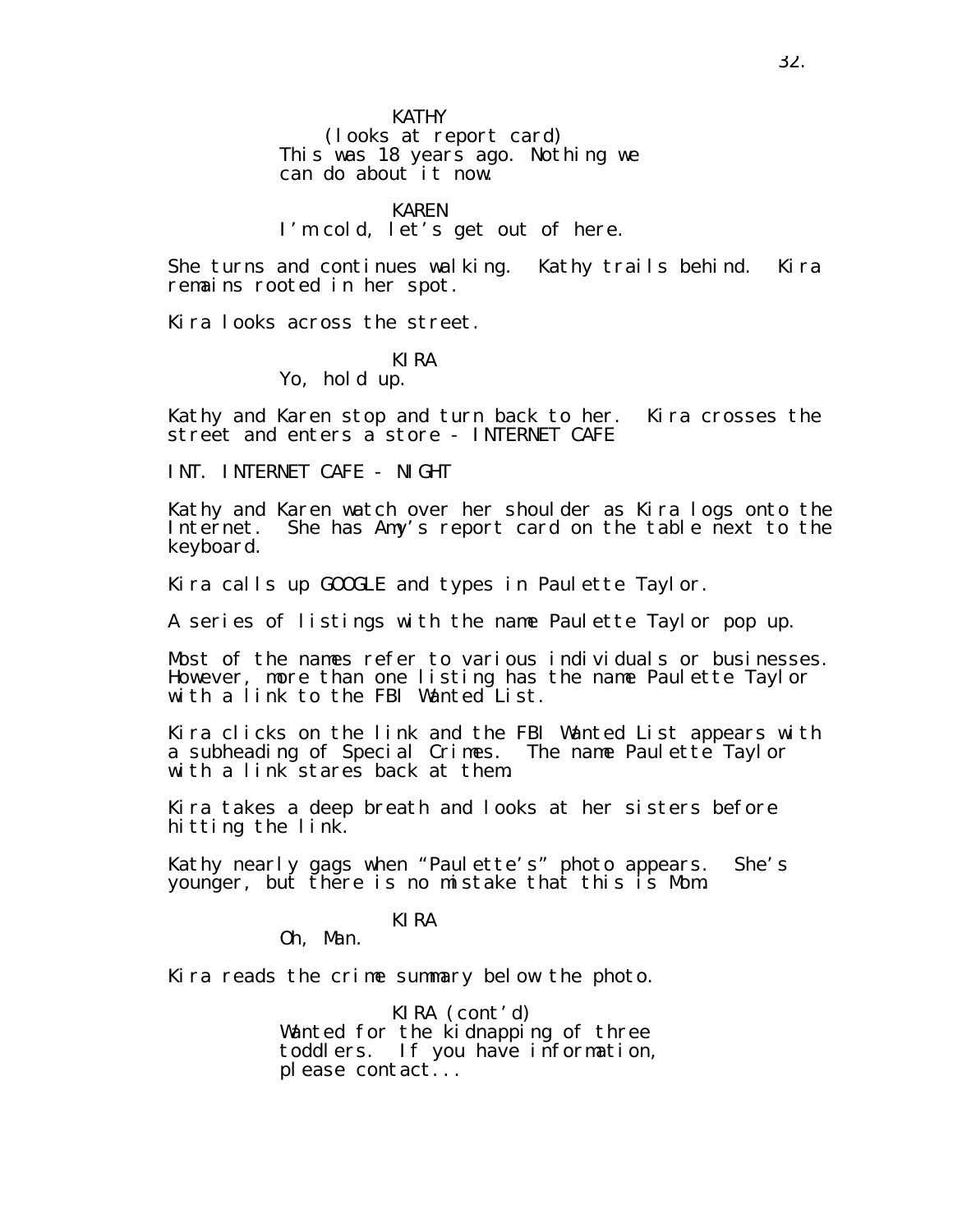(looks at report card) This was 18 years ago. Nothing we can do about it now.

#### KAREN

# I'm cold, let's get out of here.

She turns and continues walking. Kathy trails behind. Kira remains rooted in her spot.

Kira looks across the street.

#### KIRA

Yo, hold up.

Kathy and Karen stop and turn back to her. Kira crosses the street and enters a store - INTERNET CAFE

INT. INTERNET CAFE - NIGHT

Kathy and Karen watch over her shoulder as Kira logs onto the Internet. She has Amy's report card on the table next to the keyboard.

Kira calls up GOOGLE and types in Paulette Taylor.

A series of listings with the name Paulette Taylor pop up.

Most of the names refer to various individuals or businesses. However, more than one listing has the name Paulette Taylor with a link to the FBI Wanted List.

Kira clicks on the link and the FBI Wanted List appears with a subheading of Special Crimes. The name Paulette Taylor with a link stares back at them.

Kira takes a deep breath and looks at her sisters before hitting the link.

Kathy nearly gags when "Paulette's" photo appears. She's younger, but there is no mistake that this is Mom.

#### KIRA

Oh, Man.

Kira reads the crime summary below the photo.

KIRA (cont'd) Wanted for the kidnapping of three toddlers. If you have information, please contact...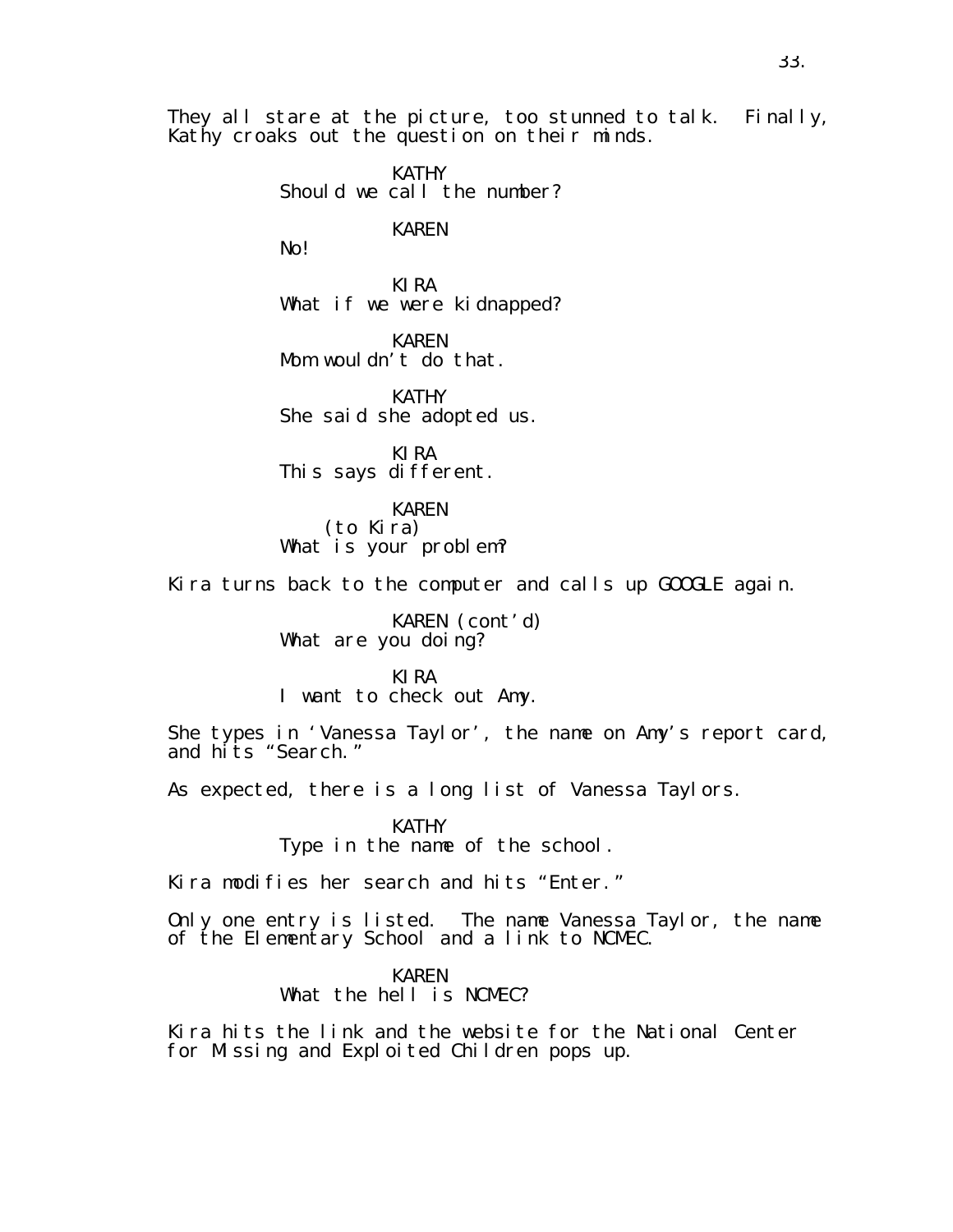They all stare at the picture, too stunned to talk. Finally, Kathy croaks out the question on their minds.

> KATHY Should we call the number?

> > KAREN

No!

KIRA What if we were kidnapped?

KAREN Mom wouldn't do that.

KATHY She said she adopted us.

KIRA This says different.

KAREN (to Kira)

What is your problem?

Kira turns back to the computer and calls up GOOGLE again.

KAREN (cont'd) What are you doing?

KIRA I want to check out Amy.

She types in 'Vanessa Taylor', the name on Amy's report card, and hits "Search."

As expected, there is a long list of Vanessa Taylors.

KATHY

Type in the name of the school.

Kira modifies her search and hits "Enter."

Only one entry is listed. The name Vanessa Taylor, the name of the Elementary School and a link to NCMEC.

KAREN

What the hell is NCMEC?

Kira hits the link and the website for the National Center for Missing and Exploited Children pops up.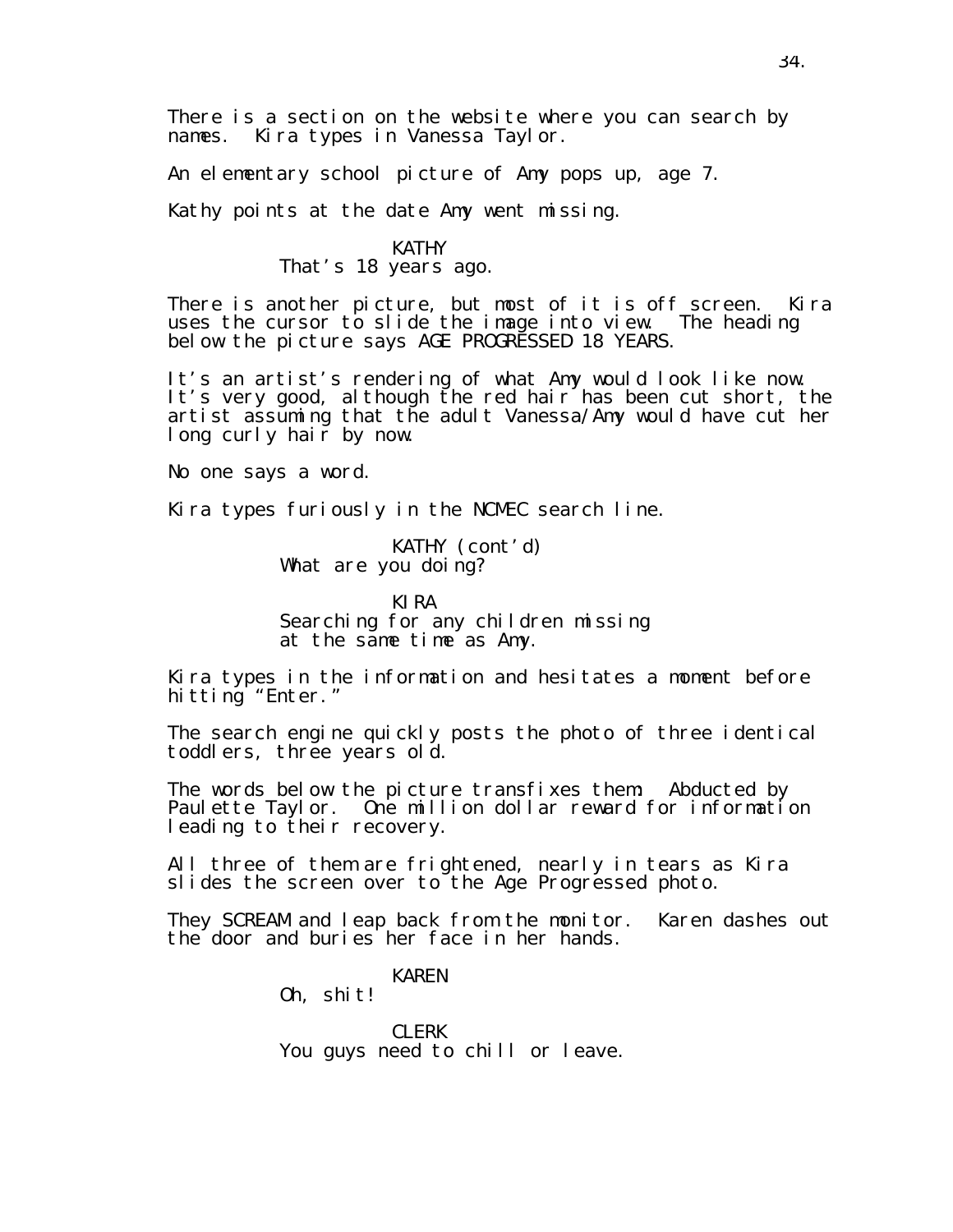There is a section on the website where you can search by names. Kira types in Vanessa Taylor.

An elementary school picture of Amy pops up, age 7.

Kathy points at the date Amy went missing.

## KATHY

That's 18 years ago.

There is another picture, but most of it is off screen. Kira uses the cursor to slide the image into view. The heading below the picture says AGE PROGRESSED 18 YEARS.

It's an artist's rendering of what Amy would look like now. It's very good, although the red hair has been cut short, the artist assuming that the adult Vanessa/Amy would have cut her long curly hair by now.

No one says a word.

Kira types furiously in the NCMEC search line.

KATHY (cont'd) What are you doing?

KIRA Searching for any children missing at the same time as Amy.

Kira types in the information and hesitates a moment before hitting "Enter."

The search engine quickly posts the photo of three identical toddlers, three years old.

The words below the picture transfixes them: Abducted by Paulette Taylor. One million dollar reward for information leading to their recovery.

All three of them are frightened, nearly in tears as Kira slides the screen over to the Age Progressed photo.

They SCREAM and leap back from the monitor. Karen dashes out the door and buries her face in her hands.

## KAREN

Oh, shit!

CLERK You guys need to chill or leave.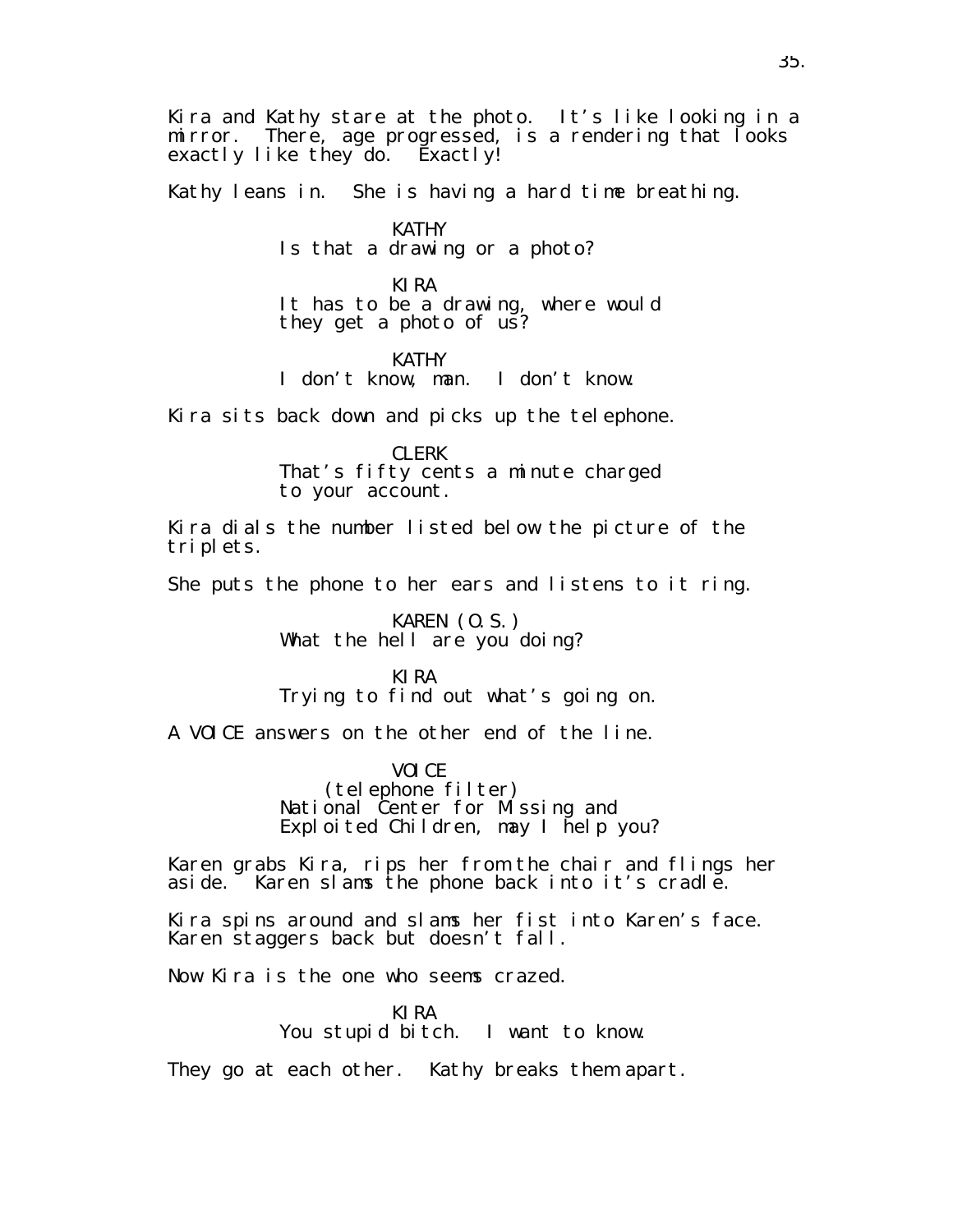Kira and Kathy stare at the photo. It's like looking in a mirror. There, age progressed, is a rendering that looks exactly like they do. Exactly!

Kathy leans in. She is having a hard time breathing.

KATHY Is that a drawing or a photo?

KIRA It has to be a drawing, where would they get a photo of us?

KATHY

I don't know, man. I don't know.

Kira sits back down and picks up the telephone.

CLERK That's fifty cents a minute charged to your account.

Kira dials the number listed below the picture of the triplets.

She puts the phone to her ears and listens to it ring.

KAREN (O.S.) What the hell are you doing?

KIRA

Trying to find out what's going on.

A VOICE answers on the other end of the line.

VOICE (telephone filter) National Center for Missing and Exploited Children, may I help you?

Karen grabs Kira, rips her from the chair and flings her aside. Karen slams the phone back into it's cradle.

Kira spins around and slams her fist into Karen's face. Karen staggers back but doesn't fall.

Now Kira is the one who seems crazed.

KIRA You stupid bitch. I want to know.

They go at each other. Kathy breaks them apart.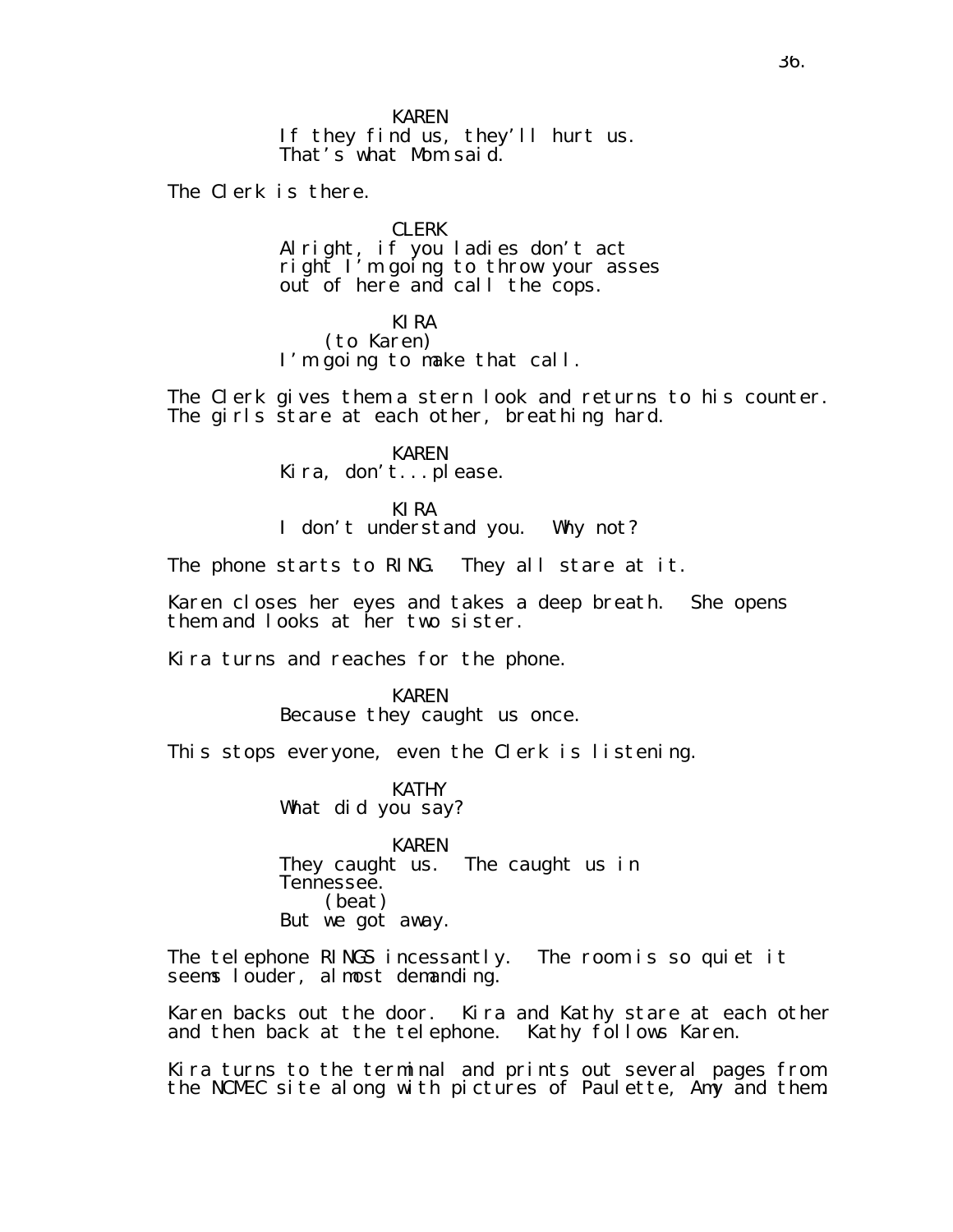If they find us, they'll hurt us. That's what Mom said.

The Clerk is there.

CLERK

Alright, if you ladies don't act right I'm going to throw your asses out of here and call the cops.

KIRA

(to Karen) I'm going to make that call.

The Clerk gives them a stern look and returns to his counter. The girls stare at each other, breathing hard.

> KAREN Kira, don't...please.

KIRA I don't understand you. Why not?

The phone starts to RING. They all stare at it.

Karen closes her eyes and takes a deep breath. She opens them and looks at her two sister.

Kira turns and reaches for the phone.

KAREN Because they caught us once.

This stops everyone, even the Clerk is listening.

KATHY What did you say?

KAREN They caught us. The caught us in Tennessee. (beat) But we got away.

The telephone RINGS incessantly. The room is so quiet it seems louder, almost demanding.

Karen backs out the door. Kira and Kathy stare at each other and then back at the telephone. Kathy follows Karen.

Kira turns to the terminal and prints out several pages from the NCMEC site along with pictures of Paulette, Amy and them.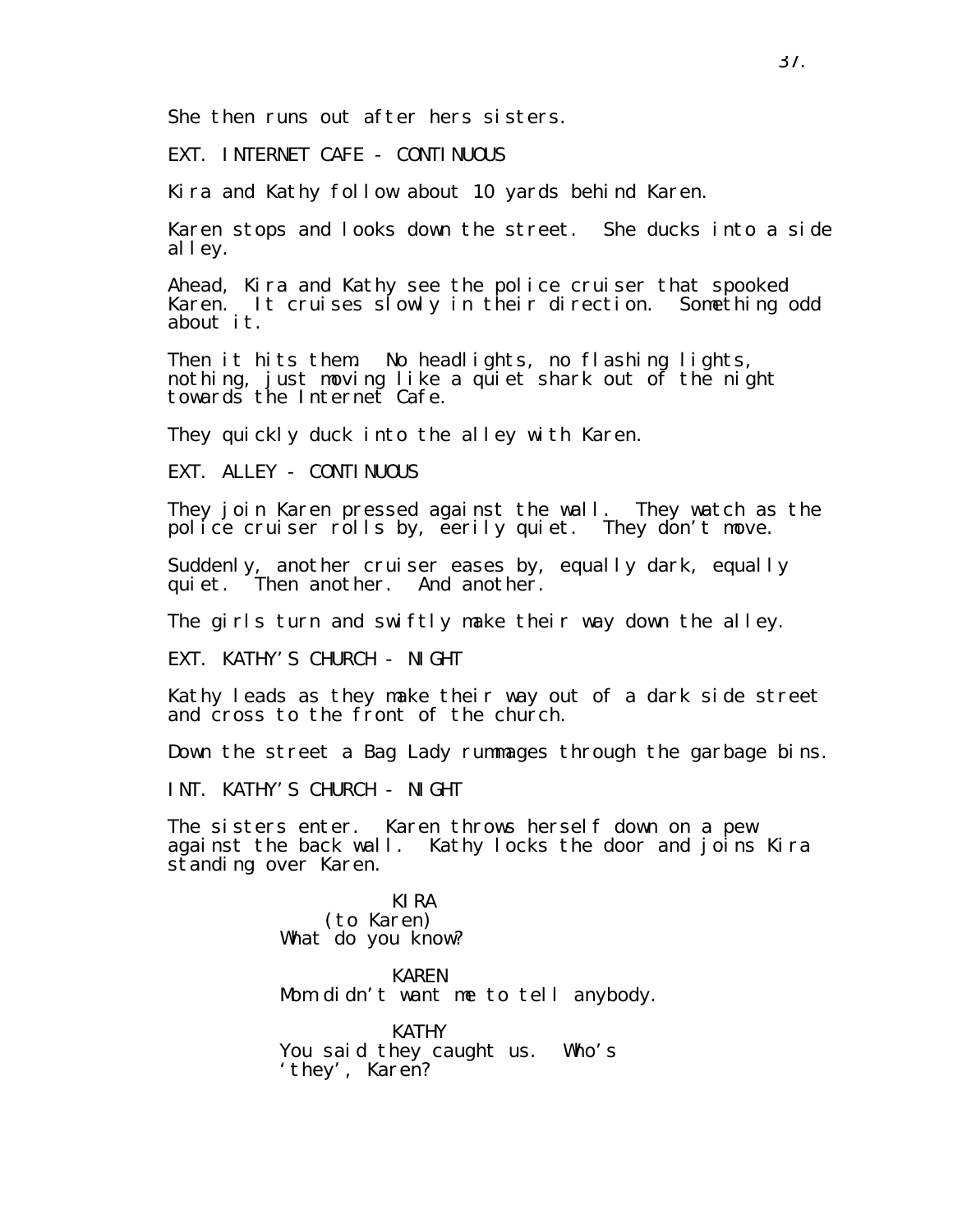She then runs out after hers sisters.

EXT. INTERNET CAFE - CONTINUOUS

Kira and Kathy follow about 10 yards behind Karen.

Karen stops and looks down the street. She ducks into a side alley.

Ahead, Kira and Kathy see the police cruiser that spooked Karen. It cruises slowly in their direction. Something odd about it.

Then it hits them. No headlights, no flashing lights, nothing, just moving like a quiet shark out of the night towards the Internet Cafe.

They quickly duck into the alley with Karen.

EXT. ALLEY - CONTINUOUS

They join Karen pressed against the wall. They watch as the police cruiser rolls by, eerily quiet. They don't move.

Suddenly, another cruiser eases by, equally dark, equally quiet. Then another. And another.

The girls turn and swiftly make their way down the alley.

EXT. KATHY'S CHURCH - NIGHT

Kathy leads as they make their way out of a dark side street and cross to the front of the church.

Down the street a Bag Lady rummages through the garbage bins.

INT. KATHY'S CHURCH - NIGHT

The sisters enter. Karen throws herself down on a pew against the back wall. Kathy locks the door and joins Kira standing over Karen.

> KIRA (to Karen) What do you know?

KAREN Mom didn't want me to tell anybody.

KATHY You said they caught us. Who's 'they', Karen?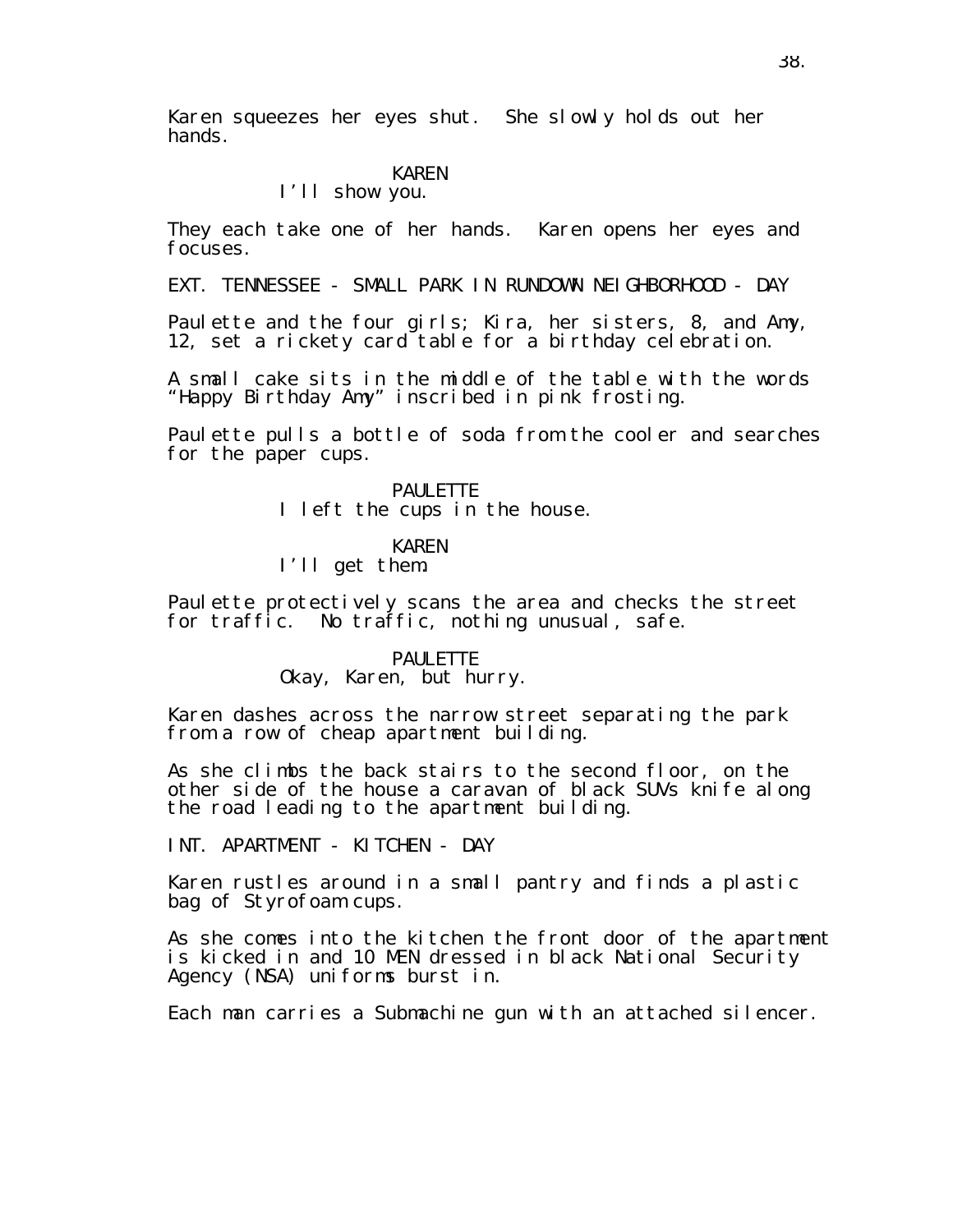Karen squeezes her eyes shut. She slowly holds out her hands.

# KAREN

# I'll show you.

They each take one of her hands. Karen opens her eyes and focuses.

EXT. TENNESSEE - SMALL PARK IN RUNDOWN NEIGHBORHOOD - DAY

Paulette and the four girls; Kira, her sisters, 8, and Amy, 12, set a rickety card table for a birthday celebration.

A small cake sits in the middle of the table with the words "Happy Birthday Amy" inscribed in pink frosting.

Paulette pulls a bottle of soda from the cooler and searches for the paper cups.

> PAUL FTTF I left the cups in the house.

### KAREN

I'll get them.

Paulette protectively scans the area and checks the street for traffic. No traffic, nothing unusual, safe.

# PAULETTE

## Okay, Karen, but hurry.

Karen dashes across the narrow street separating the park from a row of cheap apartment building.

As she climbs the back stairs to the second floor, on the other side of the house a caravan of black SUVs knife along the road leading to the apartment building.

INT. APARTMENT - KITCHEN - DAY

Karen rustles around in a small pantry and finds a plastic bag of Styrofoam cups.

As she comes into the kitchen the front door of the apartment is kicked in and 10 MEN dressed in black National Security Agency (NSA) uniforms burst in.

Each man carries a Submachine gun with an attached silencer.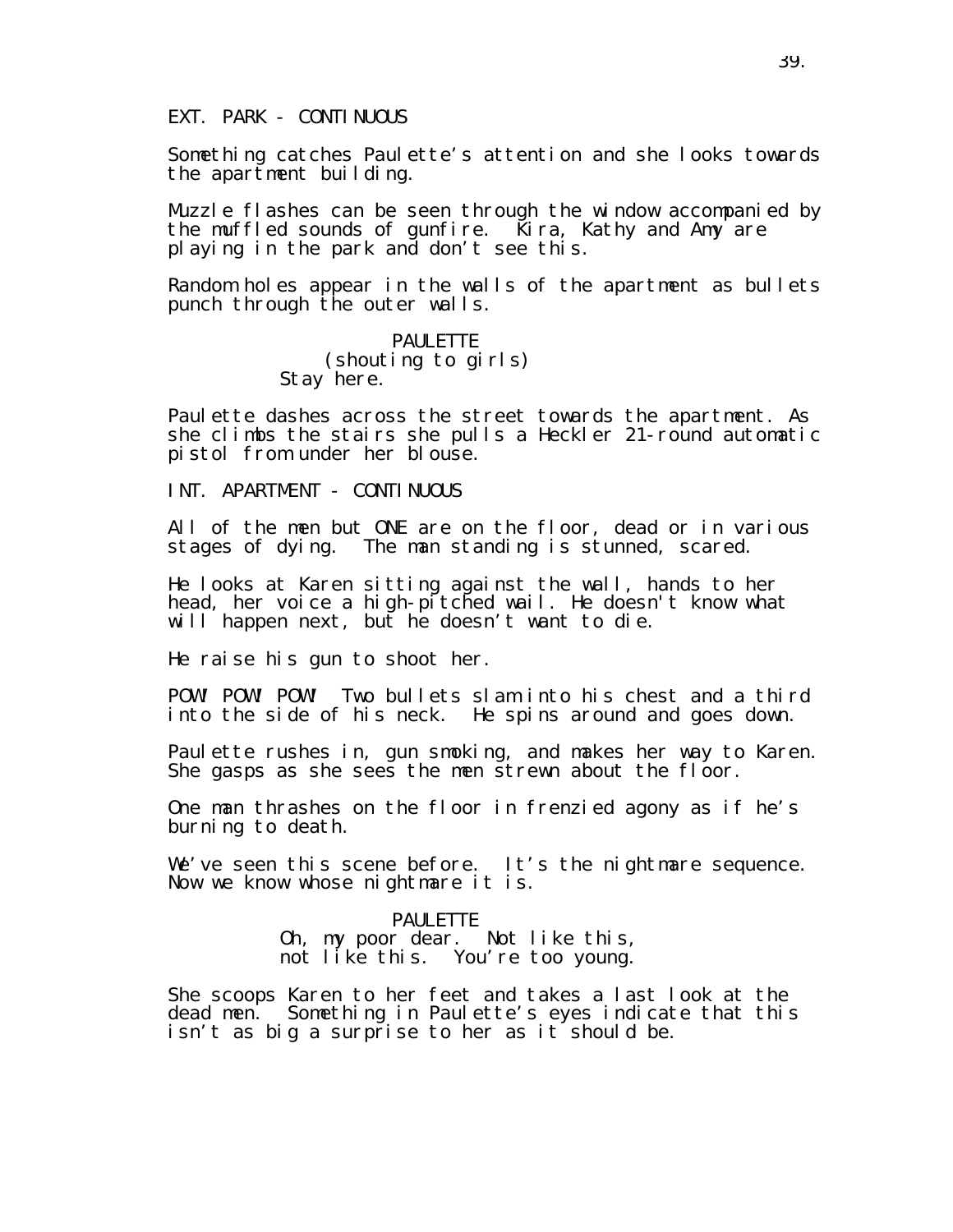## EXT. PARK - CONTINUOUS

Something catches Paulette's attention and she looks towards the apartment building.

Muzzle flashes can be seen through the window accompanied by the muffled sounds of gunfire. Kira, Kathy and Amy are playing in the park and don't see this.

Random holes appear in the walls of the apartment as bullets punch through the outer walls.

> PAUL FTTF (shouting to girls) Stay here.

Paulette dashes across the street towards the apartment. As she climbs the stairs she pulls a Heckler 21-round automatic pistol from under her blouse.

INT. APARTMENT - CONTINUOUS

All of the men but ONE are on the floor, dead or in various stages of dying. The man standing is stunned, scared.

He looks at Karen sitting against the wall, hands to her head, her voice a high-pitched wail. He doesn't know what will happen next, but he doesn't want to die.

He raise his gun to shoot her.

POW! POW! POW! Two bullets slam into his chest and a third into the side of his neck. He spins around and goes down.

Paulette rushes in, gun smoking, and makes her way to Karen. She gasps as she sees the men strewn about the floor.

One man thrashes on the floor in frenzied agony as if he's burning to death.

We've seen this scene before. It's the nightmare sequence. Now we know whose nightmare it is.

### PAUL FTTF

Oh, my poor dear. Not like this, not like this. You're too young.

She scoops Karen to her feet and takes a last look at the dead men. Something in Paulette's eyes indicate that this isn't as big a surprise to her as it should be.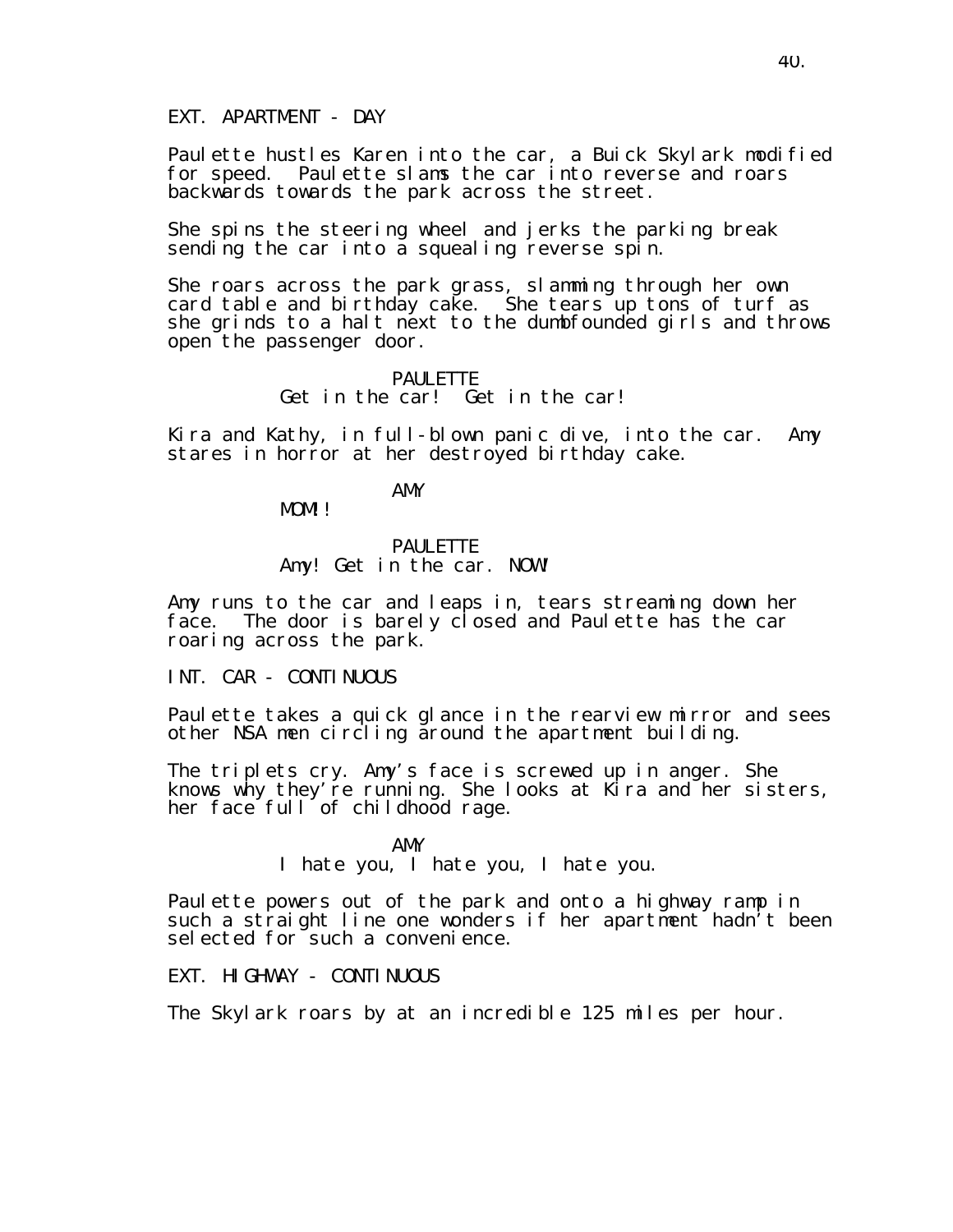EXT. APARTMENT - DAY

Paulette hustles Karen into the car, a Buick Skylark modified for speed. Paulette slams the car into reverse and roars backwards towards the park across the street.

She spins the steering wheel and jerks the parking break sending the car into a squealing reverse spin.

She roars across the park grass, slamming through her own card table and birthday cake. She tears up tons of turf as she grinds to a halt next to the dumbfounded girls and throws open the passenger door.

## PAULETTE Get in the car! Get in the car!

Kira and Kathy, in full-blown panic dive, into the car. Amy stares in horror at her destroyed birthday cake.

AMY

MOM!!

### **PAULETTE** Amy! Get in the car. NOW!

Amy runs to the car and leaps in, tears streaming down her face. The door is barely closed and Paulette has the car roaring across the park.

INT. CAR - CONTINUOUS

Paulette takes a quick glance in the rearview mirror and sees other NSA men circling around the apartment building.

The triplets cry. Amy's face is screwed up in anger. She knows why they're running. She looks at Kira and her sisters, her face full of childhood rage.

AMY

I hate you, I hate you, I hate you.

Paulette powers out of the park and onto a highway ramp in such a straight line one wonders if her apartment hadn't been selected for such a convenience.

EXT. HIGHWAY - CONTINUOUS

The Skylark roars by at an incredible 125 miles per hour.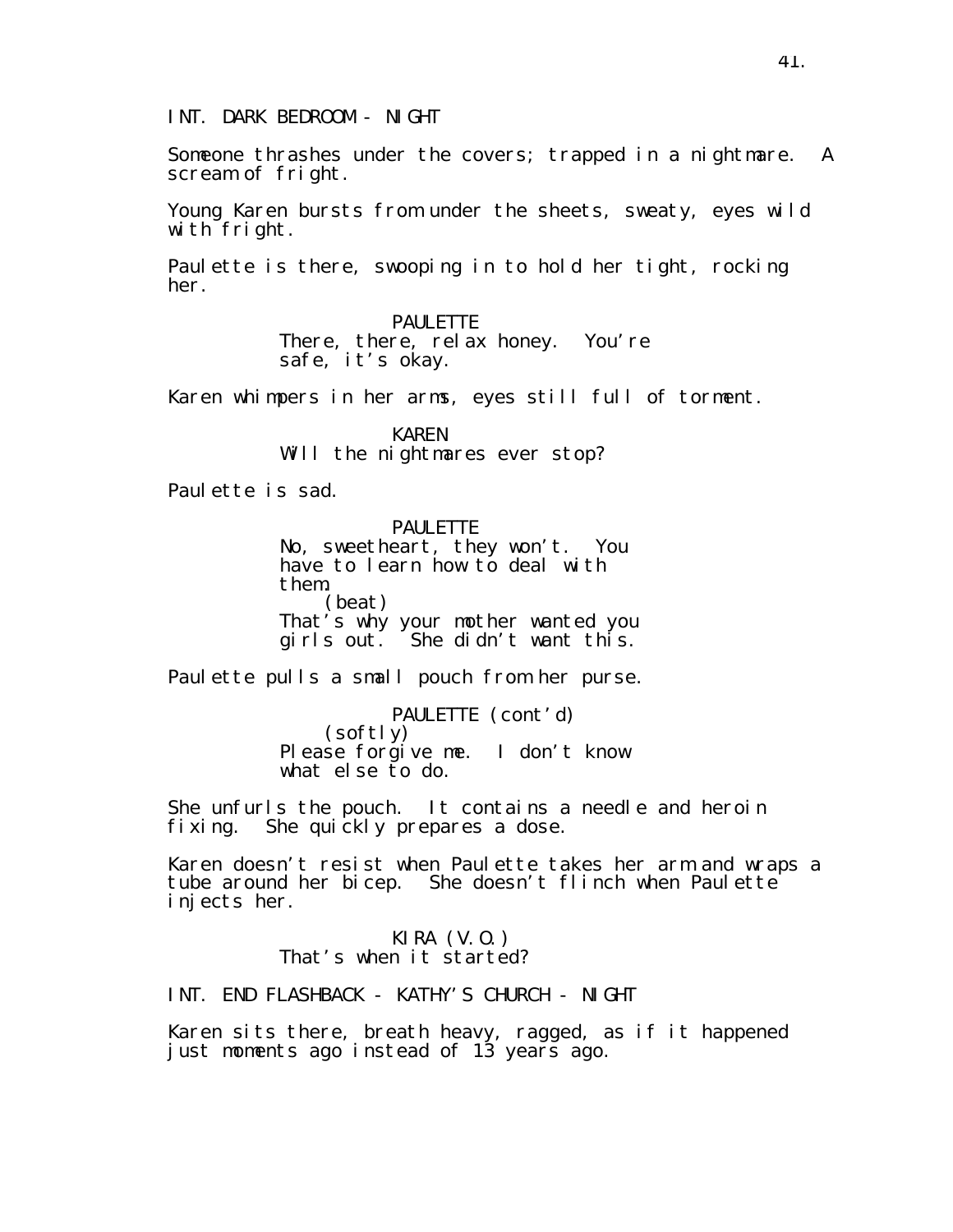INT. DARK BEDROOM - NIGHT

Someone thrashes under the covers; trapped in a nightmare. A scream of fright.

Young Karen bursts from under the sheets, sweaty, eyes wild with fright.

Paulette is there, swooping in to hold her tight, rocking her.

> PAULETTE There, there, relax honey. You're safe, it's okay.

Karen whimpers in her arms, eyes still full of torment.

KAREN Will the nightmares ever stop?

Paulette is sad.

PAULETTE No, sweetheart, they won't. You have to learn how to deal with them. (beat) That's why your mother wanted you girls out. She didn't want this.

Paulette pulls a small pouch from her purse.

PAULETTE (cont'd) (softly) Please forgive me. I don't know what else to do.

She unfurls the pouch. It contains a needle and heroin fixing. She quickly prepares a dose.

Karen doesn't resist when Paulette takes her arm and wraps a tube around her bicep. She doesn't flinch when Paulette injects her.

## KIRA (V.O.) That's when it started?

INT. END FLASHBACK - KATHY'S CHURCH - NIGHT

Karen sits there, breath heavy, ragged, as if it happened just moments ago instead of 13 years ago.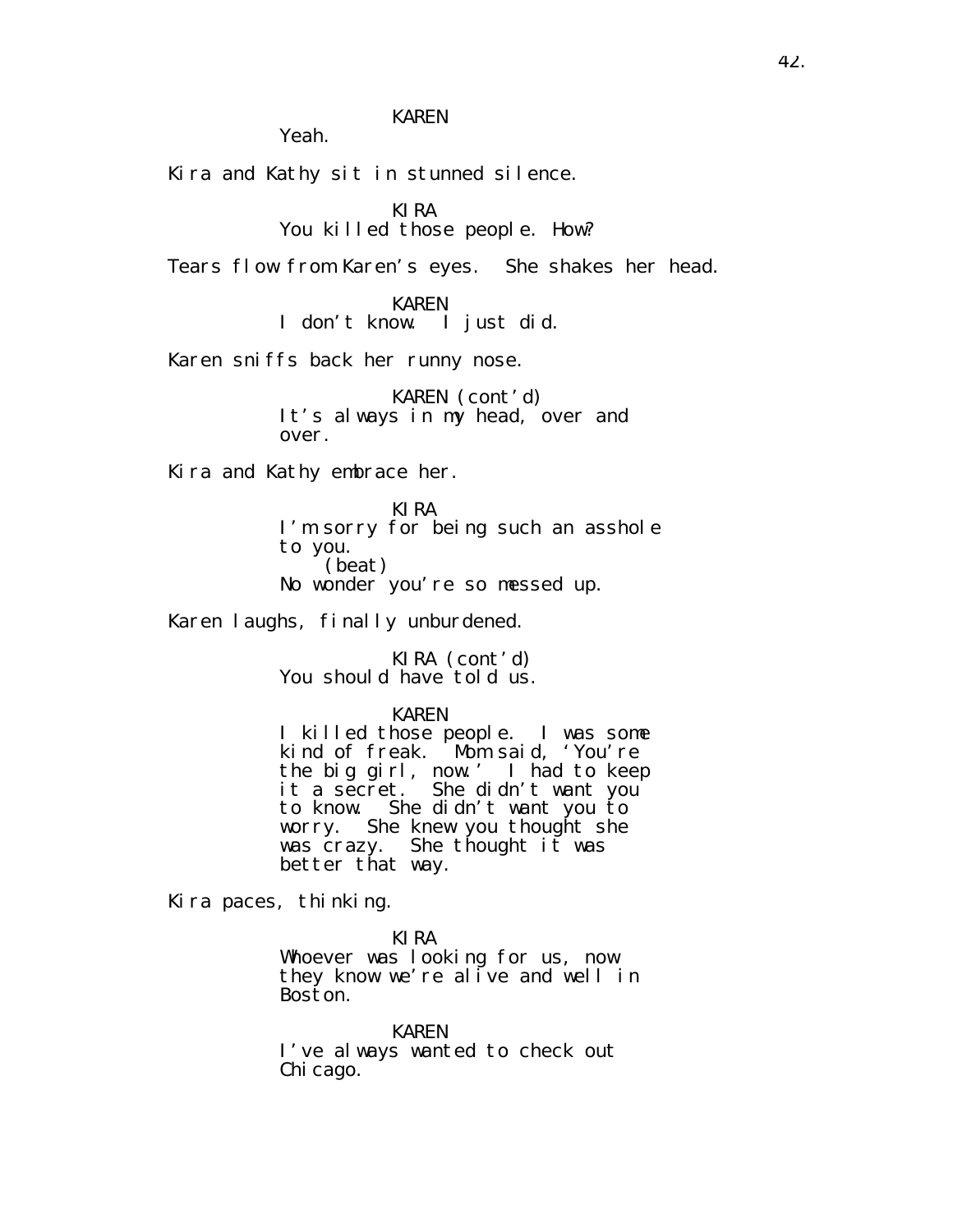KAREN

Yeah.

Kira and Kathy sit in stunned silence.

KIRA You killed those people. How?

Tears flow from Karen's eyes. She shakes her head.

KAREN I don't know. I just did.

Karen sniffs back her runny nose.

KAREN (cont'd) It's always in my head, over and over.

Kira and Kathy embrace her.

KIRA I'm sorry for being such an asshole to you. (beat) No wonder you're so messed up.

Karen laughs, finally unburdened.

KIRA (cont'd) You should have told us.

### KAREN

I killed those people. I was some kind of freak. Mom said, 'You're the big girl, now.' I had to keep it a secret. She didn't want you to know. She didn't want you to worry. She knew you thought she was crazy. She thought it was better that way.

Kira paces, thinking.

KIRA

Whoever was looking for us, now they know we're alive and well in Boston.

KAREN I've always wanted to check out Chi cago.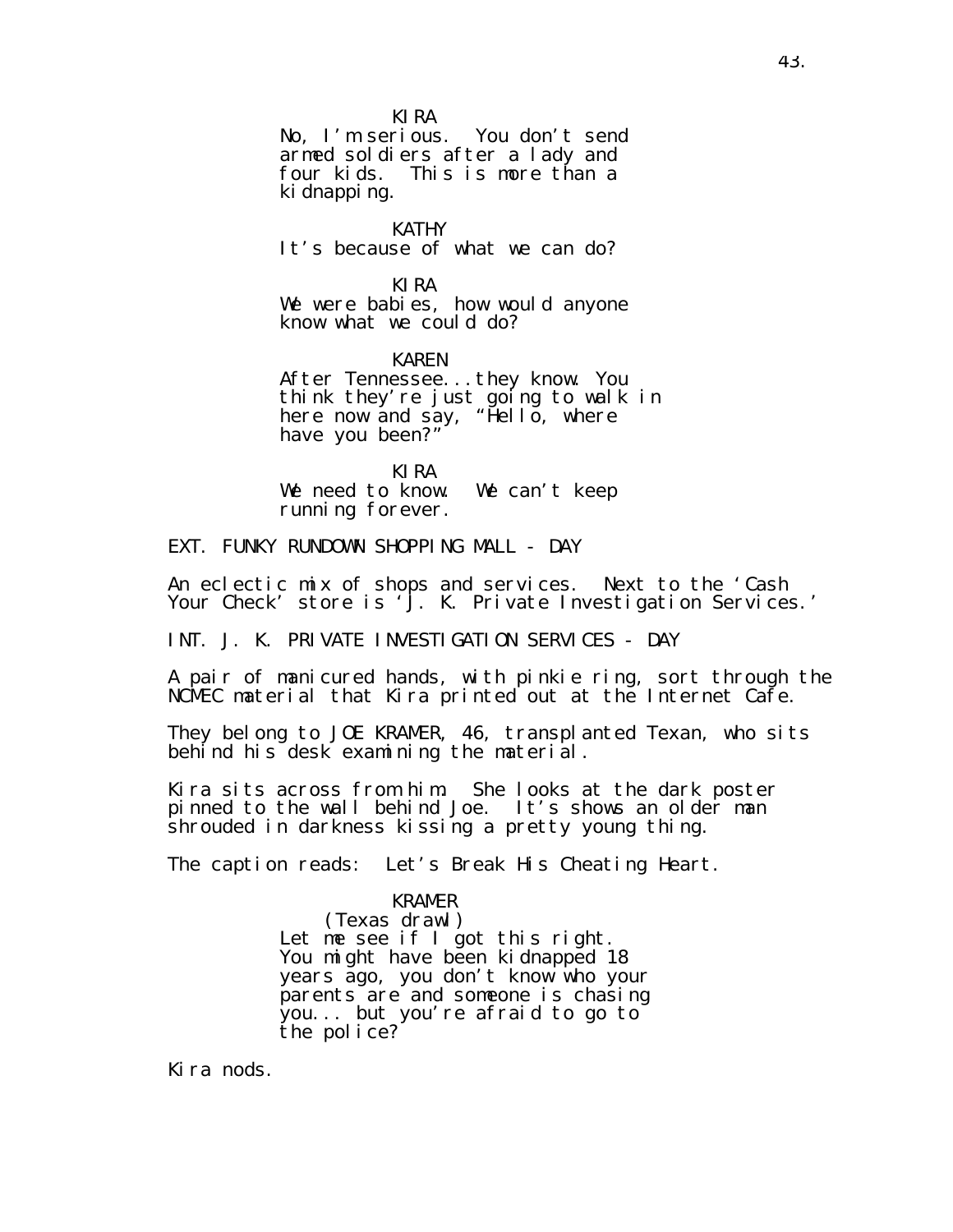KIRA

No, I'm serious. You don't send armed soldiers after a lady and four kids. This is more than a ki dnappi ng.

KATHY It's because of what we can do?

KIRA We were babies, how would anyone know what we could do?

KAREN After Tennessee...they know. You think they're just going to walk in here now and say, "Hello, where have you been?"

KIRA We need to know. We can't keep running forever.

EXT. FUNKY RUNDOWN SHOPPING MALL - DAY

An eclectic mix of shops and services. Next to the 'Cash Your Check' store is 'J. K. Private Investigation Services.'

INT. J. K. PRIVATE INVESTIGATION SERVICES - DAY

A pair of manicured hands, with pinkie ring, sort through the NCMEC material that Kira printed out at the Internet Cafe.

They belong to JOE KRAMER, 46, transplanted Texan, who sits behind his desk examining the material.

Kira sits across from him. She looks at the dark poster pinned to the wall behind Joe. It's shows an older man shrouded in darkness kissing a pretty young thing.

The caption reads: Let's Break His Cheating Heart.

### KRAMER

(Texas drawl) Let me see if I got this right. You might have been kidnapped 18 years ago, you don't know who your parents are and someone is chasing you... but you're afraid to go to the police?

Kira nods.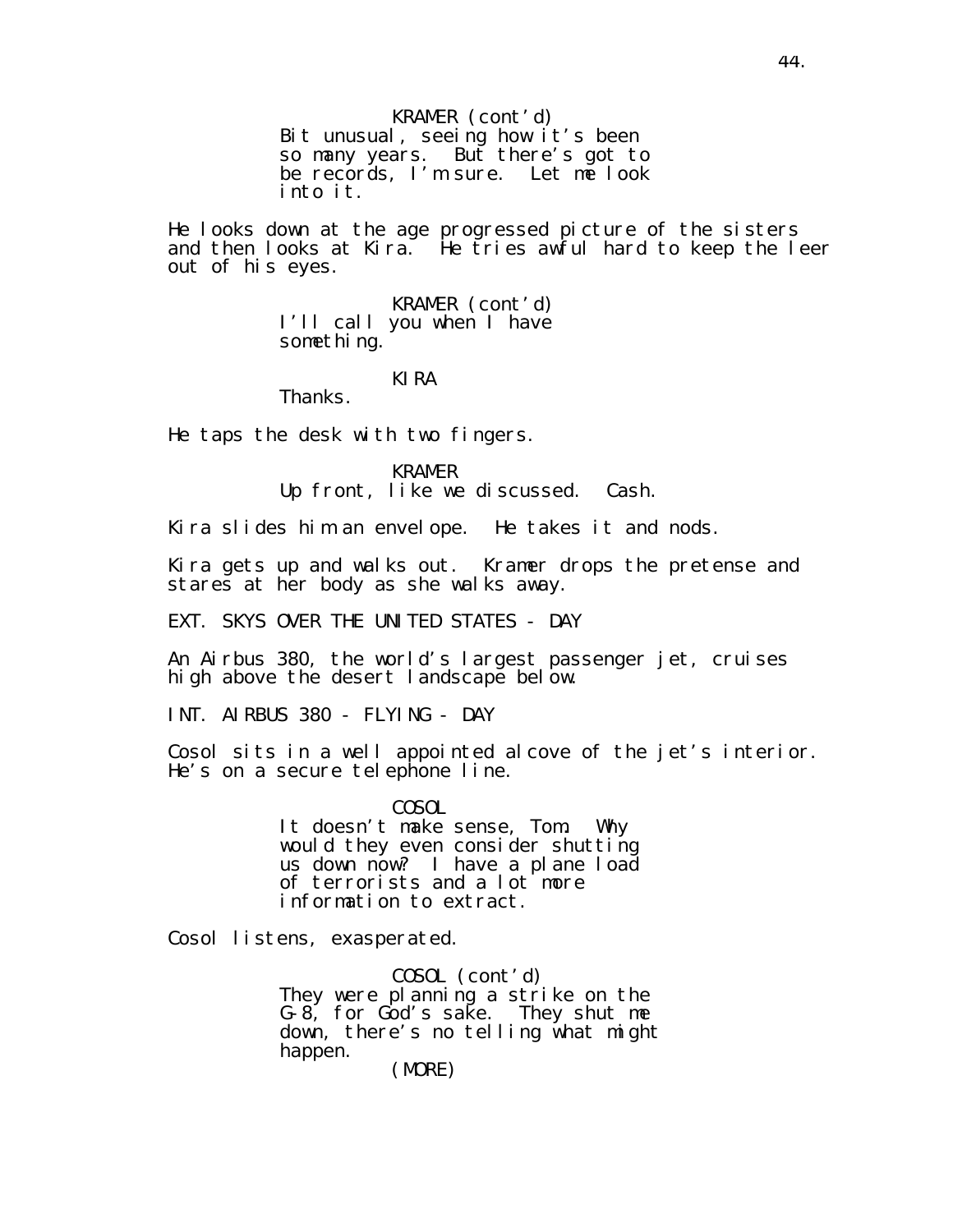KRAMER (cont'd) Bit unusual, seeing how it's been so many years. But there's got to be records, I'm sure. Let me look into it.

He looks down at the age progressed picture of the sisters and then looks at Kira. He tries awful hard to keep the leer out of his eyes.

> KRAMER (cont'd) I'll call you when I have something.

### KIRA

Thanks.

He taps the desk with two fingers.

KRAMER

Up front, like we discussed. Cash.

Kira slides him an envelope. He takes it and nods.

Kira gets up and walks out. Kramer drops the pretense and stares at her body as she walks away.

EXT. SKYS OVER THE UNITED STATES - DAY

An Airbus 380, the world's largest passenger jet, cruises high above the desert landscape below.

INT. AIRBUS 380 - FLYING - DAY

Cosol sits in a well appointed alcove of the jet's interior. He's on a secure telephone line.

> COSOL It doesn't make sense, Tom. Why would they even consider shutting us down now? I have a plane load of terrorists and a lot more information to extract.

Cosol listens, exasperated.

COSOL (cont'd) They were planning a strike on the G-8, for God's sake. They shut me down, there's no telling what might happen.

(MORE)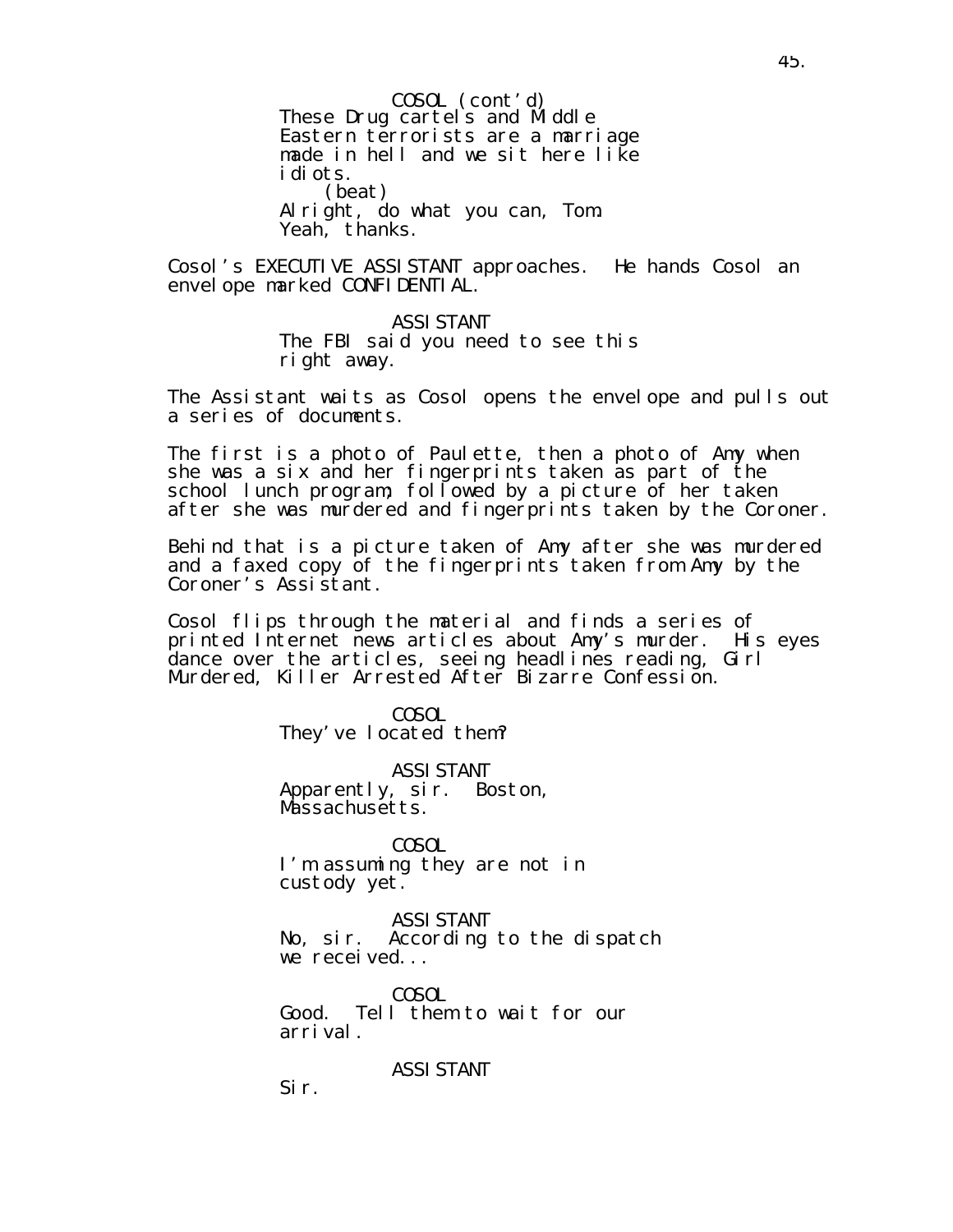These Drug cartels and Middle Eastern terrorists are a marriage made in hell and we sit here like idiots. (beat) Alright, do what you can, Tom. Yeah, thanks. COSOL (cont'd)

Cosol's EXECUTIVE ASSISTANT approaches. He hands Cosol an envelope marked CONFIDENTIAL.

> ASSISTANT The FBI said you need to see this right away.

The Assistant waits as Cosol opens the envelope and pulls out a series of documents.

The first is a photo of Paulette, then a photo of Amy when she was a six and her fingerprints taken as part of the school lunch program; followed by a picture of her taken after she was murdered and fingerprints taken by the Coroner.

Behind that is a picture taken of Amy after she was murdered and a faxed copy of the fingerprints taken from Amy by the Coroner's Assistant.

Cosol flips through the material and finds a series of printed Internet news articles about Amy's murder. His eyes dance over the articles, seeing headlines reading, Girl Murdered, Killer Arrested After Bizarre Confession.

> COSOL They've located them?

ASSISTANT Apparently, sir. Boston, Massachusetts.

COSOL I'm assuming they are not in custody yet.

ASSISTANT No, sir. According to the dispatch we received...

COSOL Good. Tell them to wait for our arrival.

ASSISTANT

45.

Sir.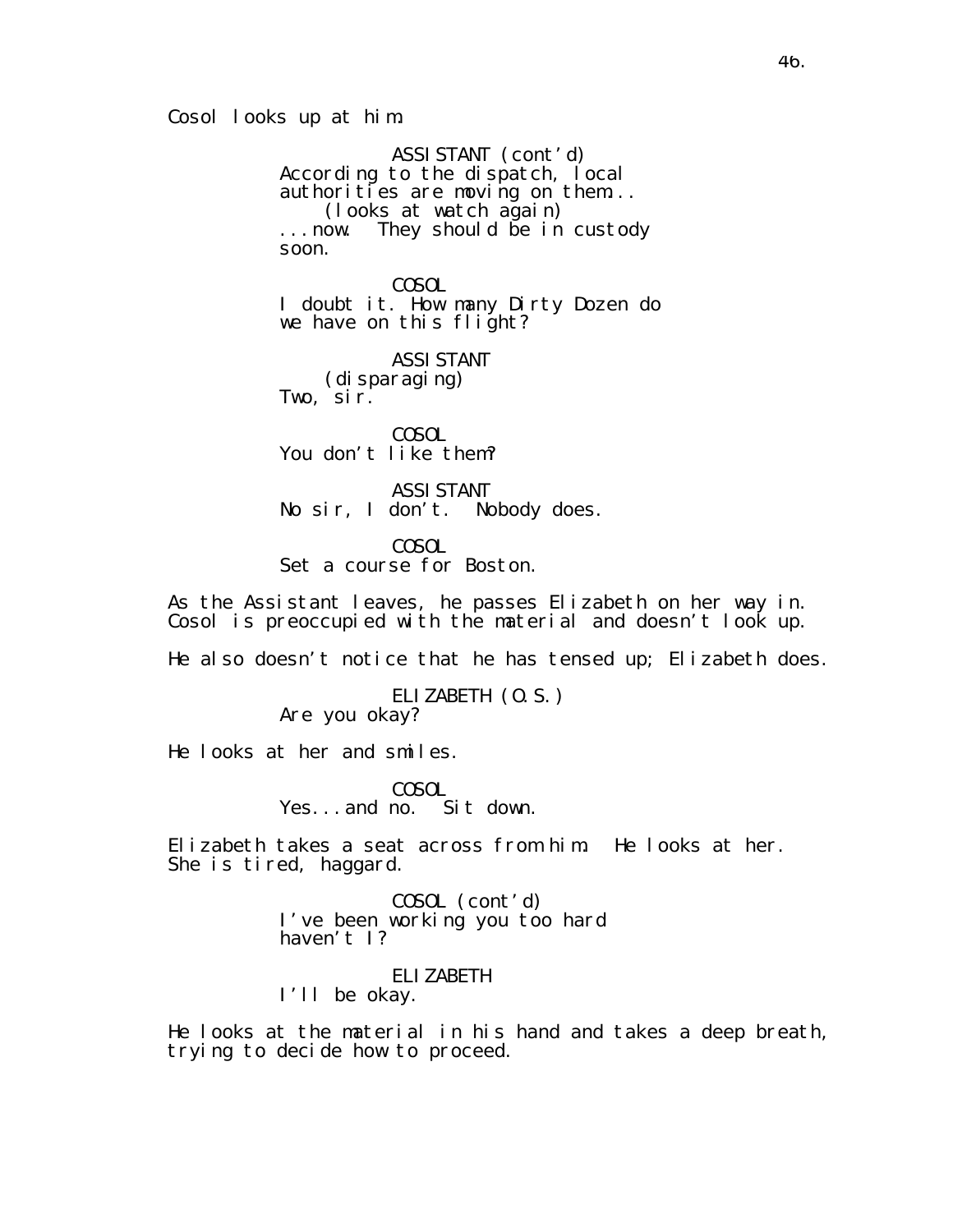Cosol looks up at him.

ASSISTANT (cont'd) According to the dispatch, local authorities are moving on them... (looks at watch again) ...now. They should be in custody soon.

COSOL I doubt it. How many Dirty Dozen do we have on this flight?

ASSISTANT (disparaging) Two, sir.

COSOL You don't like them?

ASSISTANT No sir, I don't. Nobody does.

COSOL Set a course for Boston.

As the Assistant leaves, he passes Elizabeth on her way in. Cosol is preoccupied with the material and doesn't look up.

He also doesn't notice that he has tensed up; Elizabeth does.

ELIZABETH (O.S.) Are you okay?

He looks at her and smiles.

COSOL Yes...and no. Sit down.

Elizabeth takes a seat across from him. He looks at her. She is tired, haggard.

> COSOL (cont'd) I've been working you too hard haven't 1?

ELIZABETH I'll be okay.

He looks at the material in his hand and takes a deep breath, trying to decide how to proceed.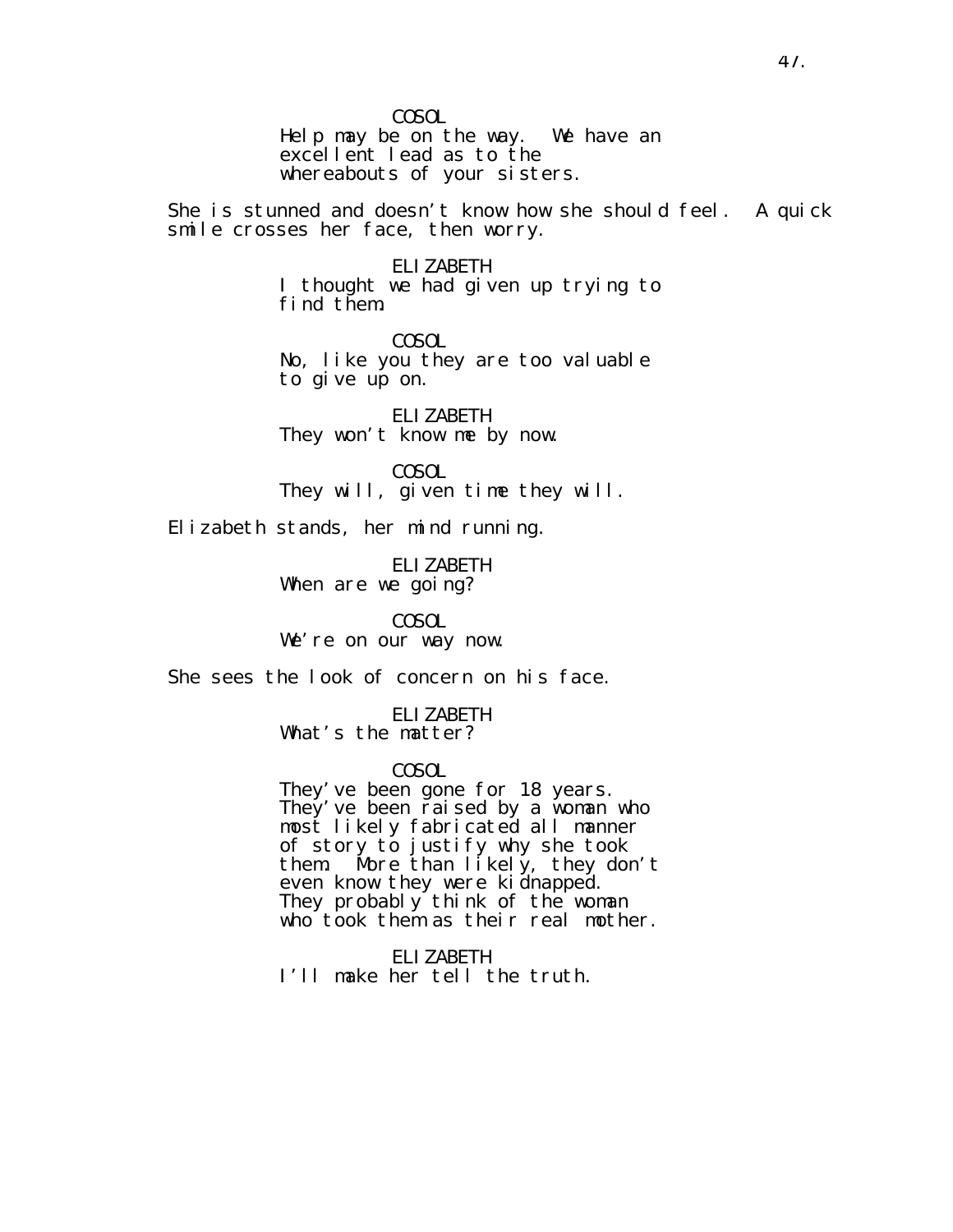COSOL Help may be on the way. We have an excellent lead as to the whereabouts of your sisters.

She is stunned and doesn't know how she should feel. A quick smile crosses her face, then worry.

> ELIZABETH I thought we had given up trying to find them.

COSOL No, like you they are too valuable to give up on.

ELIZABETH They won't know me by now.

COSOL They will, given time they will.

Elizabeth stands, her mind running.

ELIZABETH When are we going?

COSOL We're on our way now.

She sees the look of concern on his face.

ELIZABETH What's the matter?

COSOL

They've been gone for 18 years. They' ve been raised by a woman who most likely fabricated all manner of story to justify why she took<br>them. More than likely, they dor More than  $l$  ikely, they don't even know they were kidnapped. They probably think of the woman who took them as their real mother.

ELIZABETH I'll make her tell the truth.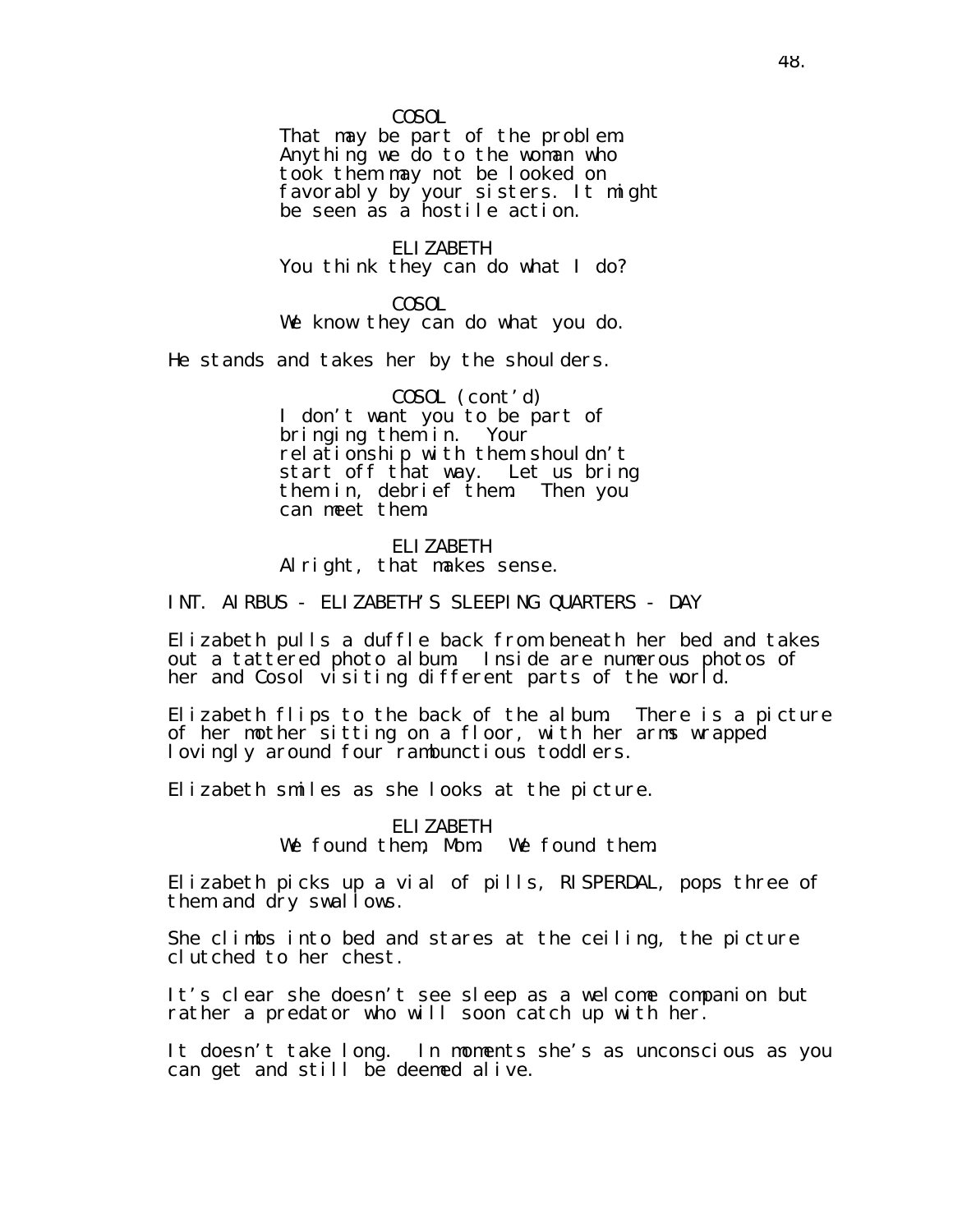COSOL

That may be part of the problem. Anything we do to the woman who took them may not be looked on favorably by your sisters. It might be seen as a hostile action.

ELIZABETH You think they can do what I do?

COSOL We know they can do what you do.

He stands and takes her by the shoulders.

COSOL (cont'd) I don't want you to be part of bringing them in. Your relationship with them shouldn't start off that way. Let us bring them in, debrief them. Then you can meet them.

ELIZABETH Alright, that makes sense.

INT. AIRBUS - ELIZABETH'S SLEEPING QUARTERS - DAY

Elizabeth pulls a duffle back from beneath her bed and takes out a tattered photo album. Inside are numerous photos of her and Cosol visiting different parts of the world.

Elizabeth flips to the back of the album. There is a picture of her mother sitting on a floor, with her arms wrapped lovingly around four rambunctious toddlers.

Elizabeth smiles as she looks at the picture.

ELIZABETH We found them, Mom. We found them.

Elizabeth picks up a vial of pills, RISPERDAL, pops three of them and dry swallows.

She climbs into bed and stares at the ceiling, the picture clutched to her chest.

It's clear she doesn't see sleep as a welcome companion but rather a predator who will soon catch up with her.

It doesn't take long. In moments she's as unconscious as you can get and still be deemed alive.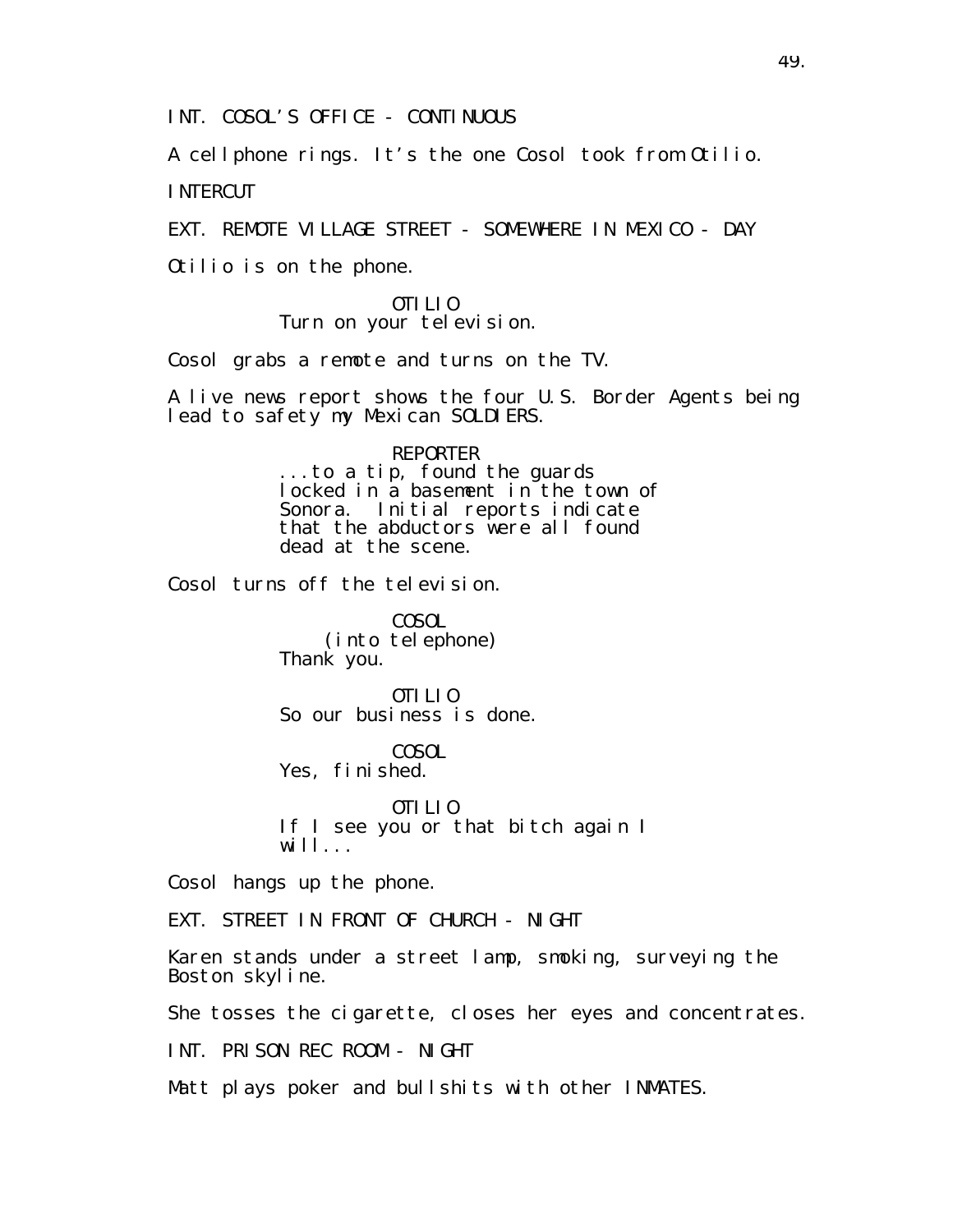INT. COSOL'S OFFICE - CONTINUOUS

A cellphone rings. It's the one Cosol took from Otilio.

INTERCUT

EXT. REMOTE VILLAGE STREET - SOMEWHERE IN MEXICO - DAY

Otilio is on the phone.

OTILIO Turn on your television.

Cosol grabs a remote and turns on the TV.

A live news report shows the four U.S. Border Agents being lead to safety my Mexican SOLDIERS.

### REPORTER

...to a tip, found the guards locked in a basement in the town of Sonora. Initial reports indicate that the abductors were all found dead at the scene.

Cosol turns off the television.

COSOL (into telephone) Thank you.

OTILIO So our business is done.

COSOL Yes, finished.

OTILIO If I see you or that bitch again I will...

Cosol hangs up the phone.

EXT. STREET IN FRONT OF CHURCH - NIGHT

Karen stands under a street lamp, smoking, surveying the Boston skyline.

She tosses the cigarette, closes her eyes and concentrates.

INT. PRISON REC ROOM - NIGHT

Matt plays poker and bullshits with other INMATES.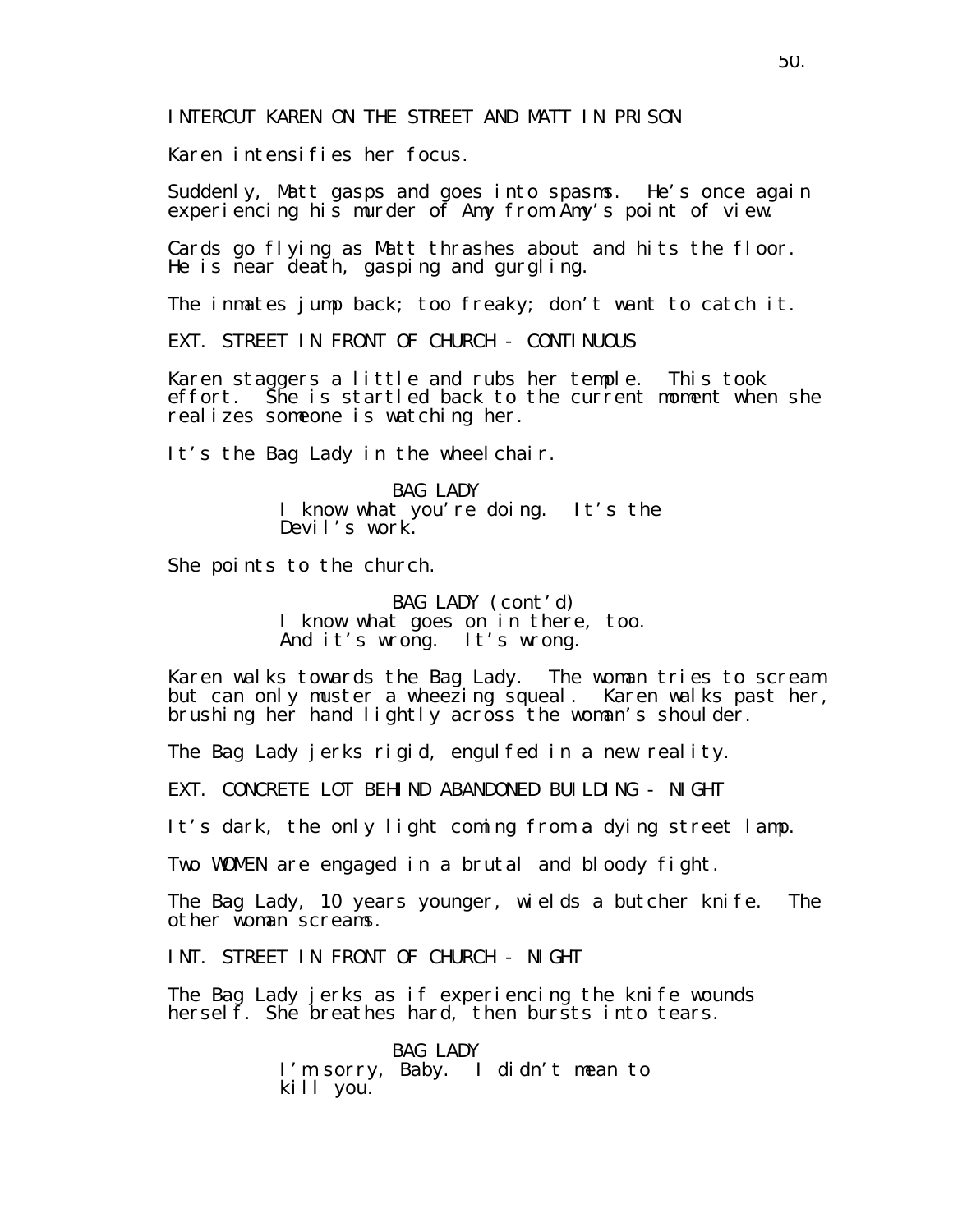Karen intensifies her focus.

Suddenly, Matt gasps and goes into spasms. He's once again experiencing his murder of Amy from Amy's point of view.

Cards go flying as Matt thrashes about and hits the floor. He is near death, gasping and gurgling.

The inmates jump back; too freaky; don't want to catch it.

EXT. STREET IN FRONT OF CHURCH - CONTINUOUS

Karen staggers a little and rubs her temple. This took effort. She is startled back to the current moment when she realizes someone is watching her.

It's the Bag Lady in the wheel chair.

BAG LADY I know what you're doing. It's the Devil's work.

She points to the church.

BAG LADY (cont'd) I know what goes on in there, too. And it's wrong. It's wrong.

Karen walks towards the Bag Lady. The woman tries to scream but can only muster a wheezing squeal. Karen walks past her, brushing her hand lightly across the woman's shoulder.

The Bag Lady jerks rigid, engulfed in a new reality.

EXT. CONCRETE LOT BEHIND ABANDONED BUILDING - NIGHT

It's dark, the only light coming from a dying street lamp.

Two WOMEN are engaged in a brutal and bloody fight.

The Bag Lady, 10 years younger, wields a butcher knife. The other woman screams.

INT. STREET IN FRONT OF CHURCH - NIGHT

The Bag Lady jerks as if experiencing the knife wounds hersel  $\check{f}$ . She breathes hard, then bursts into tears.

> BAG LADY I'm sorry, Baby. I didn't mean to kill you.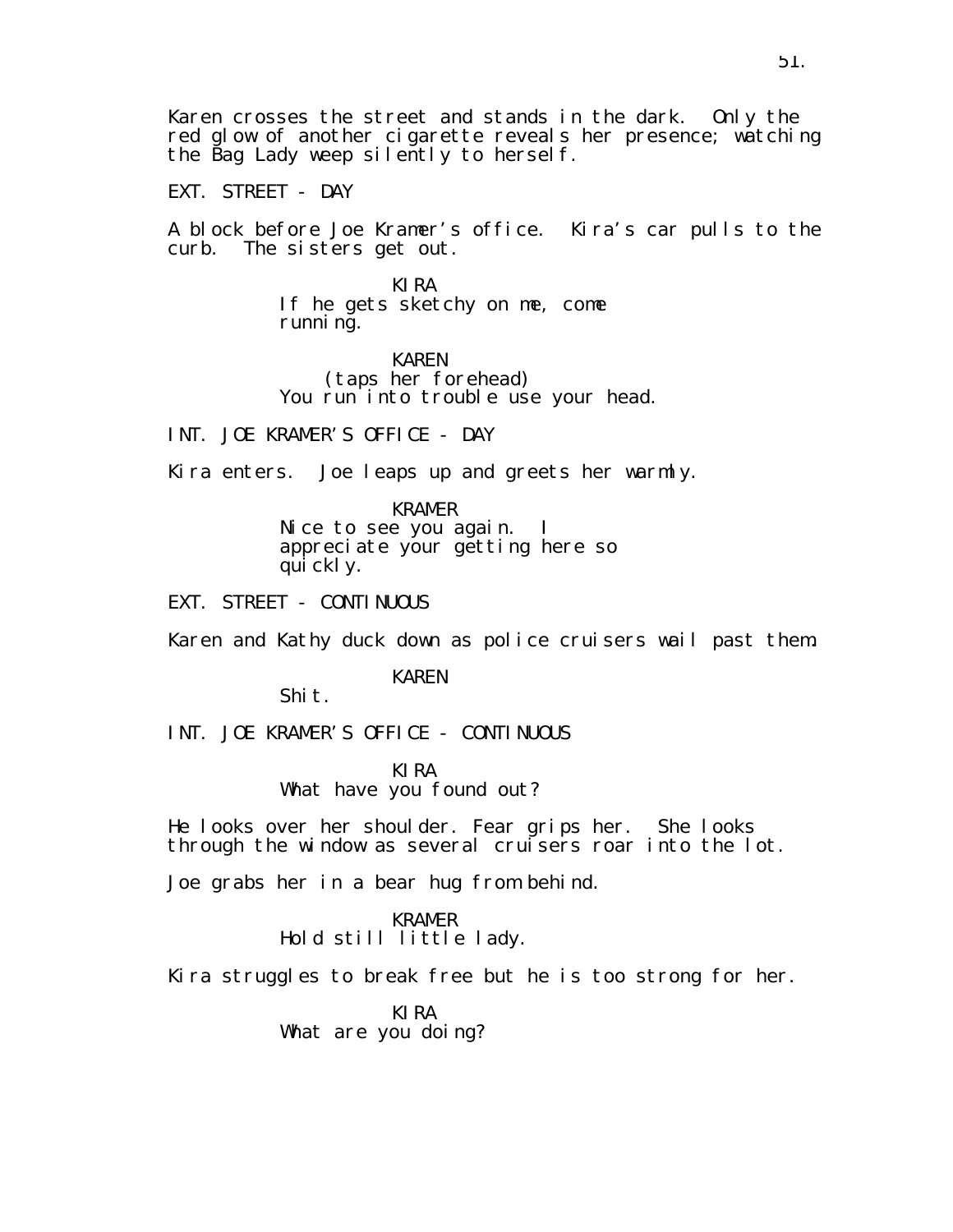Karen crosses the street and stands in the dark. Only the red glow of another cigarette reveals her presence; watching the Bag Lady weep silently to herself.

EXT. STREET - DAY

A block before Joe Kramer's office. Kira's car pulls to the curb. The sisters get out.

> KIRA If he gets sketchy on me, come running.

## KAREN

(taps her forehead) You run into trouble use your head.

INT. JOE KRAMER'S OFFICE - DAY

Kira enters. Joe leaps up and greets her warmly.

KRAMER

Nice to see you again. I appreciate your getting here so quickly.

EXT. STREET - CONTINUOUS

Karen and Kathy duck down as police cruisers wail past them.

KAREN

Shit.

INT. JOE KRAMER'S OFFICE - CONTINUOUS

KIRA What have you found out?

He looks over her shoulder. Fear grips her. She looks through the window as several cruisers roar into the lot.

Joe grabs her in a bear hug from behind.

KRAMER Hold still little lady.

Kira struggles to break free but he is too strong for her.

KIRA What are you doing?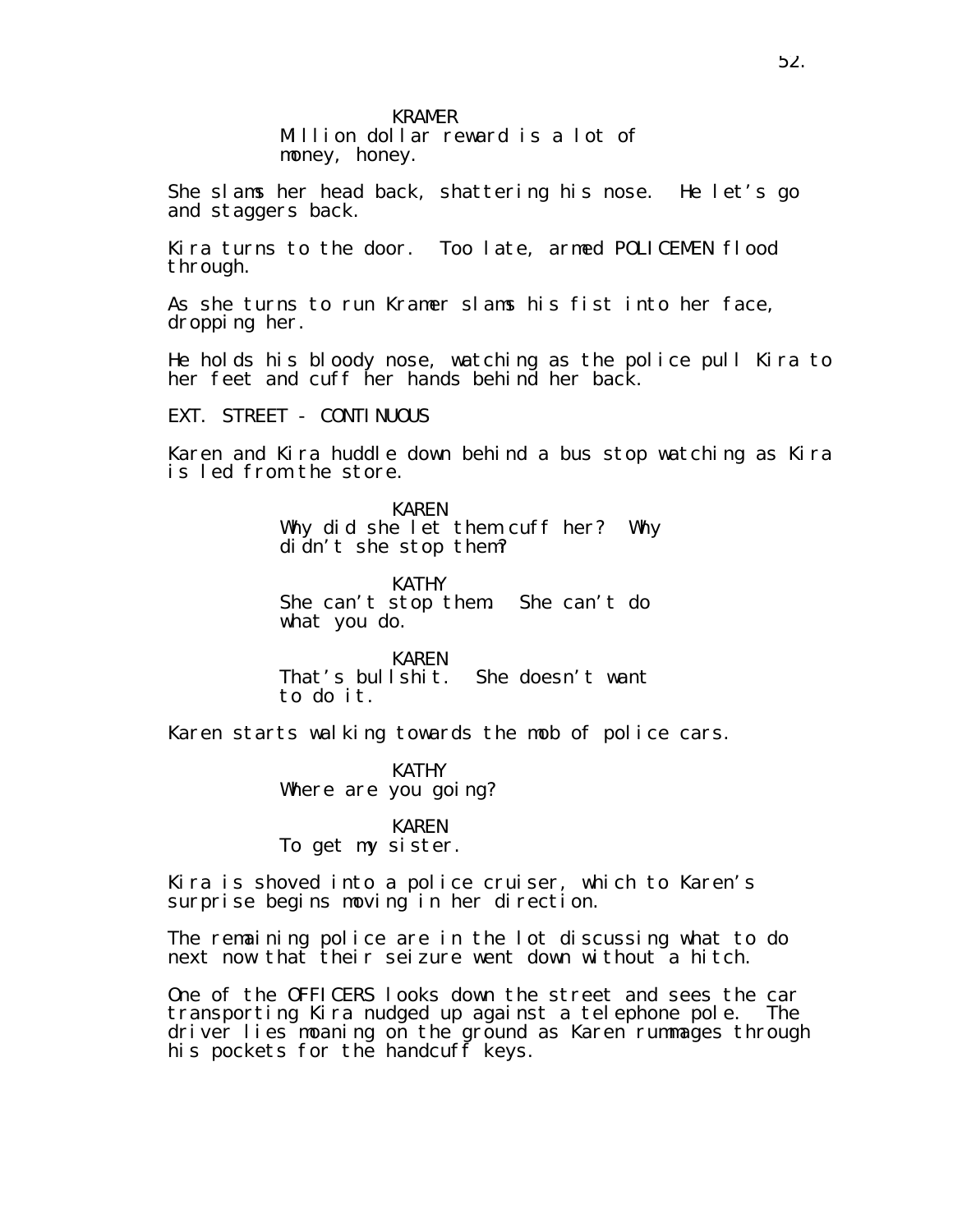Million dollar reward is a lot of money, honey.

She slams her head back, shattering his nose. He let's go and staggers back.

Kira turns to the door. Too late, armed POLICEMEN flood through.

As she turns to run Kramer slams his fist into her face, dropping her.

He holds his bloody nose, watching as the police pull Kira to her feet and cuff her hands behind her back.

EXT. STREET - CONTINUOUS

Karen and Kira huddle down behind a bus stop watching as Kira is led from the store.

> KAREN Why did she let them cuff her? Why didn't she stop them?

KATHY She can't stop them. She can't do what you do.

KAREN That's bullshit. She doesn't want to do it.

Karen starts walking towards the mob of police cars.

KATHY Where are you going?

KAREN To get my sister.

Kira is shoved into a police cruiser, which to Karen's surprise begins moving in her direction.

The remaining police are in the lot discussing what to do next now that their seizure went down without a hitch.

One of the OFFICERS looks down the street and sees the car transporting Kira nudged up against a telephone pole. The driver lies moaning on the ground as Karen rummages through his pockets for the handcuff keys.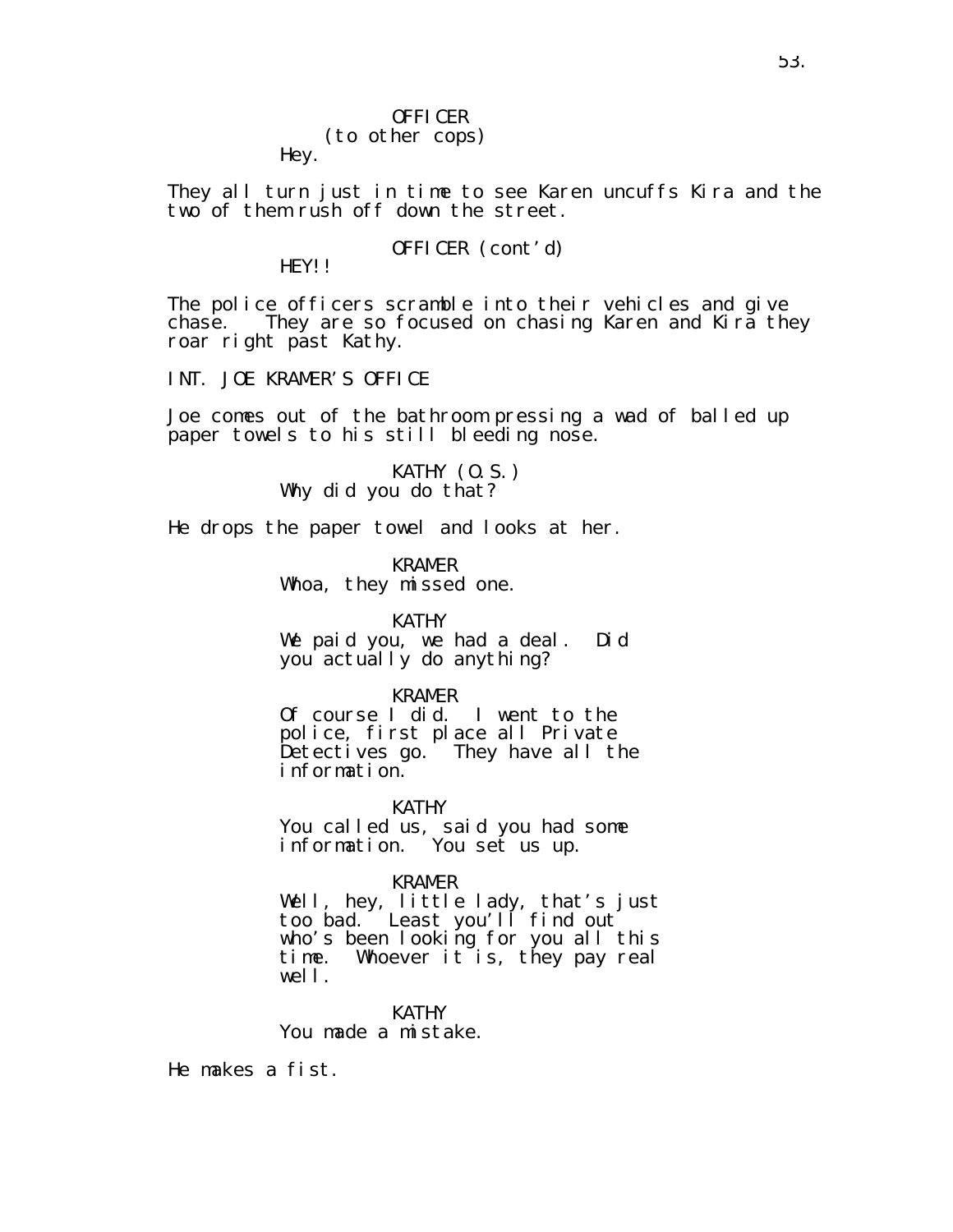### OFFICER (to other cops) Hey.

They all turn just in time to see Karen uncuffs Kira and the two of them rush off down the street.

## OFFICER (cont'd)

HEY!!

The police officers scramble into their vehicles and give chase. They are so focused on chasing Karen and Kira they roar right past Kathy.

INT. JOE KRAMER'S OFFICE

Joe comes out of the bathroom pressing a wad of balled up paper towels to his still bleeding nose.

> KATHY (O.S.) Why did you do that?

He drops the paper towel and looks at her.

KRAMER Whoa, they missed one.

KATHY

We paid you, we had a deal. Did you actually do anything?

KRAMER

Of course I did. I went to the police, first place all Private Detectives go. They have all the information.

KATHY You called us, said you had some information. You set us up.

KRAMER

Well, hey, little lady, that's just too bad. Least you'll find out who's been looking for you all this time. Whoever it is, they pay real well.

KATHY You made a mistake.

He makes a fist.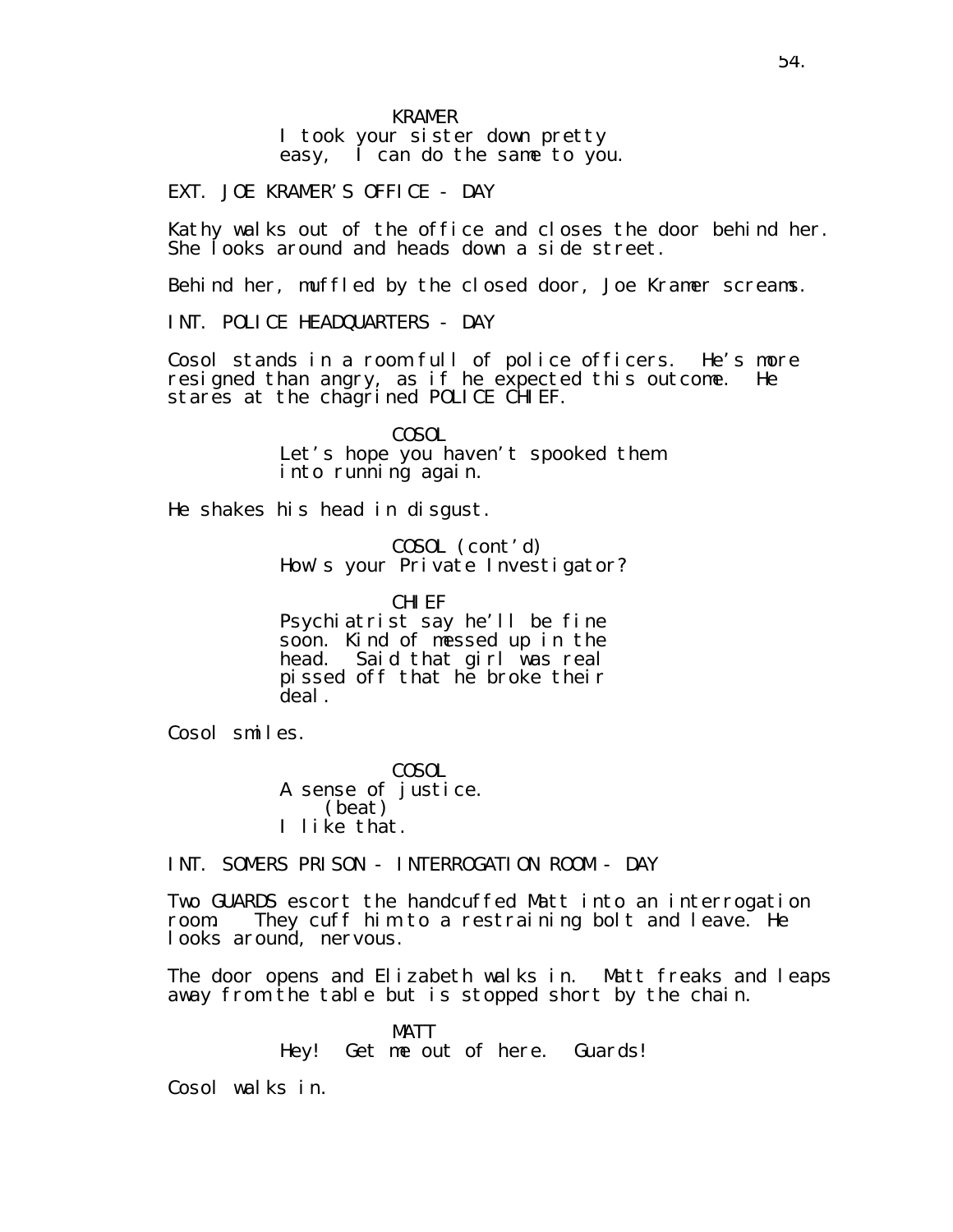I took your sister down pretty easy, I can do the same to you.

EXT. JOE KRAMER'S OFFICE - DAY

Kathy walks out of the office and closes the door behind her. She looks around and heads down a side street.

Behind her, muffled by the closed door, Joe Kramer screams.

INT. POLICE HEADQUARTERS - DAY

Cosol stands in a room full of police officers. He's more resigned than angry, as if he expected this outcome. He stares at the chagrined POLICE CHIEF.

> COSOL Let's hope you haven't spooked them into running again.

He shakes his head in disgust.

COSOL (cont'd) How's your Private Investigator?

CHI FF Psychiatrist say he'll be fine soon. Kind of messed up in the head. Said that girl was real pissed off that he broke their deal.

Cosol smiles.

COSOL A sense of justice. (beat) I like that.

INT. SOMERS PRISON - INTERROGATION ROOM - DAY

Two GUARDS escort the handcuffed Matt into an interrogation room. They cuff him to a restraining bolt and leave. He looks around, nervous.

The door opens and Elizabeth walks in. Matt freaks and leaps away from the table but is stopped short by the chain.

> MATT Hey! Get me out of here. Guards!

Cosol walks in.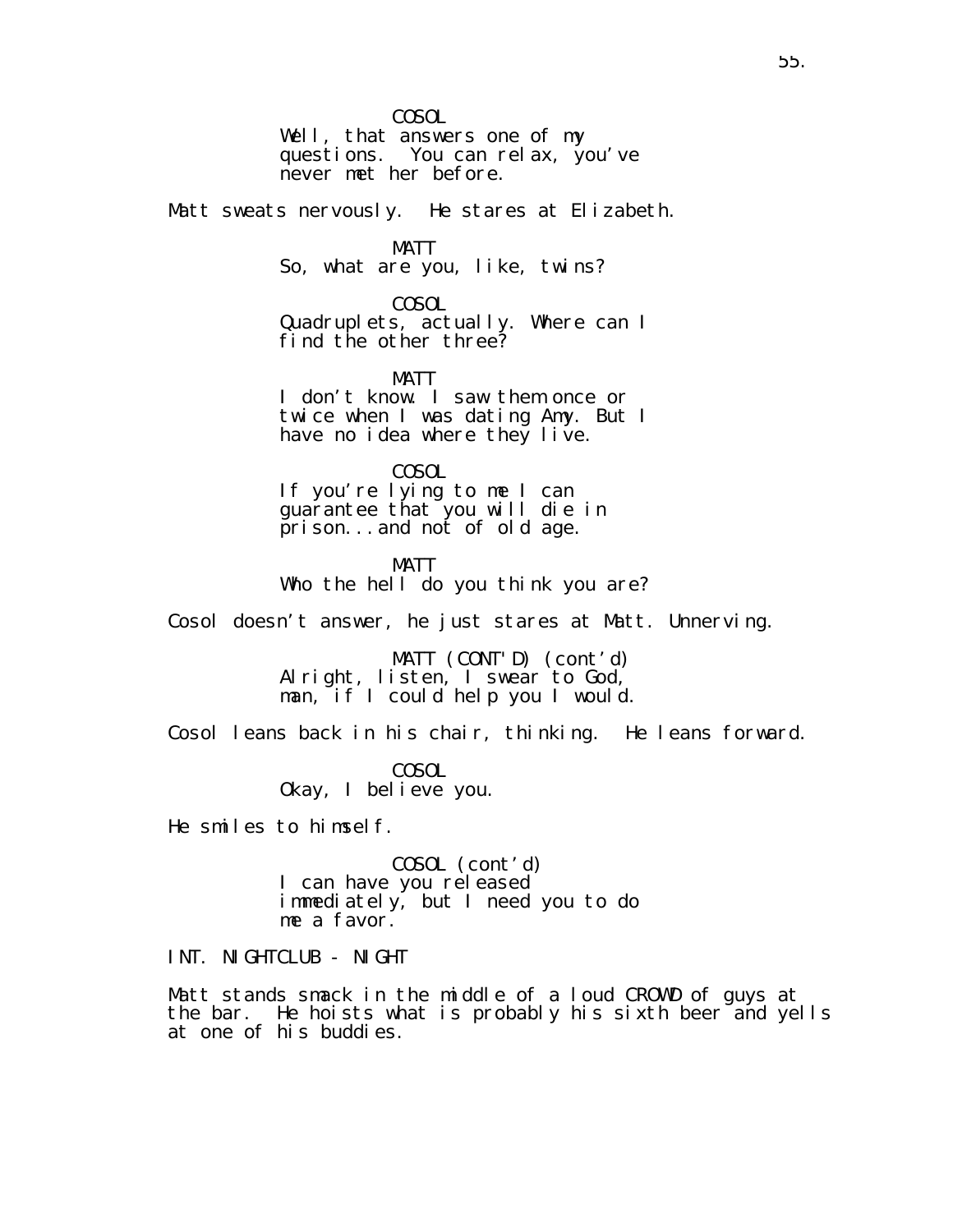COSOL

Well, that answers one of my questions. You can relax, you've never met her before.

Matt sweats nervously. He stares at Elizabeth.

MATT

So, what are you, like, twins?

COSOL

Quadruplets, actually. Where can I find the other three?

MATT

I don't know. I saw them once or twice when I was dating Amy. But I have no idea where they live.

COSOL If you're lying to me I can guarantee that you will die in prison...and not of old age.

MATT Who the hell do you think you are?

Cosol doesn't answer, he just stares at Matt. Unnerving.

MATT (CONT'D) (cont'd) Alright, listen, I swear to God, man, if I could help you I would.

Cosol leans back in his chair, thinking. He leans forward.

COSOL Okay, I believe you.

He smiles to himself.

COSOL (cont'd) I can have you released immediately, but I need you to do me a favor.

INT. NIGHTCLUB - NIGHT

Matt stands smack in the middle of a loud CROWD of guys at the bar. He hoists what is probably his sixth beer and yells at one of his buddies.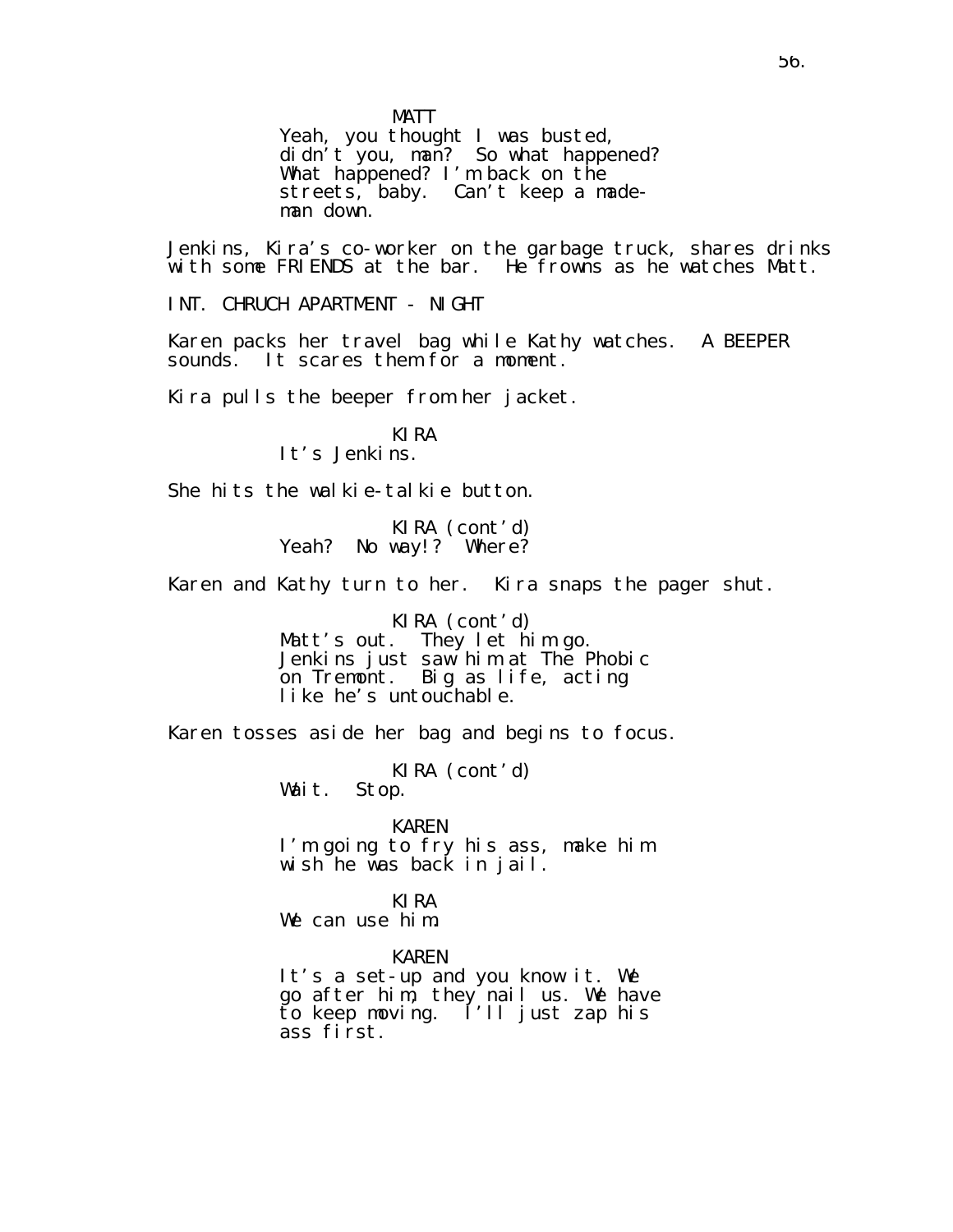MATT

Yeah, you thought I was busted, didn't you, man? So what happened? What happened? I'm back on the streets, baby. Can't keep a mademan down.

Jenkins, Kira's co-worker on the garbage truck, shares drinks with some FRIENDS at the bar. He frowns as he watches Matt.

INT. CHRUCH APARTMENT - NIGHT

Karen packs her travel bag while Kathy watches. A BEEPER sounds. It scares them for a moment.

Kira pulls the beeper from her jacket.

KIRA It's Jenkins.

She hits the walkie-talkie button.

KIRA (cont'd) Yeah? No way!? Where?

Karen and Kathy turn to her. Kira snaps the pager shut.

KIRA (cont′d)<br>Matt′s out. They let hi They let him go. Jenkins just saw him at The Phobic on Tremont. Big as life, acting like he's untouchable.

Karen tosses aside her bag and begins to focus.

KIRA (cont'd)<br>Stop. Wait.

KAREN I'm going to fry his ass, make him wish he was back in jail.

KIRA We can use him.

KAREN It's a set-up and you know it. We go after him, they nail us. We have to keep moving. I'll just zap his ass first.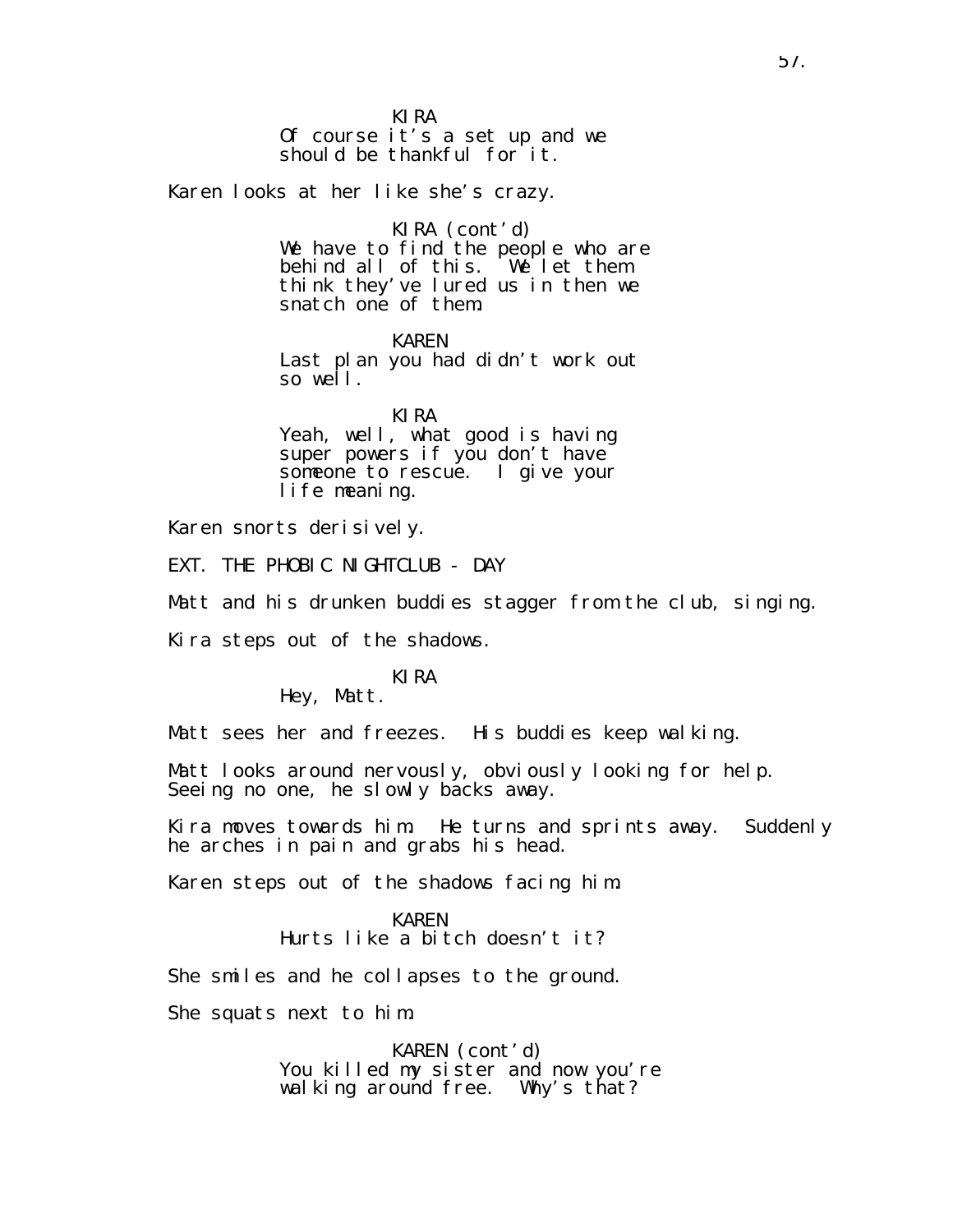KIRA Of course it's a set up and we should be thankful for it.

Karen looks at her like she's crazy.

KIRA (cont'd) We have to find the people who are behind all of this. We let them think they've lured us in then we snatch one of them.

KAREN Last plan you had didn't work out so well.

KIRA Yeah, well, what good is having super powers if you don't have someone to rescue. I give your life meaning.

Karen snorts derisively.

EXT. THE PHOBIC NIGHTCLUB - DAY

Matt and his drunken buddies stagger from the club, singing.

Kira steps out of the shadows.

# KIRA

Hey, Matt.

Matt sees her and freezes. His buddies keep walking.

Matt looks around nervously, obviously looking for help. Seeing no one, he slowly backs away.

Kira moves towards him. He turns and sprints away. Suddenly he arches in pain and grabs his head.

Karen steps out of the shadows facing him.

KAREN Hurts like a bitch doesn't it?

She smiles and he collapses to the ground.

She squats next to him.

KAREN (cont'd) You killed my sister and now you're wal king around free. Why's that?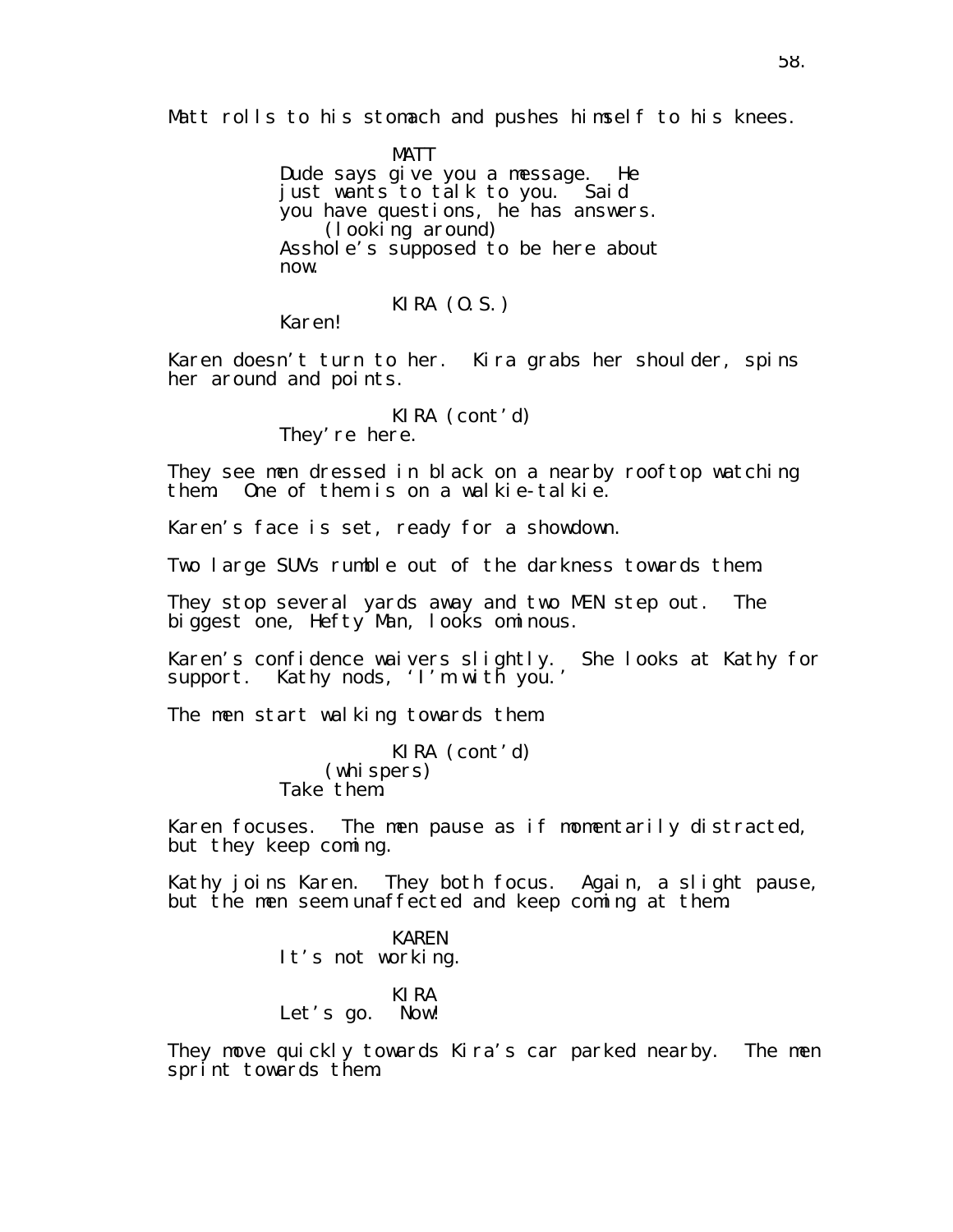Matt rolls to his stomach and pushes himself to his knees.

MATT Dude says give you a message. He just wants to talk to you. Said you have questions, he has answers. (looking around) Asshole's supposed to be here about now.

KIRA (O.S.)

Karen!

Karen doesn't turn to her. Kira grabs her shoulder, spins her around and points.

> KIRA (cont'd) They' re here.

They see men dressed in black on a nearby rooftop watching them. One of them is on a walkie-talkie.

Karen's face is set, ready for a showdown.

Two large SUVs rumble out of the darkness towards them.

They stop several yards away and two MEN step out. The biggest one, Hefty Man, looks ominous.

Karen's confidence waivers slightly. She looks at Kathy for support. Kathy nods, 'I'm with you.'

The men start walking towards them.

KIRA (cont'd) (whispers) Take them.

Karen focuses. The men pause as if momentarily distracted, but they keep coming.

Kathy joins Karen. They both focus. Again, a slight pause, but the men seem unaffected and keep coming at them.

> KAREN It's not working.

### KIRA Let's go. Now!

They move quickly towards Kira's car parked nearby. The men sprint towards them.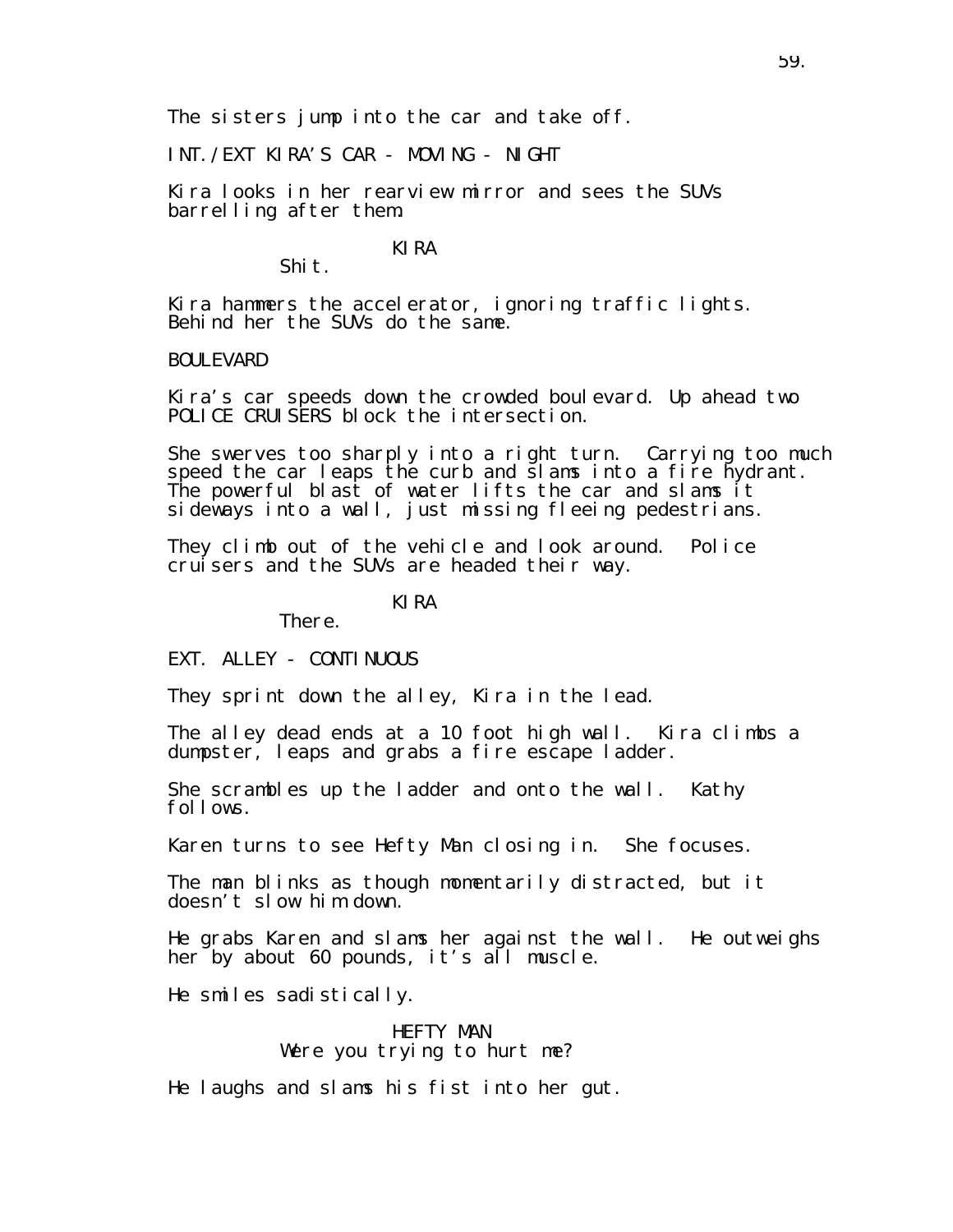The sisters jump into the car and take off.

INT./EXT KIRA'S CAR - MOVING - NIGHT

Kira looks in her rearview mirror and sees the SUVs barrelling after them.

# KIRA

Shit.

Kira hammers the accelerator, ignoring traffic lights. Behind her the SUVs do the same.

### BOULEVARD

Kira's car speeds down the crowded boulevard. Up ahead two POLICE CRUISERS block the intersection.

She swerves too sharply into a right turn. Carrying too much speed the car leaps the curb and slams into a fire hydrant. The powerful blast of water lifts the car and slams it sideways into a wall, just missing fleeing pedestrians.

They climb out of the vehicle and look around. Police cruisers and the SUVs are headed their way.

KIRA

There.

EXT. ALLEY - CONTINUOUS

They sprint down the alley, Kira in the lead.

The alley dead ends at a 10 foot high wall. Kira climbs a dumpster, leaps and grabs a fire escape ladder.

She scrambles up the ladder and onto the wall. Kathy follows.

Karen turns to see Hefty Man closing in. She focuses.

The man blinks as though momentarily distracted, but it doesn't slow him down.

He grabs Karen and slams her against the wall. He outweighs her by about 60 pounds, it's all muscle.

He smiles sadistically.

HEFTY MAN Were you trying to hurt me?

He laughs and slams his fist into her gut.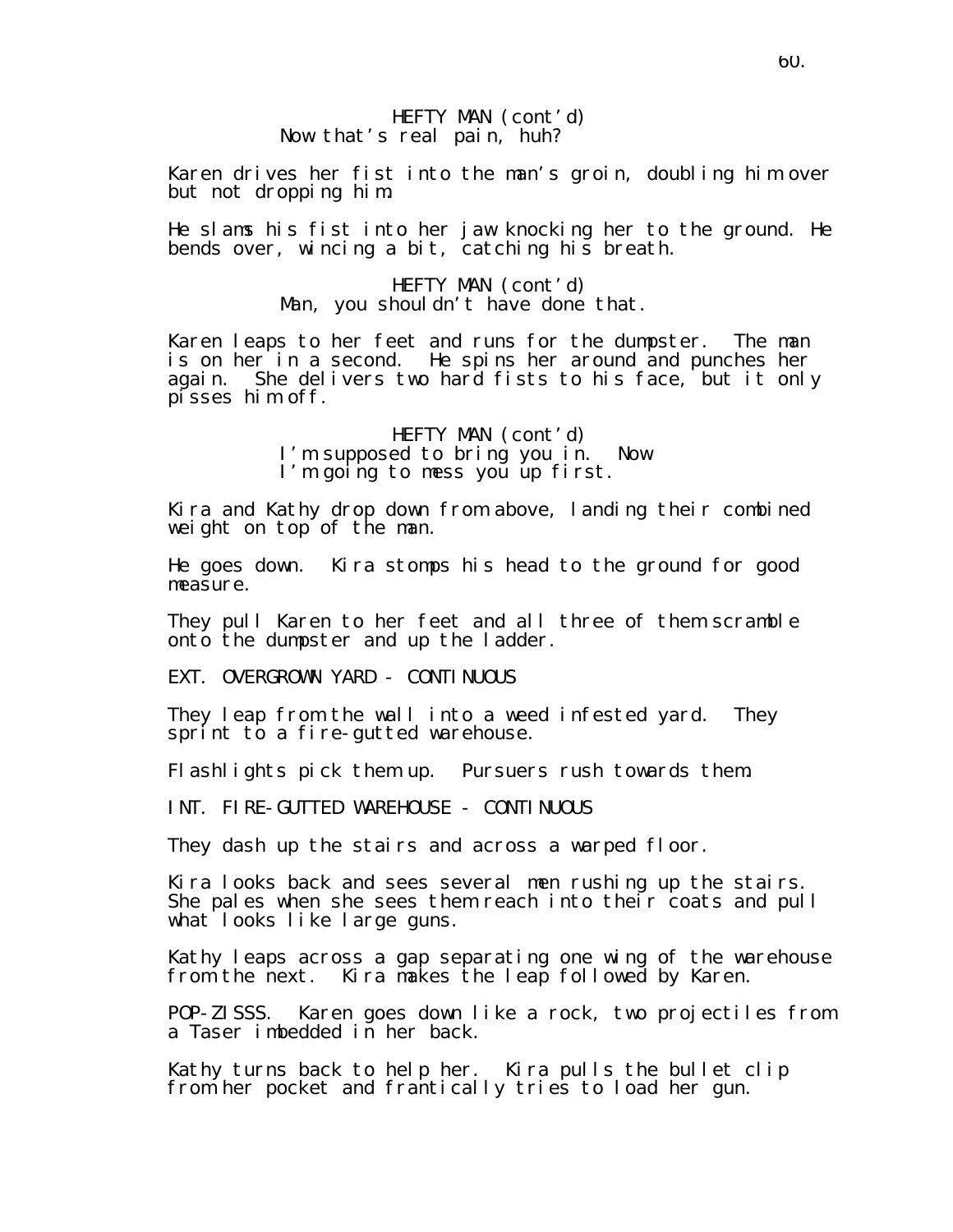## HEFTY MAN (cont'd) Now that's real pain, huh?

Karen drives her fist into the man's groin, doubling him over but not dropping him.

He slams his fist into her jaw knocking her to the ground. He bends over, wincing a bit, catching his breath.

> HEFTY MAN (cont'd) Man, you shouldn't have done that.

Karen leaps to her feet and runs for the dumpster. The man is on her in a second. He spins her around and punches her again. She delivers two hard fists to his face, but it only pisses him off.

> HEFTY MAN (cont'd) I'm supposed to bring you in. Now I'm going to mess you up first.

Kira and Kathy drop down from above, landing their combined weight on top of the man.

He goes down. Kira stomps his head to the ground for good measure.

They pull Karen to her feet and all three of them scramble onto the dumpster and up the ladder.

EXT. OVERGROWN YARD - CONTINUOUS

They leap from the wall into a weed infested yard. They sprint to a fire-gutted warehouse.

Flashlights pick them up. Pursuers rush towards them.

INT. FIRE-GUTTED WAREHOUSE - CONTINUOUS

They dash up the stairs and across a warped floor.

Kira looks back and sees several men rushing up the stairs. She pales when she sees them reach into their coats and pull what looks like large guns.

Kathy leaps across a gap separating one wing of the warehouse from the next. Kira makes the leap followed by Karen.

POP-ZISSS. Karen goes down like a rock, two projectiles from a Taser imbedded in her back.

Kathy turns back to help her. Kira pulls the bullet clip from her pocket and frantically tries to load her gun.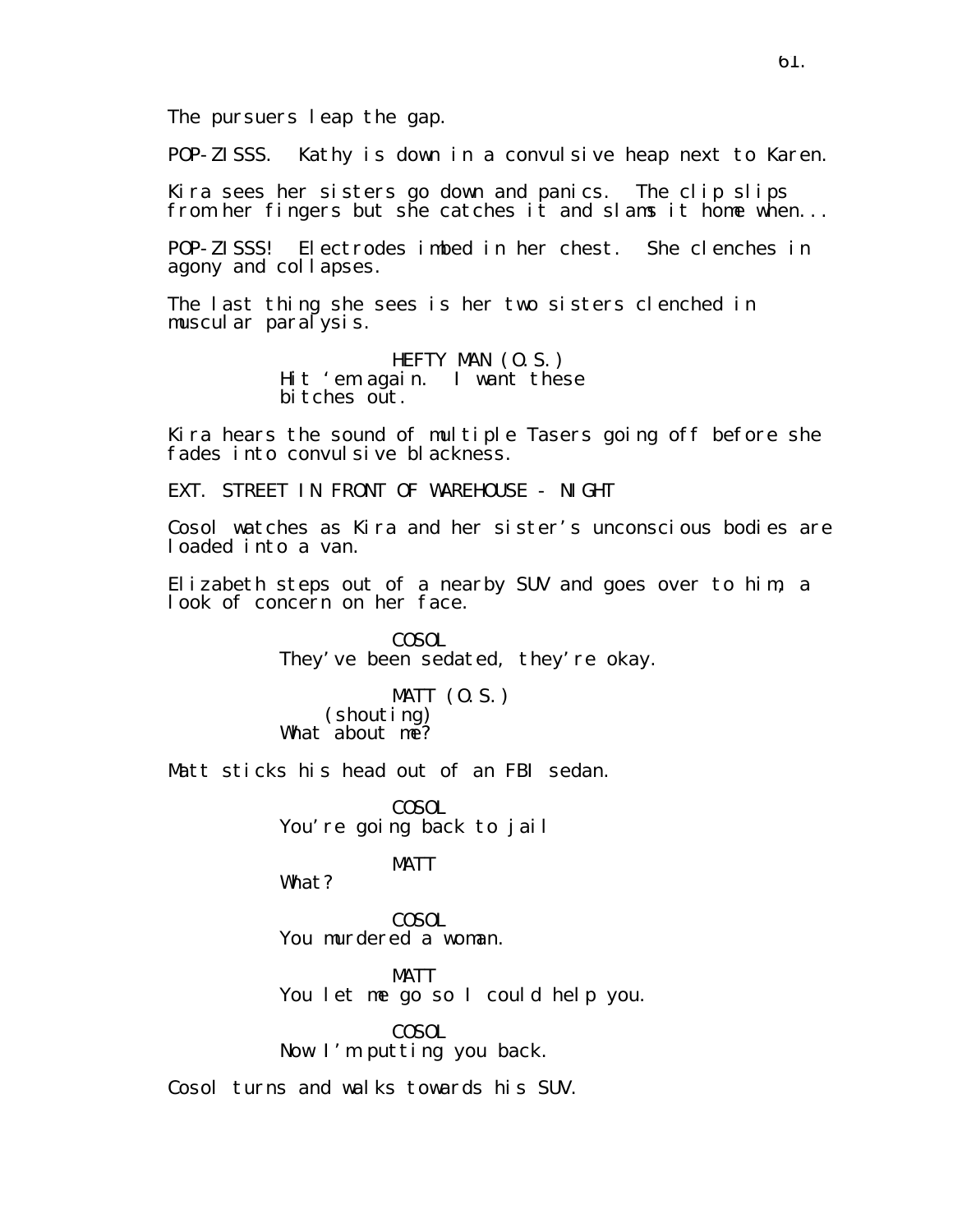POP-ZISSS. Kathy is down in a convulsive heap next to Karen.

Kira sees her sisters go down and panics. The clip slips from her fingers but she catches it and slams it home when...

POP-ZISSS! Electrodes imbed in her chest. She clenches in agony and collapses.

The last thing she sees is her two sisters clenched in muscular paralysis.

> HEFTY MAN (O.S.) Hit 'em again. I want these bi tches out.

Kira hears the sound of multiple Tasers going off before she fades into convul sive blackness.

EXT. STREET IN FRONT OF WAREHOUSE - NIGHT

Cosol watches as Kira and her sister's unconscious bodies are loaded into a van.

Elizabeth steps out of a nearby SUV and goes over to him, a look of concern on her face.

> COSOL They've been sedated, they're okay.

MATT (O.S.) (shouting) What about me?

Matt sticks his head out of an FBI sedan.

**COSOL** You're going back to jail

## MATT

What?

COSOL You murdered a woman.

MATT You let me go so I could help you.

COSOL Now I'm putting you back.

Cosol turns and walks towards his SUV.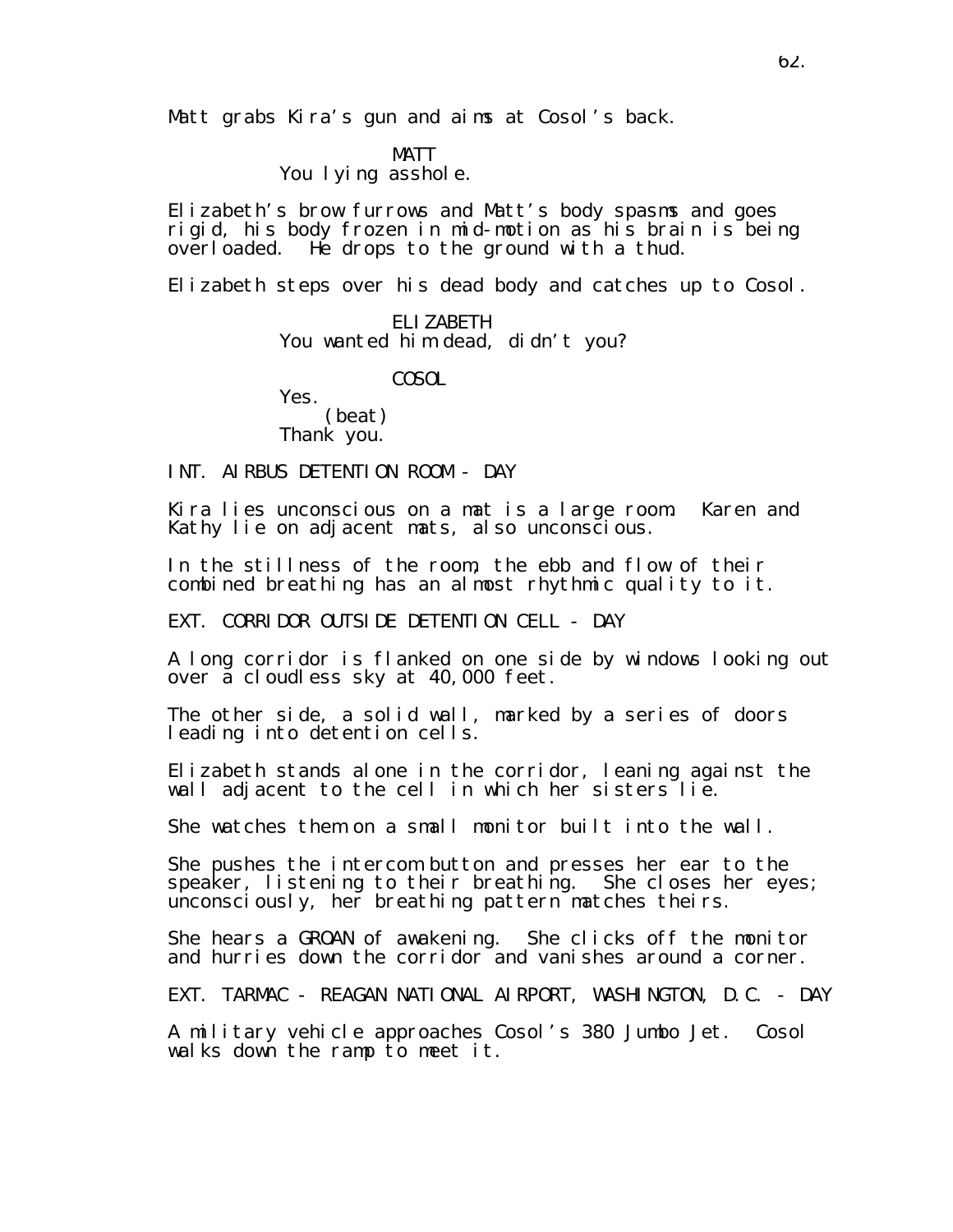Matt grabs Kira's gun and aims at Cosol's back.

MATT You I yi ng asshol e.

Elizabeth's brow furrows and Matt's body spasms and goes rigid, his body frozen in mid-motion as his brain is being overloaded. He drops to the ground with a thud.

Elizabeth steps over his dead body and catches up to Cosol.

ELIZABETH You wanted him dead, didn't you?

COSOL

Yes. (beat)

Thank you.

INT. AIRBUS DETENTION ROOM - DAY

Kira lies unconscious on a mat is a large room. Karen and Kathy lie on adjacent mats, also unconscious.

In the stillness of the room, the ebb and flow of their combined breathing has an almost rhythmic quality to it.

EXT. CORRIDOR OUTSIDE DETENTION CELL - DAY

A long corridor is flanked on one side by windows looking out over a cloudless sky at 40,000 feet.

The other side, a solid wall, marked by a series of doors leading into detention cells.

Elizabeth stands alone in the corridor, leaning against the wall adjacent to the cell in which her sisters lie.

She watches them on a small monitor built into the wall.

She pushes the intercom button and presses her ear to the speaker, listening to their breathing. She closes her eyes; unconsciously, her breathing pattern matches theirs.

She hears a GROAN of awakening. She clicks off the monitor and hurries down the corridor and vanishes around a corner.

EXT. TARMAC - REAGAN NATIONAL AIRPORT, WASHINGTON, D.C. - DAY

A military vehicle approaches Cosol's 380 Jumbo Jet. Cosol walks down the ramp to meet it.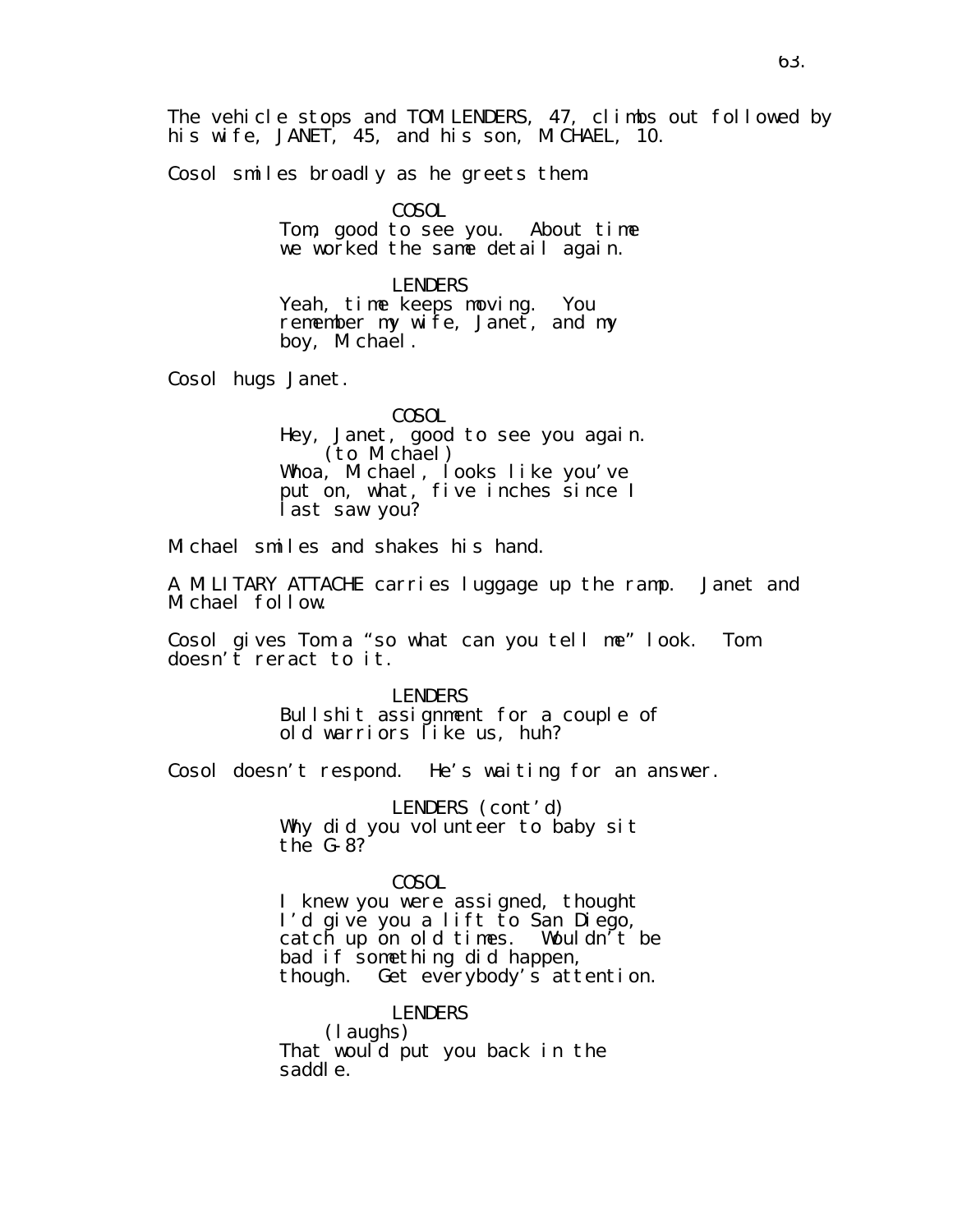The vehicle stops and TOM LENDERS, 47, climbs out followed by his wife, JANET, 45, and his son, MICHAEL, 10.

Cosol smiles broadly as he greets them.

COSOL Tom, good to see you. About time we worked the same detail again.

LENDERS Yeah, time keeps moving. You remember my wife, Janet, and my boy, Michael.

Cosol hugs Janet.

COSOL Hey, Janet, good to see you again. (to Michael) Whoa, Michael, looks like you've put on, what, five inches since I last saw you?

Michael smiles and shakes his hand.

A MILITARY ATTACHE carries luggage up the ramp. Janet and Michael follow.

Cosol gives Tom a "so what can you tell me" look. Tom doesn't reract to it.

> LENDERS Bullshit assignment for a couple of old warriors like us, huh?

Cosol doesn't respond. He's waiting for an answer.

LENDERS (cont'd) Why did you volunteer to baby sit the G-8?

COSOL

I knew you were assigned, thought I'd give you a lift to San Diego, catch up on old times. Wouldn't be bad if something did happen, though. Get everybody's attention.

LENDERS (laughs) That would put you back in the saddle.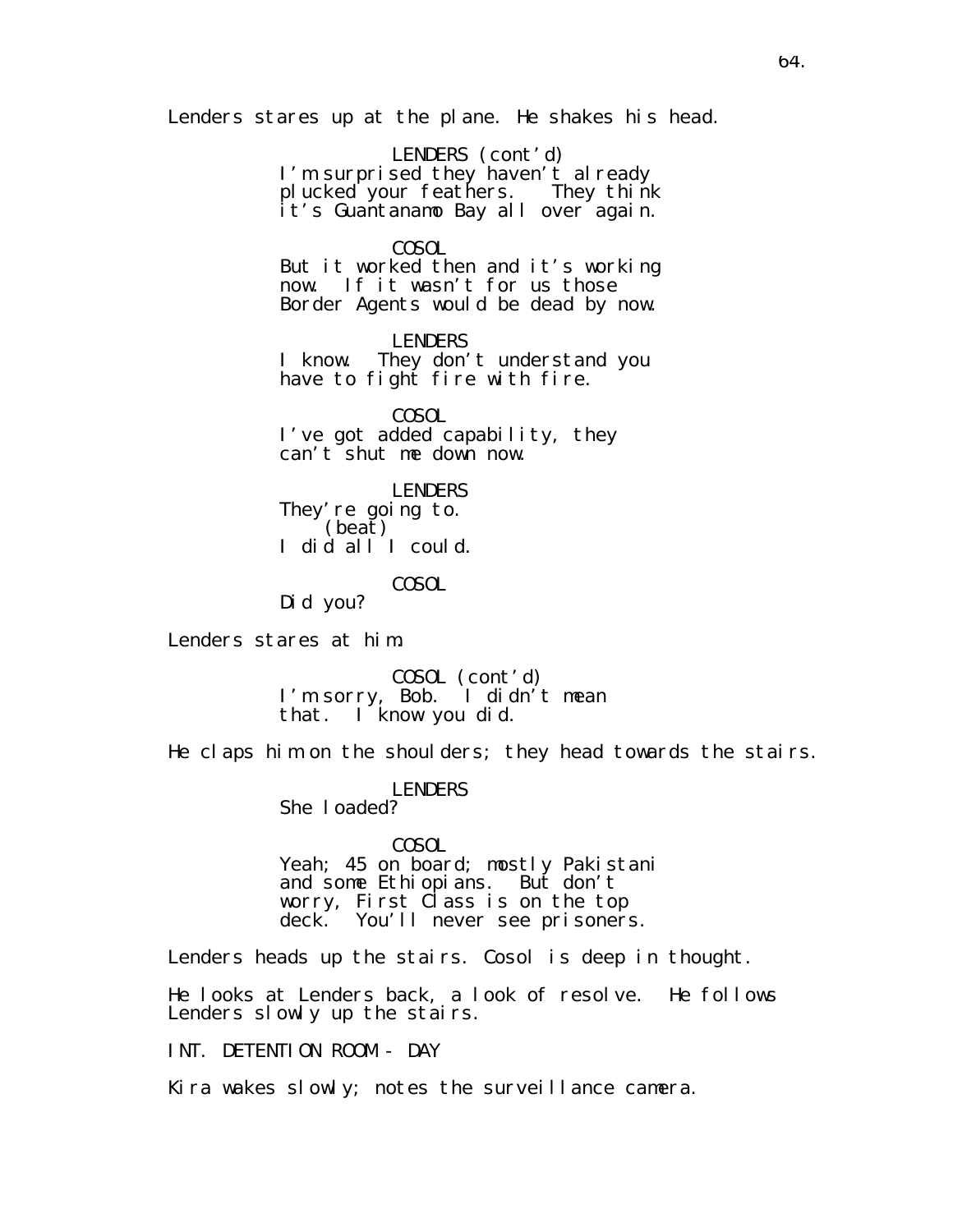Lenders stares up at the plane. He shakes his head.

LENDERS (cont'd) I'm surprised they haven't already plucked your feathers. They think it's Guantanamo Bay all over again.

## COSOL

But it worked then and it's working now. If it wasn't for us those Border Agents would be dead by now.

LENDERS I know. They don't understand you have to fight fire with fire.

COSOL I've got added capability, they can't shut me down now.

LENDERS They' re going to. (beat) I did all I could.

COSOL

Did you?

Lenders stares at him.

COSOL (cont'd) I'm sorry, Bob. I didn't mean that. I know you did.

He claps him on the shoulders; they head towards the stairs.

LENDERS She loaded?

COSOL

Yeah; 45 on board; mostly Pakistani and some Ethiopians. But don't worry, First Class is on the top deck. You'll never see prisoners.

Lenders heads up the stairs. Cosol is deep in thought.

He looks at Lenders back, a look of resolve. He follows Lenders slowly up the stairs.

INT. DETENTION ROOM - DAY

Kira wakes slowly; notes the surveillance camera.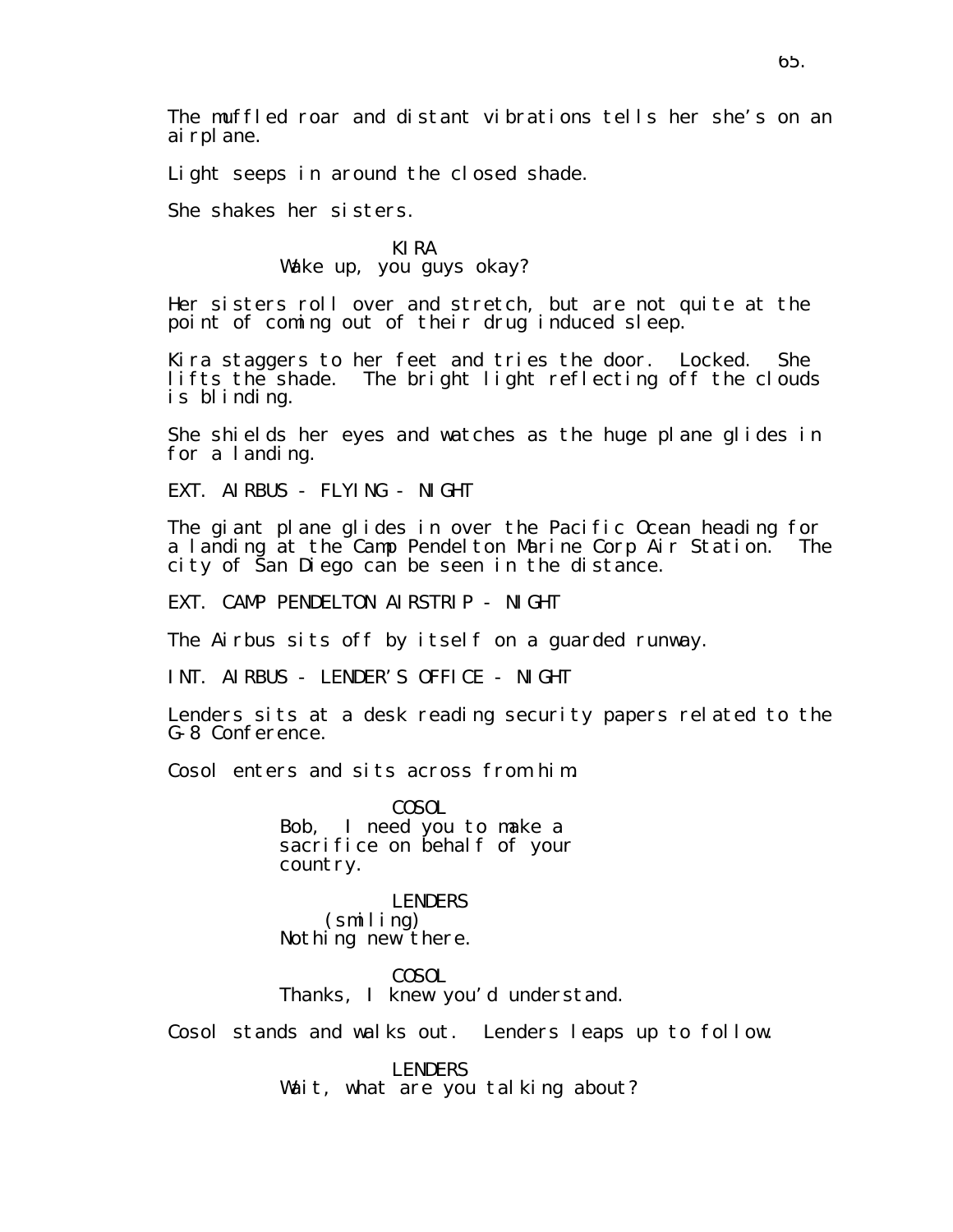The muffled roar and distant vibrations tells her she's on an ai rpl ane.

Light seeps in around the closed shade.

She shakes her sisters.

## KIRA Wake up, you guys okay?

Her sisters roll over and stretch, but are not quite at the point of coming out of their drug induced sleep.

Kira staggers to her feet and tries the door. Locked. She lifts the shade. The bright light reflecting off the clouds is blinding.

She shields her eyes and watches as the huge plane glides in for a landing.

EXT. AIRBUS - FLYING - NIGHT

The giant plane glides in over the Pacific Ocean heading for a landing at the Camp Pendelton Marine Corp Air Station. The city of San Diego can be seen in the distance.

EXT. CAMP PENDELTON AIRSTRIP - NIGHT

The Airbus sits off by itself on a guarded runway.

INT. AIRBUS - LENDER'S OFFICE - NIGHT

Lenders sits at a desk reading security papers related to the G-8 Conference.

Cosol enters and sits across from him.

COSOL Bob, I need you to make a sacrifice on behalf of your country.

LENDERS (smiling) Nothing new there.

COSOL Thanks, I knew you'd understand.

Cosol stands and walks out. Lenders leaps up to follow.

LENDERS Wait, what are you talking about?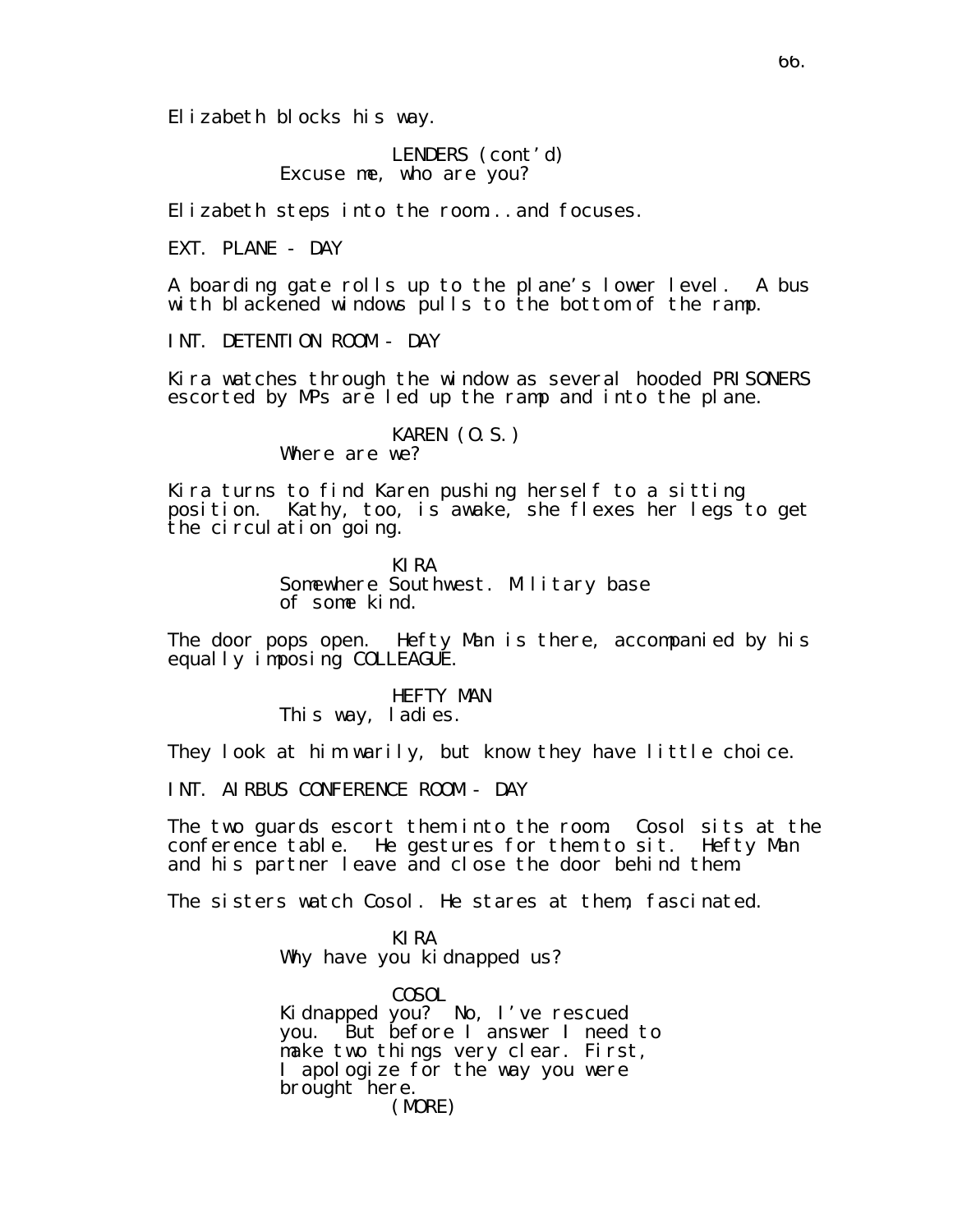Elizabeth blocks his way.

LENDERS (cont'd) Excuse me, who are you?

Elizabeth steps into the room...and focuses.

EXT. PLANE - DAY

A boarding gate rolls up to the plane's lower level. A bus with blackened windows pulls to the bottom of the ramp.

INT. DETENTION ROOM - DAY

Kira watches through the window as several hooded PRISONERS escorted by MPs are led up the ramp and into the plane.

> KAREN (O.S.) Where are we?

Kira turns to find Karen pushing herself to a sitting position. Kathy, too, is awake, she flexes her legs to get the circulation going.

> KIRA Somewhere Southwest. Military base of some kind.

The door pops open. Hefty Man is there, accompanied by his equally imposing COLLEAGUE.

> HEFTY MAN This way, ladies.

They look at him warily, but know they have little choice.

INT. AIRBUS CONFERENCE ROOM - DAY

The two guards escort them into the room. Cosol sits at the conference table. He gestures for them to sit. Hefty Man and his partner leave and close the door behind them.

The sisters watch Cosol. He stares at them, fascinated.

KIRA Why have you kidnapped us?

COSOL Kidnapped you? No, I've rescued you. But before I answer I need to make two things very clear. First, I apologize for the way you were brought here. (MORE)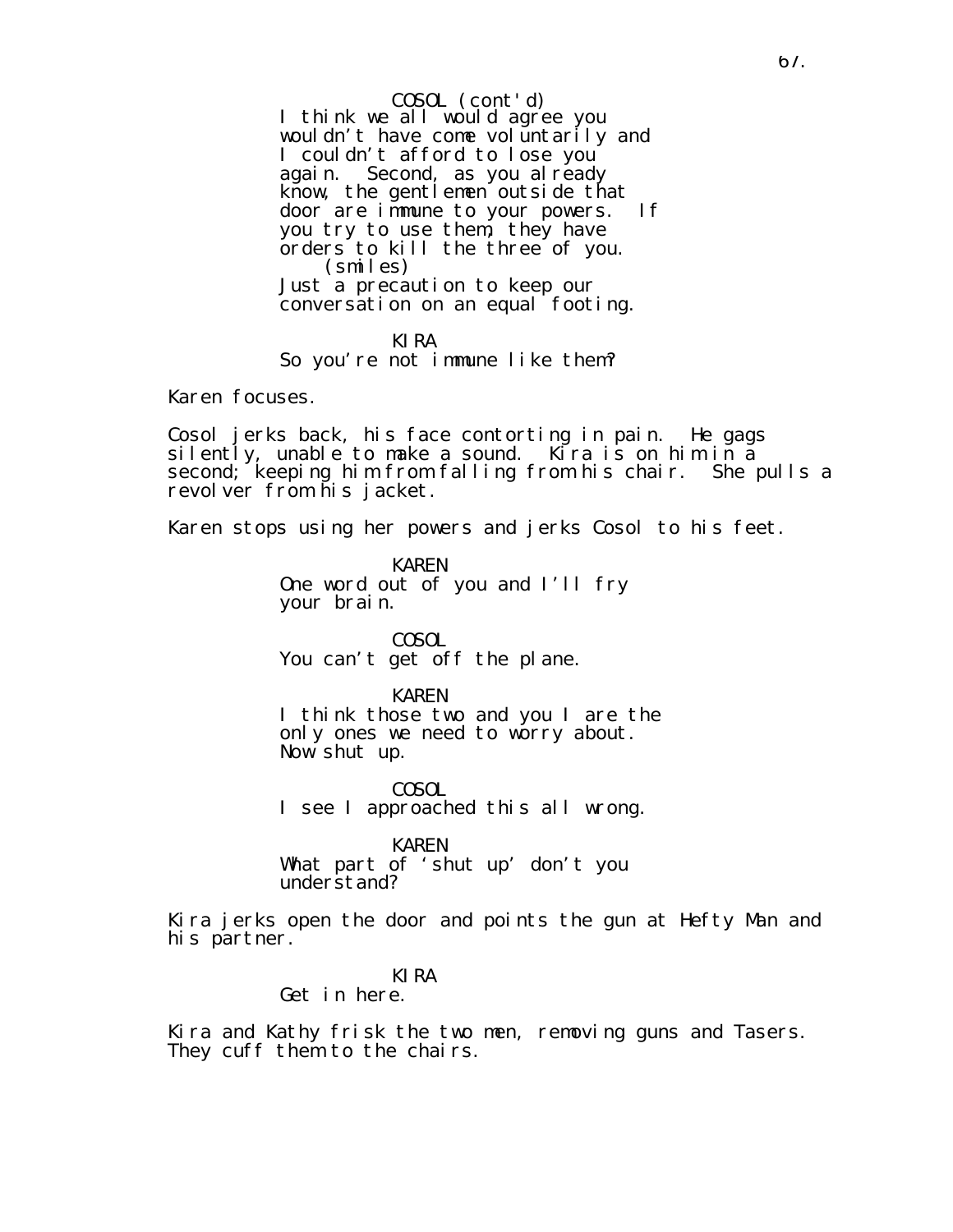I think we all would agree you wouldn't have come voluntarily and I couldn't afford to lose you again. Second, as you al ready know, the gentlemen outside that door are immune to your powers. If you try to use them, they have orders to kill the three of you. (smiles) Just a precaution to keep our conversation on an equal footing. COSOL (cont'd)

KIRA So you're not immune like them?

Karen focuses.

Cosol jerks back, his face contorting in pain. He gags silently, unable to make a sound. Kira is on him in a second; keeping him from falling from his chair. She pulls a revolver from his jacket.

Karen stops using her powers and jerks Cosol to his feet.

KAREN One word out of you and I'll fry your brain.

COSOL You can't get off the plane.

KAREN

I think those two and you I are the only ones we need to worry about. Now shut up.

COSOL I see I approached this all wrong.

KAREN

What part of 'shut up' don't you understand?

Kira jerks open the door and points the gun at Hefty Man and his partner.

### KIRA

Get in here.

Kira and Kathy frisk the two men, removing guns and Tasers. They cuff them to the chairs.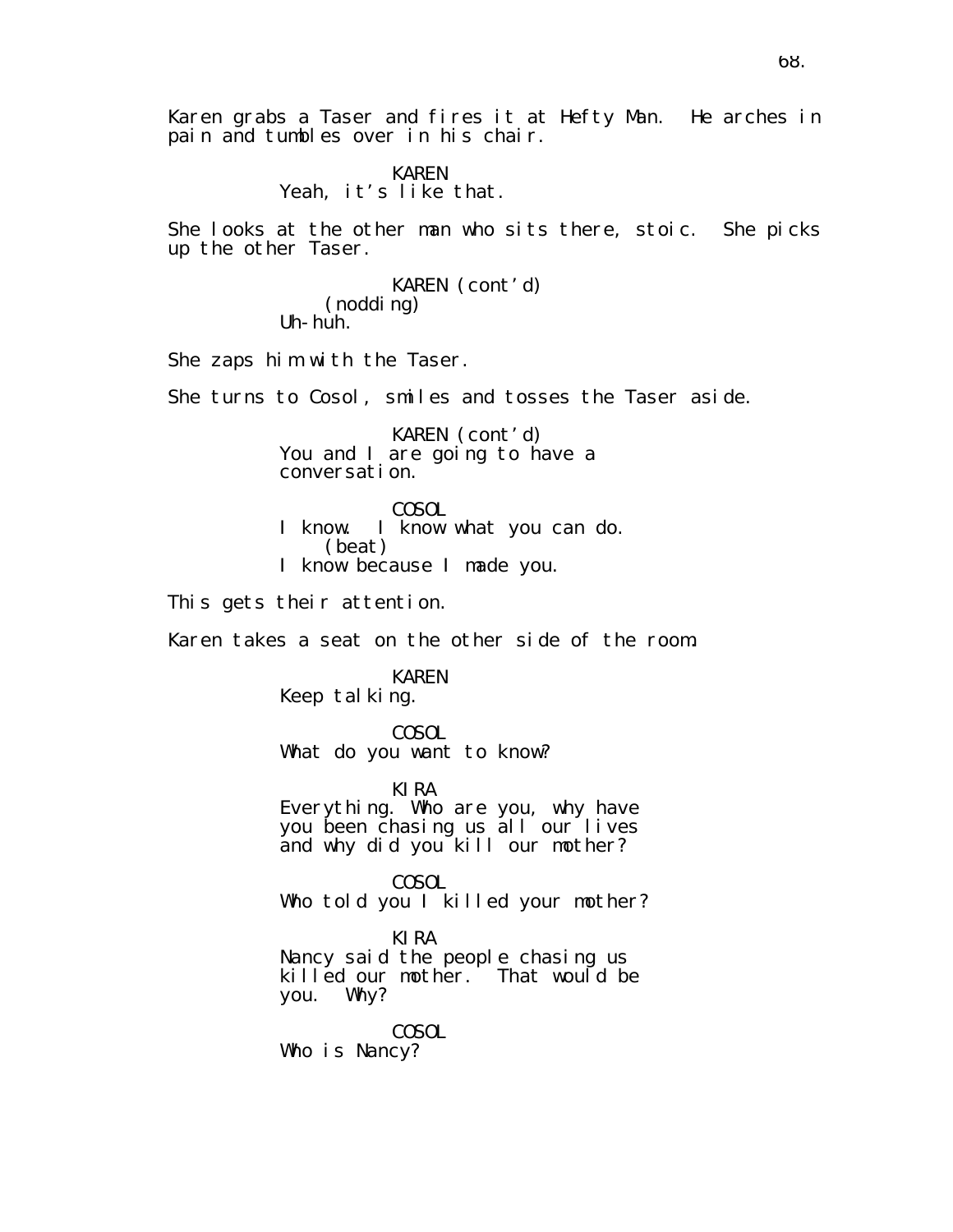Karen grabs a Taser and fires it at Hefty Man. He arches in pain and tumbles over in his chair.

## KAREN Yeah, it's like that.

She looks at the other man who sits there, stoic. She picks up the other Taser.

> KAREN (cont'd) (nodding) Uh-huh.

She zaps him with the Taser.

She turns to Cosol, smiles and tosses the Taser aside.

KAREN (cont'd) You and I are going to have a conversation.

COSOL I know. I know what you can do. (beat) I know because I made you.

This gets their attention.

Karen takes a seat on the other side of the room.

### KAREN Keep tal king.

COSOL What do you want to know?

KIRA

Everything. Who are you, why have you been chasing us all our lives and why did you kill our mother?

COSOL Who told you I killed your mother?

KIRA Nancy said the people chasing us killed our mother. That would be you. Why?

COSOL Who is Nancy?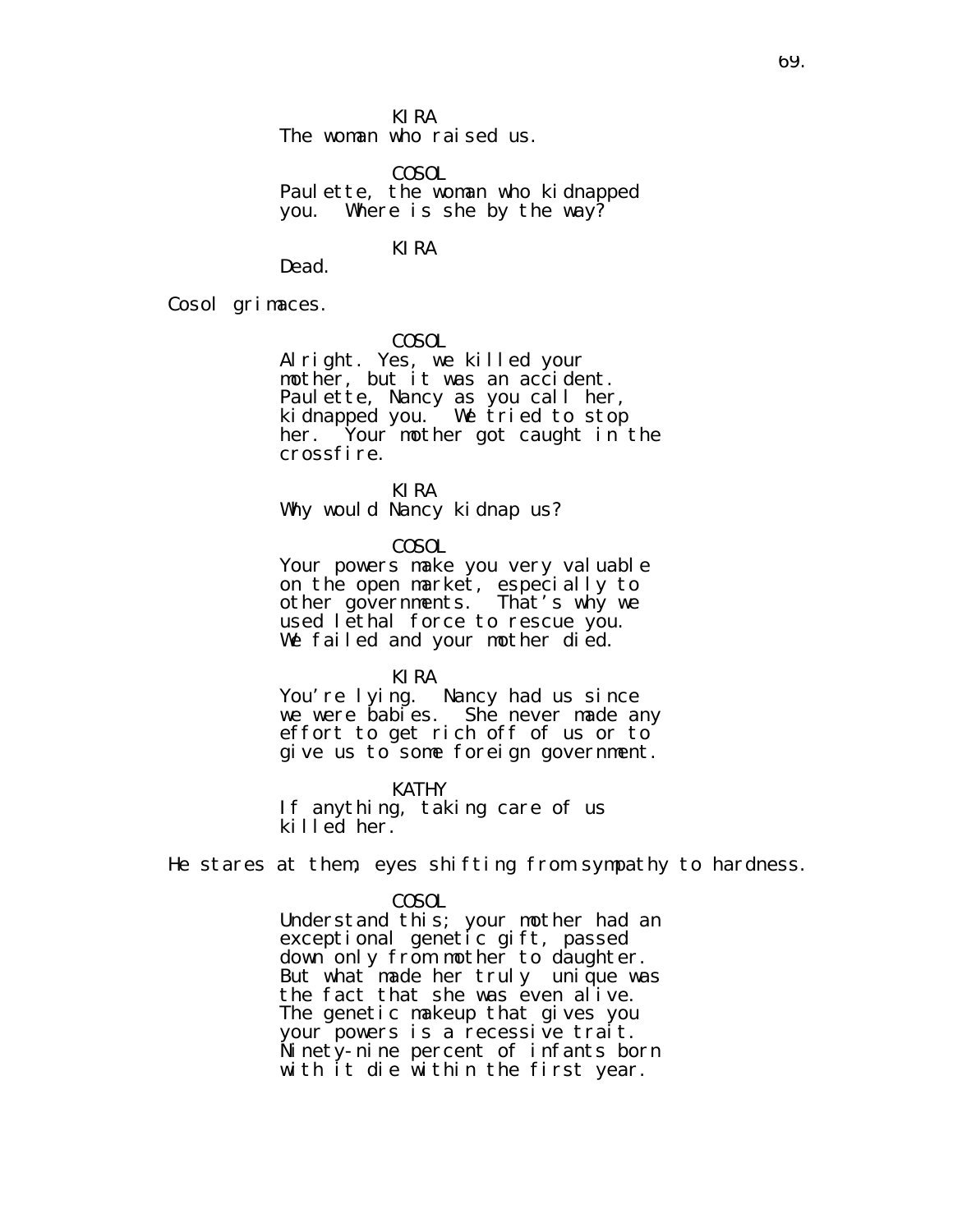KIRA

The woman who raised us.

COSOL Paulette, the woman who kidnapped you. Where is she by the way?

# KIRA

Dead.

Cosol grimaces.

COSOL

Alright. Yes, we killed your mother, but it was an accident. Paulette, Nancy as you call her, kidnapped you. We tried to stop her. Your mother got caught in the crossfire.

KIRA

Why would Nancy kidnap us?

COSOL

Your powers make you very valuable on the open market, especially to other governments. That's why we used lethal force to rescue you. We failed and your mother died.

KIRA

You're lying. Nancy had us since we were babies. She never made any effort to get rich off of us or to give us to some foreign government.

**KATHY** If anything, taking care of us killed her.

He stares at them, eyes shifting from sympathy to hardness.

### COSOL

Understand this; your mother had an exceptional genetic gift, passed down only from mother to daughter. But what made her truly unique was the fact that she was even alive. The genetic makeup that gives you your powers is a recessive trait. Ninety-nine percent of infants born with it die within the first year.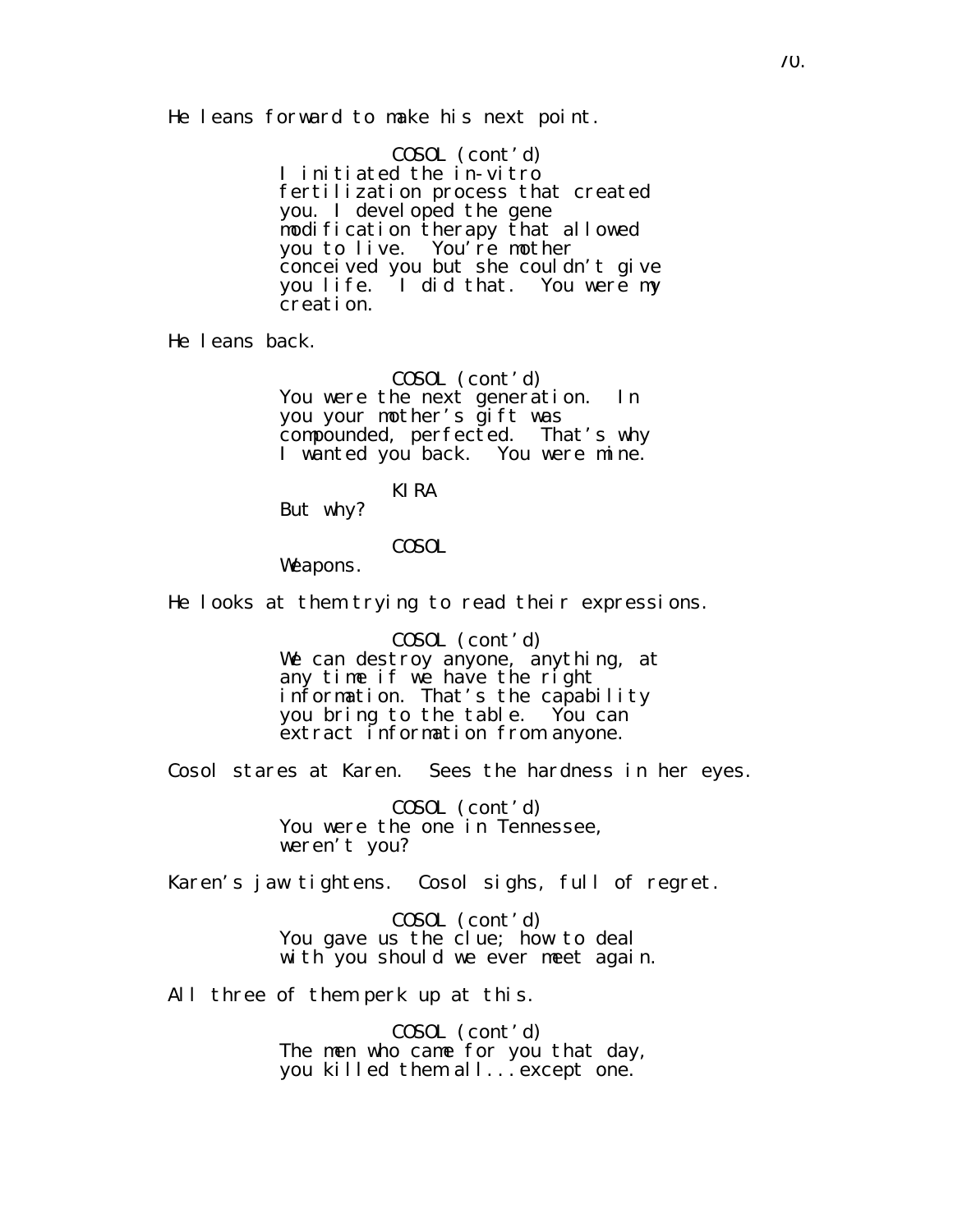He leans forward to make his next point.

COSOL (cont'd) I initiated the in-vitro fertilization process that created you. I devel oped the gene modification therapy that allowed you to live. You're mother conceived you but she couldn't give you life. I did that. You were my creation.

He leans back.

COSOL (cont'd) You were the next generation. In you your mother's gift was compounded, perfected. That's why I wanted you back. You were mine.

KIRA

But why?

## COSOL

Weapons.

He looks at them trying to read their expressions.

COSOL (cont'd) We can destroy anyone, anything, at any time if we have the right information. That's the capability you bring to the table. You can extract information from anyone.

Cosol stares at Karen. Sees the hardness in her eyes.

COSOL (cont'd) You were the one in Tennessee, weren't you?

Karen's jaw tightens. Cosol sighs, full of regret.

COSOL (cont'd) You gave us the clue; how to deal with you should we ever meet again.

All three of them perk up at this.

COSOL (cont'd) The men who came for you that day, you killed them all...except one.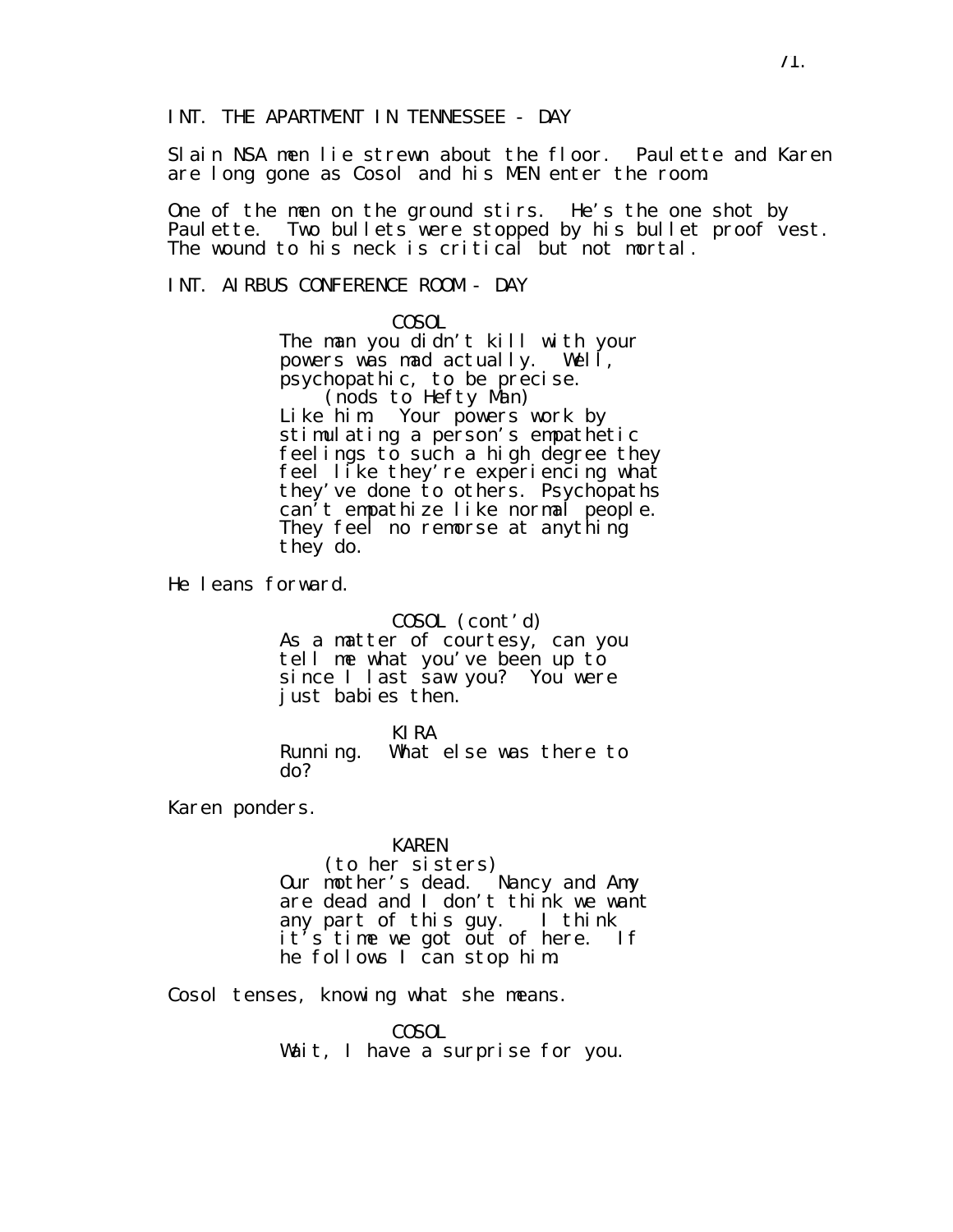Slain NSA men lie strewn about the floor. Paulette and Karen are long gone as Cosol and his MEN enter the room.

One of the men on the ground stirs. He's the one shot by Paulette. Two bullets were stopped by his bullet proof vest. The wound to his neck is critical but not mortal.

INT. AIRBUS CONFERENCE ROOM - DAY

COSOL

The man you didn't kill with your powers was mad actually. Well, psychopathic, to be precise. (nods to Hefty Man) Like him. Your powers work by stimulating a person's empathetic feelings to such a high degree they feel like they're experiencing what they've done to others. Psychopaths can't empathize like normal people. They feel no remorse at anything they do.

He leans forward.

COSOL (cont'd)

As a matter of courtesy, can you tell me what you've been up to since I last saw you? You were just babies then.

KIRA Running. What else was there to

Karen ponders.

do?

KAREN

(to her sisters) Our mother's dead. Nancy and Amy are dead and I don't think we want any part of this guy. I think it's time we got out of here. If he follows I can stop him.

Cosol tenses, knowing what she means.

COSOL Wait, I have a surprise for you.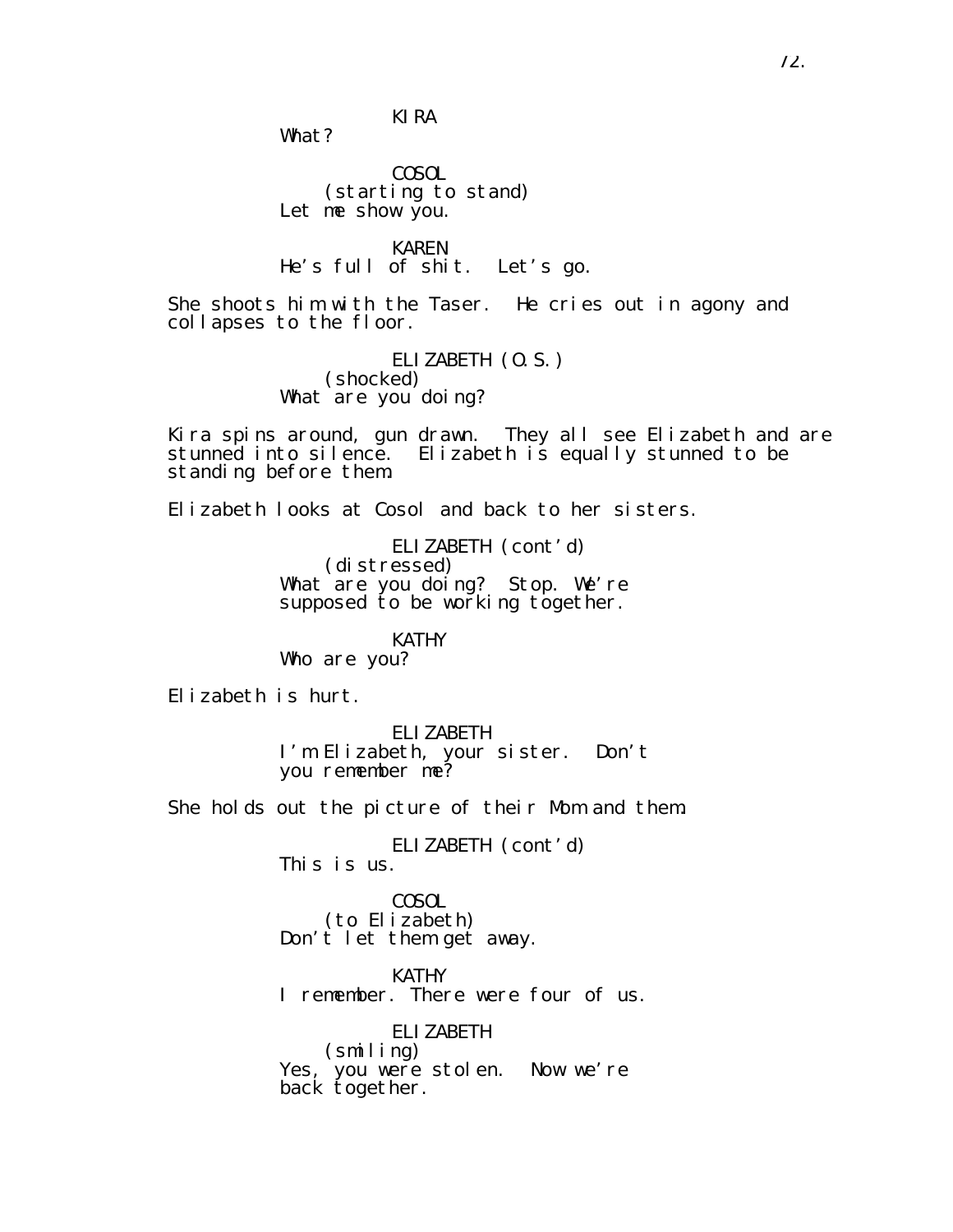KIRA

What?

COSOL (starting to stand) Let me show you.

KAREN He's full of shit. Let's go.

She shoots him with the Taser. He cries out in agony and collapses to the floor.

> ELIZABETH (O.S.) (shocked) What are you doing?

Kira spins around, gun drawn. They all see Elizabeth and are stunned into silence. Elizabeth is equally stunned to be standing before them.

Elizabeth looks at Cosol and back to her sisters.

ELIZABETH (cont'd) (distressed) What are you doing? Stop. We're supposed to be working together.

KATHY Who are you?

Elizabeth is hurt.

ELIZABETH I'm Elizabeth, your sister. Don't you remember me?

She holds out the picture of their Mom and them.

ELIZABETH (cont'd)

This is us.

COSOL (to Elizabeth) Don't let them get away.

KATHY I remember. There were four of us.

ELIZABETH (smiling) Yes, you were stolen. Now we're back together.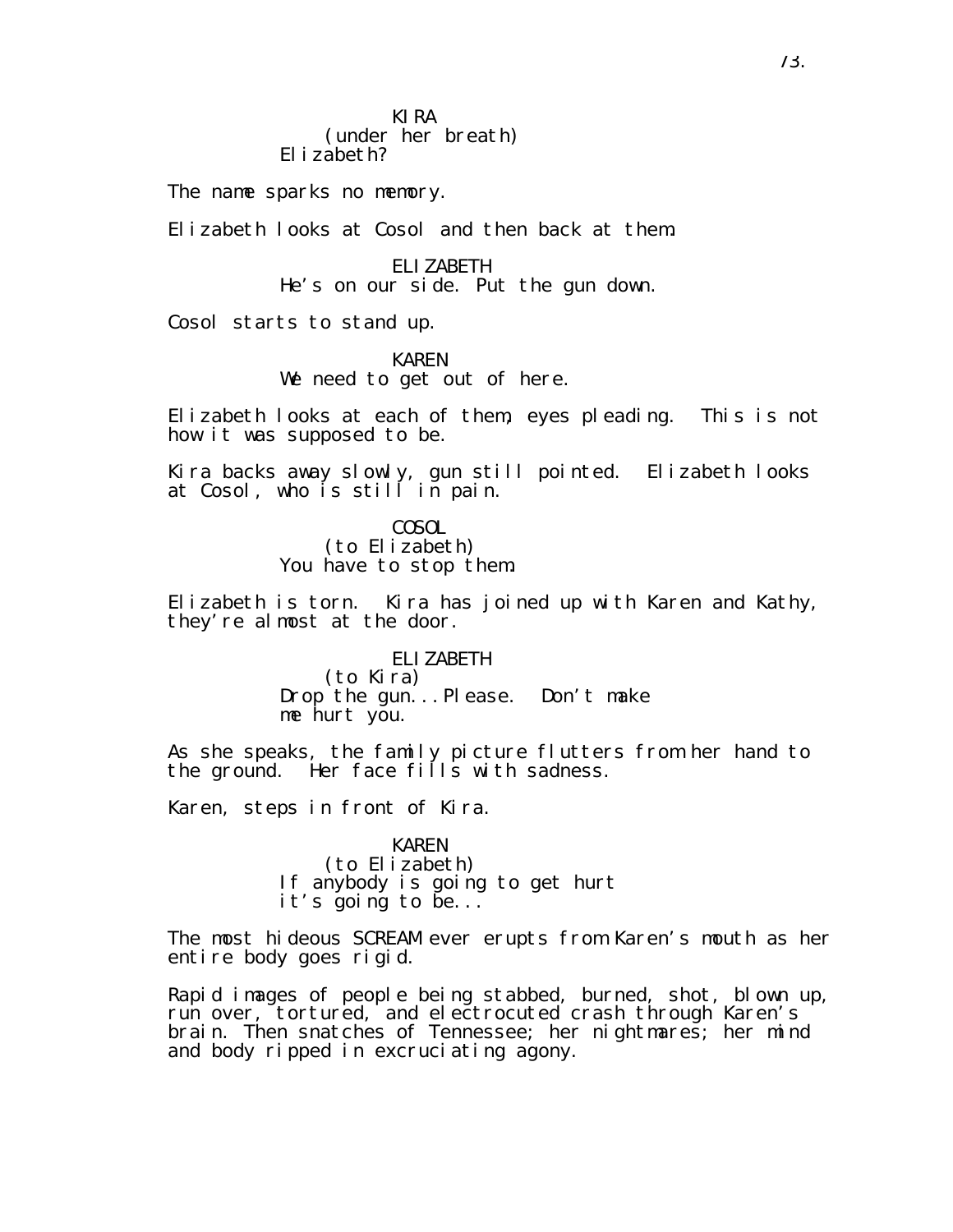KIRA (under her breath) Elizabeth?

The name sparks no memory.

Elizabeth looks at Cosol and then back at them.

ELIZABETH He's on our side. Put the gun down.

Cosol starts to stand up.

KAREN We need to get out of here.

Elizabeth looks at each of them, eyes pleading. This is not how it was supposed to be.

Kira backs away slowly, gun still pointed. Elizabeth looks at Cosol, who is still in pain.

> COSOL (to Elizabeth) You have to stop them.

Elizabeth is torn. Kira has joined up with Karen and Kathy, they're almost at the door.

> ELIZABETH (to Kira) Drop the gun...Please. Don't make me hurt you.

As she speaks, the family picture flutters from her hand to the ground. Her face  $fi\overline{11}s$  with sadness.

Karen, steps in front of Kira.

KAREN (to Elizabeth) If anybody is going to get hurt it's going to be...

The most hideous SCREAM ever erupts from Karen's mouth as her entire body goes rigid.

Rapid images of people being stabbed, burned, shot, blown up, run over, tortured, and electrocuted crash through Karen's brain. Then snatches of Tennessee; her nightmares; her mind and body ripped in excruciating agony.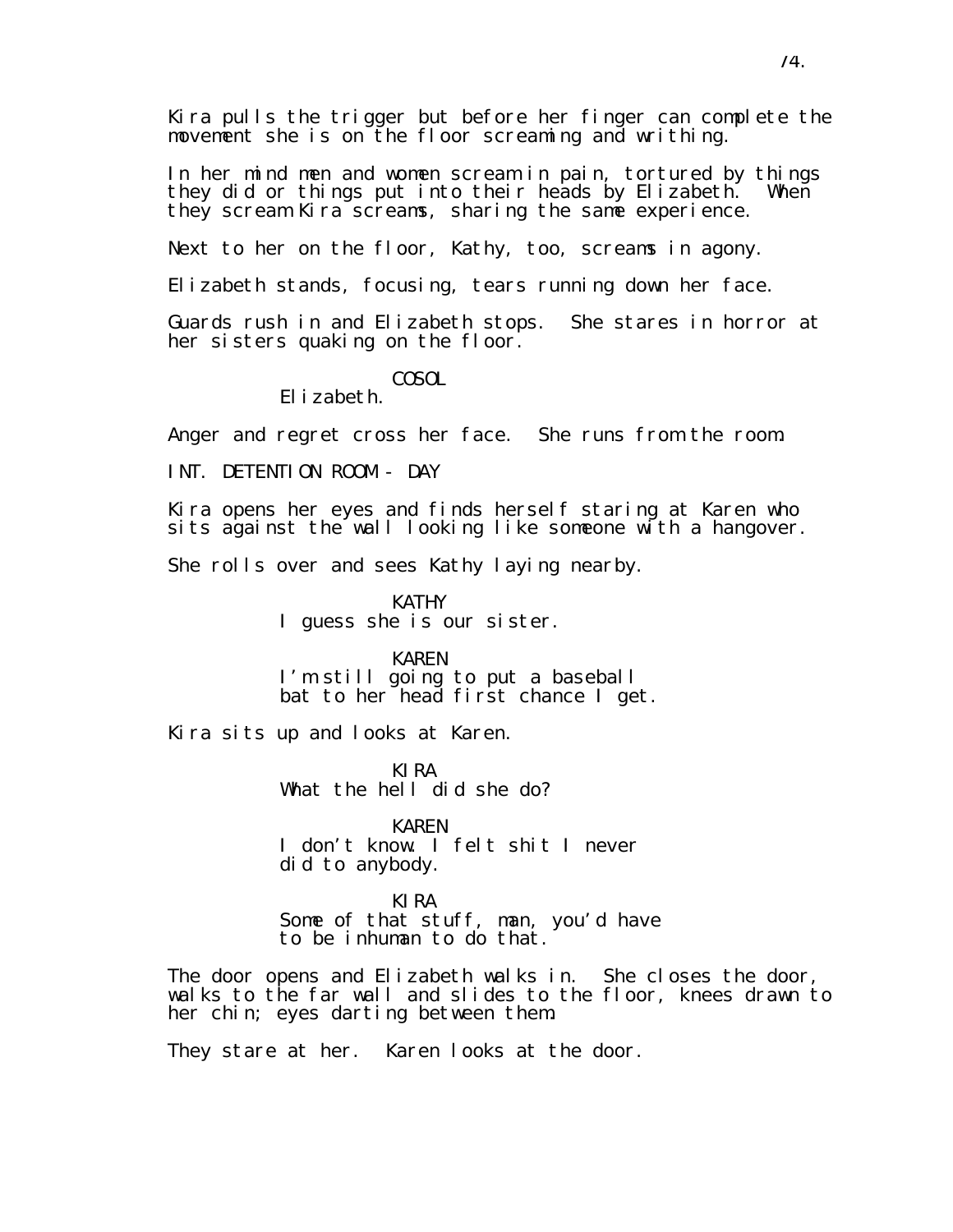Kira pulls the trigger but before her finger can complete the movement she is on the floor screaming and writhing.

In her mind men and women scream in pain, tortured by things they did or things put into their heads by Elizabeth. When they scream Kira screams, sharing the same experience.

Next to her on the floor, Kathy, too, screams in agony.

Elizabeth stands, focusing, tears running down her face.

Guards rush in and Elizabeth stops. She stares in horror at her sisters quaking on the floor.

COSOL

Elizabeth.

Anger and regret cross her face. She runs from the room.

INT. DETENTION ROOM - DAY

Kira opens her eyes and finds herself staring at Karen who sits against the wall looking like someone with a hangover.

She rolls over and sees Kathy laying nearby.

**KATHY** I guess she is our sister.

KAREN I'm still going to put a baseball bat to her head first chance I get.

Kira sits up and looks at Karen.

KIRA What the hell did she do?

KAREN I don't know. I felt shit I never did to anybody.

KIRA Some of that stuff, man, you'd have to be inhuman to do that.

The door opens and Elizabeth walks in. She closes the door, walks to the far wall and slides to the floor, knees drawn to her chin; eyes darting between them.

They stare at her. Karen looks at the door.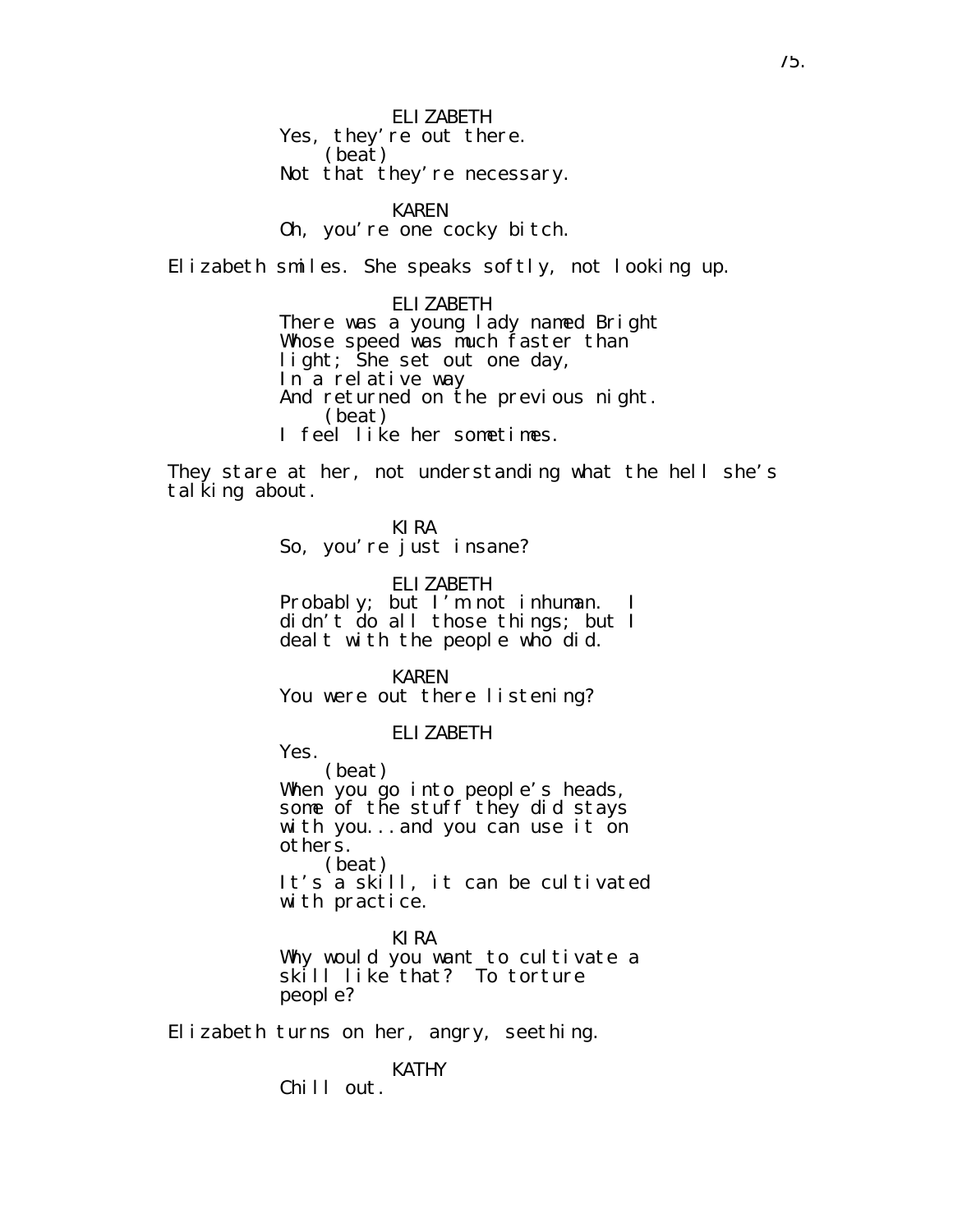ELIZABETH Yes, they're out there. (beat) Not that they're necessary.

KAREN

Oh, you're one cocky bitch.

Elizabeth smiles. She speaks softly, not looking up.

ELIZABETH There was a young lady named Bright Whose speed was much faster than light; She set out one day, In a relative way And returned on the previous night. (beat) I feel like her sometimes.

They stare at her, not understanding what the hell she's tal king about.

KIRA

So, you're just insane?

ELIZABETH

Probably; but I'm not inhuman. I didn't do all those things; but I dealt with the people who did.

KAREN You were out there listening?

ELIZABETH

Yes.

(beat) When you go into people's heads, some of the stuff they did stays with you...and you can use it on others. (beat)

It's a skill, it can be cultivated with practice.

KIRA Why would you want to cultivate a skill like that? To torture people?

Elizabeth turns on her, angry, seething.

KATHY

Chill out.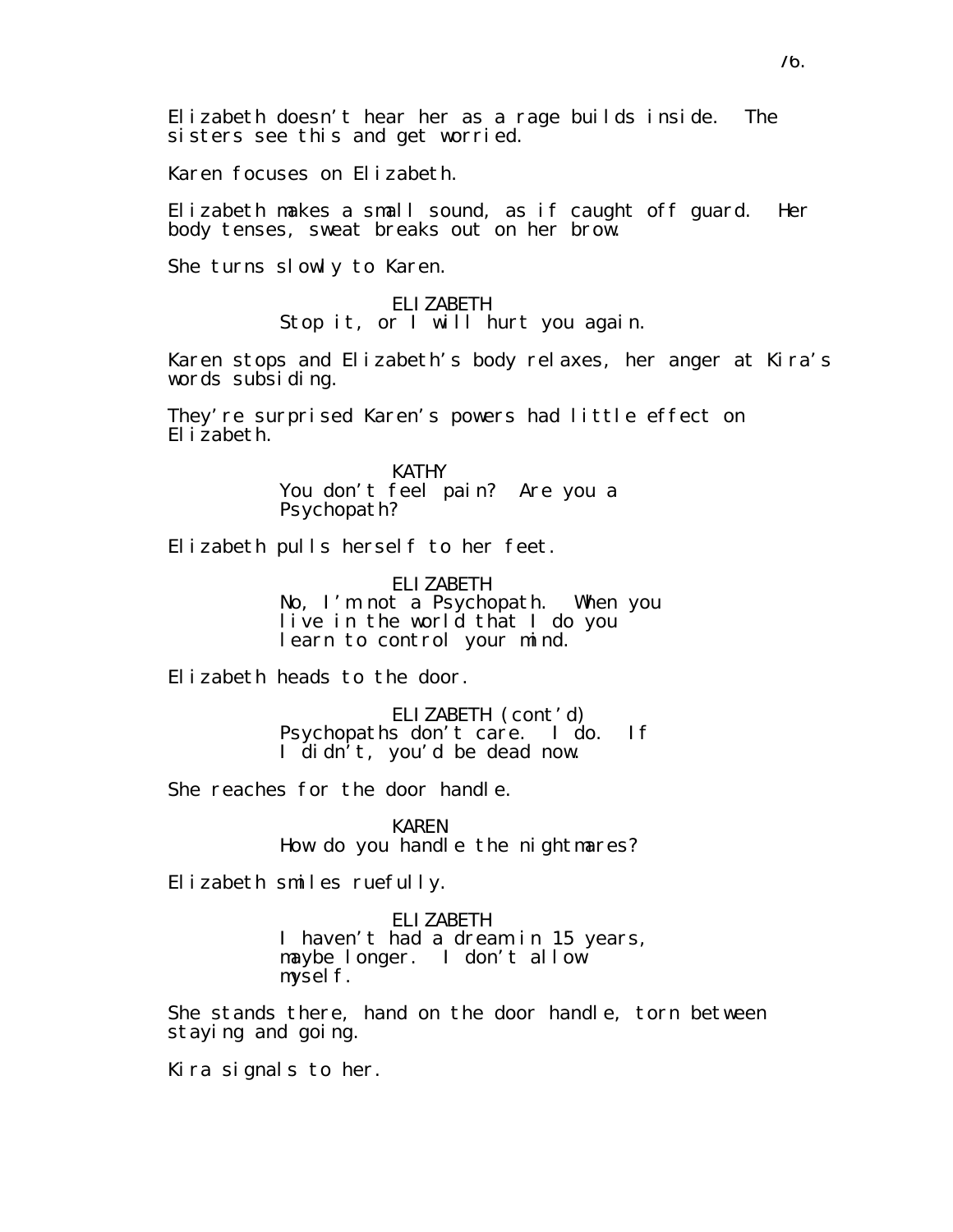Elizabeth doesn't hear her as a rage builds inside. The sisters see this and get worried.

Karen focuses on Elizabeth.

Elizabeth makes a small sound, as if caught off guard. Her body tenses, sweat breaks out on her brow.

She turns slowly to Karen.

ELIZABETH Stop it, or I will hurt you again.

Karen stops and Elizabeth's body relaxes, her anger at Kira's words subsiding.

They're surprised Karen's powers had little effect on Elizabeth.

> KATHY You don't feel pain? Are you a Psychopath?

Elizabeth pulls herself to her feet.

ELIZABETH No, I'm not a Psychopath. When you live in the world that I do you learn to control your mind.

Elizabeth heads to the door.

ELIZABETH (cont'd) Psychopaths don't care. I do. If I didn't, you'd be dead now.

She reaches for the door handle.

KAREN How do you handle the nightmares?

Elizabeth smiles ruefully.

ELIZABETH

I haven't had a dream in 15 years, maybe longer. I don't allow mysel f.

She stands there, hand on the door handle, torn between staying and going.

Kira signals to her.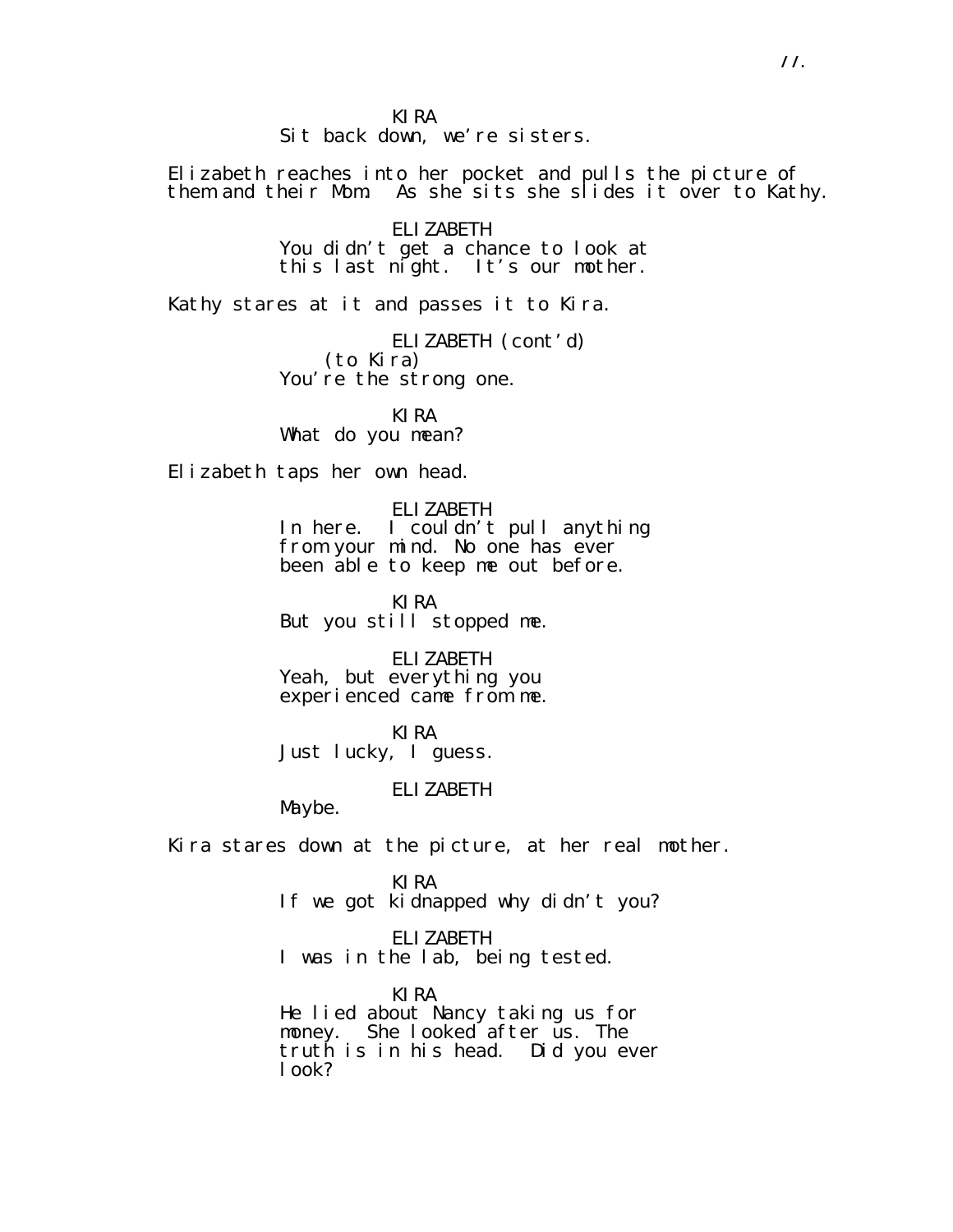KIRA

Sit back down, we're sisters.

Elizabeth reaches into her pocket and pulls the picture of them and their Mom. As she sits she slides it over to Kathy.

> ELIZABETH You didn't get a chance to look at this last night. It's our mother.

Kathy stares at it and passes it to Kira.

ELIZABETH (cont'd) (to Kira) You're the strong one.

KIRA What do you mean?

Elizabeth taps her own head.

ELIZABETH In here. I couldn't pull anything from your mind. No one has ever been able to keep me out before.

KIRA But you still stopped me.

ELIZABETH Yeah, but everything you experienced came from me.

KIRA Just lucky, I guess.

### ELIZABETH

Maybe.

Kira stares down at the picture, at her real mother.

KIRA If we got kidnapped why didn't you?

ELIZABETH I was in the lab, being tested.

KIRA He lied about Nancy taking us for money. She looked after us. The truth is in his head. Did you ever look?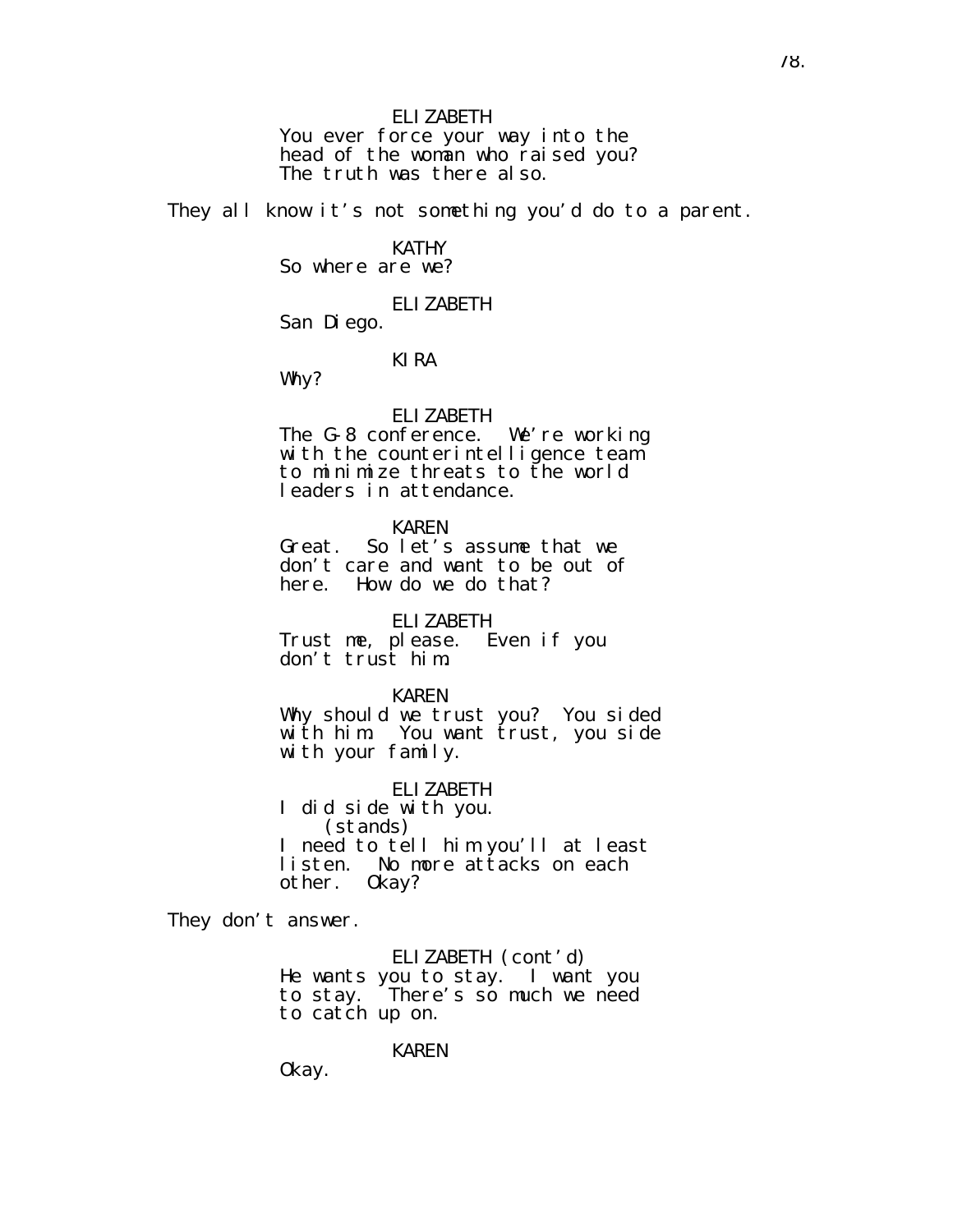ELIZABETH You ever force your way into the head of the woman who raised you? The truth was there also.

They all know it's not something you'd do to a parent.

#### KATHY So where are we?

ELIZABETH

San Diego.

### KIRA

Why?

#### ELIZABETH

The G-8 conference. We're working with the counterintelligence team to minimize threats to the world leaders in attendance.

#### KAREN

Great. So let's assume that we don't care and want to be out of here. How do we do that?

ELIZABETH

Trust me, please. Even if you don't trust him.

#### KAREN

Why should we trust you? You sided with him. You want trust, you side with your family.

ELIZABETH

I did side with you. (stands) I need to tell him you'll at least listen. No more attacks on each other. Okay?

They don't answer.

ELIZABETH (cont'd) He wants you to stay. I want you to stay. There's so much we need to catch up on.

KAREN

Okay.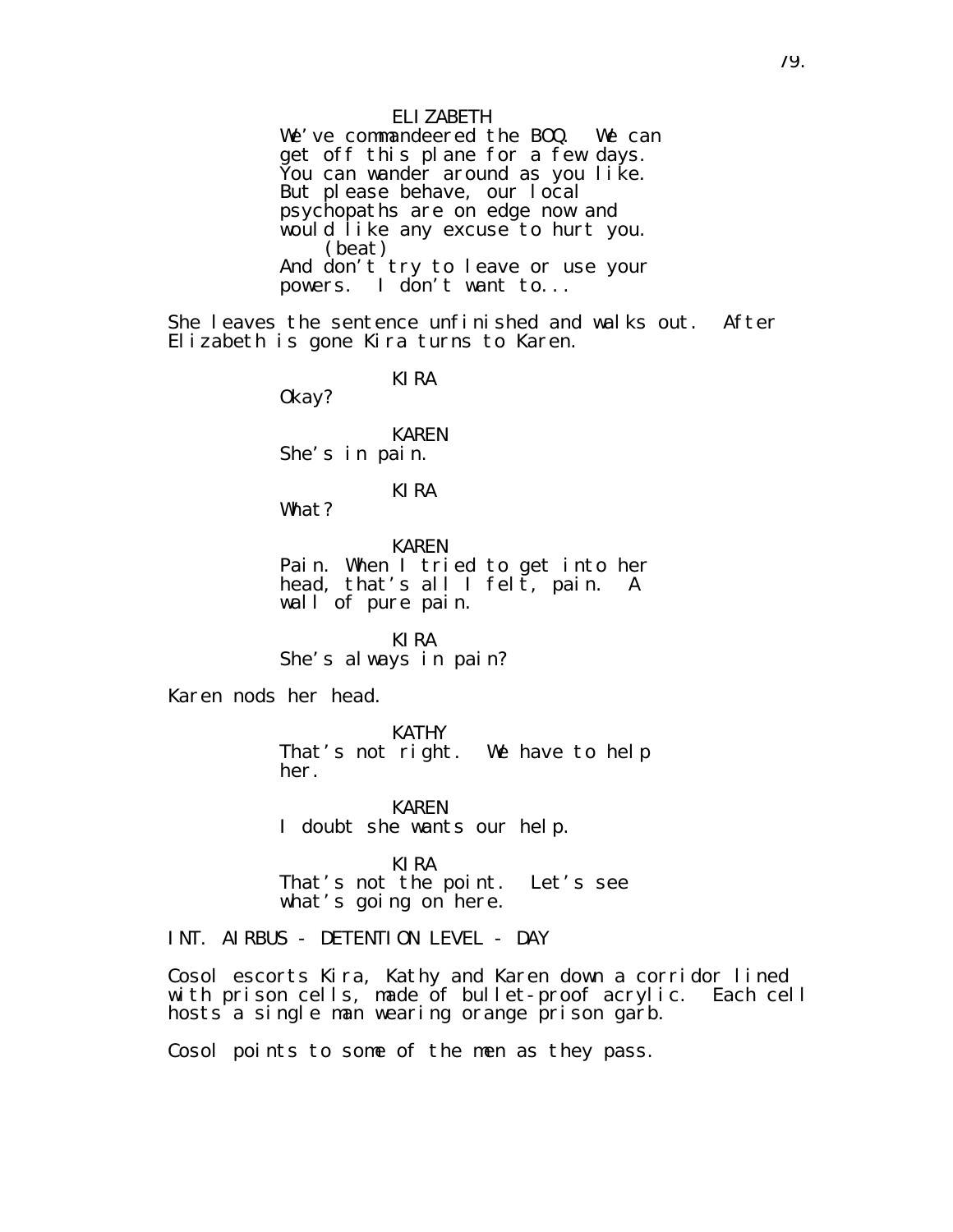ELIZABETH We've commandeered the BOQ. We can get off this plane for a few days. You can wander around as you like. But please behave, our local psychopaths are on edge now and would like any excuse to hurt you. (beat) And don't try to leave or use your powers. I don't want to...

She leaves the sentence unfinished and walks out. After Elizabeth is gone Kira turns to Karen.

KIRA

Okay?

KAREN She's in pain.

KIRA

What?

KAREN Pain. When I tried to get into her head, that's all I felt, pain. A wall of pure pain.

KIRA She's always in pain?

Karen nods her head.

KATHY That's not right. We have to help her.

KAREN I doubt she wants our help.

KIRA That's not the point. Let's see what's going on here.

INT. AIRBUS - DETENTION LEVEL - DAY

Cosol escorts Kira, Kathy and Karen down a corridor lined with prison cells, made of bullet-proof acrylic. Each cell hosts a single man wearing orange prison garb.

Cosol points to some of the men as they pass.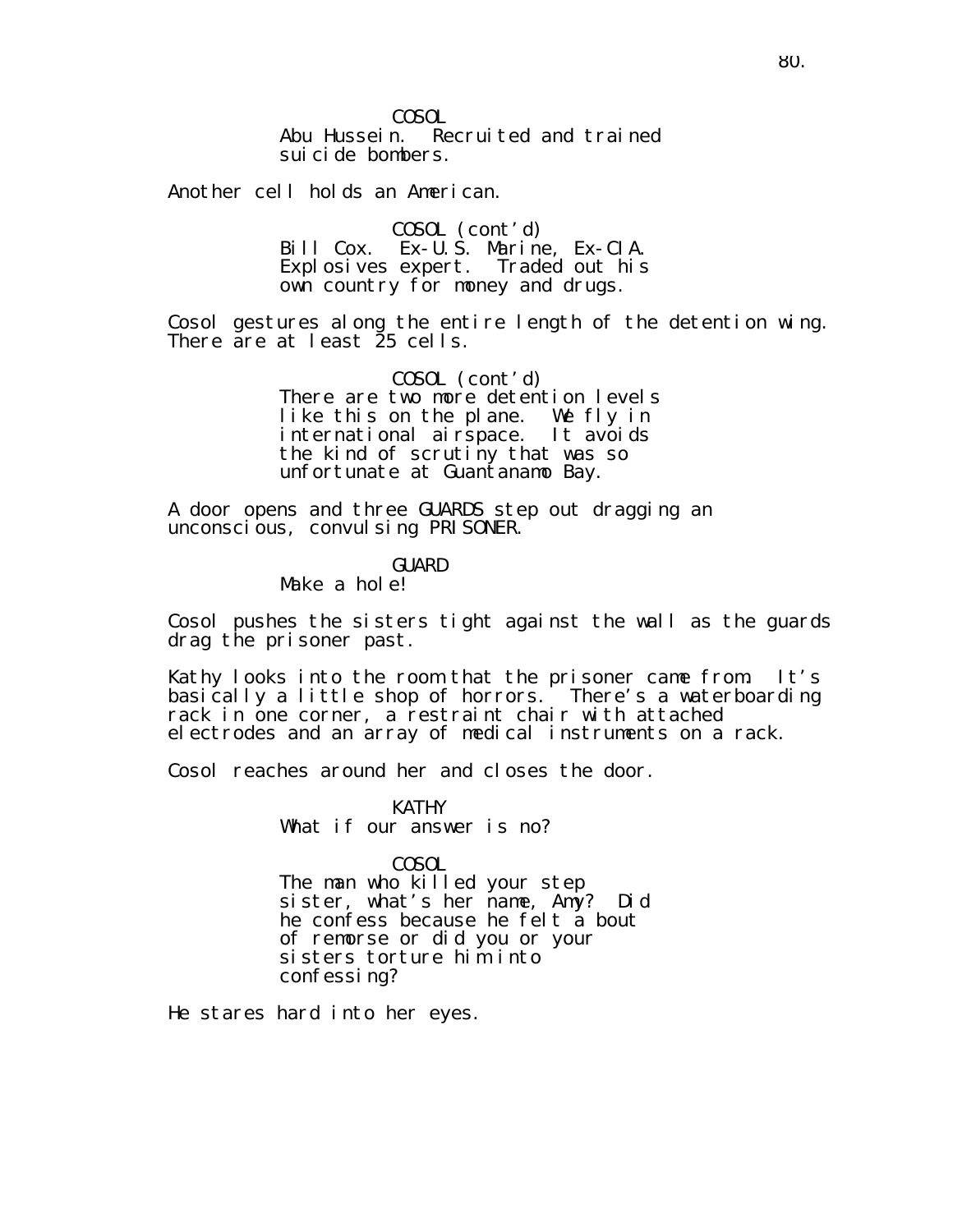COSOL Abu Hussein. Recruited and trained suicide bombers.

Another cell holds an American.

COSOL (cont'd) Bill Cox. Ex-U.S. Marine, Ex-CIA. Explosives expert. Traded out his own country for money and drugs.

Cosol gestures along the entire length of the detention wing. There are at least 25 cells.

> COSOL (cont'd) There are two more detention levels like this on the plane. We fly in international airspace. It avoids the kind of scrutiny that was so unfortunate at Guantanamo Bay.

A door opens and three GUARDS step out dragging an unconscious, convulsing PRISONER.

GUARD

Make a hole!

Cosol pushes the sisters tight against the wall as the guards drag the prisoner past.

Kathy looks into the room that the prisoner came from. It's basically a little shop of horrors. There's a waterboarding rack in one corner, a restraint chair with attached electrodes and an array of medical instruments on a rack.

Cosol reaches around her and closes the door.

KATHY What if our answer is no?

COSOL

The man who killed your step sister, what's her name, Amy? Did he confess because he felt a bout of remorse or did you or your sisters torture him into confessing?

He stares hard into her eyes.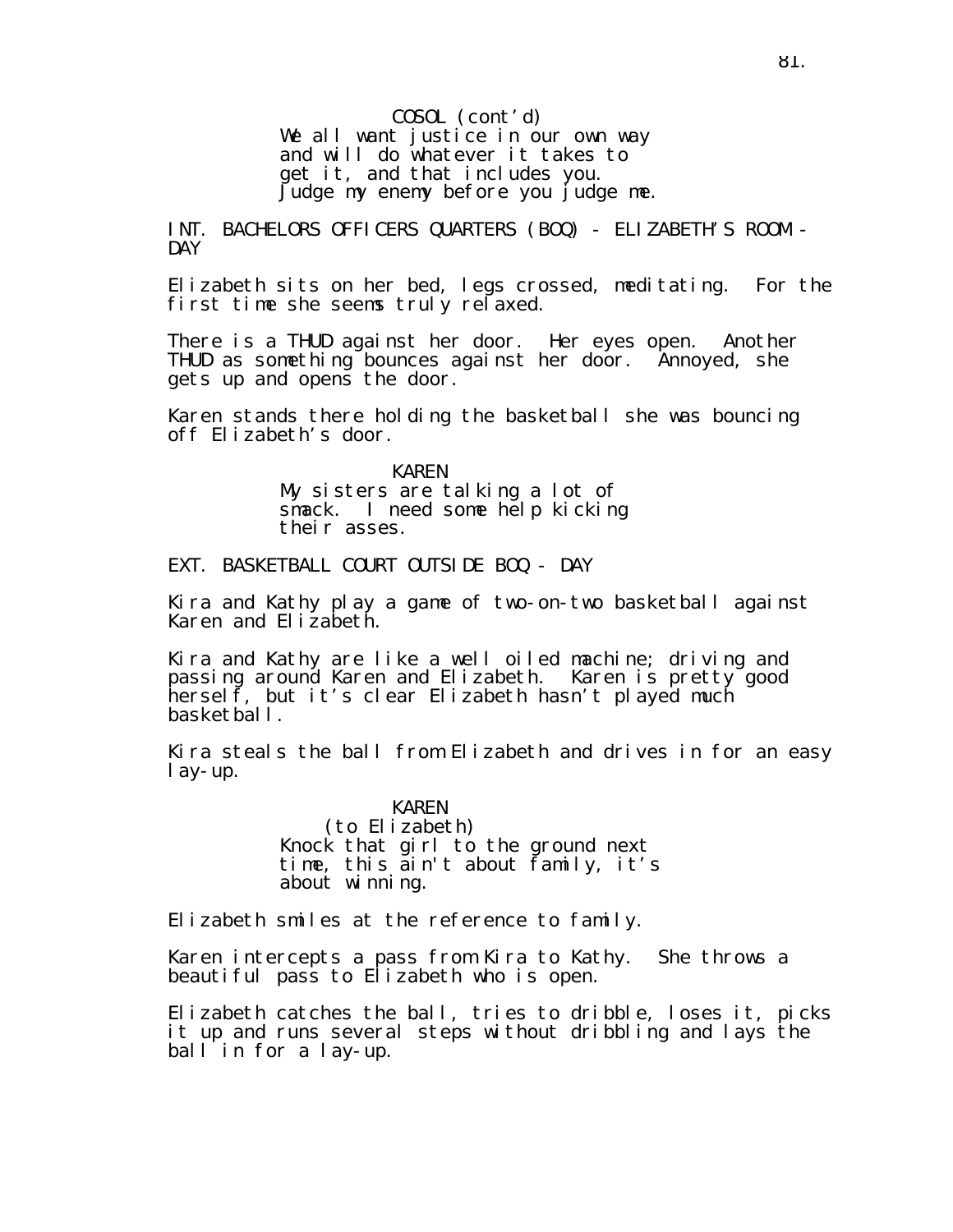COSOL (cont'd) We all want justice in our own way and will do whatever it takes to get it, and that includes you. Judge my enemy before you judge me.

INT. BACHELORS OFFICERS QUARTERS (BOQ) - ELIZABETH'S ROOM - DAY

Elizabeth sits on her bed, legs crossed, meditating. For the first time she seems truly relaxed.

There is a THUD against her door. Her eyes open. Another THUD as something bounces against her door. Annoyed, she gets up and opens the door.

Karen stands there holding the basketball she was bouncing off Elizabeth's door.

> KAREN My sisters are talking a lot of smack. I need some help kicking their asses.

EXT. BASKETBALL COURT OUTSIDE BOQ - DAY

Kira and Kathy play a game of two-on-two basketball against Karen and Elizabeth.

Kira and Kathy are like a well oiled machine; driving and passing around Karen and Elizabeth. Karen is pretty good herself, but it's clear Elizabeth hasn't played much basketball.

Kira steals the ball from Elizabeth and drives in for an easy lay-up.

> KAREN (to Elizabeth) Knock that girl to the ground next time, this ain't about family, it's about winning.

Elizabeth smiles at the reference to family.

Karen intercepts a pass from Kira to Kathy. She throws a beautiful pass to Elizabeth who is open.

Elizabeth catches the ball, tries to dribble, loses it, picks it up and runs several steps without dribbling and lays the ball in for a lay-up.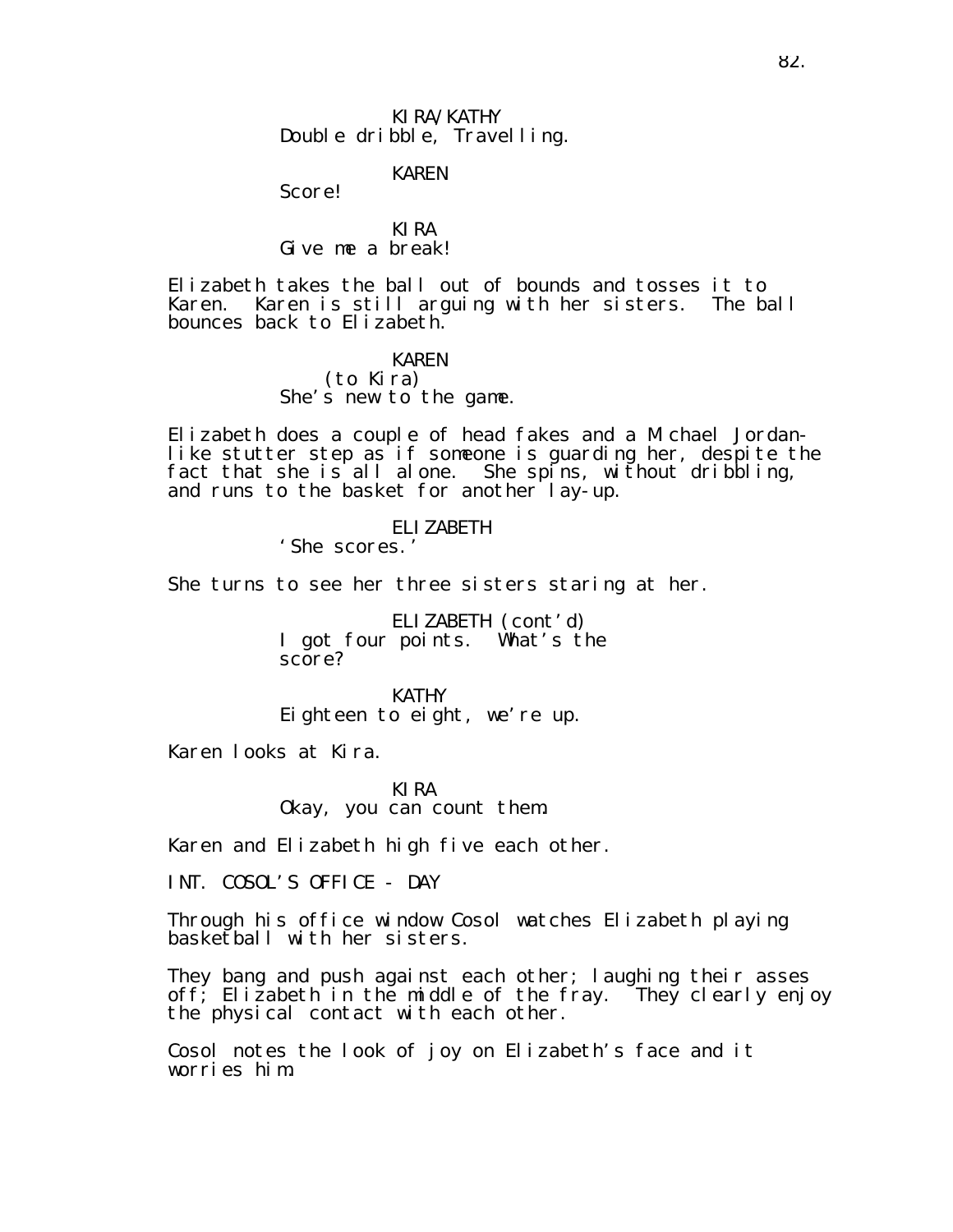KIRA/KATHY Double dribble, Travelling.

KAREN

Score!

KIRA Give me a break!

Elizabeth takes the ball out of bounds and tosses it to Karen. Karen is still arguing with her sisters. The ball bounces back to Elizabeth.

> KAREN (to Kira) She's new to the game.

Elizabeth does a couple of head fakes and a Michael Jordanlike stutter step as if someone is guarding her, despite the fact that she is all alone. She spins, without dribbling, and runs to the basket for another lay-up.

> ELIZABETH 'She scores.'

She turns to see her three sisters staring at her.

ELIZABETH (cont'd) I got four points. What's the score?

KATHY Eighteen to eight, we're up.

Karen looks at Kira.

KIRA Okay, you can count them.

Karen and Elizabeth high five each other.

INT. COSOL'S OFFICE - DAY

Through his office window Cosol watches Elizabeth playing basketball with her sisters.

They bang and push against each other; I aughing their asses off; Elizabeth in the middle of the fray. They clearly enjoy the physical contact with each other.

Cosol notes the look of joy on Elizabeth's face and it worries him.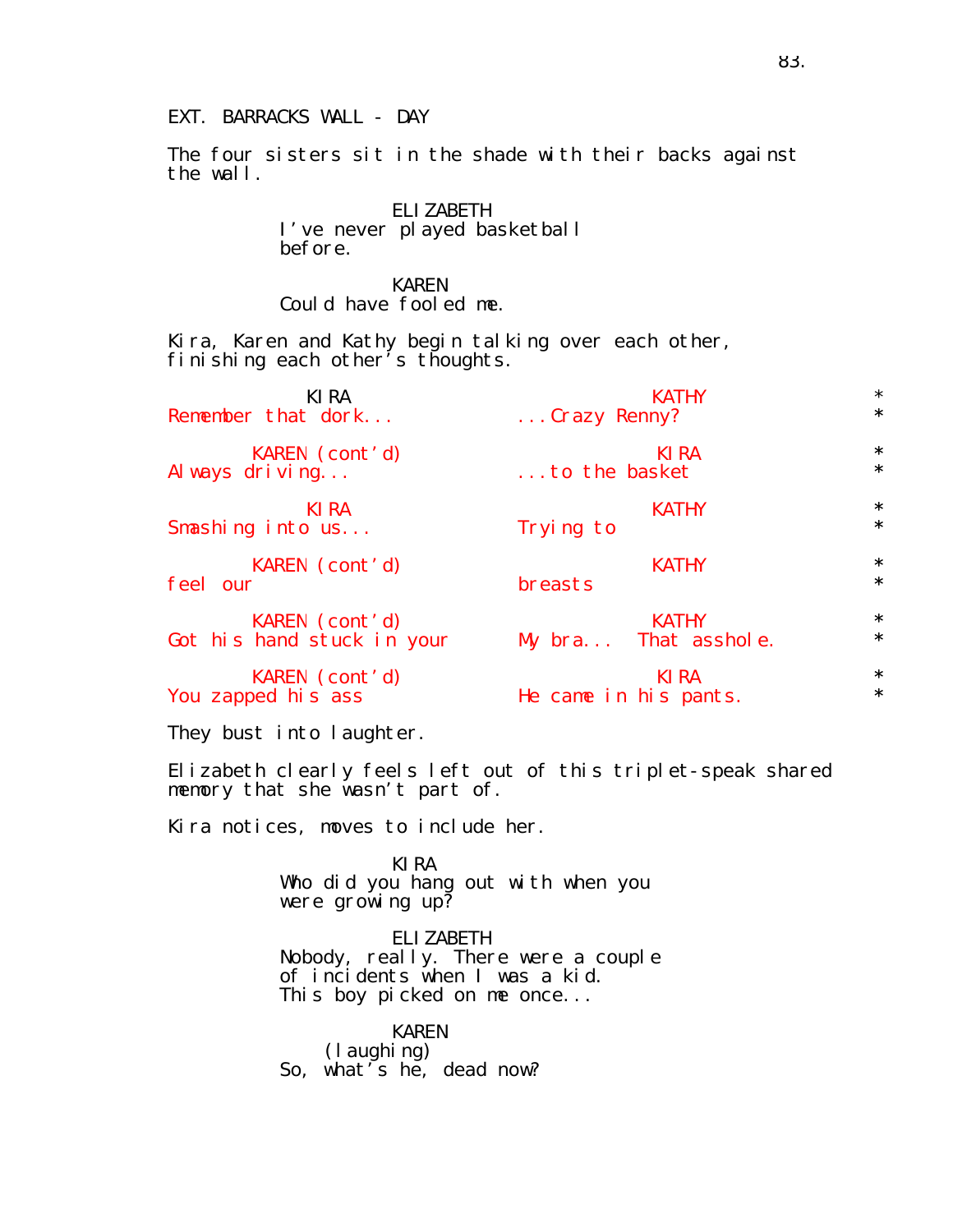## EXT. BARRACKS WALL - DAY

The four sisters sit in the shade with their backs against the wall.

> ELIZABETH I've never played basketball before.

KAREN Could have fooled me.

Kira, Karen and Kathy begin talking over each other, finishing each other's thoughts.

| KI RA                      | <b>KATHY</b>          | $\star$ |
|----------------------------|-----------------------|---------|
| Remember that dork         | Crazy Renny?          | $\star$ |
| KAREN (cont'd)             | <b>KIRA</b>           | $\star$ |
| Al ways driving            | to the basket         | $\star$ |
| KI RA                      | <b>KATHY</b>          | $\star$ |
| Smashing into us           | Trying to             | $\star$ |
| KAREN (cont'd)             | <b>KATHY</b>          | $\star$ |
| feel our                   | breasts               | $\star$ |
| KAREN (cont'd)             | <b>KATHY</b>          | $\star$ |
| Got his hand stuck in your | My bra That asshole.  | $\star$ |
| KAREN (cont'd)             | KI RA                 | $\star$ |
| You zapped his ass         | He came in his pants. | $\star$ |

They bust into laughter.

Elizabeth clearly feels left out of this triplet-speak shared memory that she wasn't part of.

Kira notices, moves to include her.

KIRA Who did you hang out with when you were grow ing up?

ELIZABETH Nobody, really. There were a couple of incidents when I was a kid. This boy picked on me once...

KAREN (laughing) So, what's he, dead now?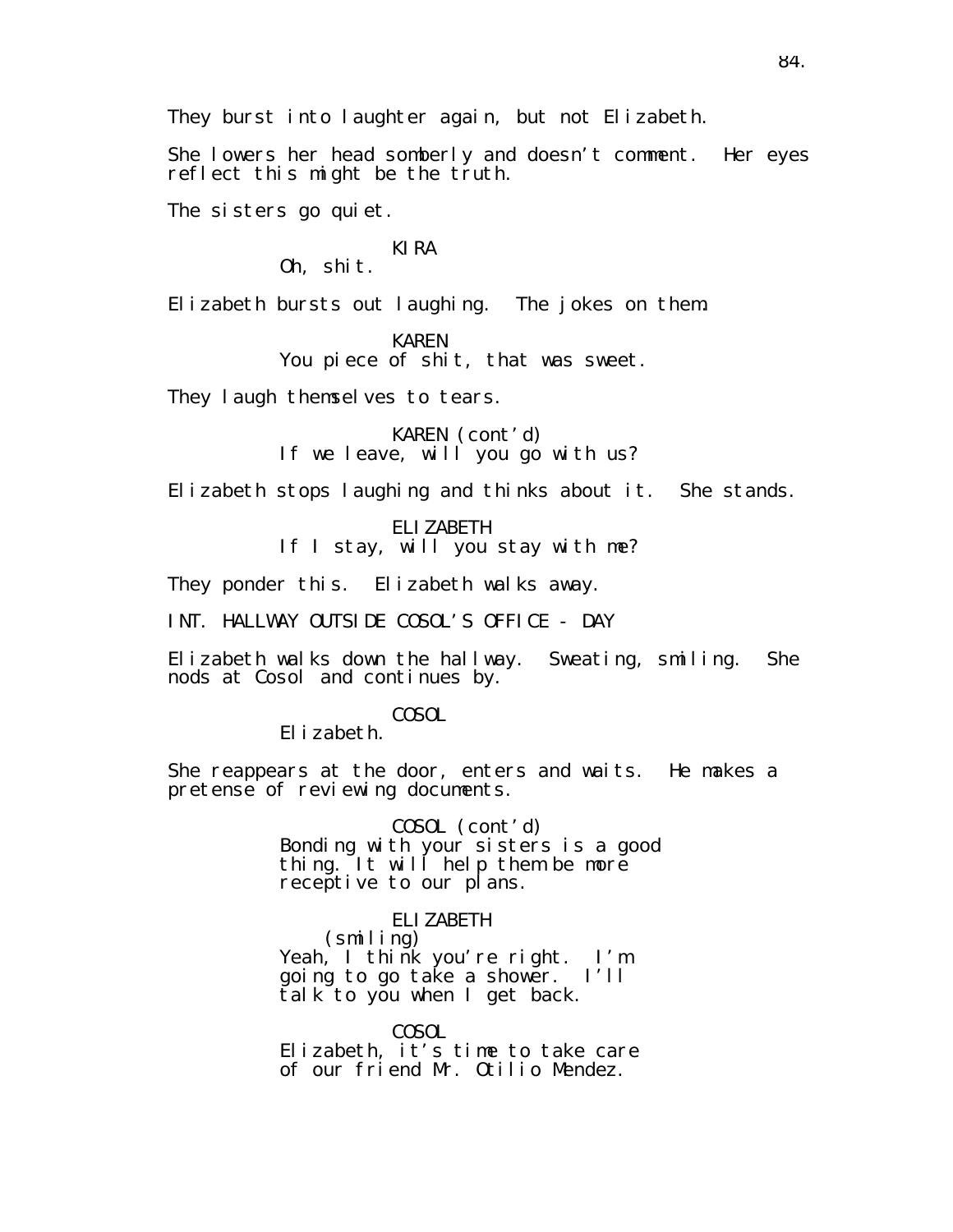She lowers her head somberly and doesn't comment. Her eyes reflect this might be the truth.

The sisters go quiet.

## KIRA

Oh, shit.

Elizabeth bursts out laughing. The jokes on them.

KAREN You piece of shit, that was sweet.

They laugh themselves to tears.

KAREN (cont'd) If we leave, will you go with us?

Elizabeth stops laughing and thinks about it. She stands.

ELIZABETH If I stay, will you stay with me?

They ponder this. Elizabeth walks away.

INT. HALLWAY OUTSIDE COSOL'S OFFICE - DAY

Elizabeth walks down the hallway. Sweating, smiling. She nods at Cosol and continues by.

COSOL

Elizabeth.

She reappears at the door, enters and waits. He makes a pretense of reviewing documents.

> COSOL (cont'd) Bonding with your sisters is a good thing. It will help them be more receptive to our plans.

ELIZABETH (smiling) Yeah, I think you're right. I'm going to go take a shower. I'll talk to you when I get back.

COSOL Elizabeth, it's time to take care of our friend Mr. Otilio Mendez.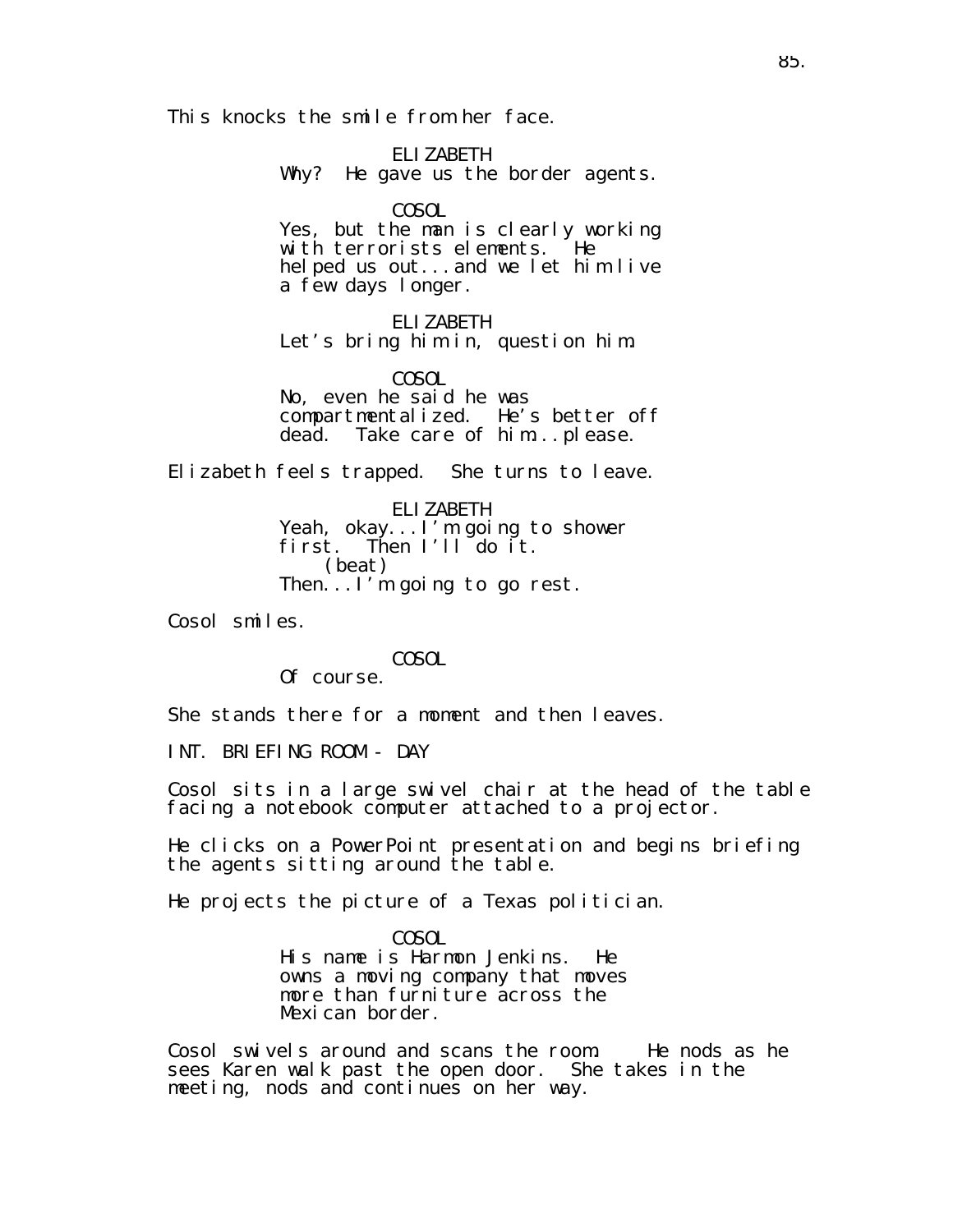This knocks the smile from her face.

ELIZABETH Why? He gave us the border agents.

COSOL

Yes, but the man is clearly working with terrorists elements. He helped us out...and we let him live a few days longer.

ELIZABETH Let's bring him in, question him.

COSOL No, even he said he was compartmentalized. He's better off dead. Take care of him...please.

Elizabeth feels trapped. She turns to leave.

ELIZABETH Yeah, okay...I'm going to shower first. Then I'll do it. (beat) Then...I'm going to go rest.

Cosol smiles.

COSOL

Of course.

She stands there for a moment and then leaves.

INT. BRIEFING ROOM - DAY

Cosol sits in a large swivel chair at the head of the table facing a notebook computer attached to a projector.

He clicks on a PowerPoint presentation and begins briefing the agents sitting around the table.

He projects the picture of a Texas politician.

COSOL His name is Harmon Jenkins. He owns a moving company that moves more than furniture across the Mexican border.

Cosol swivels around and scans the room. He nods as he sees Karen walk past the open door. She takes in the meeting, nods and continues on her way.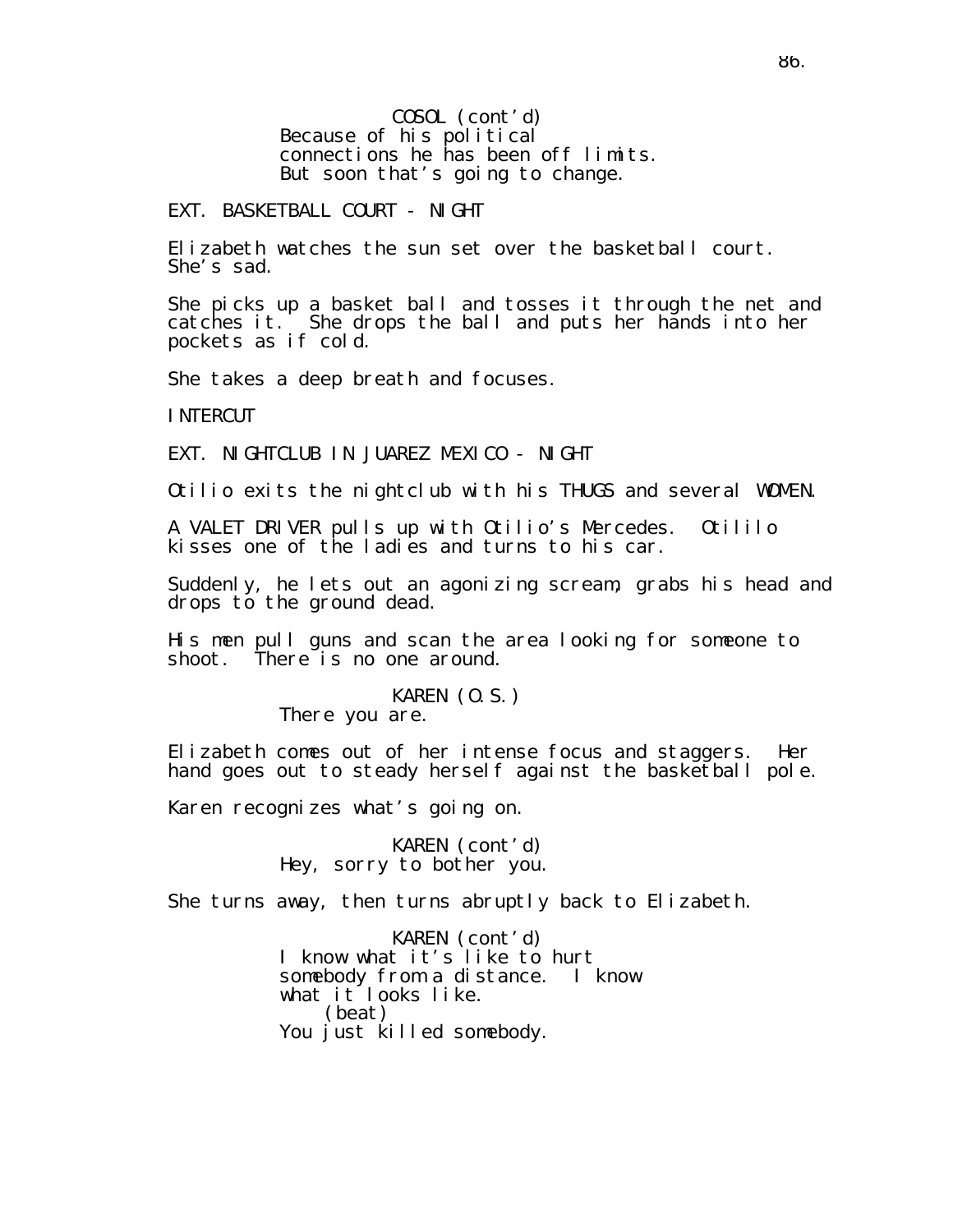COSOL (cont'd) Because of his political connections he has been off limits. But soon that's going to change.

#### EXT. BASKETBALL COURT - NIGHT

Elizabeth watches the sun set over the basketball court. She's sad.

She picks up a basket ball and tosses it through the net and catches it. She drops the ball and puts her hands into her pockets as if cold.

She takes a deep breath and focuses.

INTERCUT

EXT. NIGHTCLUB IN JUAREZ MEXICO - NIGHT

Otilio exits the nightclub with his THUGS and several WOMEN.

A VALET DRIVER pulls up with Otilio's Mercedes. Otililo kisses one of the ladies and turns to his car.

Suddenly, he lets out an agonizing scream, grabs his head and drops to the ground dead.

His men pull guns and scan the area looking for someone to shoot. There is no one around.

## KAREN (O.S.)

There you are.

Elizabeth comes out of her intense focus and staggers. Her hand goes out to steady herself against the basketball pole.

Karen recognizes what's going on.

KAREN (cont'd) Hey, sorry to bother you.

She turns away, then turns abruptly back to Elizabeth.

KAREN (cont'd) I know what it's like to hurt somebody from a distance. I know what it looks like. (beat) You just killed somebody.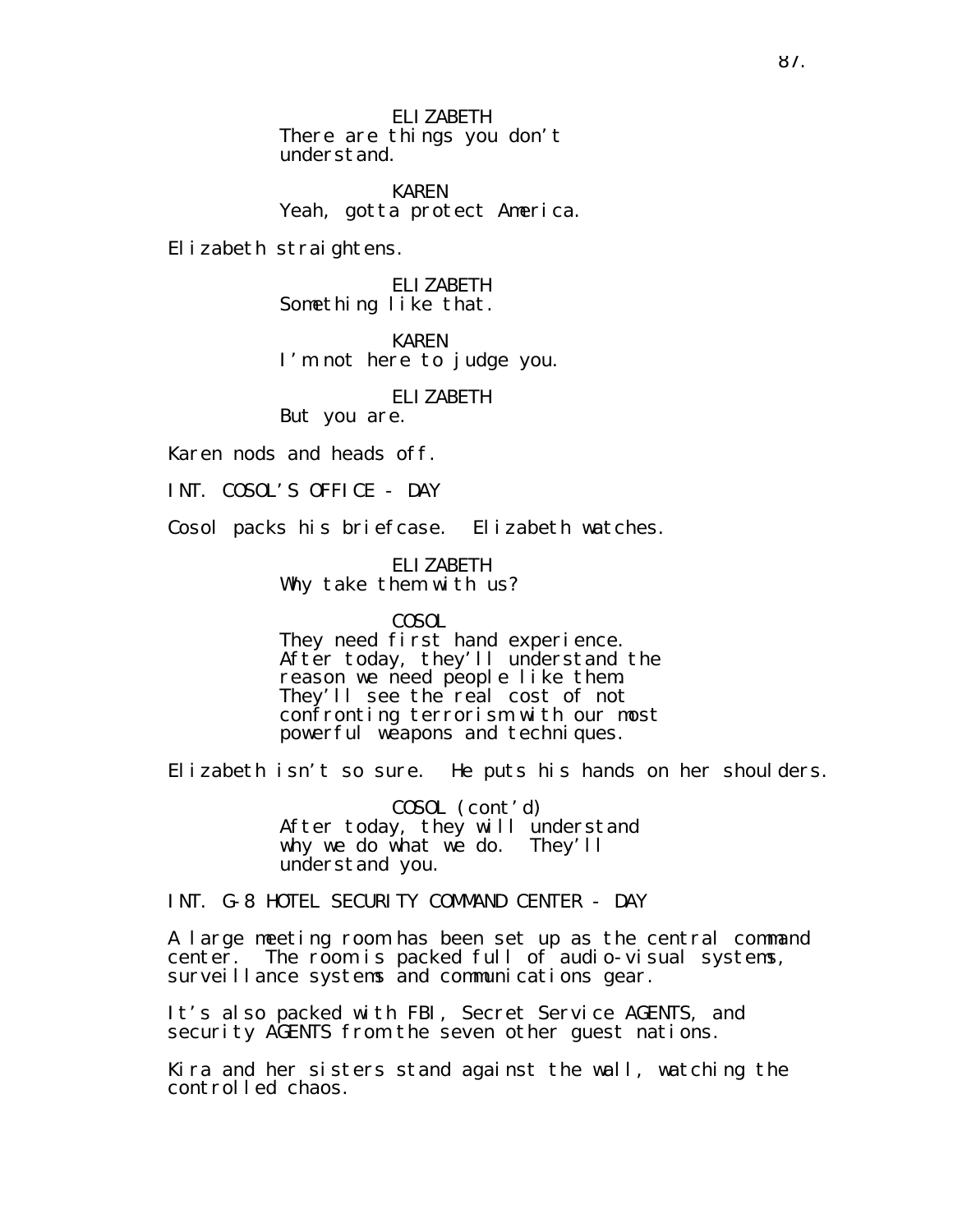ELIZABETH There are things you don't understand.

KAREN Yeah, gotta protect America.

Elizabeth straightens.

ELIZABETH Something like that.

KAREN I'm not here to judge you.

ELIZABETH

But you are.

Karen nods and heads off.

INT. COSOL'S OFFICE - DAY

Cosol packs his briefcase. Elizabeth watches.

ELIZABETH Why take them with us?

COSOL

They need first hand experience. After today, they'll understand the reason we need people like them. They'll see the real cost of not confronting terrorism with our most powerful weapons and techniques.

Elizabeth isn't so sure. He puts his hands on her shoulders.

COSOL (cont'd) After today, they will understand why we do what we do. They'll understand you.

INT. G-8 HOTEL SECURITY COMMAND CENTER - DAY

A large meeting room has been set up as the central command center. The room is packed full of audio-visual systems, surveillance systems and communications gear.

It's also packed with FBI, Secret Service AGENTS, and security AGENTS from the seven other guest nations.

Kira and her sisters stand against the wall, watching the controlled chaos.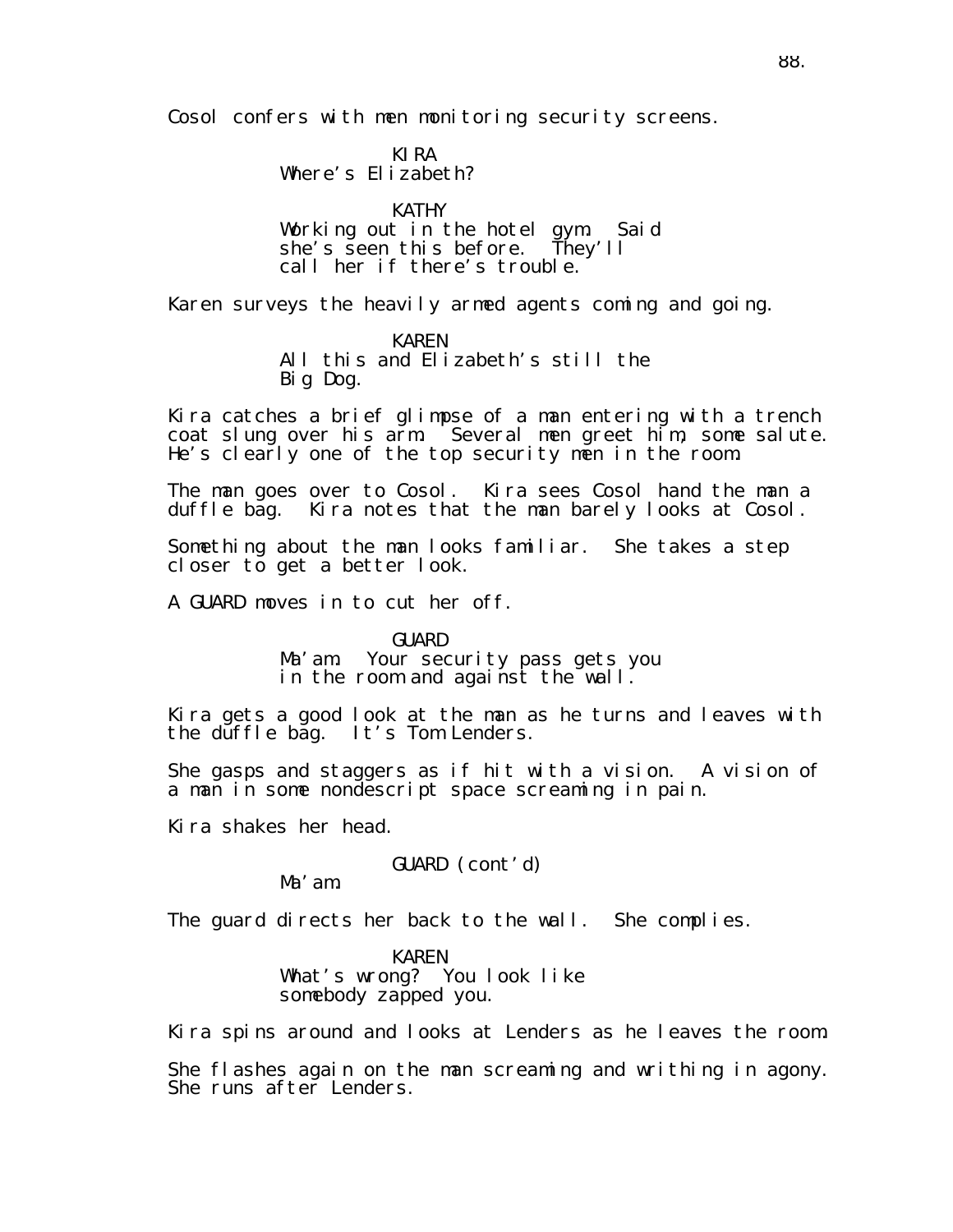Cosol confers with men monitoring security screens.

KIRA Where's Elizabeth?

KATHY Working out in the hotel gym. Said she's seen this before. They'll call her if there's trouble.

Karen surveys the heavily armed agents coming and going.

KAREN All this and Elizabeth's still the Big Dog.

Kira catches a brief glimpse of a man entering with a trench coat slung over his arm. Several men greet him, some salute. He's clearly one of the top security men in the room.

The man goes over to Cosol. Kira sees Cosol hand the man a duffle bag. Kira notes that the man barely looks at Cosol.

Something about the man looks familiar. She takes a step closer to get a better look.

A GUARD moves in to cut her off.

GUARD

Ma'am. Your security pass gets you in the room and against the wall.

Kira gets a good look at the man as he turns and leaves with the duffle bag. It's Tom Lenders.

She gasps and staggers as if hit with a vision. A vision of a man in some nondescript space screaming in pain.

Kira shakes her head.

GUARD (cont'd)

Ma'am.

The guard directs her back to the wall. She complies.

KAREN What's wrong? You look like somebody zapped you.

Kira spins around and looks at Lenders as he leaves the room.

She flashes again on the man screaming and writhing in agony. She runs after Lenders.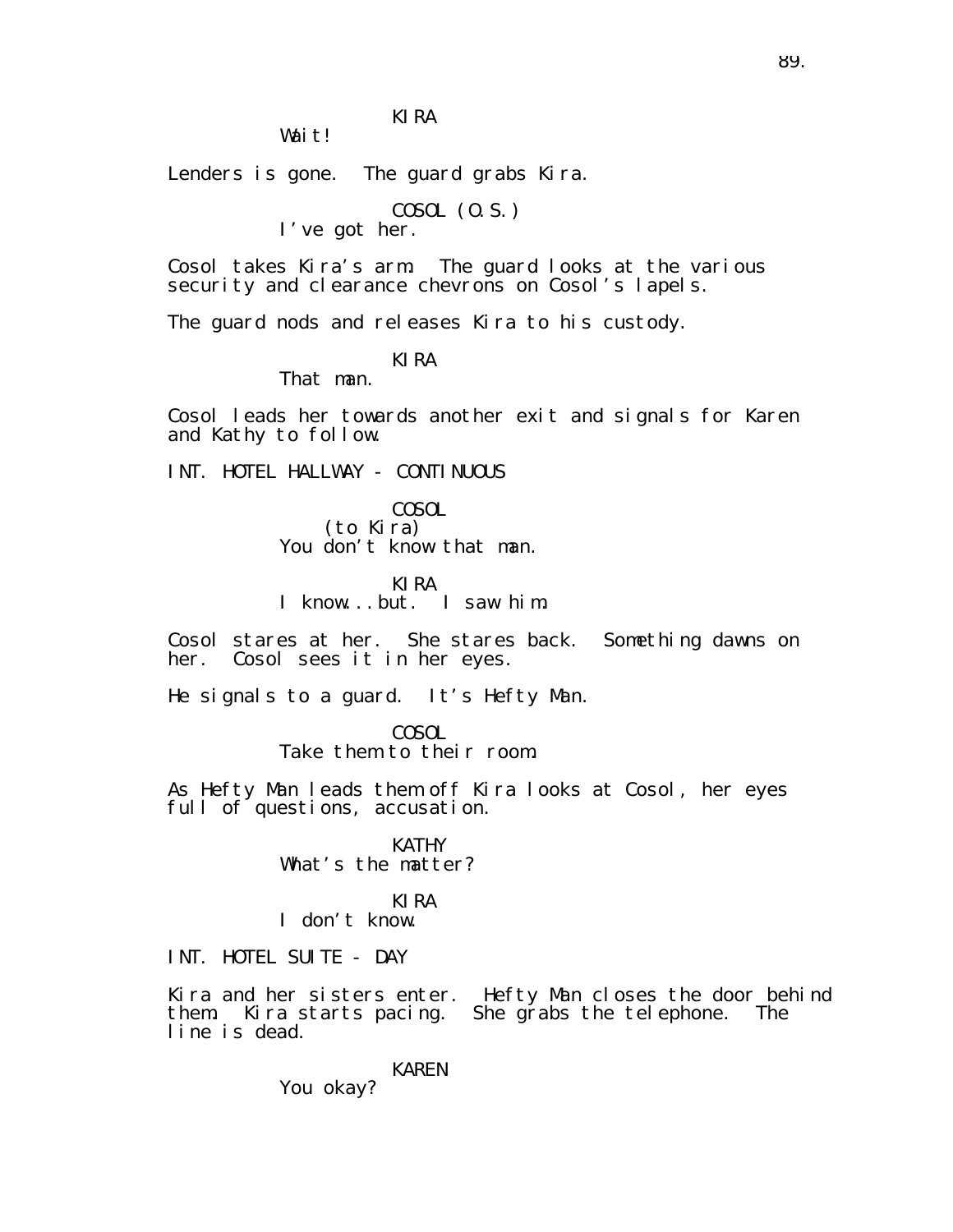KIRA

Wait!

Lenders is gone. The guard grabs Kira.

COSOL (O.S.)

I've got her.

Cosol takes Kira's arm. The guard looks at the various security and clearance chevrons on Cosol's lapels.

The guard nods and releases Kira to his custody.

KIRA

That man.

Cosol leads her towards another exit and signals for Karen and Kathy to follow.

INT. HOTEL HALLWAY - CONTINUOUS

COSOL (to Kira) You don't know that man.

KIRA I know...but. I saw him.

Cosol stares at her. She stares back. Something dawns on her. Cosol sees it in her eyes.

He signals to a guard. It's Hefty Man.

COSOL Take them to their room.

As Hefty Man leads them off Kira looks at Cosol, her eyes full of questions, accusation.

> KATHY What's the matter?

KIRA I don't know.

INT. HOTEL SUITE - DAY

Kira and her sisters enter. Hefty Man closes the door behind them. Kira starts pacing. She grabs the telephone. The line is dead.

KAREN

You okay?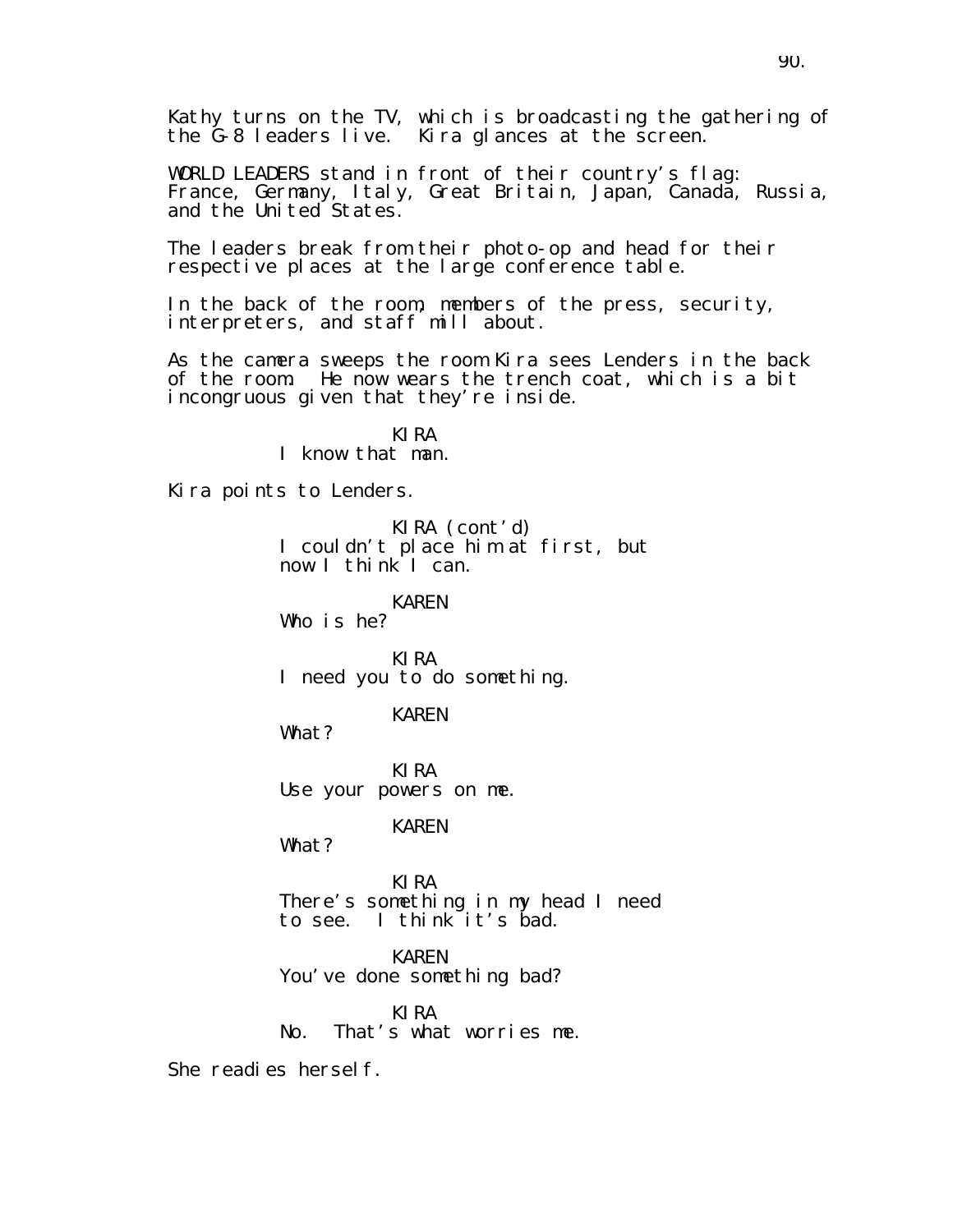Kathy turns on the TV, which is broadcasting the gathering of the G-8 leaders live. Kira glances at the screen.

WORLD LEADERS stand in front of their country's flag: France, Germany, Italy, Great Britain, Japan, Canada, Russia, and the United States.

The leaders break from their photo-op and head for their respective places at the large conference table.

In the back of the room, members of the press, security, interpreters, and staff mill about.

As the camera sweeps the room Kira sees Lenders in the back of the room. He now wears the trench coat, which is a bit incongruous given that they're inside.

> KIRA I know that man.

Kira points to Lenders.

KIRA (cont'd) I couldn't place him at first, but now I think I can.

KAREN

Who is he?

KIRA I need you to do something.

KAREN

What?

KIRA Use your powers on me.

KAREN

What?

KIRA There's something in my head I need to see. I think it's bad.

KAREN You've done something bad?

KIRA No. That's what worries me.

She readies hersel f.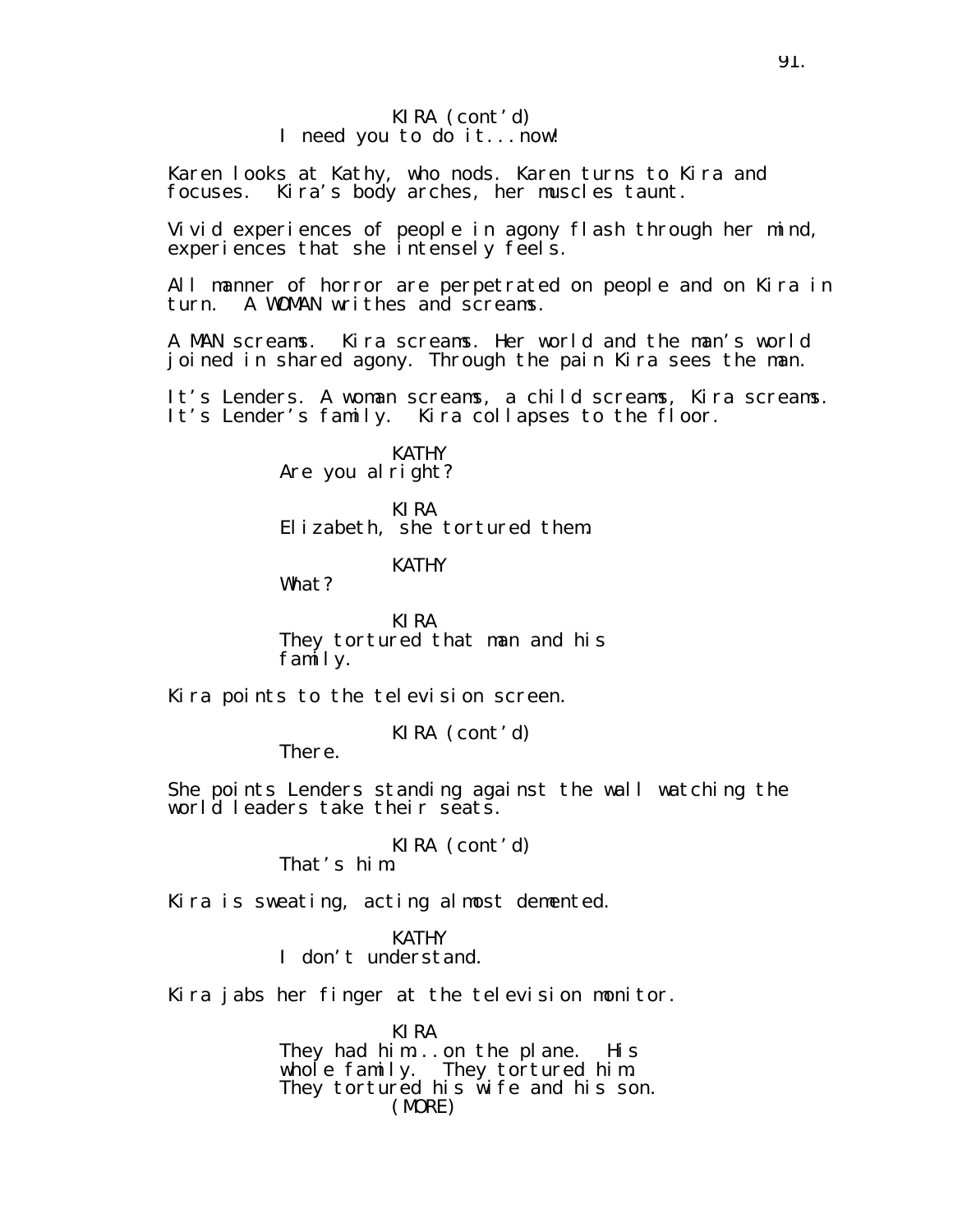#### KIRA (cont'd) I need you to do it...now!

Karen looks at Kathy, who nods. Karen turns to Kira and focuses. Kira's body arches, her muscles taunt.

Vivid experiences of people in agony flash through her mind, experiences that she intensely feels.

All manner of horror are perpetrated on people and on Kira in turn. A WOMAN writhes and screams.

A MAN screams. Kira screams. Her world and the man's world joined in shared agony. Through the pain Kira sees the man.

It's Lenders. A woman screams, a child screams, Kira screams. It's Lender's family. Kira collapses to the floor.

> KATHY Are you al right?

KIRA Elizabeth, she tortured them.

KATHY

What?

KIRA They tortured that man and his family.

Kira points to the television screen.

KIRA (cont'd)

There.

She points Lenders standing against the wall watching the world leaders take their seats.

KIRA (cont'd)

That's him.

Kira is sweating, acting almost demented.

**KATHY** 

I don't understand.

Kira jabs her finger at the television monitor.

KIRA They had him...on the plane. His whole family. They tortured him. They tortured his wife and his son. (MORE)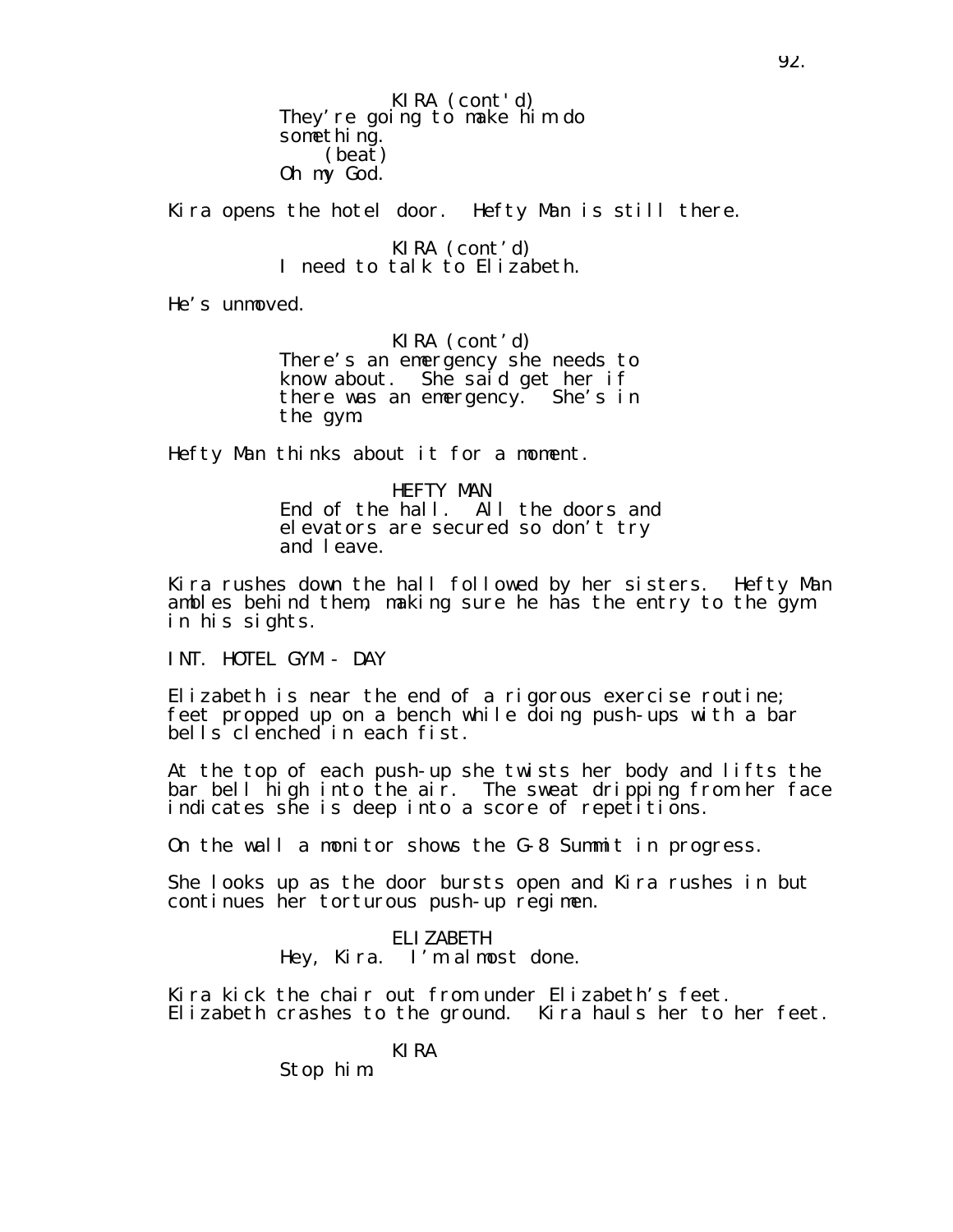They're going to make him do something. (beat) Oh my God. KIRA (cont'd)

Kira opens the hotel door. Hefty Man is still there.

KIRA (cont'd) I need to talk to Elizabeth.

He's unmoved.

KIRA (cont'd) There's an emergency she needs to know about. She said get her if there was an emergency. She's in the gym.

Hefty Man thinks about it for a moment.

HEFTY MAN End of the hall. All the doors and elevators are secured so don't try and leave.

Kira rushes down the hall followed by her sisters. Hefty Man ambles behind them, making sure he has the entry to the gym in his sights.

INT. HOTEL GYM - DAY

Elizabeth is near the end of a rigorous exercise routine; feet propped up on a bench while doing push-ups with a bar bells clenched in each fist.

At the top of each push-up she twists her body and lifts the bar bell high into the air. The sweat dripping from her face indicates she is deep into a score of repetitions.

On the wall a monitor shows the G-8 Summit in progress.

She looks up as the door bursts open and Kira rushes in but continues her torturous push-up regimen.

> ELIZABETH Hey, Kira. I'm almost done.

Kira kick the chair out from under Elizabeth's feet. Elizabeth crashes to the ground. Kira hauls her to her feet.

KIRA

Stop him.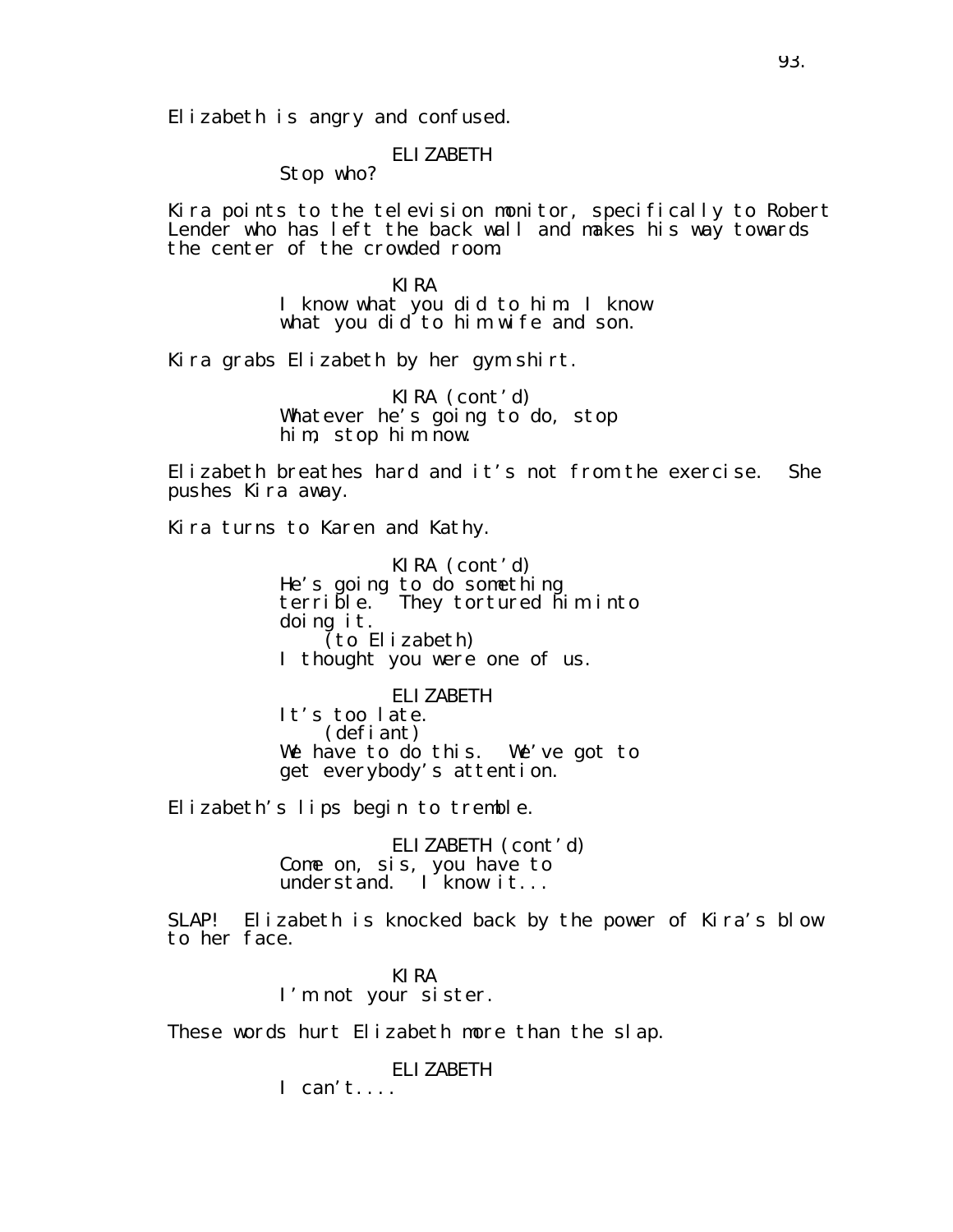Elizabeth is angry and confused.

## ELIZABETH

Stop who?

Kira points to the television monitor, specifically to Robert Lender who has left the back wall and makes his way towards the center of the crowded room.

> KIRA I know what you did to him. I know what you did to him wife and son.

Kira grabs Elizabeth by her gym shirt.

KIRA (cont'd) Whatever he's going to do, stop him, stop him now.

Elizabeth breathes hard and it's not from the exercise. She pushes Kira away.

Kira turns to Karen and Kathy.

KIRA (cont'd) He's going to do something terrible. They tortured him into doing it. (to Elizabeth) I thought you were one of us.

ELIZABETH It's too late. (defiant) We have to do this. We've got to get everybody's attention.

Elizabeth's lips begin to tremble.

ELIZABETH (cont'd) Come on, sis, you have to understand. I know it...

SLAP! Elizabeth is knocked back by the power of Kira's blow to her face.

> KIRA I'm not your sister.

These words hurt Elizabeth more than the slap.

ELIZABETH

 $I can't...$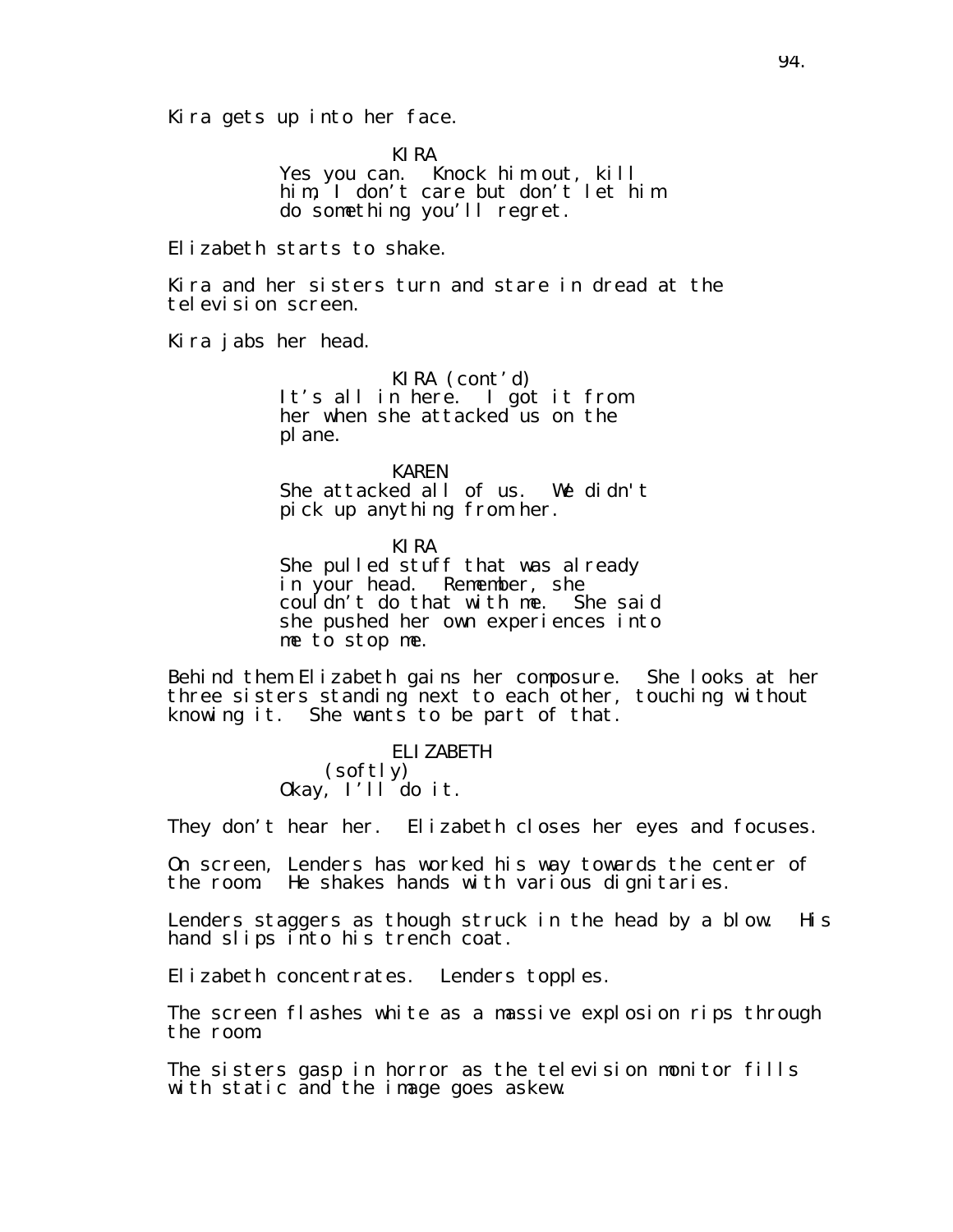Kira gets up into her face.

KIRA

Yes you can. Knock him out, kill him, I don't care but don't let him do something you'll regret.

Elizabeth starts to shake.

Kira and her sisters turn and stare in dread at the television screen.

Kira jabs her head.

KIRA (cont'd) It's all in here. I got it from her when she attacked us on the plane.

KAREN She attacked all of us. We didn't pick up anything from her.

KIRA She pulled stuff that was already in your head. Remember, she couldn't do that with me. She said she pushed her own experiences into me to stop me.

Behind them Elizabeth gains her composure. She looks at her three sisters standing next to each other, touching without knowing it. She wants to be part of that.

> ELIZABETH (softly) Okay, I'll do it.

They don't hear her. Elizabeth closes her eyes and focuses.

On screen, Lenders has worked his way towards the center of the room. He shakes hands with various dignitaries.

Lenders staggers as though struck in the head by a blow. His hand slips into his trench coat.

Elizabeth concentrates. Lenders topples.

The screen flashes white as a massive explosion rips through the room.

The sisters gasp in horror as the television monitor fills with static and the image goes askew.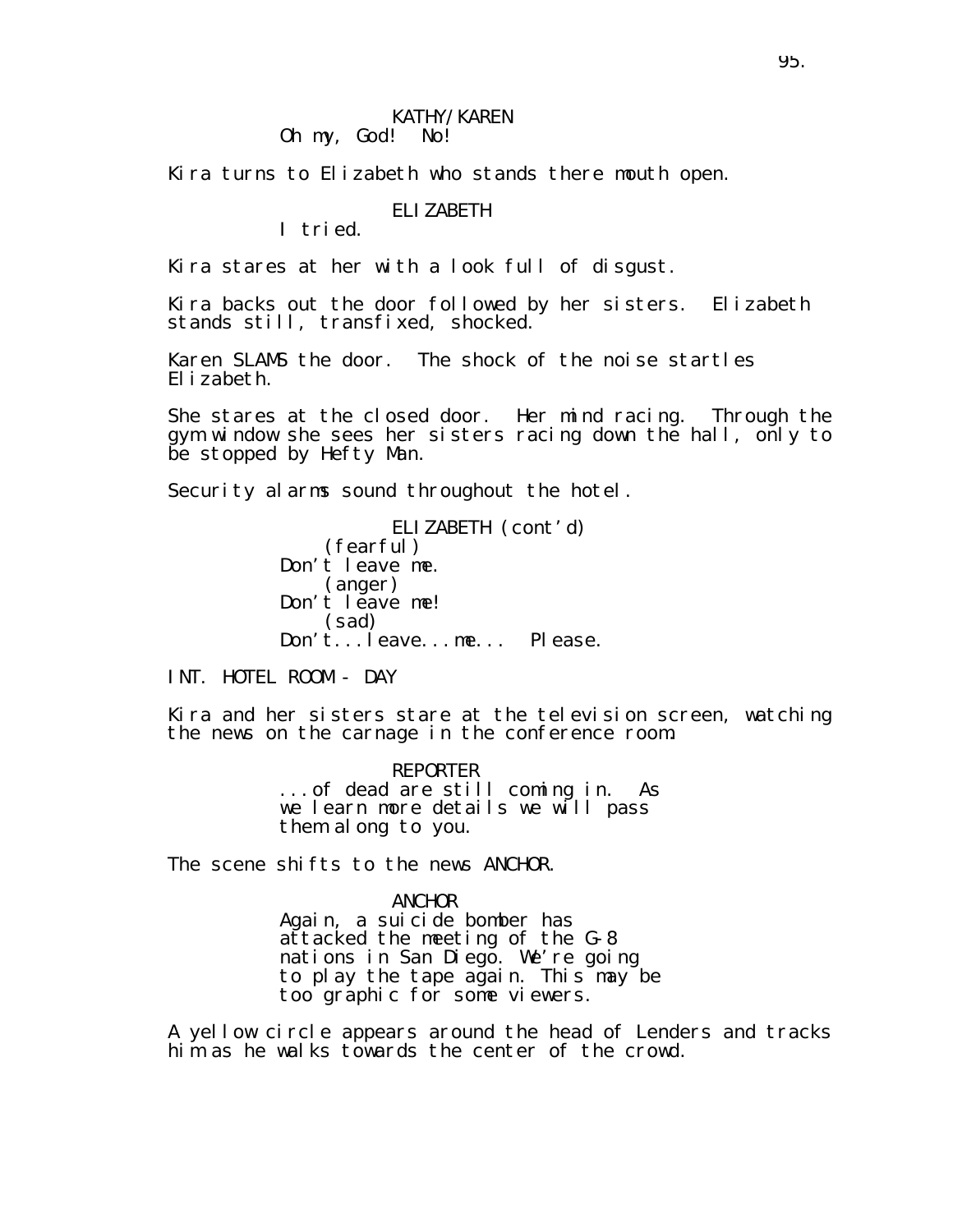#### KATHY/KAREN Oh my, God! No!

Kira turns to Elizabeth who stands there mouth open.

### ELIZABETH

I tried.

Kira stares at her with a look full of disgust.

Kira backs out the door followed by her sisters. Elizabeth stands still, transfixed, shocked.

Karen SLAMS the door. The shock of the noise startles Elizabeth.

She stares at the closed door. Her mind racing. Through the gym window she sees her sisters racing down the hall, only to be stopped by Hefty Man.

Security alarms sound throughout the hotel.

ELIZABETH (cont'd) (fearful) Don't leave me. (anger) Don't leave me! (sad) Don't...leave...me... Please.

INT. HOTEL ROOM - DAY

Kira and her sisters stare at the television screen, watching the news on the carnage in the conference room.

> REPORTER ...of dead are still coming in. As we learn more details we will pass them along to you.

The scene shifts to the news ANCHOR.

#### ANCHOR

Again, a suicide bomber has attacked the meeting of the G-8 nations in San Diego. We're going to play the tape again. This may be too graphic for some viewers.

A yellow circle appears around the head of Lenders and tracks him as he walks towards the center of the crowd.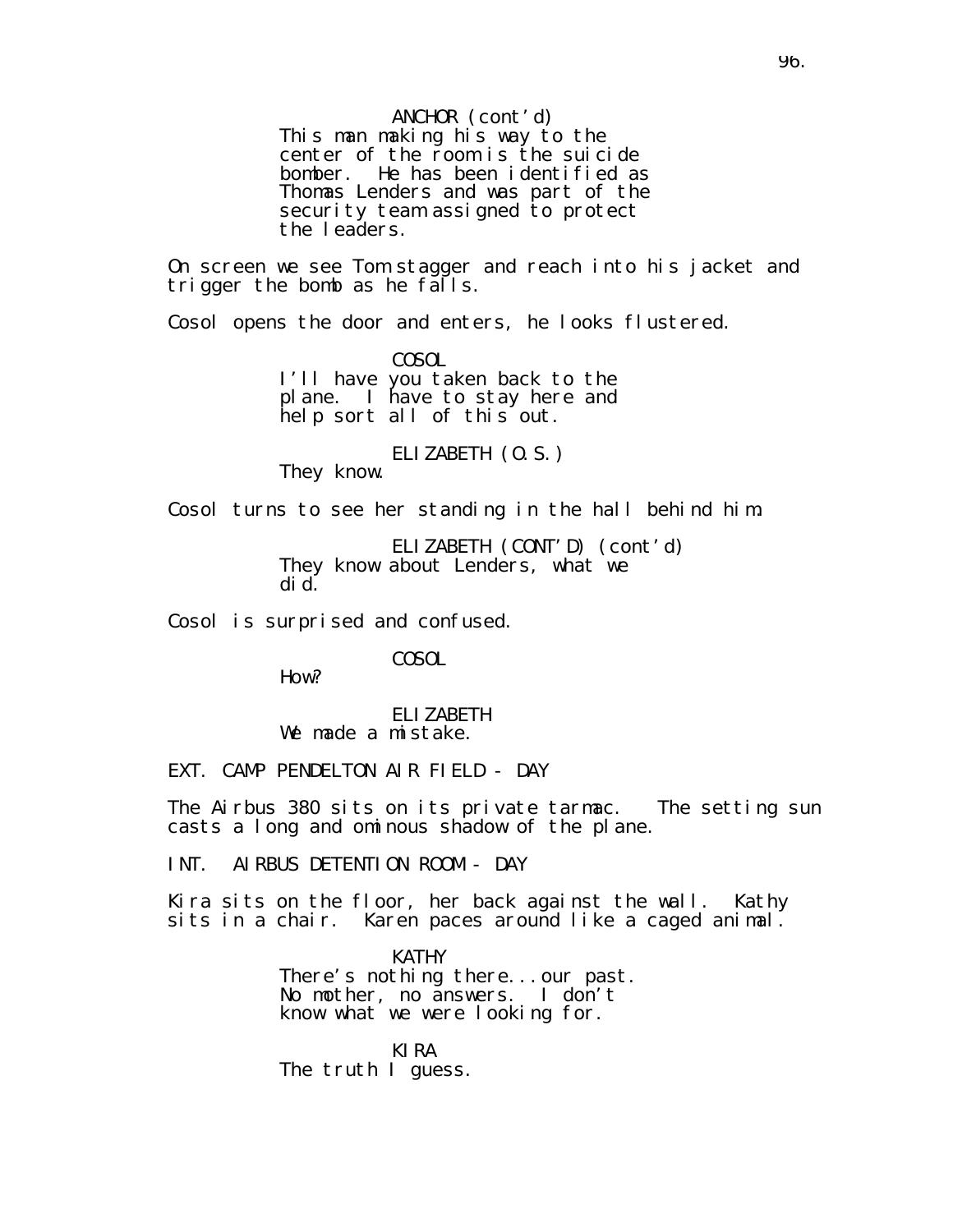### ANCHOR (cont'd)

This man making his way to the center of the room is the suicide bomber. He has been identified as Thomas Lenders and was part of the security team assigned to protect the leaders.

On screen we see Tom stagger and reach into his jacket and trigger the bomb as he falls.

Cosol opens the door and enters, he looks flustered.

COSOL I'll have you taken back to the plane. I have to stay here and help sort all of this out.

### ELIZABETH (O.S.)

They know.

Cosol turns to see her standing in the hall behind him.

ELIZABETH (CONT'D) (cont'd) They know about Lenders, what we did.

Cosol is surprised and confused.

COSOL

How?

ELIZABETH We made a mistake.

EXT. CAMP PENDELTON AIR FIELD - DAY

The Airbus 380 sits on its private tarmac. The setting sun casts a long and ominous shadow of the plane.

INT. AIRBUS DETENTION ROOM - DAY

Kira sits on the floor, her back against the wall. Kathy sits in a chair. Karen paces around like a caged animal.

> **KATHY** There's nothing there...our past. No mother, no answers. I don't know what we were looking for.

KIRA The truth I guess.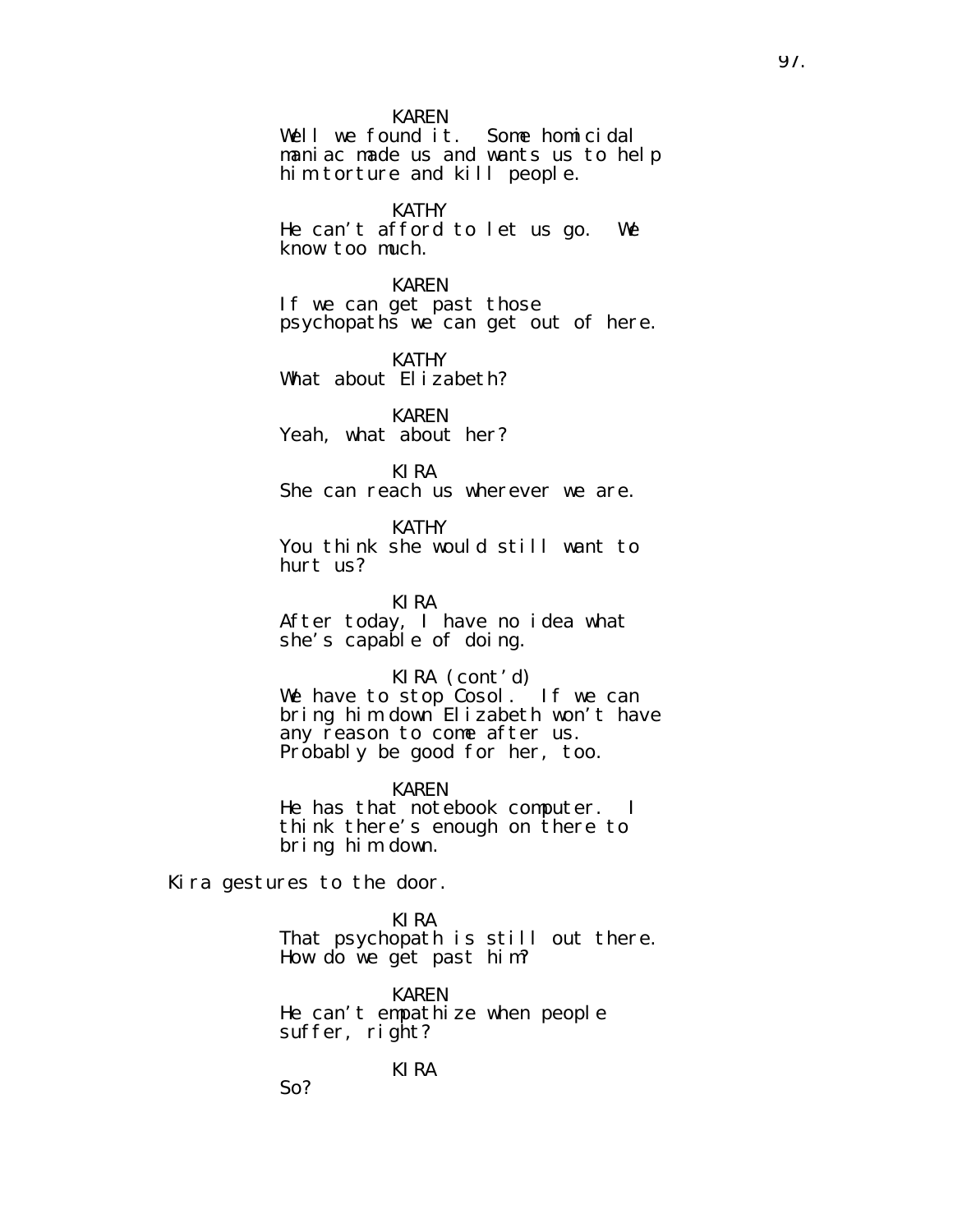#### KAREN

Well we found it. Some homicidal maniac made us and wants us to help him torture and kill people.

KATHY

He can't afford to let us go. We know too much.

KAREN

If we can get past those psychopaths we can get out of here.

KATHY What about Elizabeth?

KAREN Yeah, what about her?

KIRA She can reach us wherever we are.

KATHY You think she would still want to hurt us?

KIRA After today, I have no idea what she's capable of doing.

KIRA (cont'd) We have to stop Cosol. If we can bring him down Elizabeth won't have any reason to come after us. Probably be good for her, too.

KAREN He has that notebook computer. I think there's enough on there to bring him down.

Kira gestures to the door.

So?

KIRA That psychopath is still out there. How do we get past him?

KAREN He can't empathize when people suffer, right?

KIRA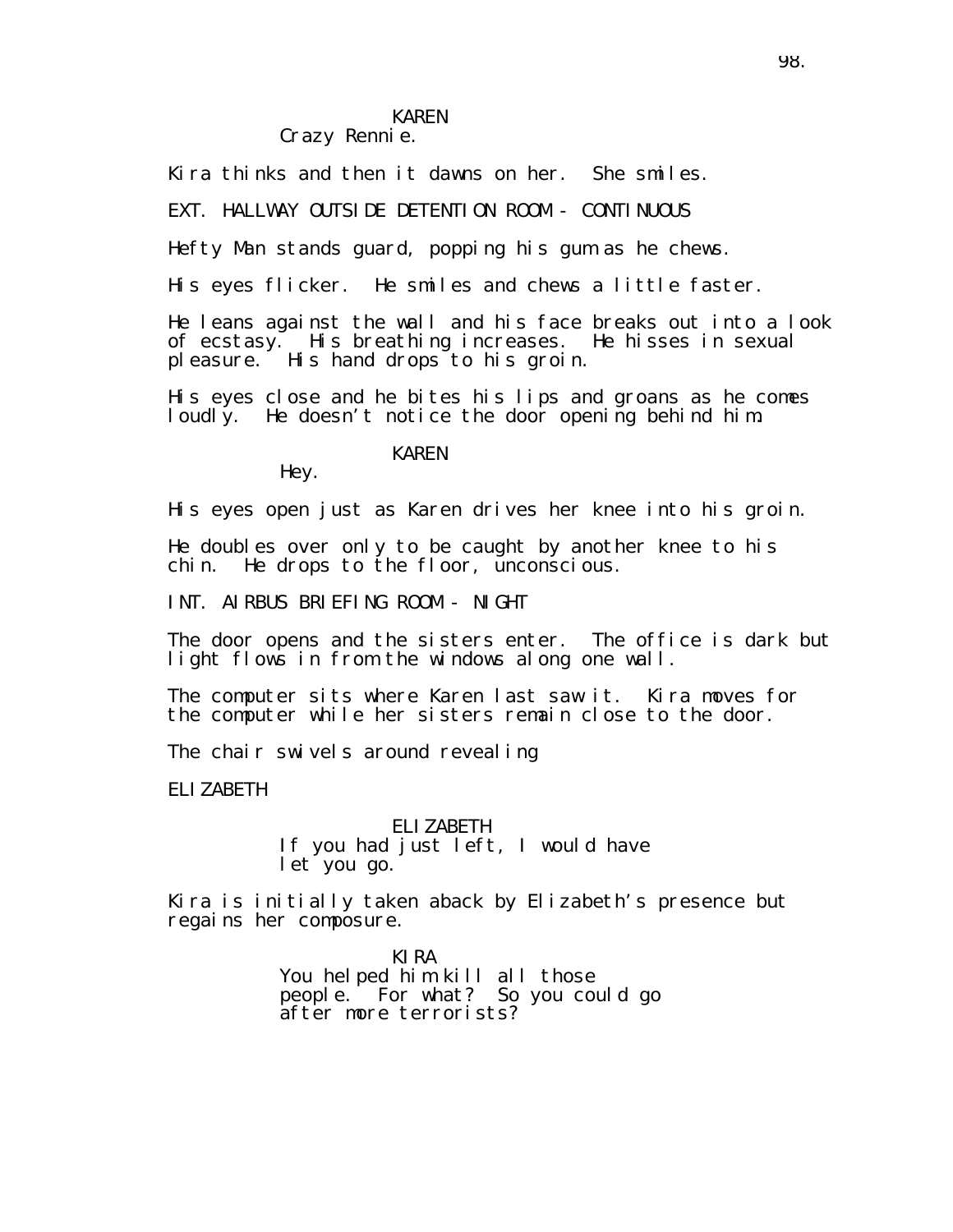## KAREN

## Crazy Rennie.

Kira thinks and then it dawns on her. She smiles.

EXT. HALLWAY OUTSIDE DETENTION ROOM - CONTINUOUS

Hefty Man stands guard, popping his gum as he chews.

His eyes flicker. He smiles and chews a little faster.

He leans against the wall and his face breaks out into a look of ecstasy. His breathing increases. He hisses in sexual pleasure. His hand drops to his groin.

His eyes close and he bites his lips and groans as he comes loudly. He doesn't notice the door opening behind him.

### KAREN

Hey.

His eyes open just as Karen drives her knee into his groin.

He doubles over only to be caught by another knee to his chin. He drops to the floor, unconscious.

INT. AIRBUS BRIEFING ROOM - NIGHT

The door opens and the sisters enter. The office is dark but light flows in from the windows along one wall.

The computer sits where Karen last saw it. Kira moves for the computer while her sisters remain close to the door.

The chair swivels around revealing

ELIZABETH

ELIZABETH If you had just left, I would have let you go.

Kira is initially taken aback by Elizabeth's presence but regains her composure.

> KIRA You helped him kill all those people. For what? So you could go after more terrorists?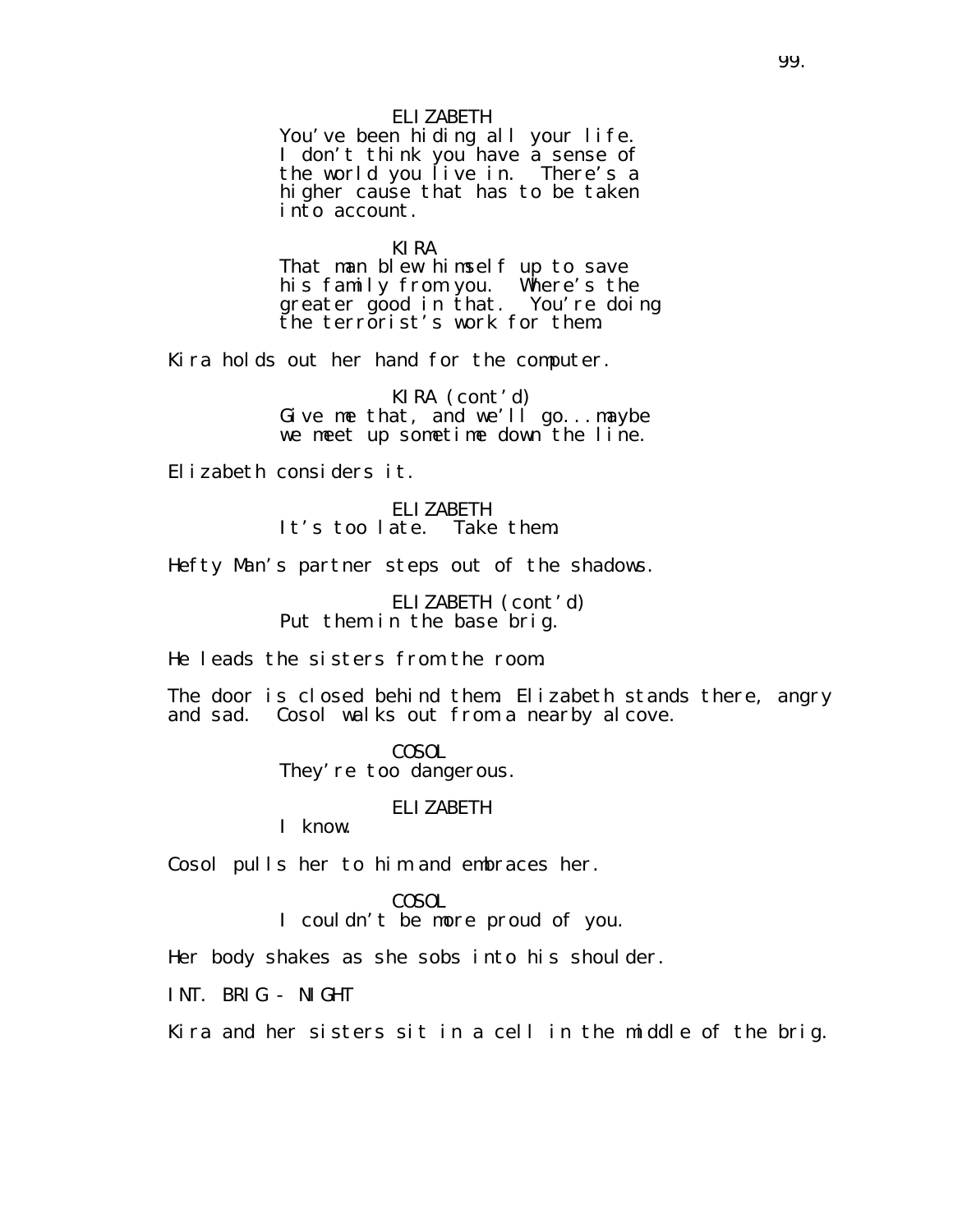### ELIZABETH

You've been hiding all your life. I don't think you have a sense of the world you live in. There's a higher cause that has to be taken into account.

KIRA That man blew himself up to save his family from you. Where's the greater good in that. You're doing the terrorist's work for them.

Kira holds out her hand for the computer.

KIRA (cont'd) Give me that, and we'll go...maybe we meet up sometime down the line.

Elizabeth considers it.

ELIZABETH It's too late. Take them.

Hefty Man's partner steps out of the shadows.

ELIZABETH (cont'd) Put them in the base brig.

He leads the sisters from the room.

The door is closed behind them. Elizabeth stands there, angry and sad. Cosol walks out from a nearby alcove.

> COSOL They' re too dangerous.

> > ELIZABETH

I know.

Cosol pulls her to him and embraces her.

COSOL

I couldn't be more proud of you.

Her body shakes as she sobs into his shoulder.

INT. BRIG - NIGHT

Kira and her sisters sit in a cell in the middle of the brig.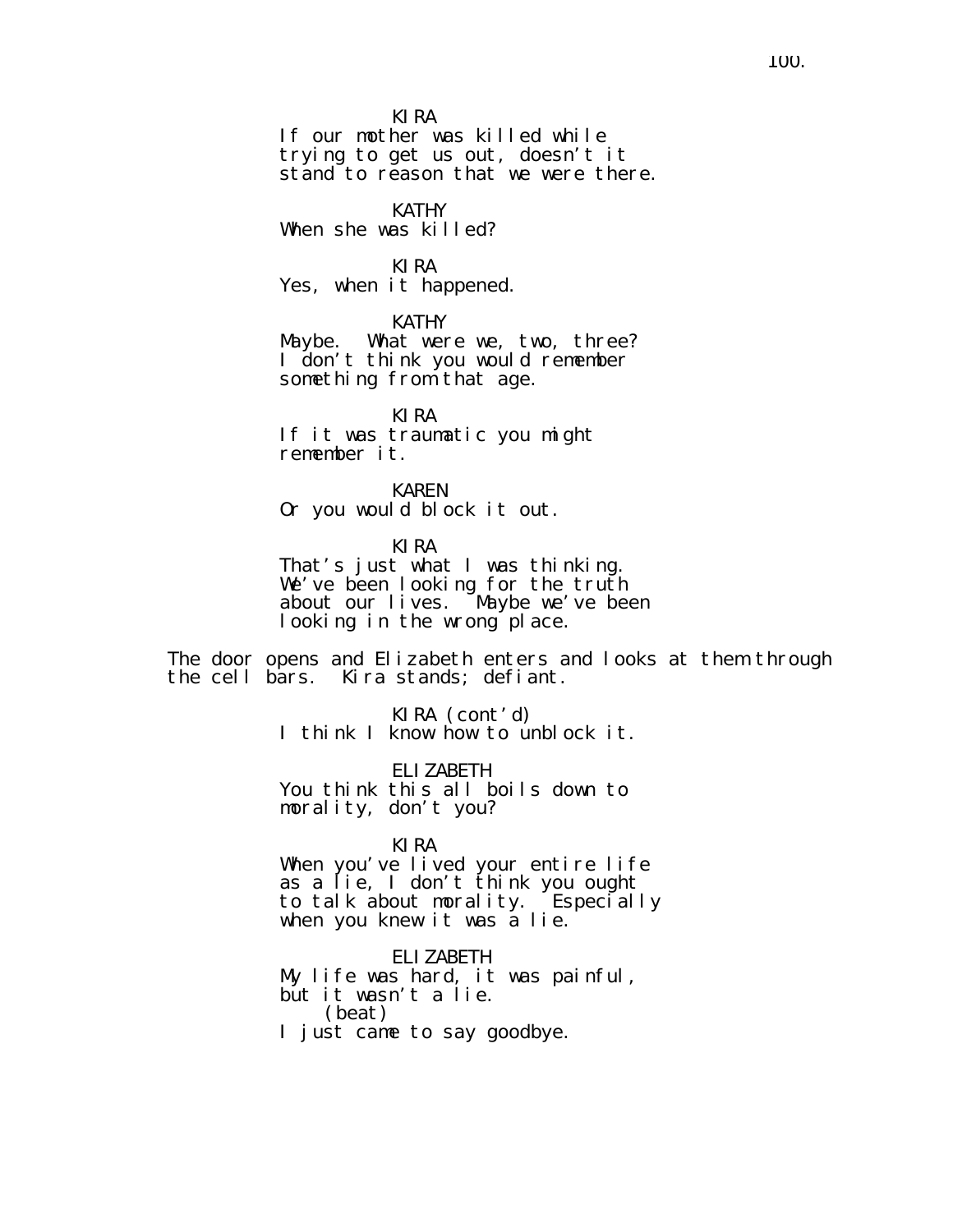KIRA

If our mother was killed while trying to get us out, doesn't it stand to reason that we were there.

#### KATHY

When she was killed?

#### KIRA

Yes, when it happened.

KATHY

Maybe. What were we, two, three? I don't think you would remember something from that age.

KIRA If it was traumatic you might remember it.

KAREN Or you would block it out.

KIRA That's just what I was thinking. We've been looking for the truth about our lives. Maybe we've been looking in the wrong place.

The door opens and Elizabeth enters and looks at them through the cell bars. Kira stands; defiant.

> KIRA (cont'd) I think I know how to unblock it.

ELIZABETH You think this all boils down to morality, don't you?

#### KIRA

When you've lived your entire life as a lie, I don't think you ought to talk about morality. Especially when you knew it was a lie.

ELIZABETH My life was hard, it was painful, but it wasn't a lie. (beat) I just came to say goodbye.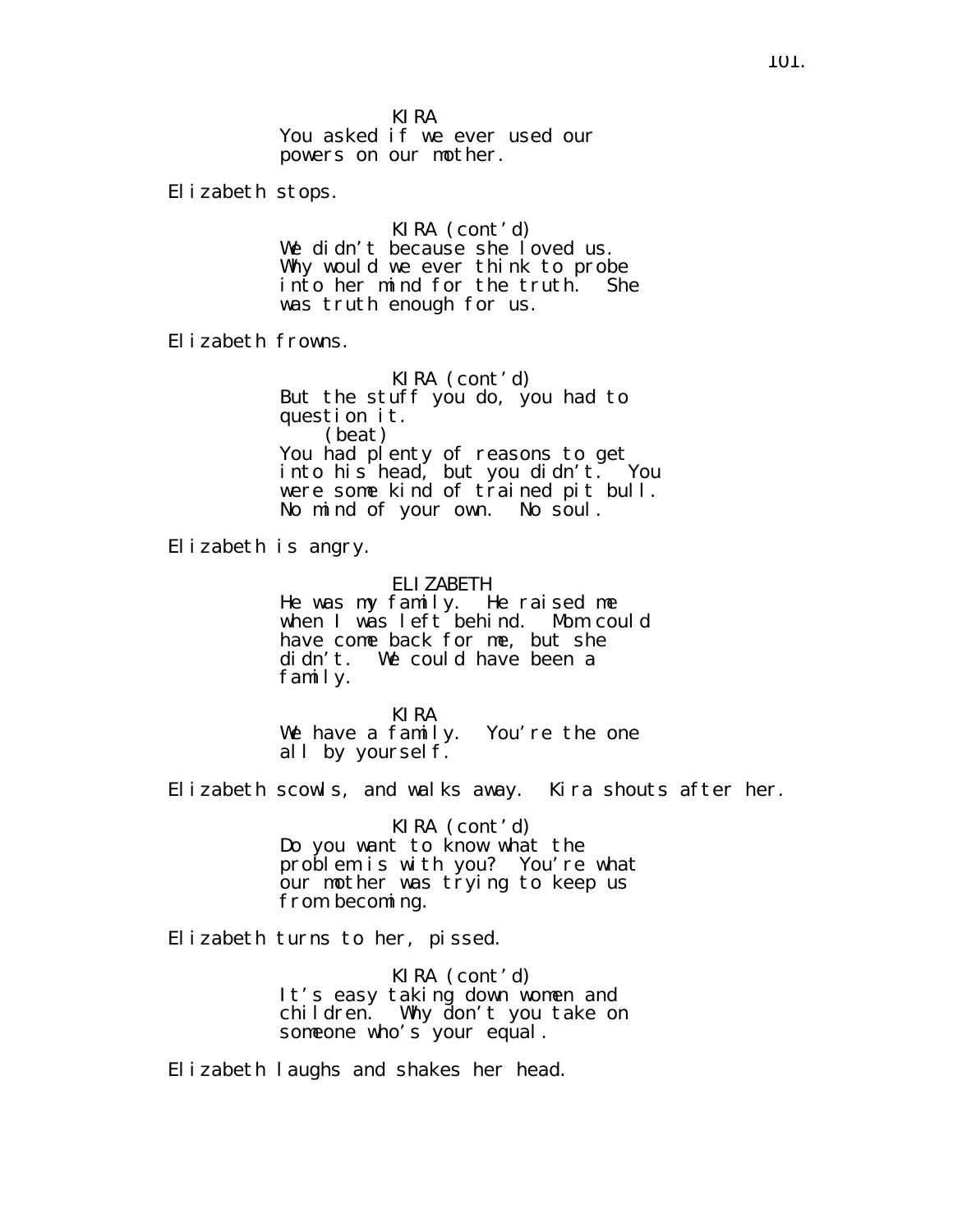KIRA

You asked if we ever used our powers on our mother.

Elizabeth stops.

KIRA (cont'd) We didn't because she loved us. Why would we ever think to probe into her mind for the truth. She was truth enough for us.

Elizabeth frowns.

KIRA (cont'd) But the stuff you do, you had to question it. (beat) You had plenty of reasons to get into his head, but you didn't. You were some kind of trained pit bull. No mind of your own. No soul.

Elizabeth is angry.

ELIZABETH

He was my family. He raised me when I was left behind. Mom could have come back for me, but she didn't. We could have been a family.

KIRA We have a family. You're the one all by yourself.

Elizabeth scowls, and walks away. Kira shouts after her.

KIRA (cont'd) Do you want to know what the problem is with you? You're what our mother was trying to keep us from becoming.

Elizabeth turns to her, pissed.

KIRA (cont'd) It's easy taking down women and children. Why don't you take on someone who's your equal.

Elizabeth laughs and shakes her head.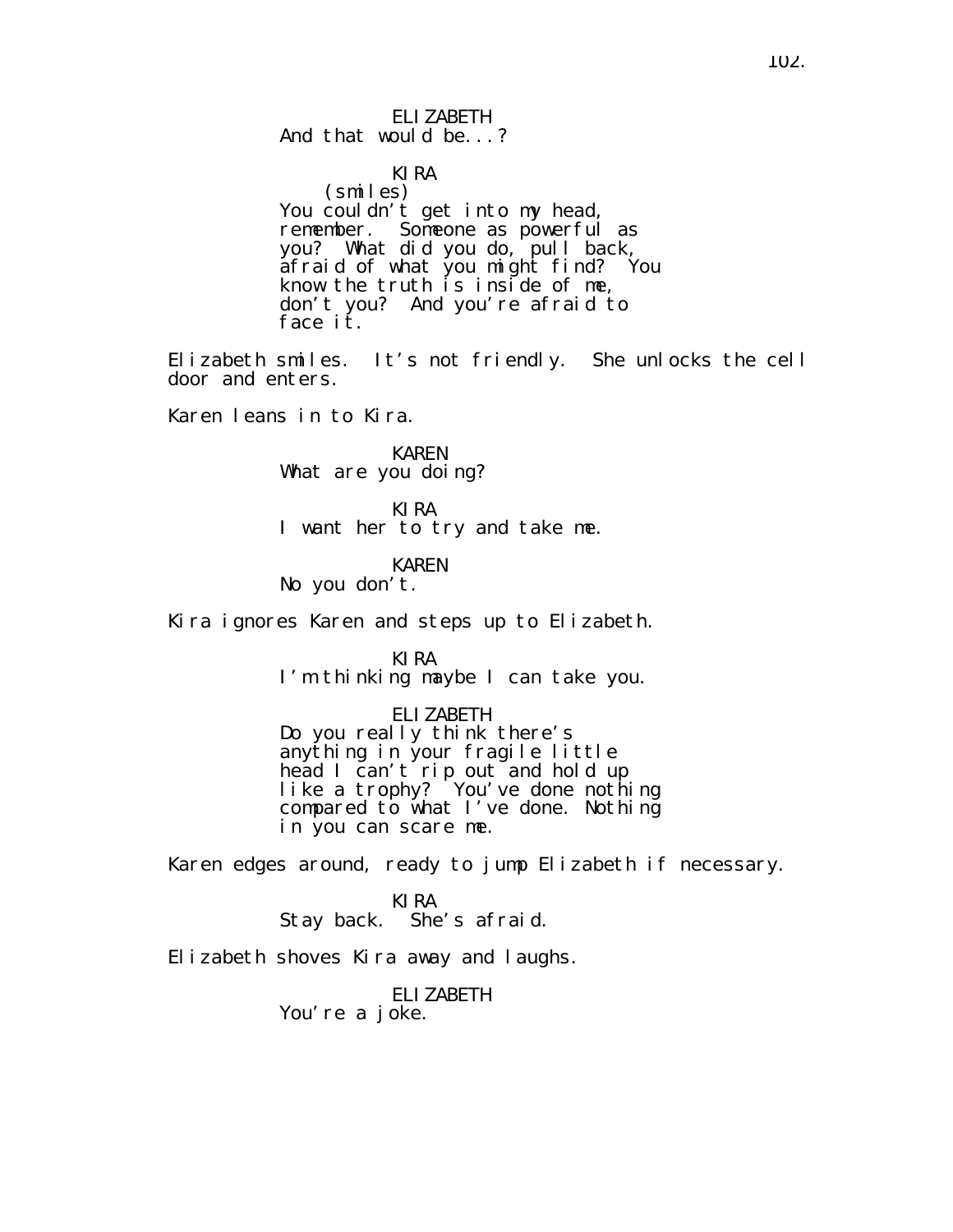ELIZABETH And that would be...?

KIRA (smiles) You couldn't get into my head, remember. Someone as powerful as you? What did you do, pull back, afraid of what you might find? You know the truth is inside of me, don't you? And you're afraid to face *it*.

Elizabeth smiles. It's not friendly. She unlocks the cell door and enters.

Karen leans in to Kira.

KAREN What are you doing?

KIRA I want her to try and take me.

KAREN No you don't.

Kira ignores Karen and steps up to Elizabeth.

KIRA I'm thinking maybe I can take you.

ELIZABETH Do you really think there's anything in your fragile little head I can't rip out and hold up like a trophy? You've done nothing compared to what I've done. Nothing in you can scare me.

Karen edges around, ready to jump Elizabeth if necessary.

KIRA Stay back. She's afraid.

Elizabeth shoves Kira away and laughs.

ELIZABETH You're a joke.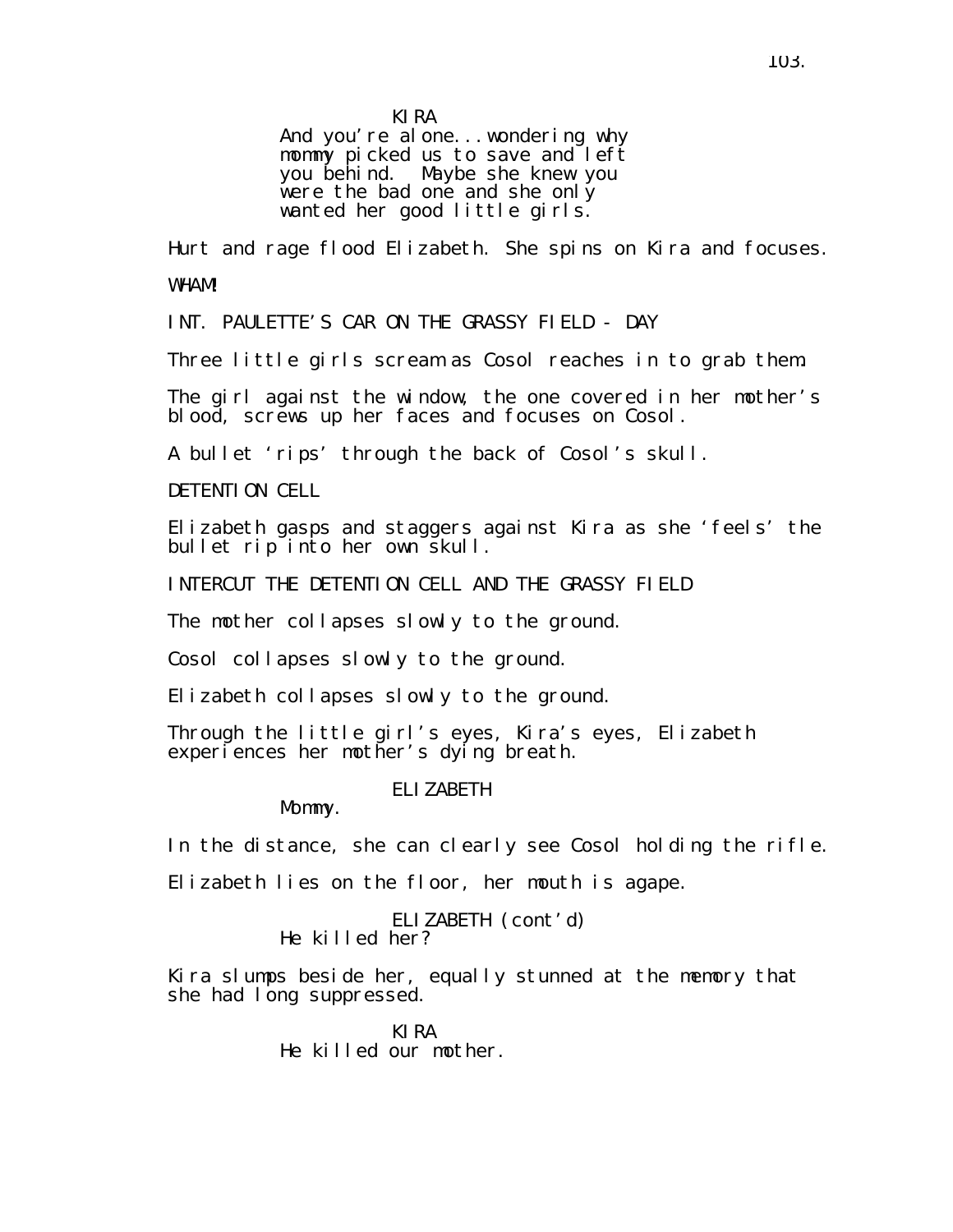KIRA

And you're alone... wondering why mommy picked us to save and left you behind. Maybe she knew you were the bad one and she only wanted her good little girls.

Hurt and rage flood Elizabeth. She spins on Kira and focuses. WHAM!

INT. PAULETTE'S CAR ON THE GRASSY FIELD - DAY

Three little girls scream as Cosol reaches in to grab them.

The girl against the window, the one covered in her mother's blood, screws up her faces and focuses on Cosol.

A bullet 'rips' through the back of Cosol's skull.

DETENTION CELL

Elizabeth gasps and staggers against Kira as she 'feels' the bullet rip into her own skull.

INTERCUT THE DETENTION CELL AND THE GRASSY FIELD

The mother collapses slowly to the ground.

Cosol collapses slowly to the ground.

Elizabeth collapses slowly to the ground.

Through the little girl's eyes, Kira's eyes, Elizabeth experiences her mother's dying breath.

### ELIZABETH

Mommy.

In the distance, she can clearly see Cosol holding the rifle.

Elizabeth lies on the floor, her mouth is agape.

ELIZABETH (cont'd) He killed her?

Kira slumps beside her, equally stunned at the memory that she had I ong suppressed.

> KIRA He killed our mother.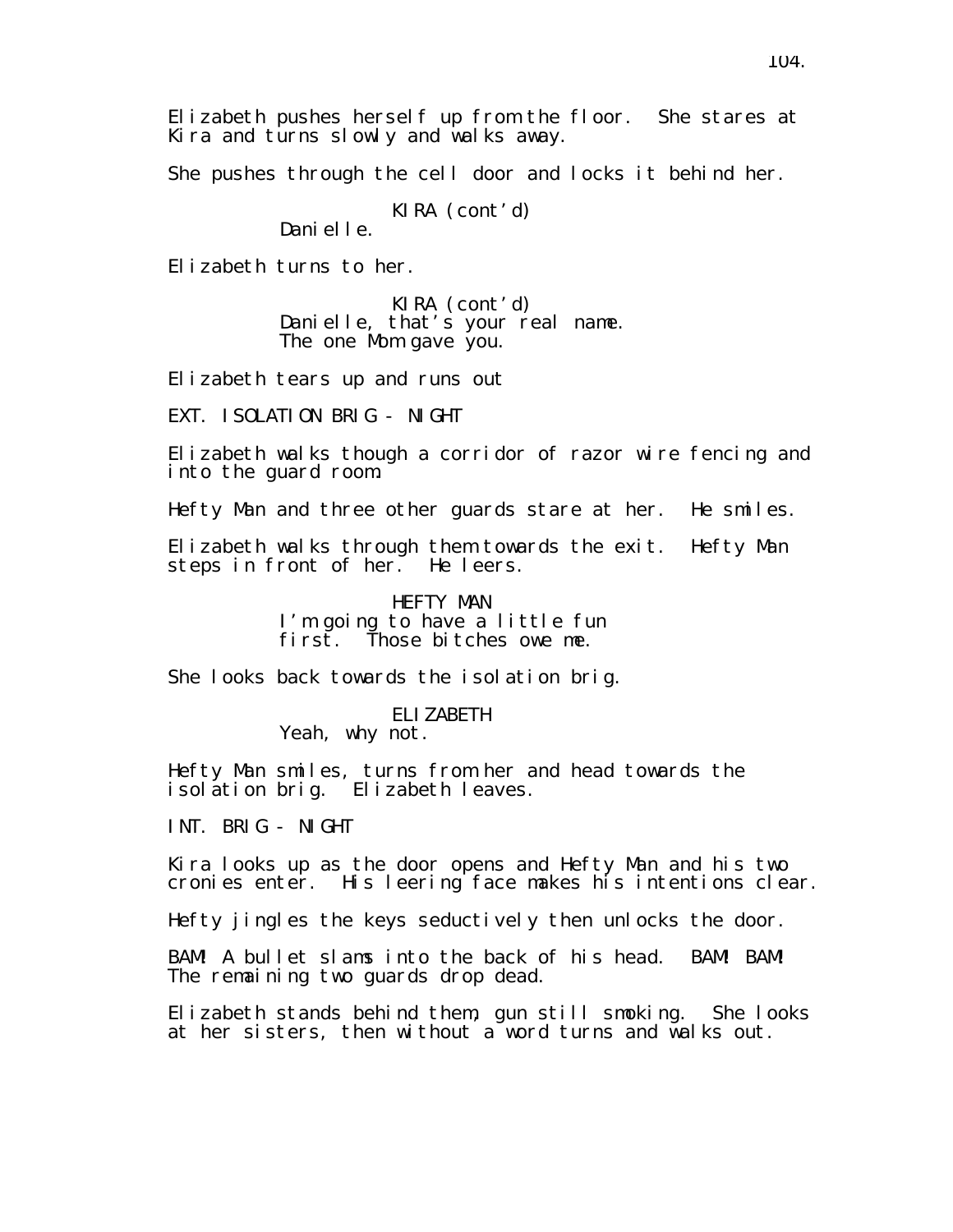She pushes through the cell door and locks it behind her.

KIRA (cont'd)

Danielle.

Elizabeth turns to her.

KIRA (cont'd) Danielle, that's your real name. The one Mom gave you.

Elizabeth tears up and runs out

EXT. ISOLATION BRIG - NIGHT

Elizabeth walks though a corridor of razor wire fencing and into the guard room.

Hefty Man and three other guards stare at her. He smiles.

Elizabeth walks through them towards the exit. Hefty Man steps in front of her. He leers.

> HEFTY MAN I'm going to have a little fun first. Those bitches owe me.

She looks back towards the isolation brig.

ELIZABETH Yeah, why not.

Hefty Man smiles, turns from her and head towards the isolation brig. Elizabeth leaves.

INT. BRIG - NIGHT

Kira looks up as the door opens and Hefty Man and his two cronies enter. His leering face makes his intentions clear.

Hefty jingles the keys seductively then unlocks the door.

BAM! A bullet slams into the back of his head. BAM! BAM! The remaining two guards drop dead.

Elizabeth stands behind them, gun still smoking. She looks at her sisters, then without a word turns and walks out.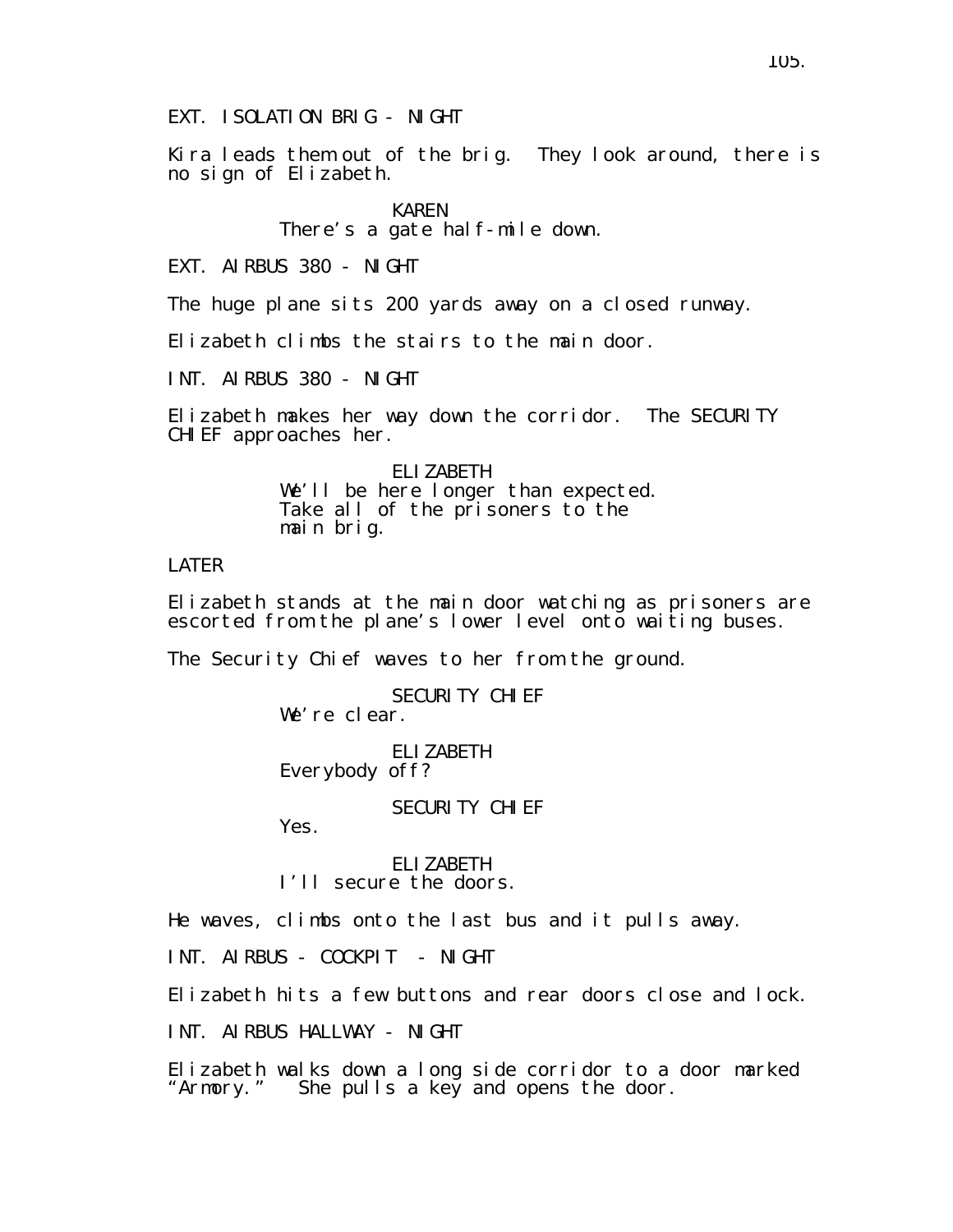EXT. ISOLATION BRIG - NIGHT

Kira leads them out of the brig. They look around, there is no sign of Elizabeth.

> KAREN There's a gate half-mile down.

EXT. AIRBUS 380 - NIGHT

The huge plane sits 200 yards away on a closed runway.

Elizabeth climbs the stairs to the main door.

INT. AIRBUS 380 - NIGHT

Elizabeth makes her way down the corridor. The SECURITY CHIEF approaches her.

> ELIZABETH We'll be here longer than expected. Take all of the prisoners to the main brig.

## LATER

Elizabeth stands at the main door watching as prisoners are escorted from the plane's lower level onto waiting buses.

The Security Chief waves to her from the ground.

SECURITY CHIFF We're clear.

ELIZABETH Everybody off?

SECURITY CHIEF

Yes.

ELIZABETH I'll secure the doors.

He waves, climbs onto the last bus and it pulls away.

INT. AIRBUS - COCKPIT - NIGHT

Elizabeth hits a few buttons and rear doors close and lock.

INT. AIRBUS HALLWAY - NIGHT

Elizabeth walks down a long side corridor to a door marked "Armory." She pulls a key and opens the door.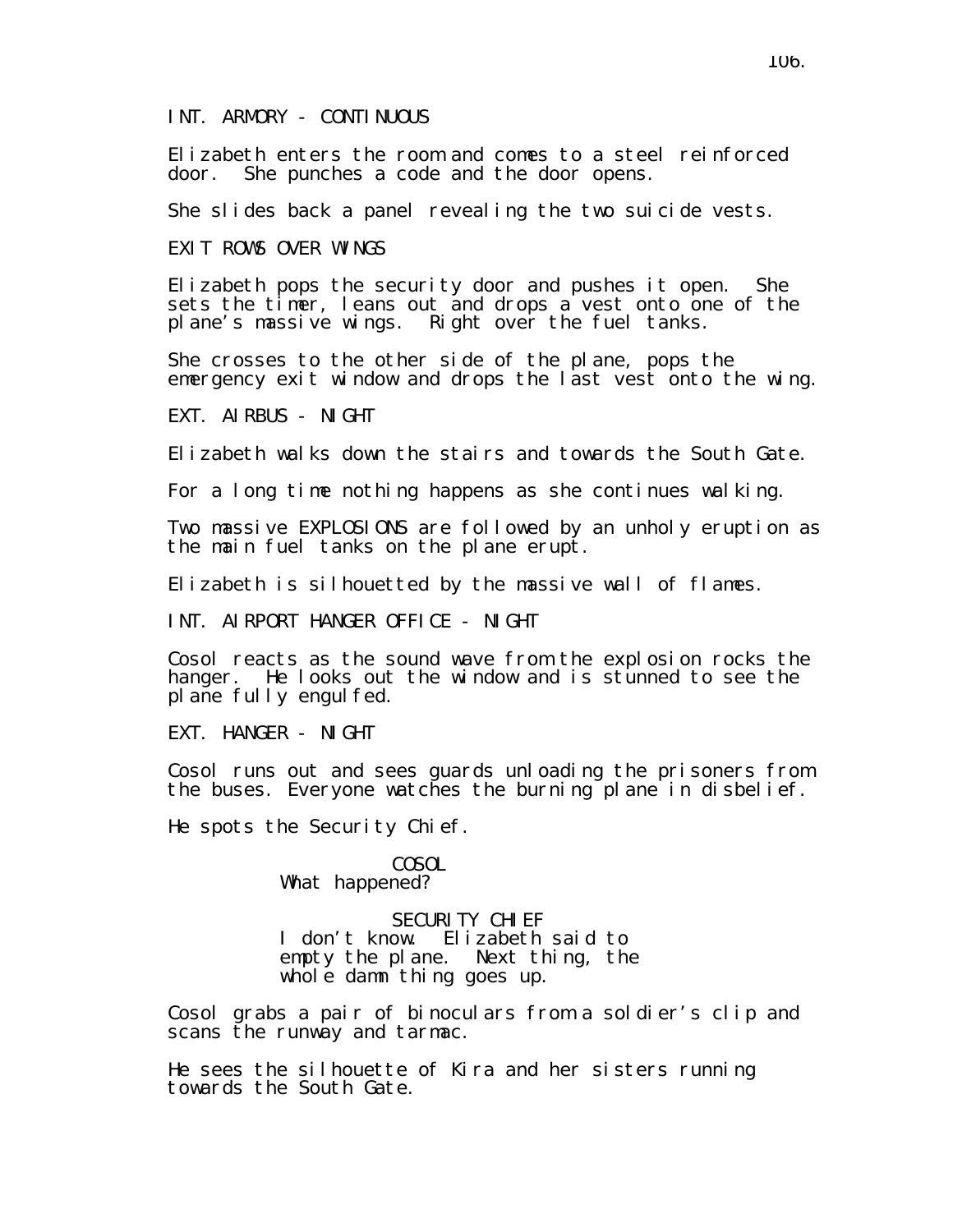Elizabeth enters the room and comes to a steel reinforced door. She punches a code and the door opens.

She slides back a panel revealing the two suicide vests.

EXIT ROWS OVER WINGS

Elizabeth pops the security door and pushes it open. She sets the timer, leans out and drops a vest onto one of the plane's massive wings. Right over the fuel tanks.

She crosses to the other side of the plane, pops the emergency exit window and drops the last vest onto the wing.

EXT. AIRBUS - NIGHT

Elizabeth walks down the stairs and towards the South Gate.

For a long time nothing happens as she continues walking.

Two massive EXPLOSIONS are followed by an unholy eruption as the main fuel tanks on the plane erupt.

Elizabeth is silhouetted by the massive wall of flames.

INT. AIRPORT HANGER OFFICE - NIGHT

Cosol reacts as the sound wave from the explosion rocks the hanger. He looks out the window and is stunned to see the plane fully engulfed.

EXT. HANGER - NIGHT

Cosol runs out and sees guards unloading the prisoners from the buses. Everyone watches the burning plane in disbelief.

He spots the Security Chief.

**COSOL** What happened?

SECURITY CHIFF I don't know. Elizabeth said to empty the plane. Next thing, the whole damn thing goes up.

Cosol grabs a pair of binoculars from a soldier's clip and scans the runway and tarmac.

He sees the silhouette of Kira and her sisters running towards the South Gate.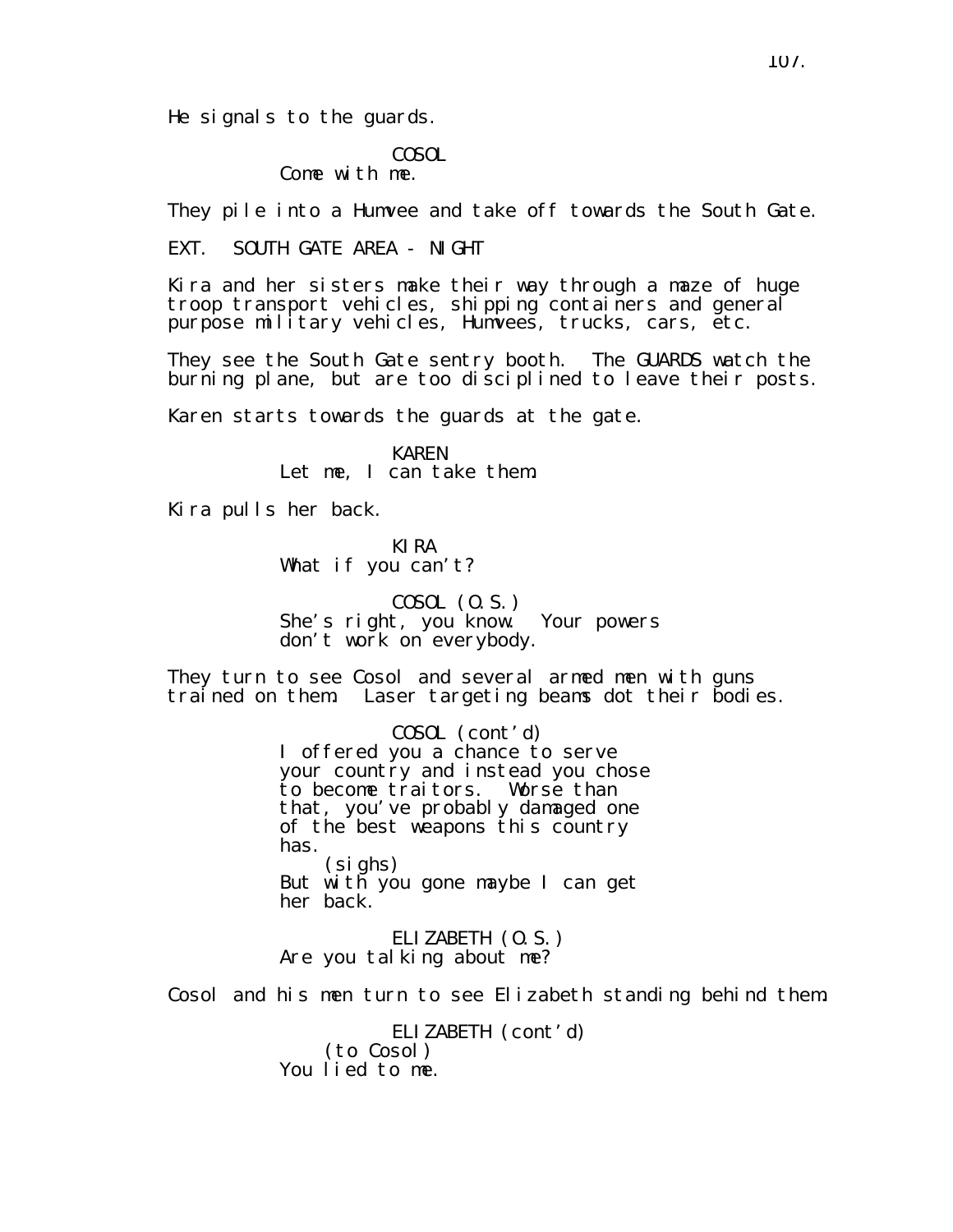He signals to the guards.

# COSOL

Come with me.

They pile into a Humvee and take off towards the South Gate.

EXT. SOUTH GATE AREA - NIGHT

Kira and her sisters make their way through a maze of huge troop transport vehicles, shipping containers and general purpose military vehicles, Humvees, trucks, cars, etc.

They see the South Gate sentry booth. The GUARDS watch the burning plane, but are too disciplined to leave their posts.

Karen starts towards the guards at the gate.

KAREN Let me, I can take them.

Kira pulls her back.

KIRA What if you can't?

COSOL (O.S.) She's right, you know. Your powers don't work on everybody.

They turn to see Cosol and several armed men with guns trained on them. Laser targeting beams dot their bodies.

> COSOL (cont'd) I offered you a chance to serve your country and instead you chose to become traitors. Worse than that, you've probably damaged one of the best weapons this country has. (sighs) But with you gone maybe I can get her back.

ELIZABETH (O.S.) Are you talking about me?

Cosol and his men turn to see Elizabeth standing behind them.

ELIZABETH (cont'd) (to Cosol) You lied to me.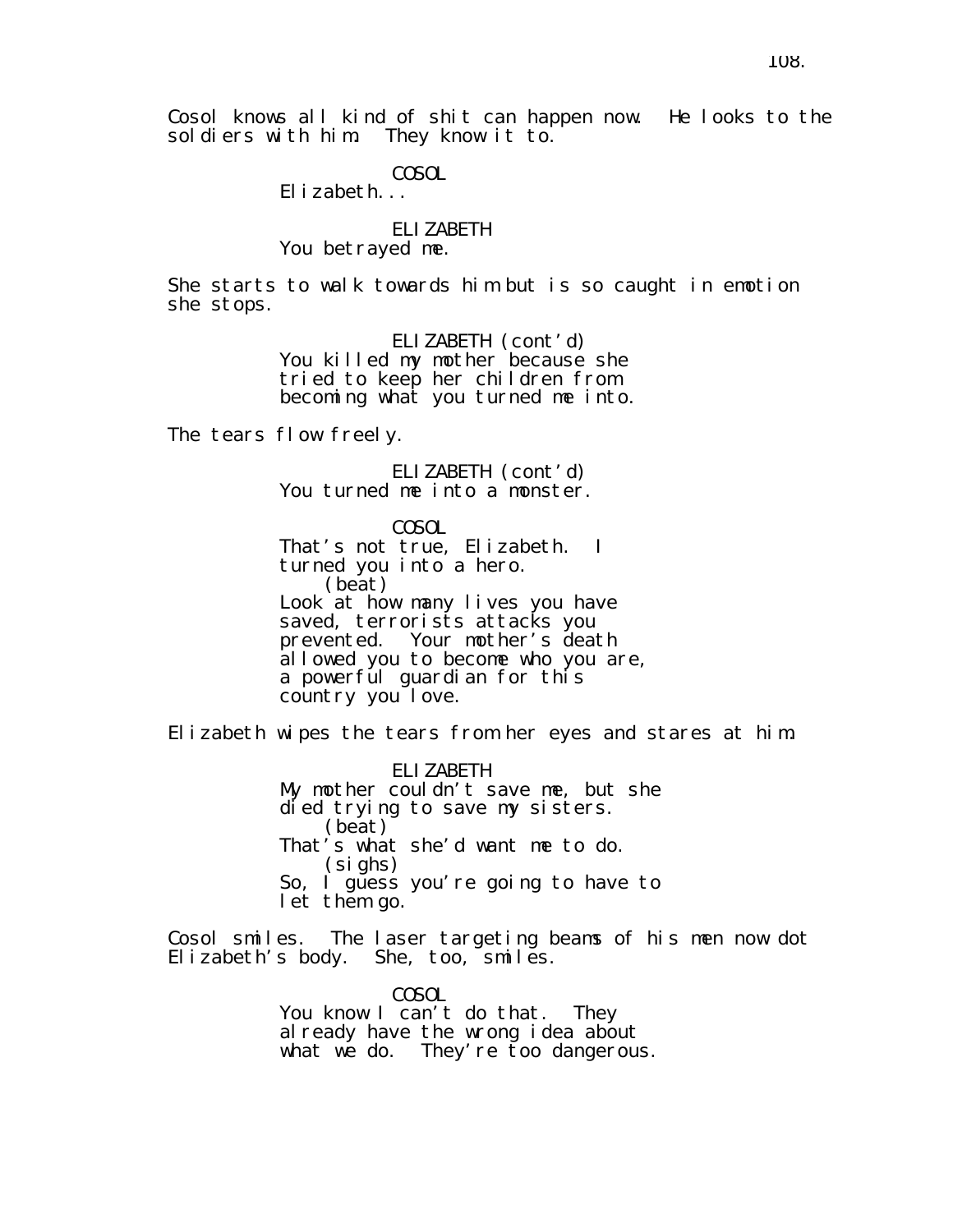Cosol knows all kind of shit can happen now. He looks to the soldiers with him. They know it to. soldiers with him.

COSOL

Elizabeth...

### ELIZABETH You betrayed me.

She starts to walk towards him but is so caught in emotion she stops.

> ELIZABETH (cont'd) You killed my mother because she tried to keep her children from becoming what you turned me into.

The tears flow freely.

ELIZABETH (cont'd) You turned me into a monster.

COSOL That's not true, Elizabeth. I turned you into a hero. (beat) Look at how many lives you have saved, terrorists attacks you prevented. Your mother's death allowed you to become who you are, a powerful guardian for this country you love.

Elizabeth wipes the tears from her eyes and stares at him.

ELIZABETH My mother couldn't save me, but she died trying to save my sisters. (beat) That's what she'd want me to do. (sighs) So, I guess you're going to have to let them go.

Cosol smiles. The laser targeting beams of his men now dot Elizabeth's body. She, too, smiles.

> COSOL You know I can't do that. They already have the wrong idea about what we do. They're too dangerous.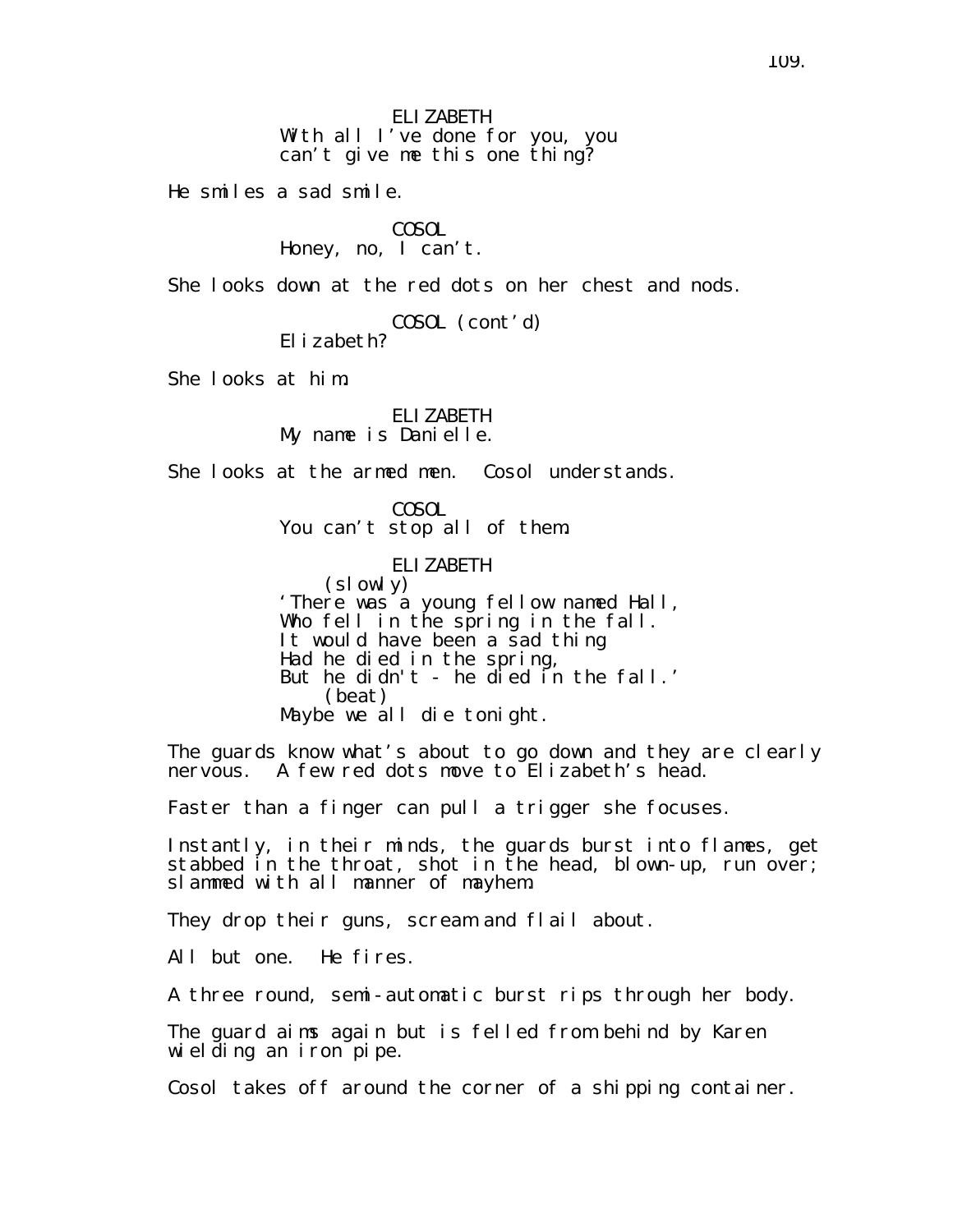ELIZABETH With all I've done for you, you can't give me this one thing?

He smiles a sad smile.

COSOL Honey, no, I can't.

She looks down at the red dots on her chest and nods.

COSOL (cont'd) Elizabeth?

She looks at him.

ELIZABETH My name is Danielle.

She looks at the armed men. Cosol understands.

COSOL You can't stop all of them.

> ELIZABETH (slowly)

'There was a young fellow named Hall, Who fell in the spring in the fall. It would have been a sad thing Had he died in the spring, But he didn't - he died in the fall.' (beat) Maybe we all die tonight.

The guards know what's about to go down and they are clearly nervous. A few red dots move to Elizabeth's head.

Faster than a finger can pull a trigger she focuses.

Instantly, in their minds, the guards burst into flames, get stabbed in the throat, shot in the head, blown-up, run over; slammed with all manner of mayhem.

They drop their guns, scream and flail about.

All but one. He fires.

A three round, semi-automatic burst rips through her body.

The guard aims again but is felled from behind by Karen wielding an iron pipe.

Cosol takes off around the corner of a shipping container.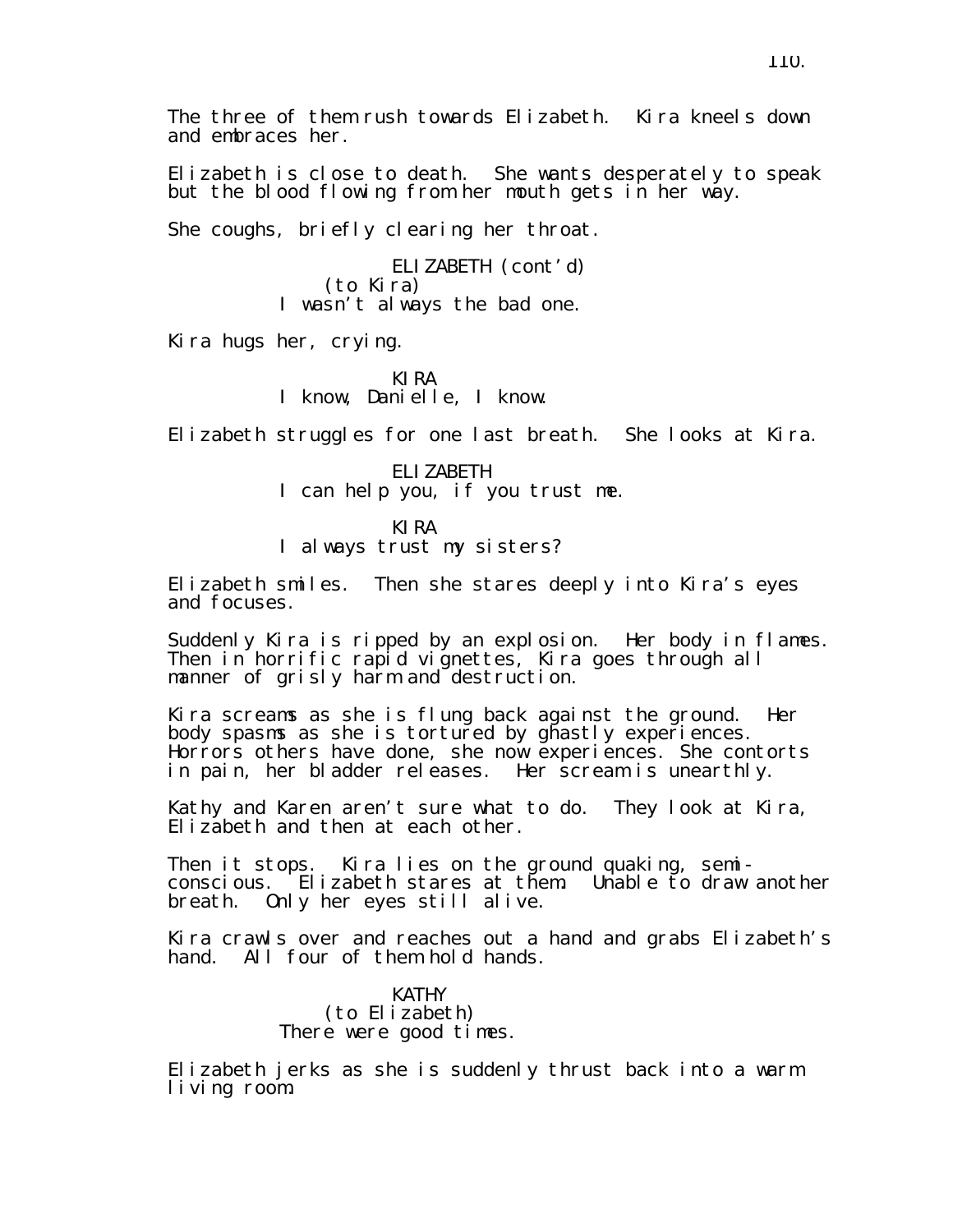Elizabeth is close to death. She wants desperately to speak but the blood flowing from her mouth gets in her way.

She coughs, briefly clearing her throat.

ELIZABETH (cont'd) (to Kira) I wasn't always the bad one.

Kira hugs her, crying.

KIRA I know, Danielle, I know.

Elizabeth struggles for one last breath. She looks at Kira.

ELIZABETH I can help you, if you trust me.

KIRA

I always trust my sisters?

Elizabeth smiles. Then she stares deeply into Kira's eyes and focuses.

Suddenly Kira is ripped by an explosion. Her body in flames. Then in horrific rapid vignettes, Kira goes through all manner of grisly harm and destruction.

Kira screams as she is flung back against the ground. Her body spasms as she is tortured by ghastly experiences. Horrors others have done, she now experiences. She contorts in pain, her bladder releases. Her scream is unearthly.

Kathy and Karen aren't sure what to do. They look at Kira, Elizabeth and then at each other.

Then it stops. Kira lies on the ground quaking, semiconscious. Elizabeth stares at them. Unable to draw another breath. Only her eyes still alive.

Kira crawls over and reaches out a hand and grabs Elizabeth's hand. All four of them hold hands.

> KATHY (to Elizabeth) There were good times.

Elizabeth jerks as she is suddenly thrust back into a warm living room.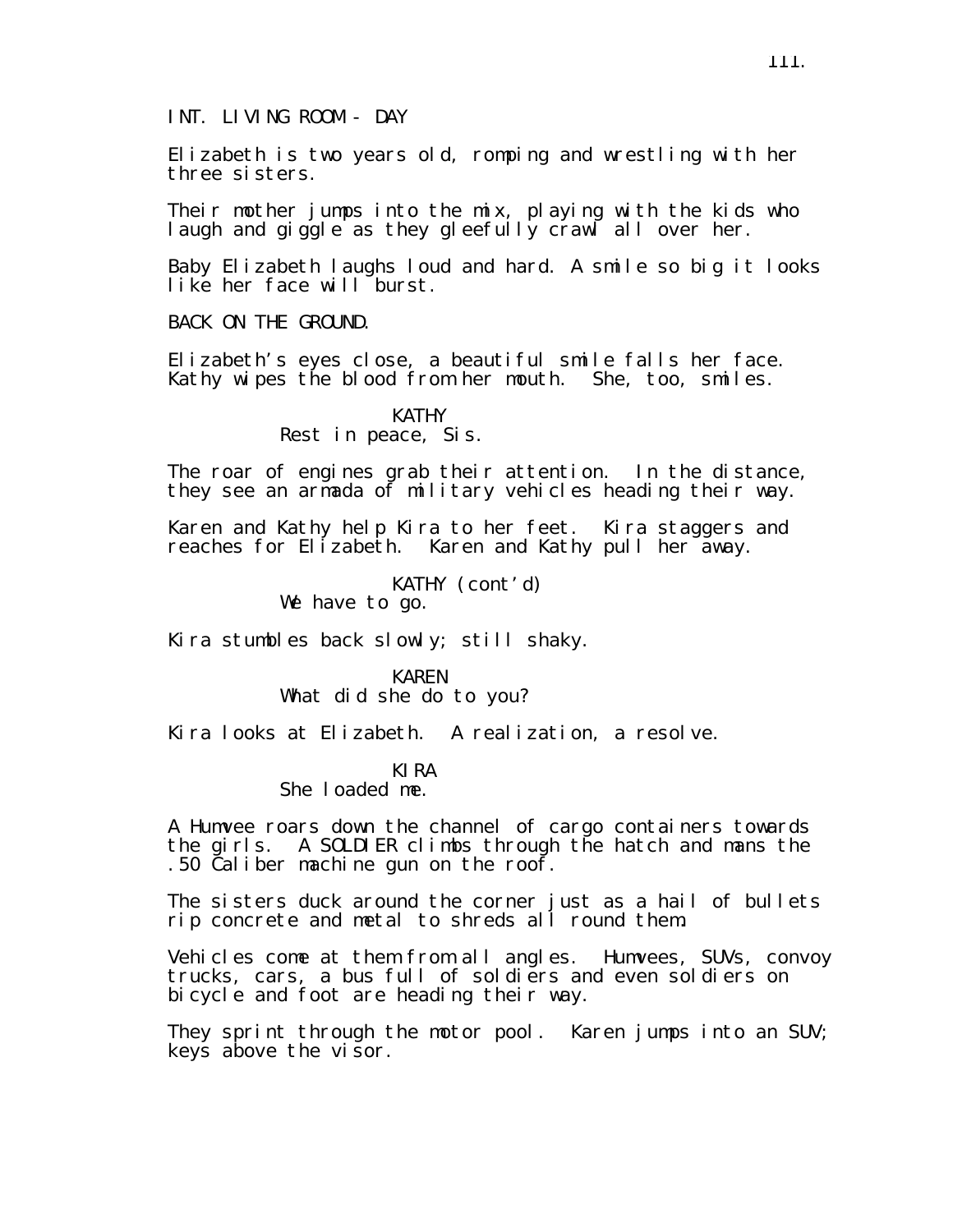INT. LIVING ROOM - DAY

Elizabeth is two years old, romping and wrestling with her three sisters.

Their mother jumps into the mix, playing with the kids who laugh and giggle as they gleefully crawl all over her.

Baby Elizabeth laughs loud and hard. A smile so big it looks like her face will burst.

BACK ON THE GROUND.

Elizabeth's eyes close, a beautiful smile falls her face. Kathy wipes the blood from her mouth. She, too, smiles.

> KATHY Rest in peace, Sis.

The roar of engines grab their attention. In the distance, they see an armada of military vehicles heading their way.

Karen and Kathy help Kira to her feet. Kira staggers and reaches for Elizabeth. Karen and Kathy pull her away.

KATHY (cont'd)

We have to go.

Kira stumbles back slowly; still shaky.

KAREN What did she do to you?

Kira looks at Elizabeth. A realization, a resolve.

## KIRA

She loaded me.

A Humvee roars down the channel of cargo containers towards the girls. A SOLDIER climbs through the hatch and mans the .50 Caliber machine gun on the roof.

The sisters duck around the corner just as a hail of bullets rip concrete and metal to shreds all round them.

Vehicles come at them from all angles. Humvees, SUVs, convoy trucks, cars, a bus full of soldiers and even soldiers on bicycle and foot are heading their way.

They sprint through the motor pool. Karen jumps into an SUV; keys above the visor.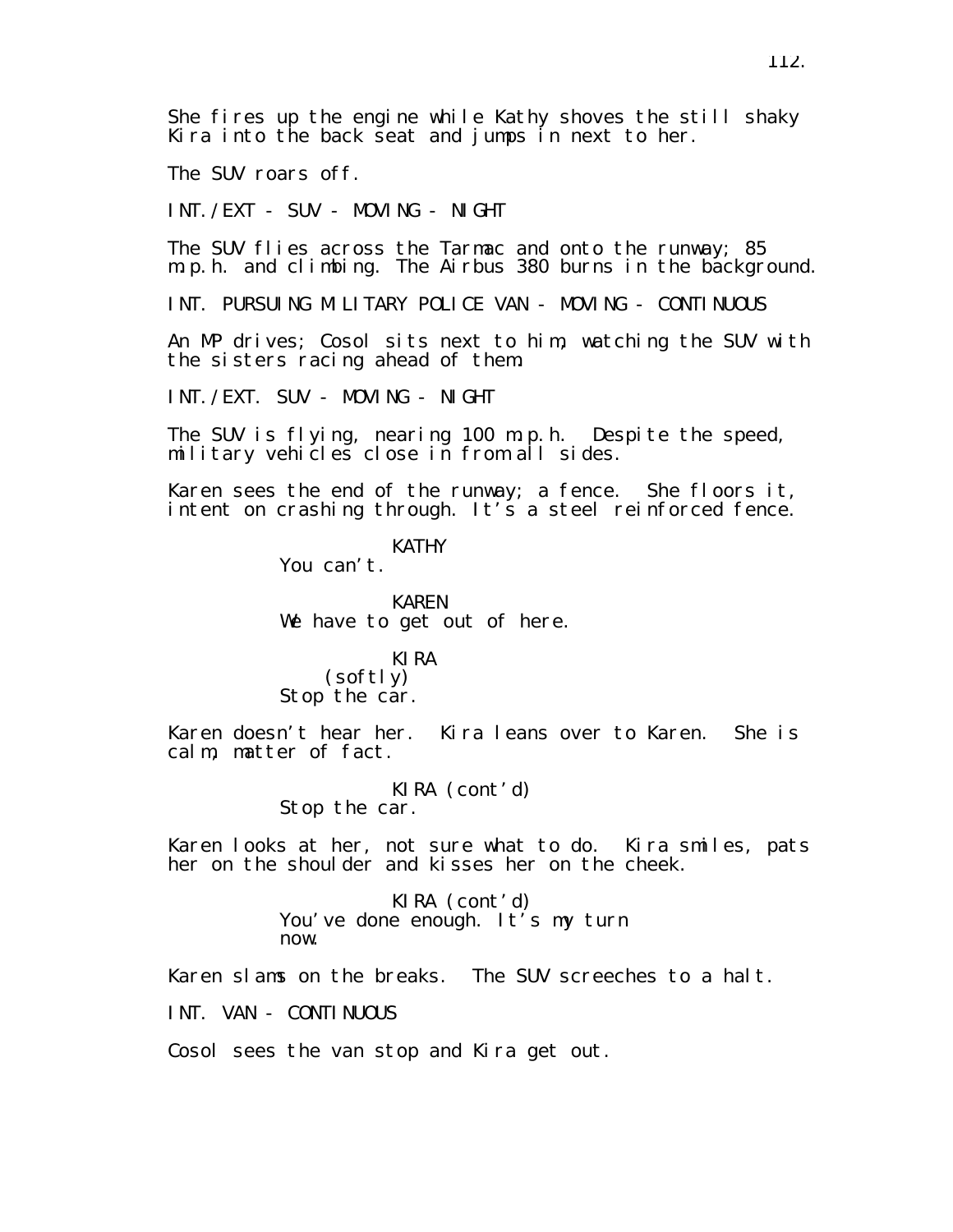She fires up the engine while Kathy shoves the still shaky Kira into the back seat and jumps in next to her.

The SUV roars off.

INT./EXT - SUV - MOVING - NIGHT

The SUV flies across the Tarmac and onto the runway; 85 m.p.h. and climbing. The Airbus 380 burns in the background.

INT. PURSUING MILITARY POLICE VAN - MOVING - CONTINUOUS

An MP drives; Cosol sits next to him, watching the SUV with the sisters racing ahead of them.

INT./EXT. SUV - MOVING - NIGHT

The SUV is flying, nearing 100 m.p.h. Despite the speed, military vehicles close in from all sides.

Karen sees the end of the runway; a fence. She floors it, intent on crashing through. It's a steel reinforced fence.

> KATHY You can't.

KAREN We have to get out of here.

## KIRA

(softly) Stop the car.

Karen doesn't hear her. Kira leans over to Karen. She is calm, matter of fact.

> KIRA (cont'd) Stop the car.

Karen looks at her, not sure what to do. Kira smiles, pats her on the shoulder and kisses her on the cheek.

> KIRA (cont'd) You've done enough. It's my turn now.

Karen slams on the breaks. The SUV screeches to a halt.

INT. VAN - CONTINUOUS

Cosol sees the van stop and Kira get out.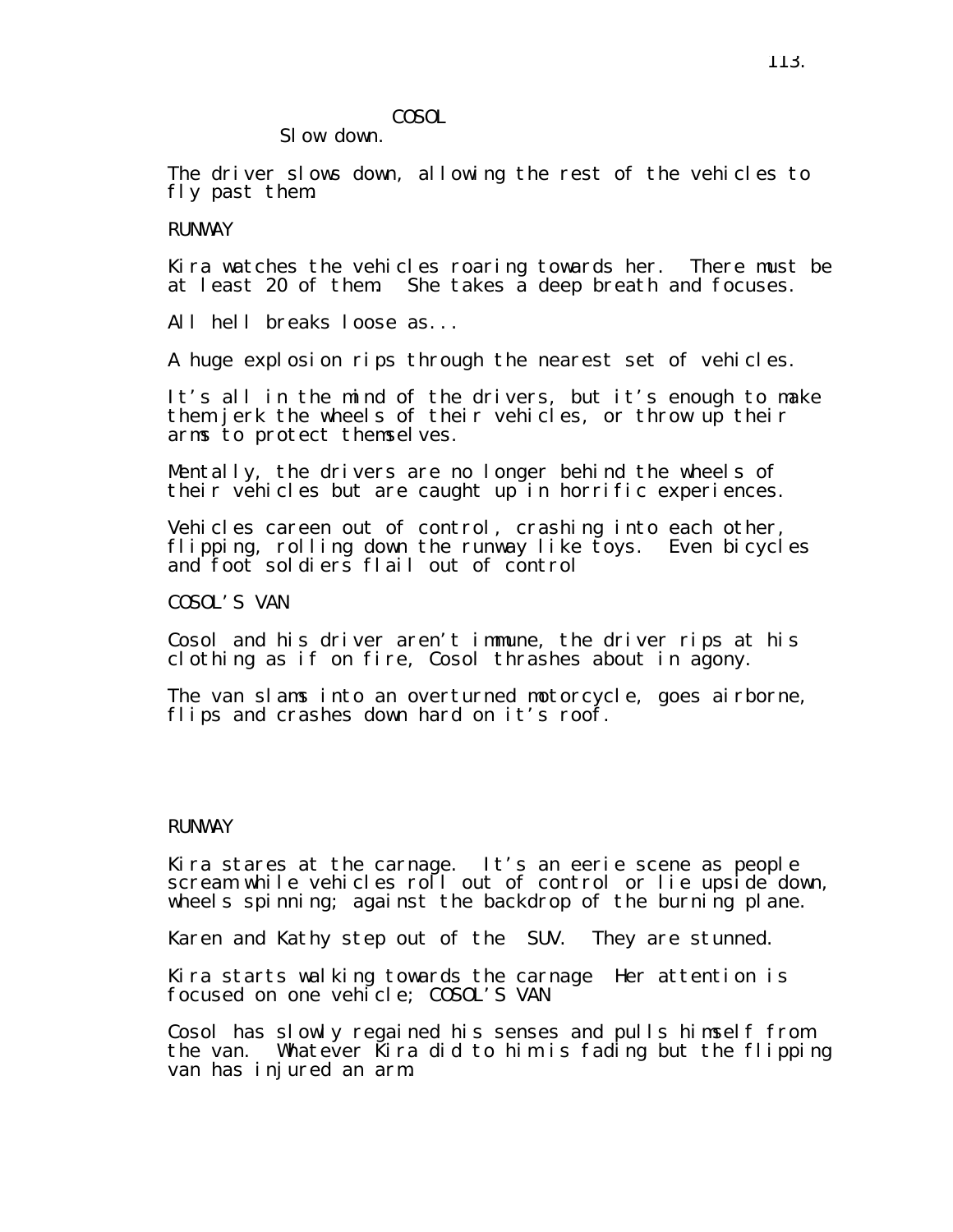# COSOL

SI ow down.

The driver slows down, allowing the rest of the vehicles to fly past them.

# RUNWAY

Kira watches the vehicles roaring towards her. There must be at least 20 of them. She takes a deep breath and focuses.

All hell breaks loose as...

A huge explosion rips through the nearest set of vehicles.

It's all in the mind of the drivers, but it's enough to make them jerk the wheels of their vehicles, or throw up their arms to protect themselves.

Mentally, the drivers are no longer behind the wheels of their vehicles but are caught up in horrific experiences.

Vehicles careen out of control, crashing into each other, flipping, rolling down the runway like toys. Even bicycles and foot soldiers flail out of control

COSOL'S VAN

Cosol and his driver aren't immune, the driver rips at his clothing as if on fire, Cosol thrashes about in agony.

The van slams into an overturned motorcycle, goes airborne, flips and crashes down hard on it's roof.

### RUNWAY

Kira stares at the carnage. It's an eerie scene as people scream while vehicles roll out of control or lie upside down, wheels spinning; against the backdrop of the burning plane.

Karen and Kathy step out of the SUV. They are stunned.

Kira starts walking towards the carnage Her attention is focused on one vehicle; COSOL'S VAN

Cosol has slowly regained his senses and pulls himself from the van. Whatever Kira did to him is fading but the flipping van has injured an arm.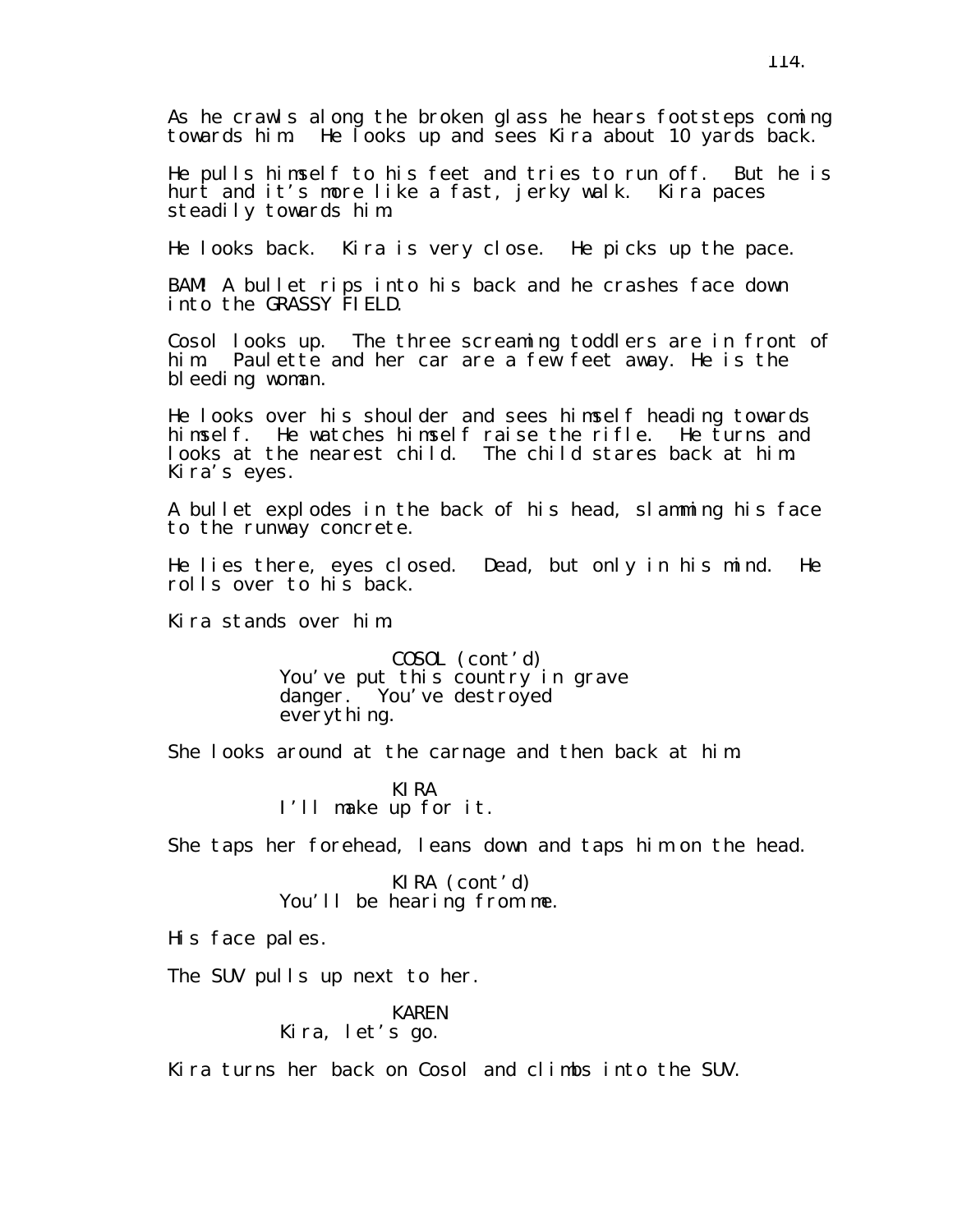As he crawls along the broken glass he hears footsteps coming towards him. He looks up and sees Kira about 10 yards back.

He pulls himself to his feet and tries to run off. But he is hurt and it's more like a fast, jerky walk. Kira paces steadily towards him.

He looks back. Kira is very close. He picks up the pace.

BAM! A bullet rips into his back and he crashes face down into the GRASSY FIELD.

Cosol looks up. The three screaming toddlers are in front of him. Paulette and her car are a few feet away. He is the bleeding woman.

He looks over his shoulder and sees himself heading towards himself. He watches himself raise the rifle. He turns and looks at the nearest child. The child stares back at him. Kira's eyes.

A bullet explodes in the back of his head, slamming his face to the runway concrete.

He lies there, eyes closed. Dead, but only in his mind. He rolls over to his back.

Kira stands over him.

COSOL (cont'd) You've put this country in grave danger. You've destroyed everything.

She looks around at the carnage and then back at him.

KIRA I'll make up for it.

She taps her forehead, leans down and taps him on the head.

KIRA (cont'd) You'll be hearing from me.

His face pales.

The SUV pulls up next to her.

KAREN Kira, let's go.

Kira turns her back on Cosol and climbs into the SUV.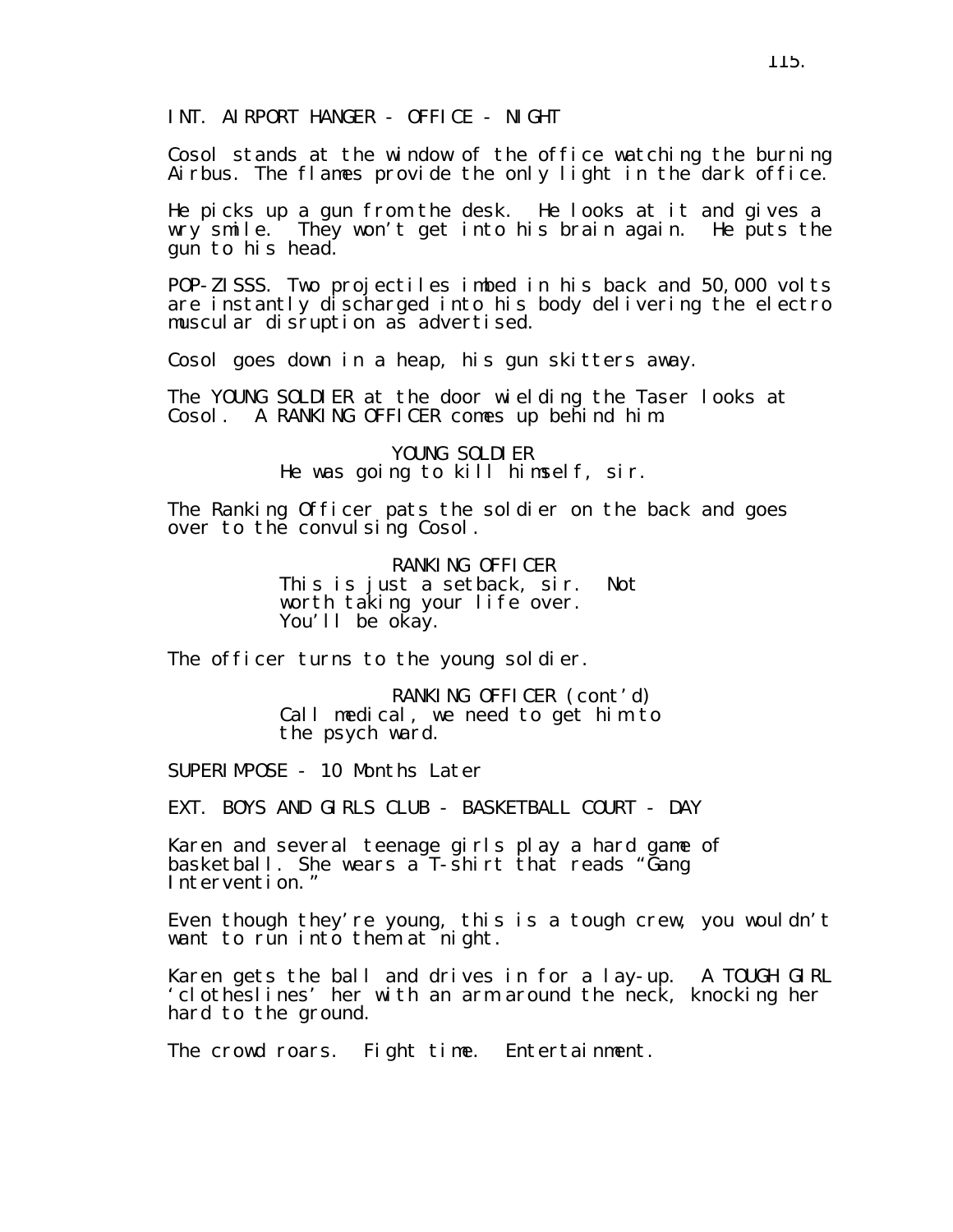INT. AIRPORT HANGER - OFFICE - NIGHT

Cosol stands at the window of the office watching the burning Airbus. The flames provide the only light in the dark office.

He picks up a gun from the desk. He looks at it and gives a wry smile. They won't get into his brain again. He puts the gun to his head.

POP-ZISSS. Two projectiles imbed in his back and 50,000 volts are instantly discharged into his body delivering the electro muscular disruption as advertised.

Cosol goes down in a heap, his gun skitters away.

The YOUNG SOLDIER at the door wielding the Taser looks at Cosol. A RANKING OFFICER comes up behind him.

> YOUNG SOLDIER He was going to kill himself, sir.

The Ranking Officer pats the soldier on the back and goes over to the convulsing Cosol.

> RANKING OFFICER This is just a setback, sir. Not worth taking your life over. You'll be okay.

The officer turns to the young soldier.

RANKING OFFICER (cont'd) Call medical, we need to get him to the psych ward.

SUPERIMPOSE - 10 Months Later

EXT. BOYS AND GIRLS CLUB - BASKETBALL COURT - DAY

Karen and several teenage girls play a hard game of basketball. She wears a T-shirt that reads "Gang Intervention."

Even though they're young, this is a tough crew, you wouldn't want to run into them at night.

Karen gets the ball and drives in for a lay-up. A TOUGH GIRL 'clotheslines' her with an arm around the neck, knocking her hard to the ground.

The crowd roars. Fight time. Entertainment.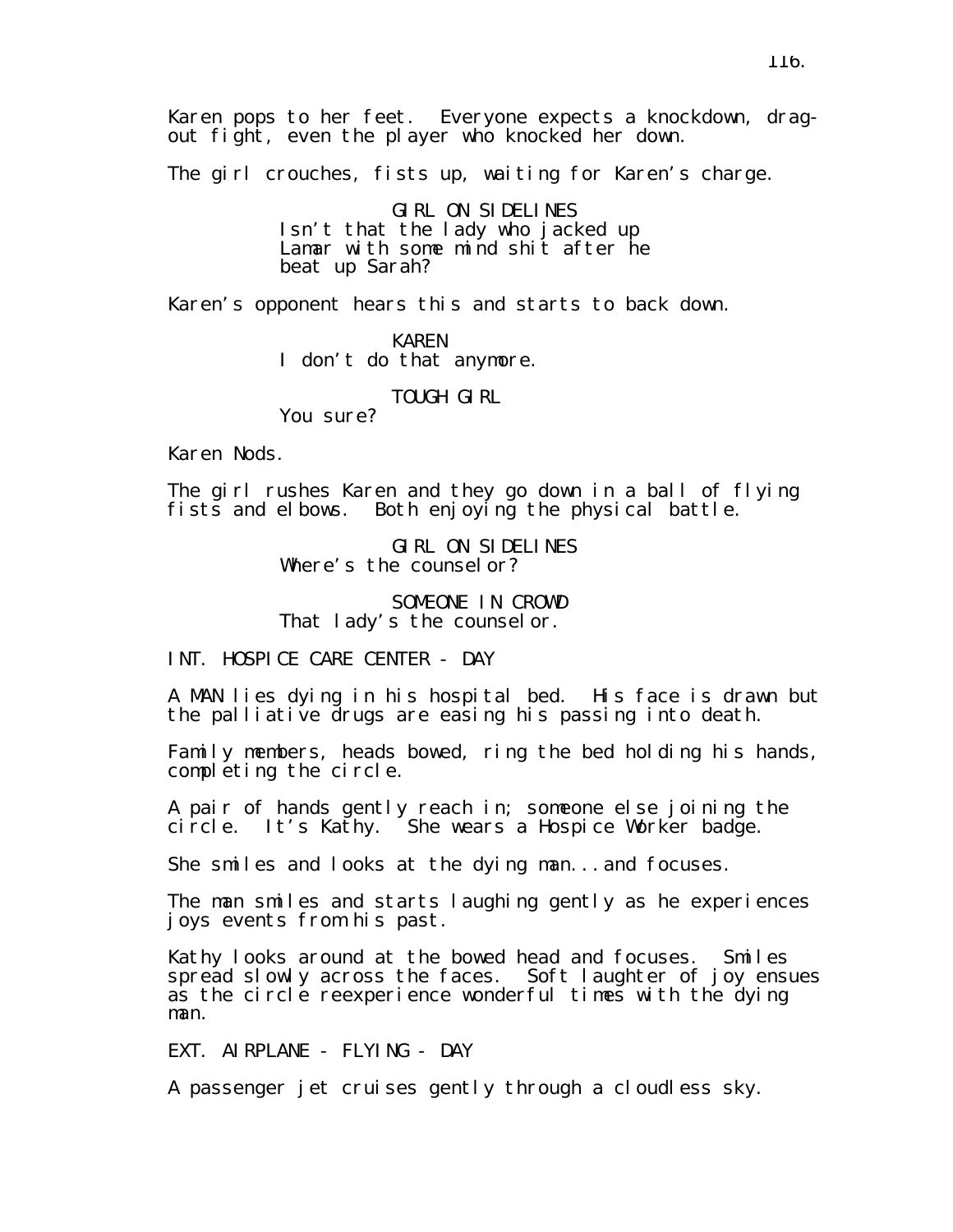The girl crouches, fists up, waiting for Karen's charge.

GIRL ON SIDELINES Isn't that the lady who jacked up Lamar with some mind shit after he beat up Sarah?

Karen's opponent hears this and starts to back down.

KAREN I don't do that anymore.

TOUGH GIRL

You sure?

Karen Nods.

The girl rushes Karen and they go down in a ball of flying fists and elbows. Both enjoying the physical battle.

> GIRL ON SIDELINES Where's the counselor?

SOMEONE IN CROWD That lady's the counsel or.

INT. HOSPICE CARE CENTER - DAY

A MAN lies dying in his hospital bed. His face is drawn but the palliative drugs are easing his passing into death.

Family members, heads bowed, ring the bed holding his hands, completing the circle.

A pair of hands gently reach in; someone else joining the circle. It's Kathy. She wears a Hospice Worker badge.

She smiles and looks at the dying man...and focuses.

The man smiles and starts laughing gently as he experiences joys events from his past.

Kathy looks around at the bowed head and focuses. Smiles spread slowly across the faces. Soft laughter of joy ensues as the circle reexperience wonderful times with the dying man.

EXT. AIRPLANE - FLYING - DAY

A passenger jet cruises gently through a cloudless sky.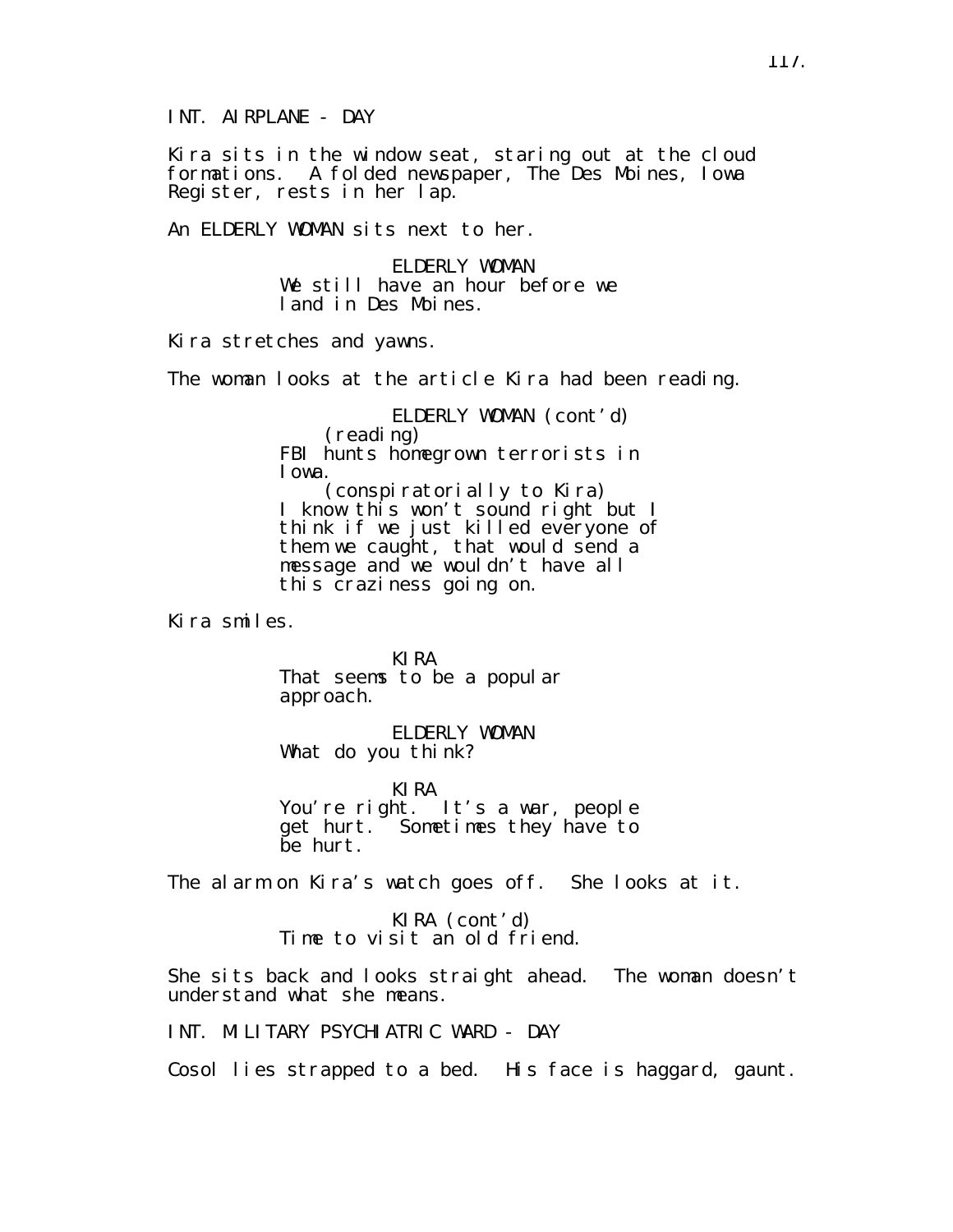INT. AIRPLANE - DAY

Kira sits in the window seat, staring out at the cloud formations. A folded newspaper, The Des Moines, Iowa Register, rests in her lap.

An ELDERLY WOMAN sits next to her.

ELDERLY WOMAN We still have an hour before we land in Des Moines.

Kira stretches and yawns.

The woman looks at the article Kira had been reading.

ELDERLY WOMAN (cont'd) (reading) FBI hunts homegrown terrorists in Iowa. (conspiratorially to Kira)

I know this won't sound right but I think if we just killed everyone of them we caught, that would send a message and we wouldn't have all this craziness going on.

Kira smiles.

KIRA That seems to be a popular approach.

ELDERLY WOMAN What do you think?

KIRA You're right. It's a war, people get hurt. Sometimes they have to be hurt.

The alarm on Kira's watch goes off. She looks at it.

KIRA (cont'd) Time to visit an old friend.

She sits back and looks straight ahead. The woman doesn't understand what she means.

INT. MILITARY PSYCHIATRIC WARD - DAY

Cosol lies strapped to a bed. His face is haggard, gaunt.